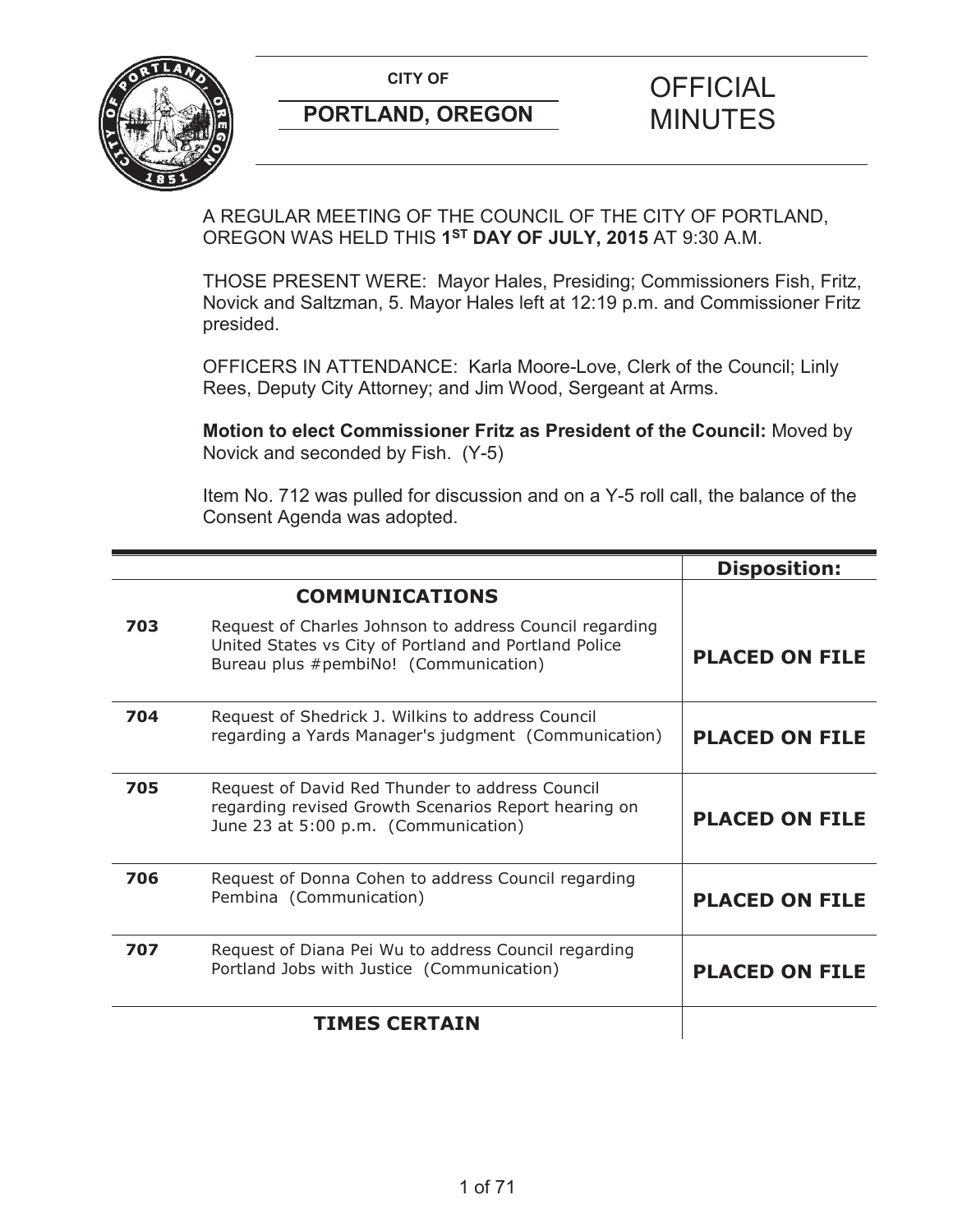

# **PORTLAND, OREGON MINUTES**

# **CITY OF CITY OF STRIPS OF FICIAL**

A REGULAR MEETING OF THE COUNCIL OF THE CITY OF PORTLAND, OREGON WAS HELD THIS **1ST DAY OF JULY, 2015** AT 9:30 A.M.

THOSE PRESENT WERE: Mayor Hales, Presiding; Commissioners Fish, Fritz, Novick and Saltzman, 5. Mayor Hales left at 12:19 p.m. and Commissioner Fritz presided.

OFFICERS IN ATTENDANCE: Karla Moore-Love, Clerk of the Council; Linly Rees, Deputy City Attorney; and Jim Wood, Sergeant at Arms.

**Motion to elect Commissioner Fritz as President of the Council:** Moved by Novick and seconded by Fish. (Y-5)

Item No. 712 was pulled for discussion and on a Y-5 roll call, the balance of the Consent Agenda was adopted.

|     |                                                                                                                                                           | <b>Disposition:</b>   |
|-----|-----------------------------------------------------------------------------------------------------------------------------------------------------------|-----------------------|
|     | <b>COMMUNICATIONS</b>                                                                                                                                     |                       |
| 703 | Request of Charles Johnson to address Council regarding<br>United States vs City of Portland and Portland Police<br>Bureau plus #pembiNo! (Communication) | <b>PLACED ON FILE</b> |
| 704 | Request of Shedrick J. Wilkins to address Council<br>regarding a Yards Manager's judgment (Communication)                                                 | <b>PLACED ON FILE</b> |
| 705 | Request of David Red Thunder to address Council<br>regarding revised Growth Scenarios Report hearing on<br>June 23 at 5:00 p.m. (Communication)           | <b>PLACED ON FILE</b> |
| 706 | Request of Donna Cohen to address Council regarding<br>Pembina (Communication)                                                                            | <b>PLACED ON FILE</b> |
| 707 | Request of Diana Pei Wu to address Council regarding<br>Portland Jobs with Justice (Communication)                                                        | <b>PLACED ON FILE</b> |
|     | <b>TIMES CERTAIN</b>                                                                                                                                      |                       |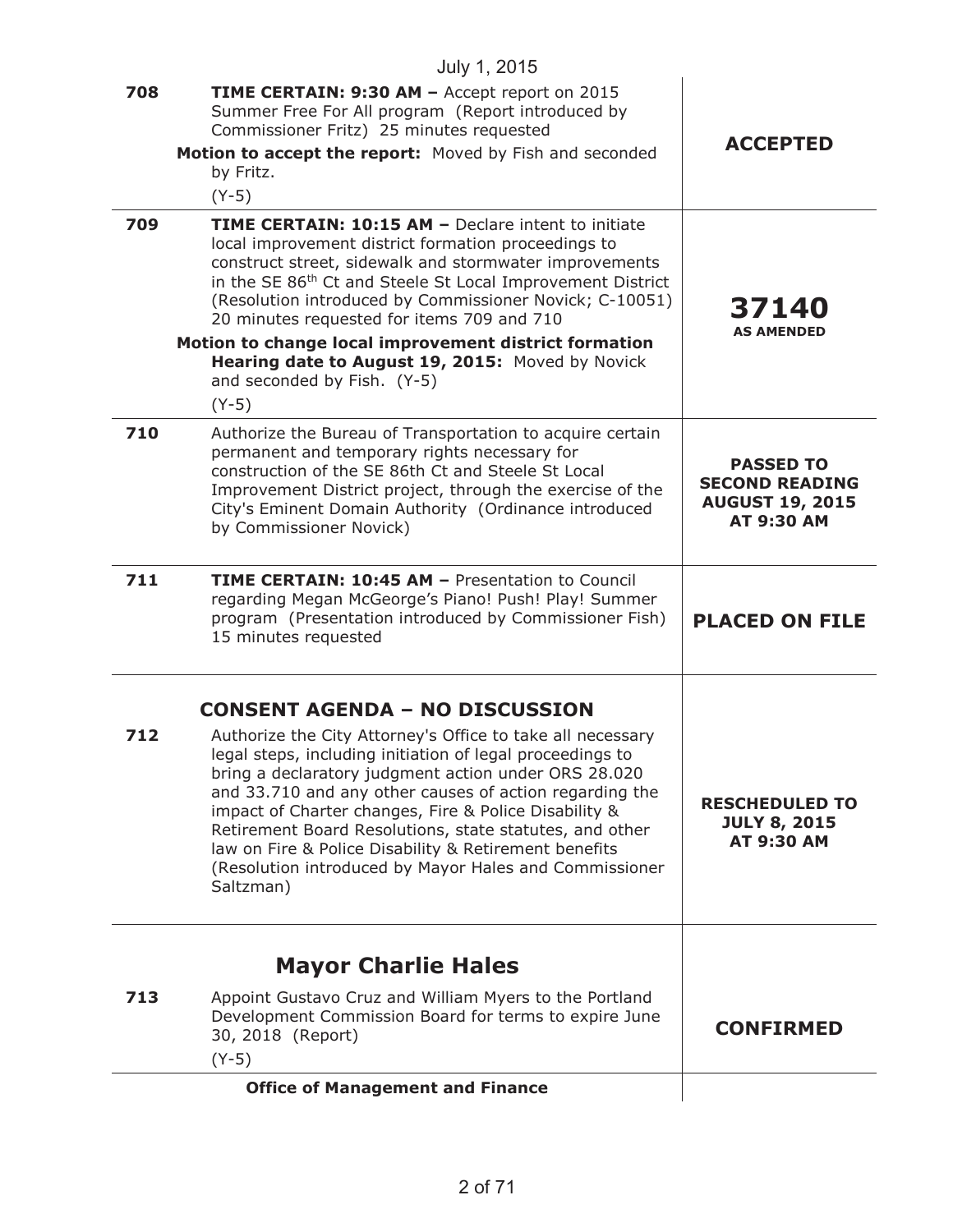|     | July 1, 2015                                                                                                                                                                                                                                                                                                                                                                                                                                                                                                                            |                                                                                          |
|-----|-----------------------------------------------------------------------------------------------------------------------------------------------------------------------------------------------------------------------------------------------------------------------------------------------------------------------------------------------------------------------------------------------------------------------------------------------------------------------------------------------------------------------------------------|------------------------------------------------------------------------------------------|
| 708 | TIME CERTAIN: 9:30 AM - Accept report on 2015<br>Summer Free For All program (Report introduced by<br>Commissioner Fritz) 25 minutes requested<br>Motion to accept the report: Moved by Fish and seconded<br>by Fritz.<br>$(Y-5)$                                                                                                                                                                                                                                                                                                       | <b>ACCEPTED</b>                                                                          |
| 709 | <b>TIME CERTAIN: 10:15 AM - Declare intent to initiate</b><br>local improvement district formation proceedings to<br>construct street, sidewalk and stormwater improvements<br>in the SE 86 <sup>th</sup> Ct and Steele St Local Improvement District<br>(Resolution introduced by Commissioner Novick; C-10051)<br>20 minutes requested for items 709 and 710<br>Motion to change local improvement district formation<br>Hearing date to August 19, 2015: Moved by Novick<br>and seconded by Fish. (Y-5)<br>$(Y-5)$                   | 37140<br><b>AS AMENDED</b>                                                               |
| 710 | Authorize the Bureau of Transportation to acquire certain<br>permanent and temporary rights necessary for<br>construction of the SE 86th Ct and Steele St Local<br>Improvement District project, through the exercise of the<br>City's Eminent Domain Authority (Ordinance introduced<br>by Commissioner Novick)                                                                                                                                                                                                                        | <b>PASSED TO</b><br><b>SECOND READING</b><br><b>AUGUST 19, 2015</b><br><b>AT 9:30 AM</b> |
| 711 | <b>TIME CERTAIN: 10:45 AM - Presentation to Council</b><br>regarding Megan McGeorge's Piano! Push! Play! Summer<br>program (Presentation introduced by Commissioner Fish)<br>15 minutes requested                                                                                                                                                                                                                                                                                                                                       | <b>PLACED ON FILE</b>                                                                    |
| 712 | <b>CONSENT AGENDA - NO DISCUSSION</b><br>Authorize the City Attorney's Office to take all necessary<br>legal steps, including initiation of legal proceedings to<br>bring a declaratory judgment action under ORS 28.020<br>and 33.710 and any other causes of action regarding the<br>impact of Charter changes, Fire & Police Disability &<br>Retirement Board Resolutions, state statutes, and other<br>law on Fire & Police Disability & Retirement benefits<br>(Resolution introduced by Mayor Hales and Commissioner<br>Saltzman) | <b>RESCHEDULED TO</b><br><b>JULY 8, 2015</b><br><b>AT 9:30 AM</b>                        |
| 713 | <b>Mayor Charlie Hales</b><br>Appoint Gustavo Cruz and William Myers to the Portland<br>Development Commission Board for terms to expire June<br>30, 2018 (Report)<br>$(Y-5)$                                                                                                                                                                                                                                                                                                                                                           | <b>CONFIRMED</b>                                                                         |
|     | <b>Office of Management and Finance</b>                                                                                                                                                                                                                                                                                                                                                                                                                                                                                                 |                                                                                          |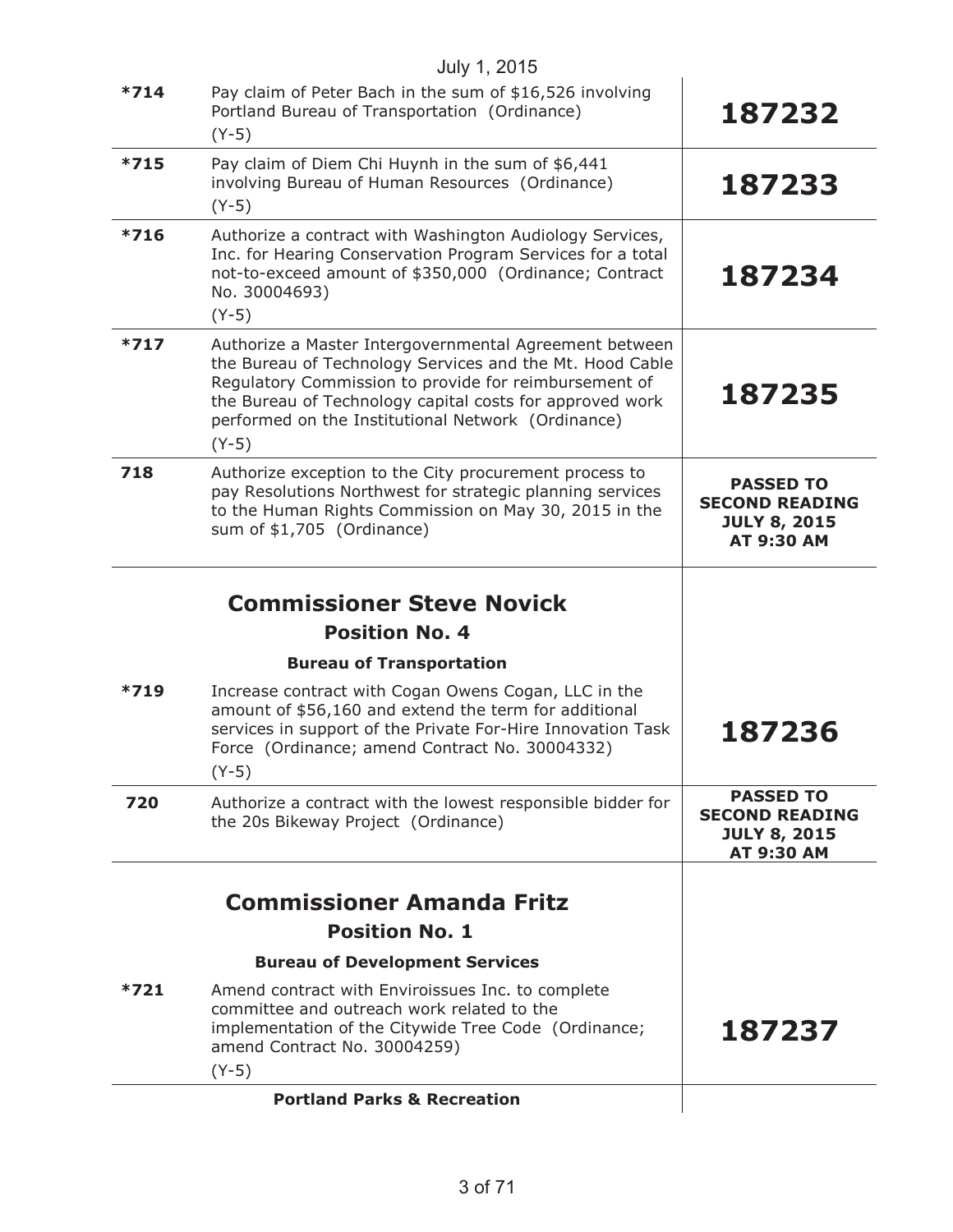|        | July 1, 2015                                                                                                                                                                                                                                                                                             |                                                                                       |
|--------|----------------------------------------------------------------------------------------------------------------------------------------------------------------------------------------------------------------------------------------------------------------------------------------------------------|---------------------------------------------------------------------------------------|
| $*714$ | Pay claim of Peter Bach in the sum of \$16,526 involving<br>Portland Bureau of Transportation (Ordinance)<br>$(Y-5)$                                                                                                                                                                                     | 187232                                                                                |
| $*715$ | Pay claim of Diem Chi Huynh in the sum of \$6,441<br>involving Bureau of Human Resources (Ordinance)<br>$(Y-5)$                                                                                                                                                                                          | 187233                                                                                |
| $*716$ | Authorize a contract with Washington Audiology Services,<br>Inc. for Hearing Conservation Program Services for a total<br>not-to-exceed amount of \$350,000 (Ordinance; Contract<br>No. 30004693)<br>$(Y-5)$                                                                                             | 187234                                                                                |
| $*717$ | Authorize a Master Intergovernmental Agreement between<br>the Bureau of Technology Services and the Mt. Hood Cable<br>Regulatory Commission to provide for reimbursement of<br>the Bureau of Technology capital costs for approved work<br>performed on the Institutional Network (Ordinance)<br>$(Y-5)$ | 187235                                                                                |
| 718    | Authorize exception to the City procurement process to<br>pay Resolutions Northwest for strategic planning services<br>to the Human Rights Commission on May 30, 2015 in the<br>sum of \$1,705 (Ordinance)                                                                                               | <b>PASSED TO</b><br><b>SECOND READING</b><br><b>JULY 8, 2015</b><br><b>AT 9:30 AM</b> |
|        | <b>Commissioner Steve Novick</b>                                                                                                                                                                                                                                                                         |                                                                                       |
|        | <b>Position No. 4</b>                                                                                                                                                                                                                                                                                    |                                                                                       |
|        | <b>Bureau of Transportation</b>                                                                                                                                                                                                                                                                          |                                                                                       |
| $*719$ | Increase contract with Cogan Owens Cogan, LLC in the<br>amount of \$56,160 and extend the term for additional<br>services in support of the Private For-Hire Innovation Task<br>Force (Ordinance; amend Contract No. 30004332)<br>$(Y-5)$                                                                | 187236                                                                                |
| 720    | Authorize a contract with the lowest responsible bidder for<br>the 20s Bikeway Project (Ordinance)                                                                                                                                                                                                       | <b>PASSED TO</b><br><b>SECOND READING</b><br><b>JULY 8, 2015</b><br><b>AT 9:30 AM</b> |
|        |                                                                                                                                                                                                                                                                                                          |                                                                                       |
|        |                                                                                                                                                                                                                                                                                                          |                                                                                       |
|        | <b>Commissioner Amanda Fritz</b>                                                                                                                                                                                                                                                                         |                                                                                       |
|        | <b>Position No. 1</b>                                                                                                                                                                                                                                                                                    |                                                                                       |
|        | <b>Bureau of Development Services</b>                                                                                                                                                                                                                                                                    |                                                                                       |
| $*721$ | Amend contract with Enviroissues Inc. to complete<br>committee and outreach work related to the<br>implementation of the Citywide Tree Code (Ordinance;<br>amend Contract No. 30004259)                                                                                                                  | 187237                                                                                |
|        | $(Y-5)$<br><b>Portland Parks &amp; Recreation</b>                                                                                                                                                                                                                                                        |                                                                                       |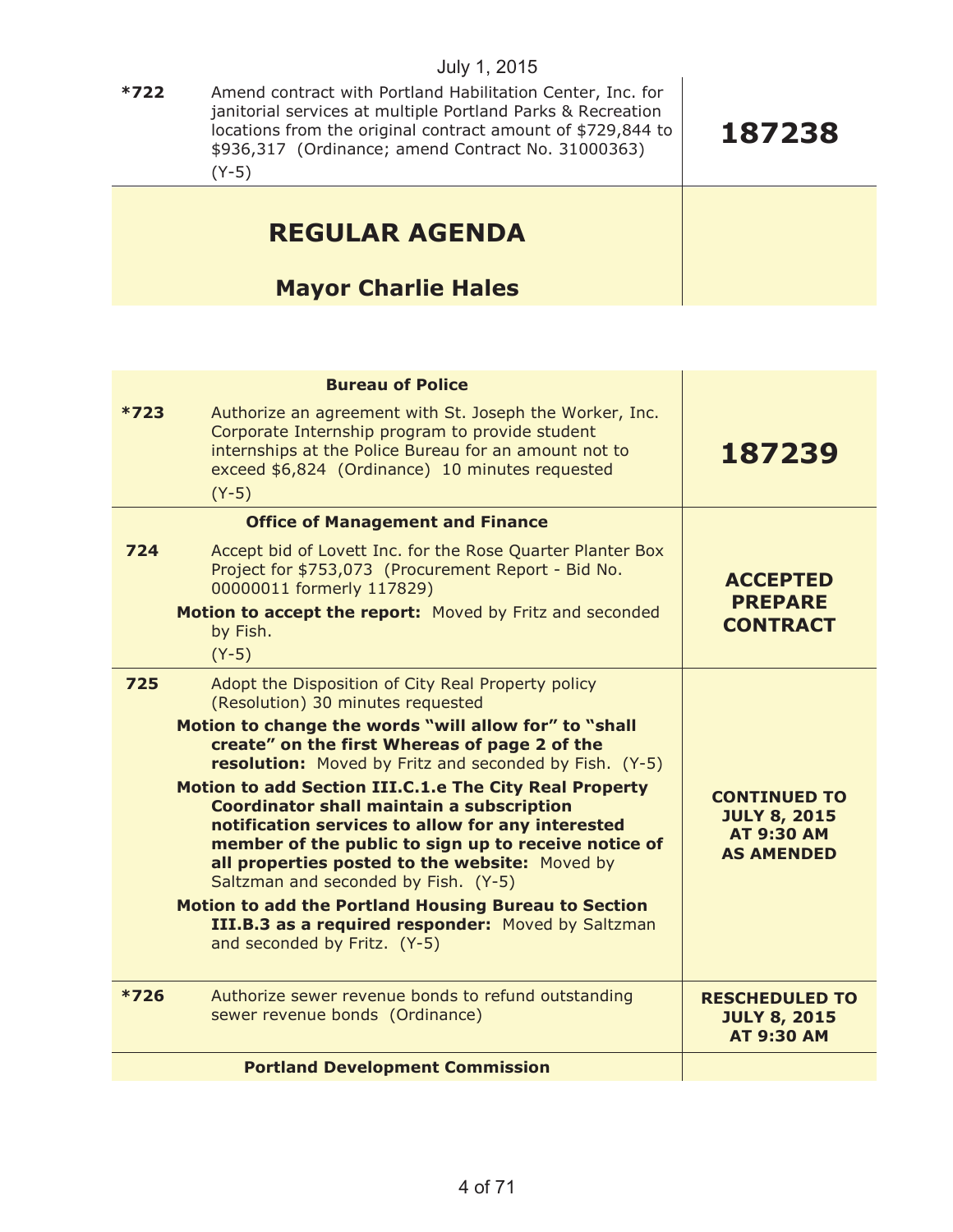| $*722$ | Amend contract with Portland Habilitation Center, Inc. for<br>janitorial services at multiple Portland Parks & Recreation<br>locations from the original contract amount of \$729,844 to<br>\$936,317 (Ordinance; amend Contract No. 31000363)<br>$(Y-5)$ | 187238 |
|--------|-----------------------------------------------------------------------------------------------------------------------------------------------------------------------------------------------------------------------------------------------------------|--------|
|        | <b>REGULAR AGENDA</b><br><b>Mayor Charlie Hales</b>                                                                                                                                                                                                       |        |

| <b>Bureau of Police</b>                                                                                                                                                                                                                                                                                                                                                                                                                                                                                                                                                                                                                                                                                                                      |                                                                                      |
|----------------------------------------------------------------------------------------------------------------------------------------------------------------------------------------------------------------------------------------------------------------------------------------------------------------------------------------------------------------------------------------------------------------------------------------------------------------------------------------------------------------------------------------------------------------------------------------------------------------------------------------------------------------------------------------------------------------------------------------------|--------------------------------------------------------------------------------------|
| $*723$<br>Authorize an agreement with St. Joseph the Worker, Inc.<br>Corporate Internship program to provide student<br>internships at the Police Bureau for an amount not to<br>exceed \$6,824 (Ordinance) 10 minutes requested<br>$(Y-5)$                                                                                                                                                                                                                                                                                                                                                                                                                                                                                                  | 187239                                                                               |
| <b>Office of Management and Finance</b>                                                                                                                                                                                                                                                                                                                                                                                                                                                                                                                                                                                                                                                                                                      |                                                                                      |
| 724<br>Accept bid of Lovett Inc. for the Rose Quarter Planter Box<br>Project for \$753,073 (Procurement Report - Bid No.<br>00000011 formerly 117829)<br>Motion to accept the report: Moved by Fritz and seconded<br>by Fish.<br>$(Y-5)$                                                                                                                                                                                                                                                                                                                                                                                                                                                                                                     | <b>ACCEPTED</b><br><b>PREPARE</b><br><b>CONTRACT</b>                                 |
| 725<br>Adopt the Disposition of City Real Property policy<br>(Resolution) 30 minutes requested<br>Motion to change the words "will allow for" to "shall<br>create" on the first Whereas of page 2 of the<br>resolution: Moved by Fritz and seconded by Fish. (Y-5)<br>Motion to add Section III.C.1.e The City Real Property<br><b>Coordinator shall maintain a subscription</b><br>notification services to allow for any interested<br>member of the public to sign up to receive notice of<br>all properties posted to the website: Moved by<br>Saltzman and seconded by Fish. (Y-5)<br><b>Motion to add the Portland Housing Bureau to Section</b><br>III.B.3 as a required responder: Moved by Saltzman<br>and seconded by Fritz. (Y-5) | <b>CONTINUED TO</b><br><b>JULY 8, 2015</b><br><b>AT 9:30 AM</b><br><b>AS AMENDED</b> |
| $*726$<br>Authorize sewer revenue bonds to refund outstanding<br>sewer revenue bonds (Ordinance)                                                                                                                                                                                                                                                                                                                                                                                                                                                                                                                                                                                                                                             | <b>RESCHEDULED TO</b><br><b>JULY 8, 2015</b><br><b>AT 9:30 AM</b>                    |
| <b>Portland Development Commission</b>                                                                                                                                                                                                                                                                                                                                                                                                                                                                                                                                                                                                                                                                                                       |                                                                                      |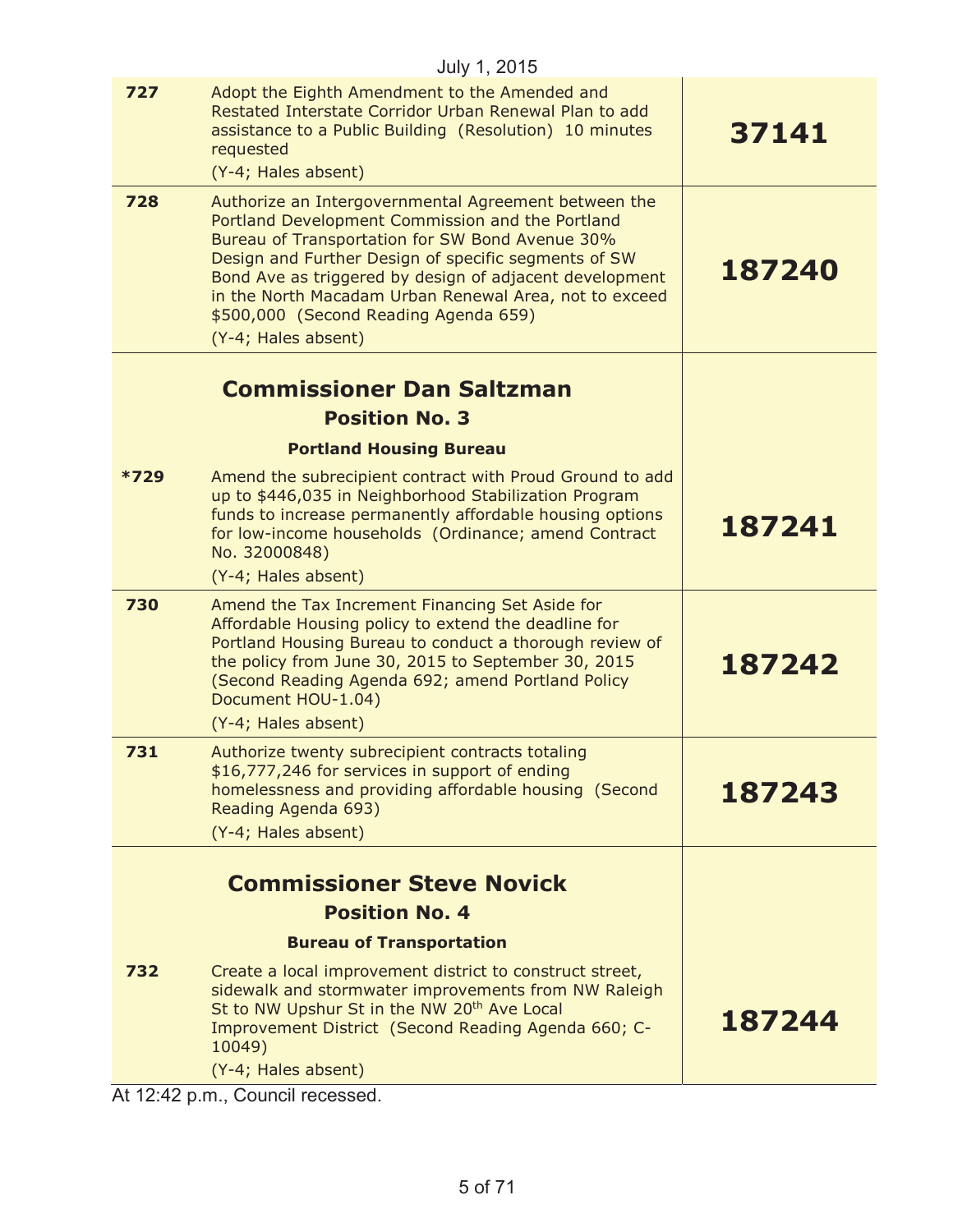|        | July 1, 2015                                                                                                                                                                                                                                                                                                                                                                                             |        |
|--------|----------------------------------------------------------------------------------------------------------------------------------------------------------------------------------------------------------------------------------------------------------------------------------------------------------------------------------------------------------------------------------------------------------|--------|
| 727    | Adopt the Eighth Amendment to the Amended and<br>Restated Interstate Corridor Urban Renewal Plan to add<br>assistance to a Public Building (Resolution) 10 minutes<br>requested<br>(Y-4; Hales absent)                                                                                                                                                                                                   | 37141  |
| 728    | Authorize an Intergovernmental Agreement between the<br>Portland Development Commission and the Portland<br>Bureau of Transportation for SW Bond Avenue 30%<br>Design and Further Design of specific segments of SW<br>Bond Ave as triggered by design of adjacent development<br>in the North Macadam Urban Renewal Area, not to exceed<br>\$500,000 (Second Reading Agenda 659)<br>(Y-4; Hales absent) | 187240 |
|        |                                                                                                                                                                                                                                                                                                                                                                                                          |        |
|        | <b>Commissioner Dan Saltzman</b><br><b>Position No. 3</b>                                                                                                                                                                                                                                                                                                                                                |        |
|        | <b>Portland Housing Bureau</b>                                                                                                                                                                                                                                                                                                                                                                           |        |
| $*729$ | Amend the subrecipient contract with Proud Ground to add                                                                                                                                                                                                                                                                                                                                                 |        |
|        | up to \$446,035 in Neighborhood Stabilization Program<br>funds to increase permanently affordable housing options<br>for low-income households (Ordinance; amend Contract<br>No. 32000848)                                                                                                                                                                                                               | 187241 |
|        | (Y-4; Hales absent)                                                                                                                                                                                                                                                                                                                                                                                      |        |
| 730    | Amend the Tax Increment Financing Set Aside for<br>Affordable Housing policy to extend the deadline for<br>Portland Housing Bureau to conduct a thorough review of<br>the policy from June 30, 2015 to September 30, 2015<br>(Second Reading Agenda 692; amend Portland Policy<br>Document HOU-1.04)                                                                                                     | 187242 |
|        | (Y-4; Hales absent)                                                                                                                                                                                                                                                                                                                                                                                      |        |
| 731    | Authorize twenty subrecipient contracts totaling<br>\$16,777,246 for services in support of ending<br>homelessness and providing affordable housing (Second<br>Reading Agenda 693)                                                                                                                                                                                                                       | 187243 |
|        | (Y-4; Hales absent)                                                                                                                                                                                                                                                                                                                                                                                      |        |
|        | <b>Commissioner Steve Novick</b>                                                                                                                                                                                                                                                                                                                                                                         |        |
|        | <b>Position No. 4</b>                                                                                                                                                                                                                                                                                                                                                                                    |        |
|        | <b>Bureau of Transportation</b>                                                                                                                                                                                                                                                                                                                                                                          |        |
| 732    | Create a local improvement district to construct street,<br>sidewalk and stormwater improvements from NW Raleigh<br>St to NW Upshur St in the NW 20 <sup>th</sup> Ave Local<br>Improvement District (Second Reading Agenda 660; C-<br>10049)<br>(Y-4; Hales absent)                                                                                                                                      | 187244 |

At 12:42 p.m., Council recessed.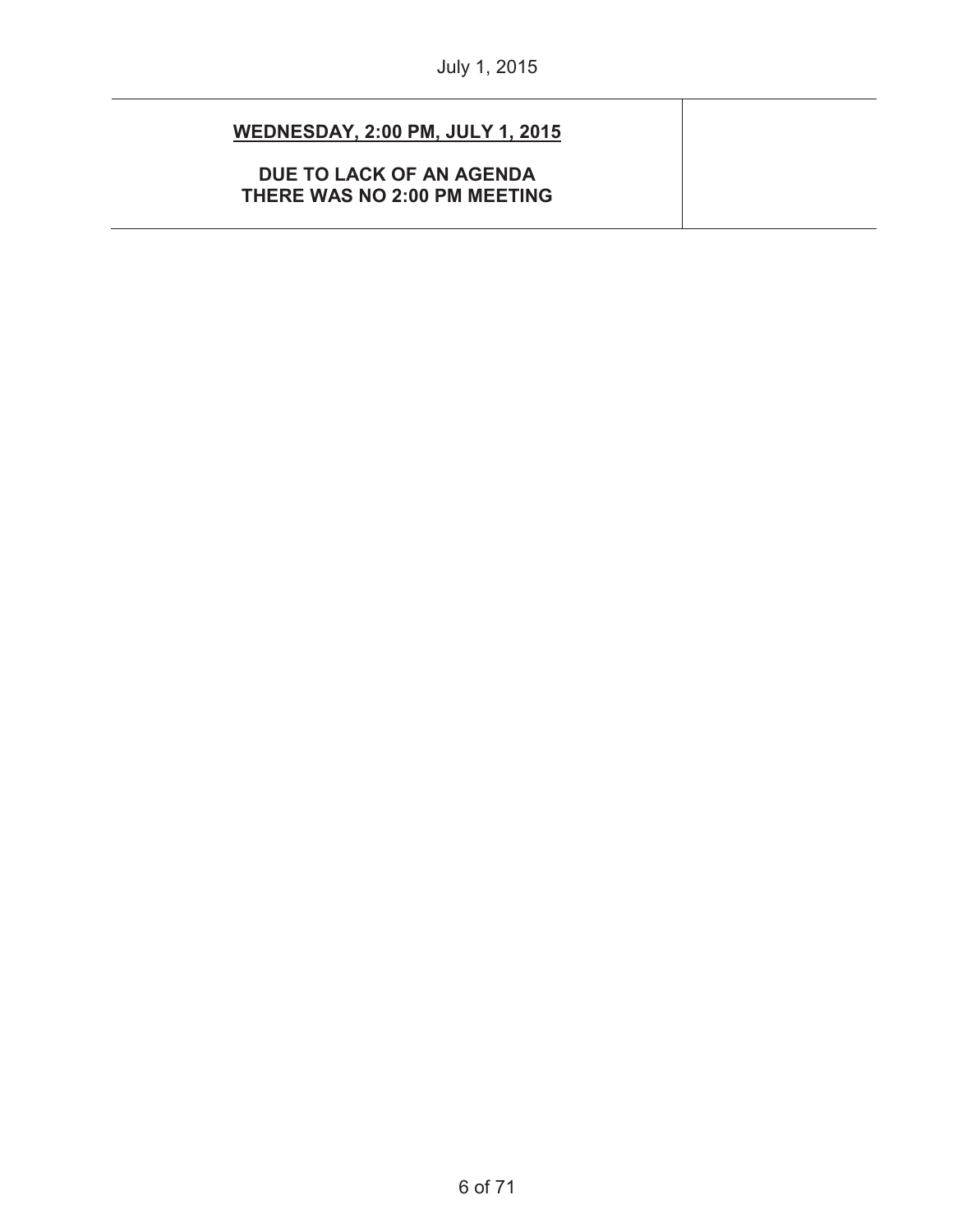| <b>WEDNESDAY, 2:00 PM, JULY 1, 2015</b>                  |  |
|----------------------------------------------------------|--|
| DUE TO LACK OF AN AGENDA<br>THERE WAS NO 2:00 PM MEETING |  |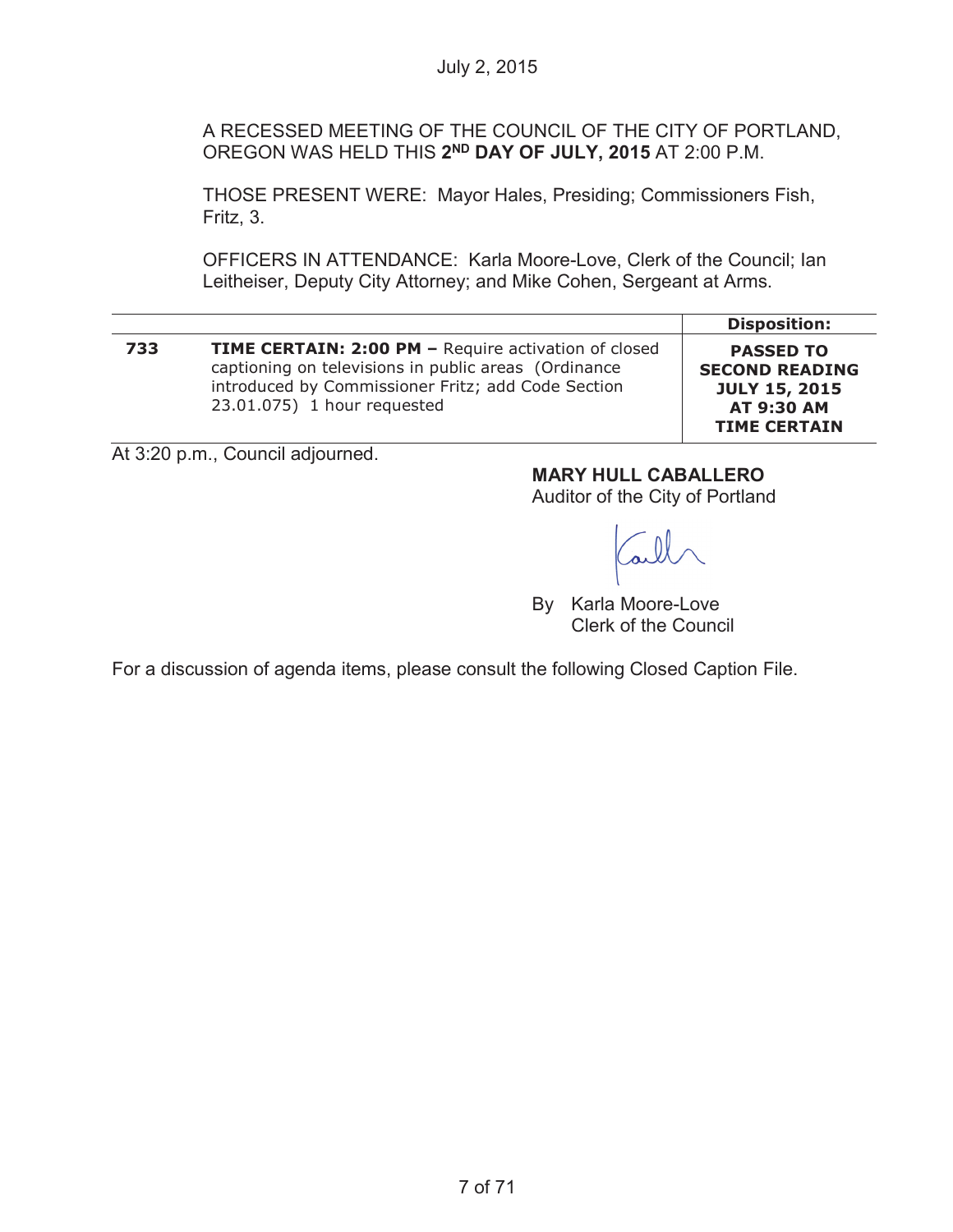A RECESSED MEETING OF THE COUNCIL OF THE CITY OF PORTLAND, OREGON WAS HELD THIS **2ND DAY OF JULY, 2015** AT 2:00 P.M.

THOSE PRESENT WERE: Mayor Hales, Presiding; Commissioners Fish, Fritz, 3.

OFFICERS IN ATTENDANCE: Karla Moore-Love, Clerk of the Council; Ian Leitheiser, Deputy City Attorney; and Mike Cohen, Sergeant at Arms.

|     |                                                                                                                                                                                                          | <b>Disposition:</b>                                                                                           |
|-----|----------------------------------------------------------------------------------------------------------------------------------------------------------------------------------------------------------|---------------------------------------------------------------------------------------------------------------|
| 733 | <b>TIME CERTAIN: 2:00 PM - Require activation of closed</b><br>captioning on televisions in public areas (Ordinance<br>introduced by Commissioner Fritz; add Code Section<br>23.01.075) 1 hour requested | <b>PASSED TO</b><br><b>SECOND READING</b><br><b>JULY 15, 2015</b><br><b>AT 9:30 AM</b><br><b>TIME CERTAIN</b> |

At 3:20 p.m., Council adjourned.

**MARY HULL CABALLERO**

Auditor of the City of Portland

By Karla Moore-Love Clerk of the Council

For a discussion of agenda items, please consult the following Closed Caption File.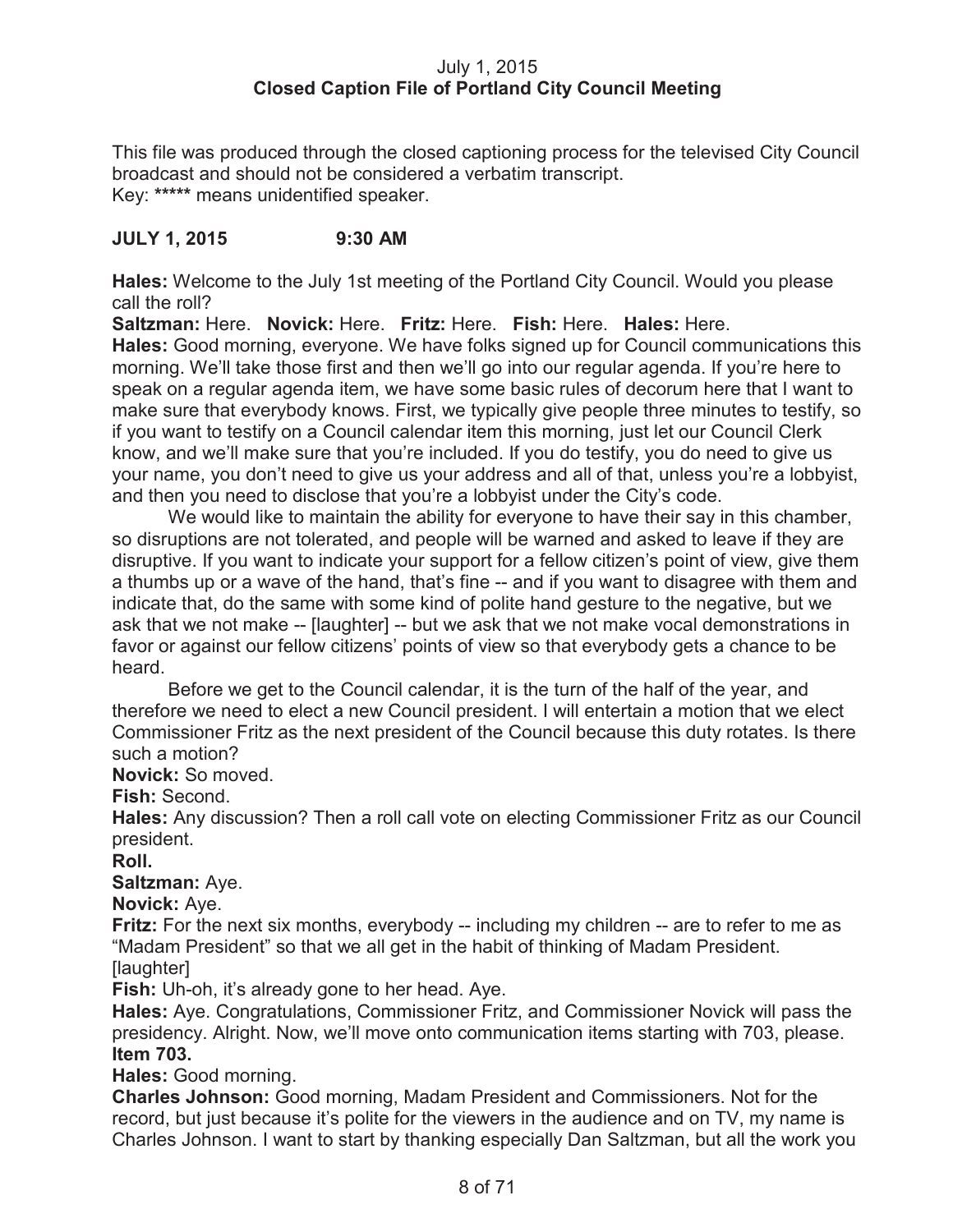# July 1, 2015 **Closed Caption File of Portland City Council Meeting**

This file was produced through the closed captioning process for the televised City Council broadcast and should not be considered a verbatim transcript. Key: **\*\*\*\*\*** means unidentified speaker.

# **JULY 1, 2015 9:30 AM**

**Hales:** Welcome to the July 1st meeting of the Portland City Council. Would you please call the roll?

**Saltzman:** Here. **Novick:** Here. **Fritz:** Here. **Fish:** Here. **Hales:** Here. **Hales:** Good morning, everyone. We have folks signed up for Council communications this morning. We'll take those first and then we'll go into our regular agenda. If you're here to speak on a regular agenda item, we have some basic rules of decorum here that I want to make sure that everybody knows. First, we typically give people three minutes to testify, so if you want to testify on a Council calendar item this morning, just let our Council Clerk know, and we'll make sure that you're included. If you do testify, you do need to give us your name, you don't need to give us your address and all of that, unless you're a lobbyist, and then you need to disclose that you're a lobbyist under the City's code.

We would like to maintain the ability for everyone to have their say in this chamber, so disruptions are not tolerated, and people will be warned and asked to leave if they are disruptive. If you want to indicate your support for a fellow citizen's point of view, give them a thumbs up or a wave of the hand, that's fine -- and if you want to disagree with them and indicate that, do the same with some kind of polite hand gesture to the negative, but we ask that we not make -- [laughter] -- but we ask that we not make vocal demonstrations in favor or against our fellow citizens' points of view so that everybody gets a chance to be heard.

Before we get to the Council calendar, it is the turn of the half of the year, and therefore we need to elect a new Council president. I will entertain a motion that we elect Commissioner Fritz as the next president of the Council because this duty rotates. Is there such a motion?

**Novick:** So moved.

**Fish:** Second.

**Hales:** Any discussion? Then a roll call vote on electing Commissioner Fritz as our Council president.

**Roll.**

**Saltzman:** Aye.

**Novick:** Aye.

**Fritz:** For the next six months, everybody -- including my children -- are to refer to me as "Madam President" so that we all get in the habit of thinking of Madam President. [laughter]

**Fish:** Uh-oh, it's already gone to her head. Aye.

**Hales:** Aye. Congratulations, Commissioner Fritz, and Commissioner Novick will pass the presidency. Alright. Now, we'll move onto communication items starting with 703, please. **Item 703.**

**Hales:** Good morning.

**Charles Johnson:** Good morning, Madam President and Commissioners. Not for the record, but just because it's polite for the viewers in the audience and on TV, my name is Charles Johnson. I want to start by thanking especially Dan Saltzman, but all the work you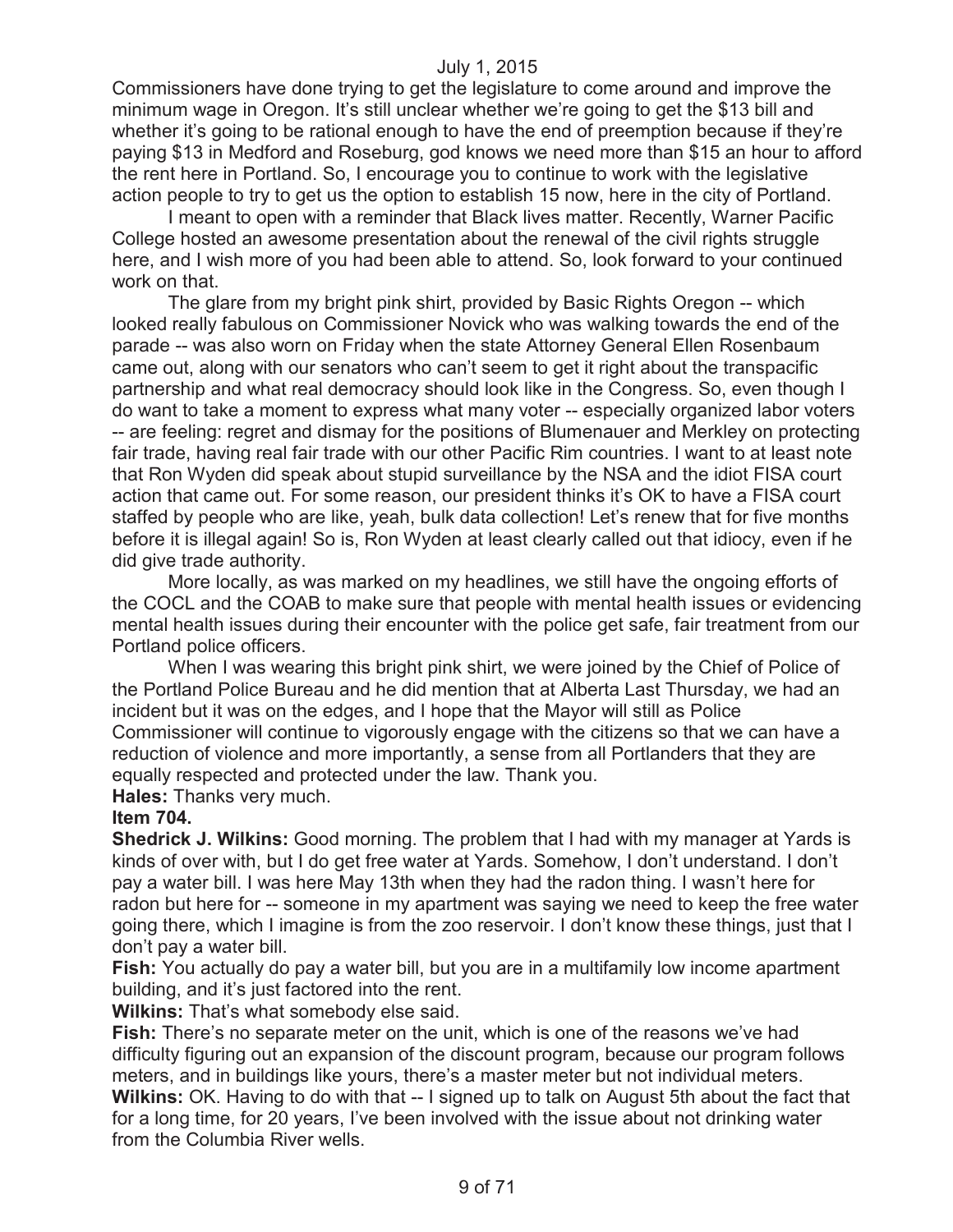Commissioners have done trying to get the legislature to come around and improve the minimum wage in Oregon. It's still unclear whether we're going to get the \$13 bill and whether it's going to be rational enough to have the end of preemption because if they're paying \$13 in Medford and Roseburg, god knows we need more than \$15 an hour to afford the rent here in Portland. So, I encourage you to continue to work with the legislative action people to try to get us the option to establish 15 now, here in the city of Portland.

I meant to open with a reminder that Black lives matter. Recently, Warner Pacific College hosted an awesome presentation about the renewal of the civil rights struggle here, and I wish more of you had been able to attend. So, look forward to your continued work on that.

The glare from my bright pink shirt, provided by Basic Rights Oregon -- which looked really fabulous on Commissioner Novick who was walking towards the end of the parade -- was also worn on Friday when the state Attorney General Ellen Rosenbaum came out, along with our senators who can't seem to get it right about the transpacific partnership and what real democracy should look like in the Congress. So, even though I do want to take a moment to express what many voter -- especially organized labor voters -- are feeling: regret and dismay for the positions of Blumenauer and Merkley on protecting fair trade, having real fair trade with our other Pacific Rim countries. I want to at least note that Ron Wyden did speak about stupid surveillance by the NSA and the idiot FISA court action that came out. For some reason, our president thinks it's OK to have a FISA court staffed by people who are like, yeah, bulk data collection! Let's renew that for five months before it is illegal again! So is, Ron Wyden at least clearly called out that idiocy, even if he did give trade authority.

More locally, as was marked on my headlines, we still have the ongoing efforts of the COCL and the COAB to make sure that people with mental health issues or evidencing mental health issues during their encounter with the police get safe, fair treatment from our Portland police officers.

When I was wearing this bright pink shirt, we were joined by the Chief of Police of the Portland Police Bureau and he did mention that at Alberta Last Thursday, we had an incident but it was on the edges, and I hope that the Mayor will still as Police Commissioner will continue to vigorously engage with the citizens so that we can have a reduction of violence and more importantly, a sense from all Portlanders that they are equally respected and protected under the law. Thank you.

**Hales:** Thanks very much.

#### **Item 704.**

**Shedrick J. Wilkins:** Good morning. The problem that I had with my manager at Yards is kinds of over with, but I do get free water at Yards. Somehow, I don't understand. I don't pay a water bill. I was here May 13th when they had the radon thing. I wasn't here for radon but here for -- someone in my apartment was saying we need to keep the free water going there, which I imagine is from the zoo reservoir. I don't know these things, just that I don't pay a water bill.

**Fish:** You actually do pay a water bill, but you are in a multifamily low income apartment building, and it's just factored into the rent.

**Wilkins:** That's what somebody else said.

**Fish:** There's no separate meter on the unit, which is one of the reasons we've had difficulty figuring out an expansion of the discount program, because our program follows meters, and in buildings like yours, there's a master meter but not individual meters. **Wilkins:** OK. Having to do with that -- I signed up to talk on August 5th about the fact that for a long time, for 20 years, I've been involved with the issue about not drinking water from the Columbia River wells.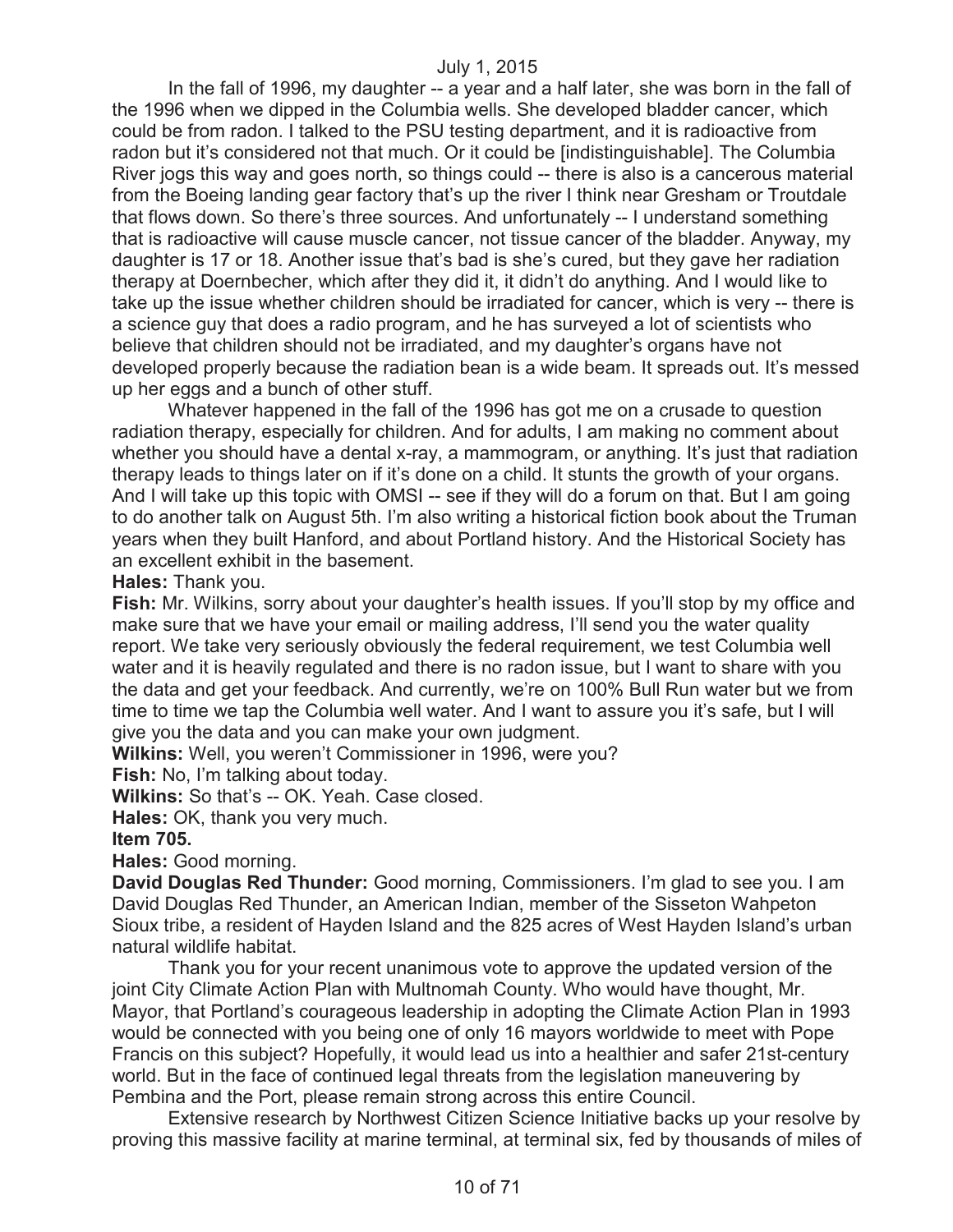In the fall of 1996, my daughter -- a year and a half later, she was born in the fall of the 1996 when we dipped in the Columbia wells. She developed bladder cancer, which could be from radon. I talked to the PSU testing department, and it is radioactive from radon but it's considered not that much. Or it could be [indistinguishable]. The Columbia River jogs this way and goes north, so things could -- there is also is a cancerous material from the Boeing landing gear factory that's up the river I think near Gresham or Troutdale that flows down. So there's three sources. And unfortunately -- I understand something that is radioactive will cause muscle cancer, not tissue cancer of the bladder. Anyway, my daughter is 17 or 18. Another issue that's bad is she's cured, but they gave her radiation therapy at Doernbecher, which after they did it, it didn't do anything. And I would like to take up the issue whether children should be irradiated for cancer, which is very -- there is a science guy that does a radio program, and he has surveyed a lot of scientists who believe that children should not be irradiated, and my daughter's organs have not developed properly because the radiation bean is a wide beam. It spreads out. It's messed up her eggs and a bunch of other stuff.

Whatever happened in the fall of the 1996 has got me on a crusade to question radiation therapy, especially for children. And for adults, I am making no comment about whether you should have a dental x-ray, a mammogram, or anything. It's just that radiation therapy leads to things later on if it's done on a child. It stunts the growth of your organs. And I will take up this topic with OMSI -- see if they will do a forum on that. But I am going to do another talk on August 5th. I'm also writing a historical fiction book about the Truman years when they built Hanford, and about Portland history. And the Historical Society has an excellent exhibit in the basement.

**Hales:** Thank you.

**Fish:** Mr. Wilkins, sorry about your daughter's health issues. If you'll stop by my office and make sure that we have your email or mailing address, I'll send you the water quality report. We take very seriously obviously the federal requirement, we test Columbia well water and it is heavily regulated and there is no radon issue, but I want to share with you the data and get your feedback. And currently, we're on 100% Bull Run water but we from time to time we tap the Columbia well water. And I want to assure you it's safe, but I will give you the data and you can make your own judgment.

**Wilkins:** Well, you weren't Commissioner in 1996, were you?

**Fish:** No, I'm talking about today.

**Wilkins:** So that's -- OK. Yeah. Case closed.

**Hales:** OK, thank you very much.

# **Item 705.**

**Hales:** Good morning.

**David Douglas Red Thunder:** Good morning, Commissioners. I'm glad to see you. I am David Douglas Red Thunder, an American Indian, member of the Sisseton Wahpeton Sioux tribe, a resident of Hayden Island and the 825 acres of West Hayden Island's urban natural wildlife habitat.

Thank you for your recent unanimous vote to approve the updated version of the joint City Climate Action Plan with Multnomah County. Who would have thought, Mr. Mayor, that Portland's courageous leadership in adopting the Climate Action Plan in 1993 would be connected with you being one of only 16 mayors worldwide to meet with Pope Francis on this subject? Hopefully, it would lead us into a healthier and safer 21st-century world. But in the face of continued legal threats from the legislation maneuvering by Pembina and the Port, please remain strong across this entire Council.

Extensive research by Northwest Citizen Science Initiative backs up your resolve by proving this massive facility at marine terminal, at terminal six, fed by thousands of miles of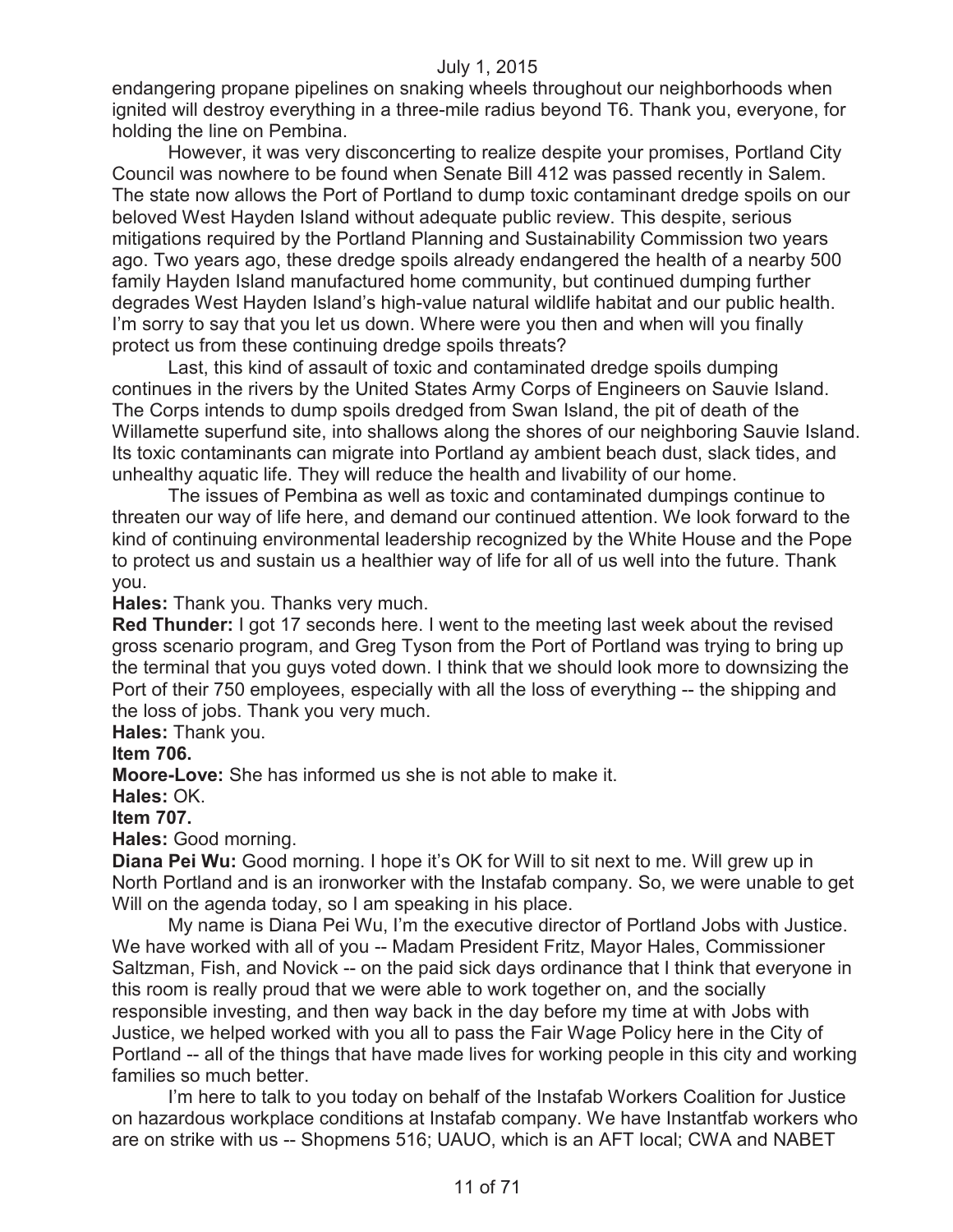endangering propane pipelines on snaking wheels throughout our neighborhoods when ignited will destroy everything in a three-mile radius beyond T6. Thank you, everyone, for holding the line on Pembina.

However, it was very disconcerting to realize despite your promises, Portland City Council was nowhere to be found when Senate Bill 412 was passed recently in Salem. The state now allows the Port of Portland to dump toxic contaminant dredge spoils on our beloved West Hayden Island without adequate public review. This despite, serious mitigations required by the Portland Planning and Sustainability Commission two years ago. Two years ago, these dredge spoils already endangered the health of a nearby 500 family Hayden Island manufactured home community, but continued dumping further degrades West Hayden Island's high-value natural wildlife habitat and our public health. I'm sorry to say that you let us down. Where were you then and when will you finally protect us from these continuing dredge spoils threats?

Last, this kind of assault of toxic and contaminated dredge spoils dumping continues in the rivers by the United States Army Corps of Engineers on Sauvie Island. The Corps intends to dump spoils dredged from Swan Island, the pit of death of the Willamette superfund site, into shallows along the shores of our neighboring Sauvie Island. Its toxic contaminants can migrate into Portland ay ambient beach dust, slack tides, and unhealthy aquatic life. They will reduce the health and livability of our home.

The issues of Pembina as well as toxic and contaminated dumpings continue to threaten our way of life here, and demand our continued attention. We look forward to the kind of continuing environmental leadership recognized by the White House and the Pope to protect us and sustain us a healthier way of life for all of us well into the future. Thank you.

**Hales:** Thank you. Thanks very much.

**Red Thunder:** I got 17 seconds here. I went to the meeting last week about the revised gross scenario program, and Greg Tyson from the Port of Portland was trying to bring up the terminal that you guys voted down. I think that we should look more to downsizing the Port of their 750 employees, especially with all the loss of everything -- the shipping and the loss of jobs. Thank you very much.

**Hales:** Thank you.

#### **Item 706.**

**Moore-Love:** She has informed us she is not able to make it.

**Hales:** OK.

#### **Item 707.**

**Hales:** Good morning.

**Diana Pei Wu:** Good morning. I hope it's OK for Will to sit next to me. Will grew up in North Portland and is an ironworker with the Instafab company. So, we were unable to get Will on the agenda today, so I am speaking in his place.

My name is Diana Pei Wu, I'm the executive director of Portland Jobs with Justice. We have worked with all of you -- Madam President Fritz, Mayor Hales, Commissioner Saltzman, Fish, and Novick -- on the paid sick days ordinance that I think that everyone in this room is really proud that we were able to work together on, and the socially responsible investing, and then way back in the day before my time at with Jobs with Justice, we helped worked with you all to pass the Fair Wage Policy here in the City of Portland -- all of the things that have made lives for working people in this city and working families so much better.

I'm here to talk to you today on behalf of the Instafab Workers Coalition for Justice on hazardous workplace conditions at Instafab company. We have Instantfab workers who are on strike with us -- Shopmens 516; UAUO, which is an AFT local; CWA and NABET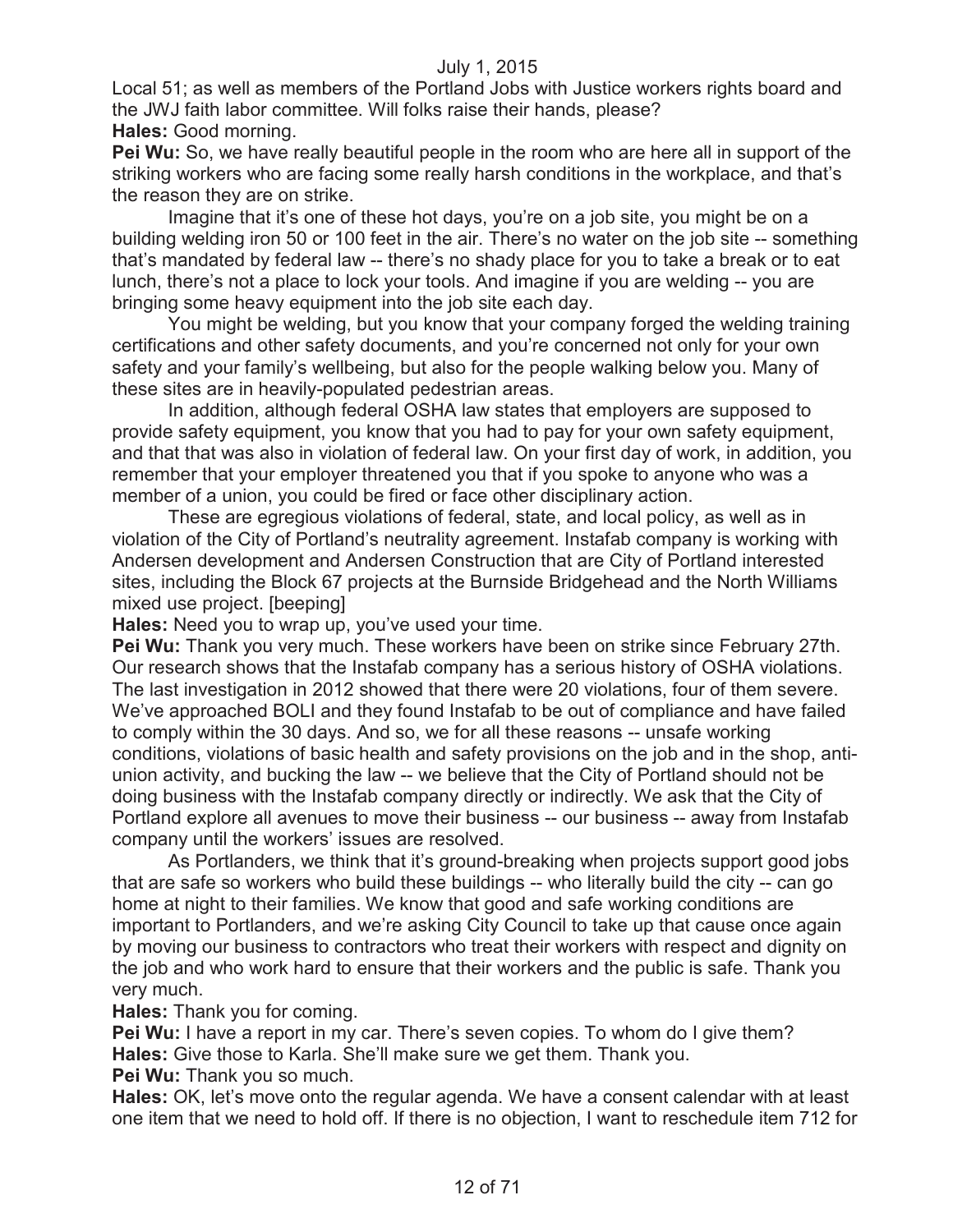Local 51; as well as members of the Portland Jobs with Justice workers rights board and the JWJ faith labor committee. Will folks raise their hands, please? **Hales:** Good morning.

**Pei Wu:** So, we have really beautiful people in the room who are here all in support of the striking workers who are facing some really harsh conditions in the workplace, and that's the reason they are on strike.

Imagine that it's one of these hot days, you're on a job site, you might be on a building welding iron 50 or 100 feet in the air. There's no water on the job site -- something that's mandated by federal law -- there's no shady place for you to take a break or to eat lunch, there's not a place to lock your tools. And imagine if you are welding -- you are bringing some heavy equipment into the job site each day.

You might be welding, but you know that your company forged the welding training certifications and other safety documents, and you're concerned not only for your own safety and your family's wellbeing, but also for the people walking below you. Many of these sites are in heavily-populated pedestrian areas.

In addition, although federal OSHA law states that employers are supposed to provide safety equipment, you know that you had to pay for your own safety equipment, and that that was also in violation of federal law. On your first day of work, in addition, you remember that your employer threatened you that if you spoke to anyone who was a member of a union, you could be fired or face other disciplinary action.

These are egregious violations of federal, state, and local policy, as well as in violation of the City of Portland's neutrality agreement. Instafab company is working with Andersen development and Andersen Construction that are City of Portland interested sites, including the Block 67 projects at the Burnside Bridgehead and the North Williams mixed use project. [beeping]

**Hales:** Need you to wrap up, you've used your time.

**Pei Wu:** Thank you very much. These workers have been on strike since February 27th. Our research shows that the Instafab company has a serious history of OSHA violations. The last investigation in 2012 showed that there were 20 violations, four of them severe. We've approached BOLI and they found Instafab to be out of compliance and have failed to comply within the 30 days. And so, we for all these reasons -- unsafe working conditions, violations of basic health and safety provisions on the job and in the shop, antiunion activity, and bucking the law -- we believe that the City of Portland should not be doing business with the Instafab company directly or indirectly. We ask that the City of Portland explore all avenues to move their business -- our business -- away from Instafab company until the workers' issues are resolved.

As Portlanders, we think that it's ground-breaking when projects support good jobs that are safe so workers who build these buildings -- who literally build the city -- can go home at night to their families. We know that good and safe working conditions are important to Portlanders, and we're asking City Council to take up that cause once again by moving our business to contractors who treat their workers with respect and dignity on the job and who work hard to ensure that their workers and the public is safe. Thank you very much.

**Hales:** Thank you for coming.

**Pei Wu:** I have a report in my car. There's seven copies. To whom do I give them? **Hales:** Give those to Karla. She'll make sure we get them. Thank you.

**Pei Wu:** Thank you so much.

**Hales:** OK, let's move onto the regular agenda. We have a consent calendar with at least one item that we need to hold off. If there is no objection, I want to reschedule item 712 for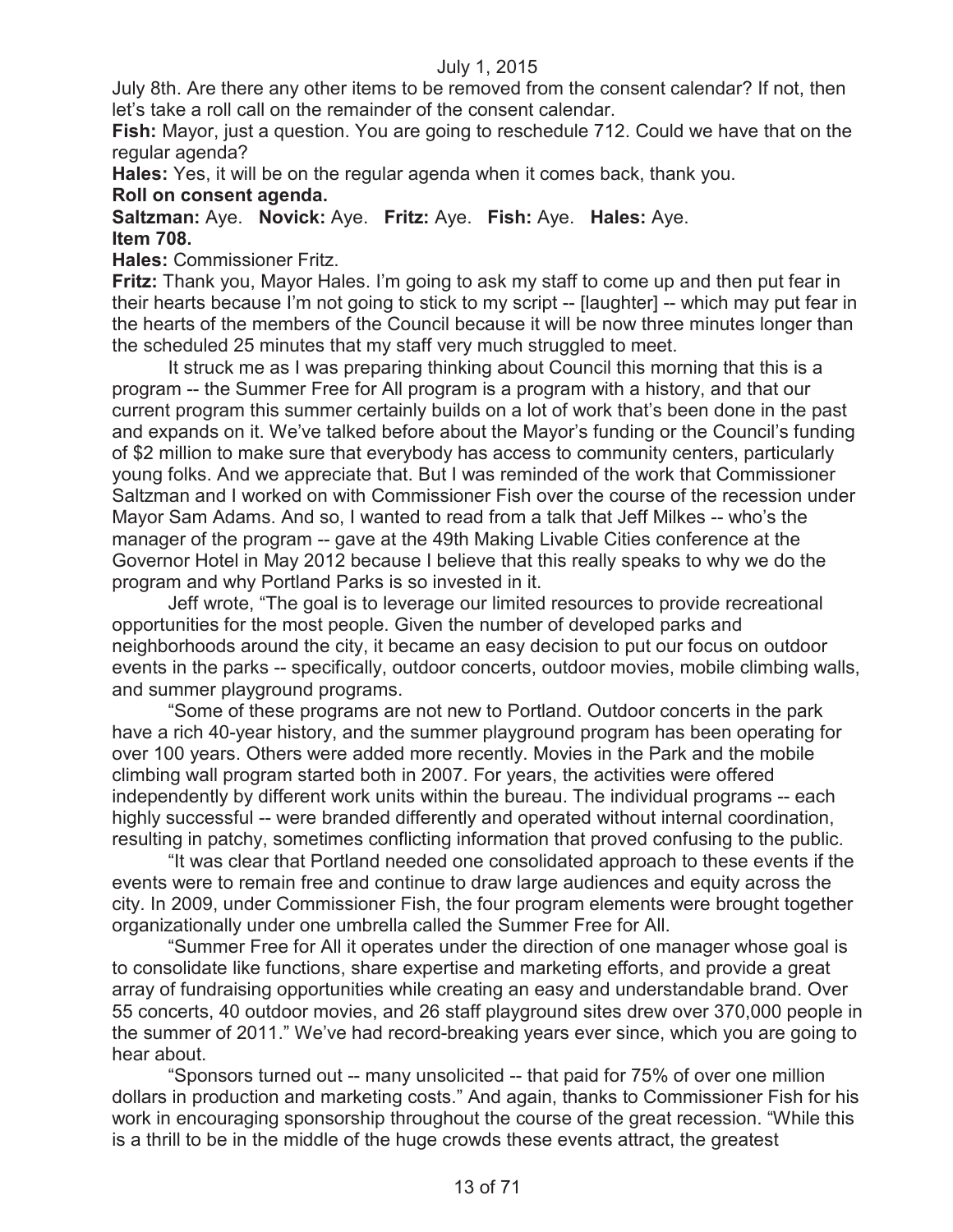July 8th. Are there any other items to be removed from the consent calendar? If not, then let's take a roll call on the remainder of the consent calendar.

**Fish:** Mayor, just a question. You are going to reschedule 712. Could we have that on the regular agenda?

**Hales:** Yes, it will be on the regular agenda when it comes back, thank you.

# **Roll on consent agenda.**

**Saltzman:** Aye. **Novick:** Aye. **Fritz:** Aye. **Fish:** Aye. **Hales:** Aye. **Item 708.**

**Hales:** Commissioner Fritz.

**Fritz:** Thank you, Mayor Hales. I'm going to ask my staff to come up and then put fear in their hearts because I'm not going to stick to my script -- [laughter] -- which may put fear in the hearts of the members of the Council because it will be now three minutes longer than the scheduled 25 minutes that my staff very much struggled to meet.

It struck me as I was preparing thinking about Council this morning that this is a program -- the Summer Free for All program is a program with a history, and that our current program this summer certainly builds on a lot of work that's been done in the past and expands on it. We've talked before about the Mayor's funding or the Council's funding of \$2 million to make sure that everybody has access to community centers, particularly young folks. And we appreciate that. But I was reminded of the work that Commissioner Saltzman and I worked on with Commissioner Fish over the course of the recession under Mayor Sam Adams. And so, I wanted to read from a talk that Jeff Milkes -- who's the manager of the program -- gave at the 49th Making Livable Cities conference at the Governor Hotel in May 2012 because I believe that this really speaks to why we do the program and why Portland Parks is so invested in it.

Jeff wrote, "The goal is to leverage our limited resources to provide recreational opportunities for the most people. Given the number of developed parks and neighborhoods around the city, it became an easy decision to put our focus on outdoor events in the parks -- specifically, outdoor concerts, outdoor movies, mobile climbing walls, and summer playground programs.

"Some of these programs are not new to Portland. Outdoor concerts in the park have a rich 40-year history, and the summer playground program has been operating for over 100 years. Others were added more recently. Movies in the Park and the mobile climbing wall program started both in 2007. For years, the activities were offered independently by different work units within the bureau. The individual programs -- each highly successful -- were branded differently and operated without internal coordination, resulting in patchy, sometimes conflicting information that proved confusing to the public.

"It was clear that Portland needed one consolidated approach to these events if the events were to remain free and continue to draw large audiences and equity across the city. In 2009, under Commissioner Fish, the four program elements were brought together organizationally under one umbrella called the Summer Free for All.

"Summer Free for All it operates under the direction of one manager whose goal is to consolidate like functions, share expertise and marketing efforts, and provide a great array of fundraising opportunities while creating an easy and understandable brand. Over 55 concerts, 40 outdoor movies, and 26 staff playground sites drew over 370,000 people in the summer of 2011." We've had record-breaking years ever since, which you are going to hear about.

"Sponsors turned out -- many unsolicited -- that paid for 75% of over one million dollars in production and marketing costs." And again, thanks to Commissioner Fish for his work in encouraging sponsorship throughout the course of the great recession. "While this is a thrill to be in the middle of the huge crowds these events attract, the greatest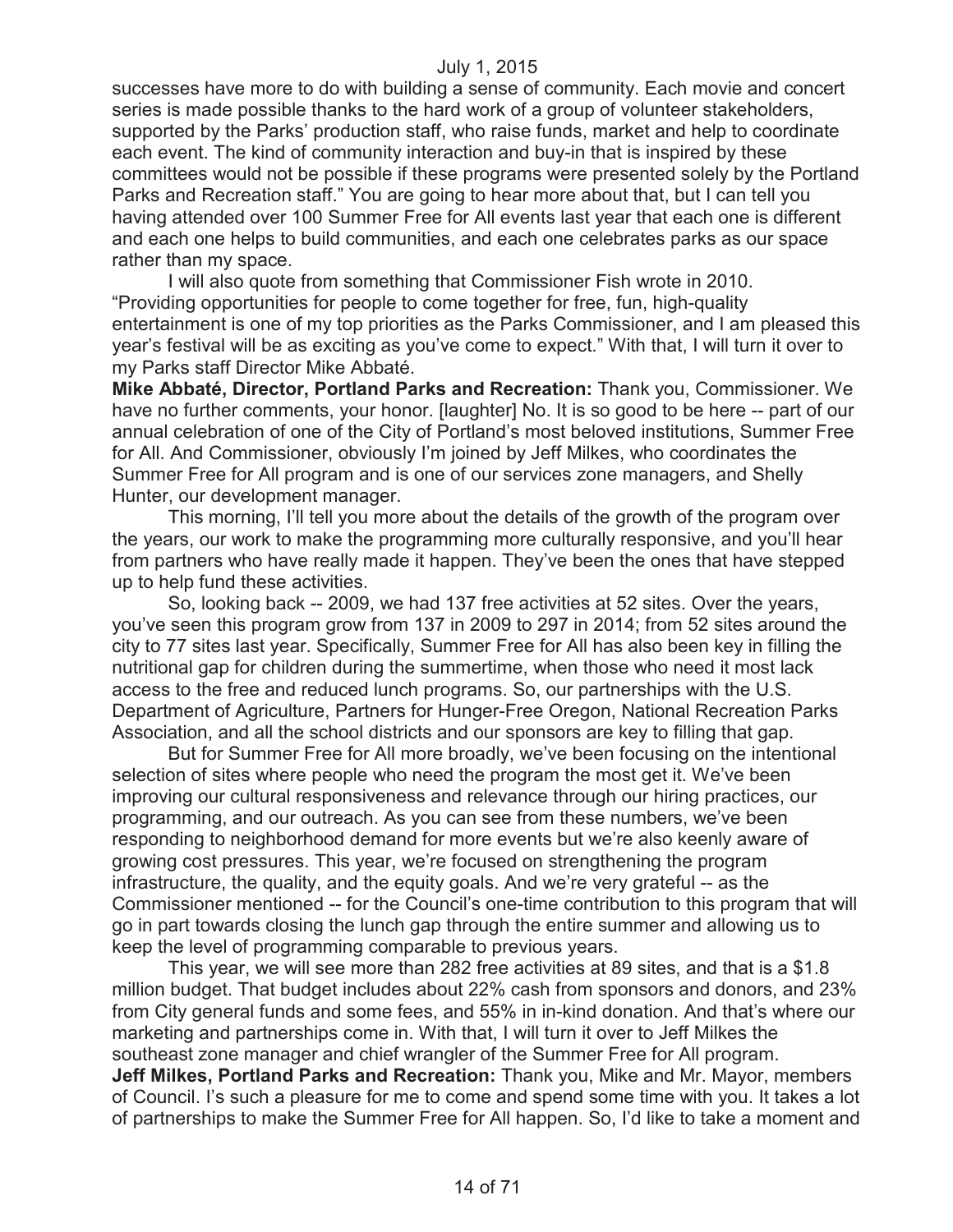successes have more to do with building a sense of community. Each movie and concert series is made possible thanks to the hard work of a group of volunteer stakeholders, supported by the Parks' production staff, who raise funds, market and help to coordinate each event. The kind of community interaction and buy-in that is inspired by these committees would not be possible if these programs were presented solely by the Portland Parks and Recreation staff." You are going to hear more about that, but I can tell you having attended over 100 Summer Free for All events last year that each one is different and each one helps to build communities, and each one celebrates parks as our space rather than my space.

I will also quote from something that Commissioner Fish wrote in 2010. "Providing opportunities for people to come together for free, fun, high-quality entertainment is one of my top priorities as the Parks Commissioner, and I am pleased this year's festival will be as exciting as you've come to expect." With that, I will turn it over to my Parks staff Director Mike Abbaté.

**Mike Abbaté, Director, Portland Parks and Recreation:** Thank you, Commissioner. We have no further comments, your honor. [laughter] No. It is so good to be here -- part of our annual celebration of one of the City of Portland's most beloved institutions, Summer Free for All. And Commissioner, obviously I'm joined by Jeff Milkes, who coordinates the Summer Free for All program and is one of our services zone managers, and Shelly Hunter, our development manager.

This morning, I'll tell you more about the details of the growth of the program over the years, our work to make the programming more culturally responsive, and you'll hear from partners who have really made it happen. They've been the ones that have stepped up to help fund these activities.

So, looking back -- 2009, we had 137 free activities at 52 sites. Over the years, you've seen this program grow from 137 in 2009 to 297 in 2014; from 52 sites around the city to 77 sites last year. Specifically, Summer Free for All has also been key in filling the nutritional gap for children during the summertime, when those who need it most lack access to the free and reduced lunch programs. So, our partnerships with the U.S. Department of Agriculture, Partners for Hunger-Free Oregon, National Recreation Parks Association, and all the school districts and our sponsors are key to filling that gap.

But for Summer Free for All more broadly, we've been focusing on the intentional selection of sites where people who need the program the most get it. We've been improving our cultural responsiveness and relevance through our hiring practices, our programming, and our outreach. As you can see from these numbers, we've been responding to neighborhood demand for more events but we're also keenly aware of growing cost pressures. This year, we're focused on strengthening the program infrastructure, the quality, and the equity goals. And we're very grateful -- as the Commissioner mentioned -- for the Council's one-time contribution to this program that will go in part towards closing the lunch gap through the entire summer and allowing us to keep the level of programming comparable to previous years.

This year, we will see more than 282 free activities at 89 sites, and that is a \$1.8 million budget. That budget includes about 22% cash from sponsors and donors, and 23% from City general funds and some fees, and 55% in in-kind donation. And that's where our marketing and partnerships come in. With that, I will turn it over to Jeff Milkes the southeast zone manager and chief wrangler of the Summer Free for All program. **Jeff Milkes, Portland Parks and Recreation:** Thank you, Mike and Mr. Mayor, members of Council. I's such a pleasure for me to come and spend some time with you. It takes a lot of partnerships to make the Summer Free for All happen. So, I'd like to take a moment and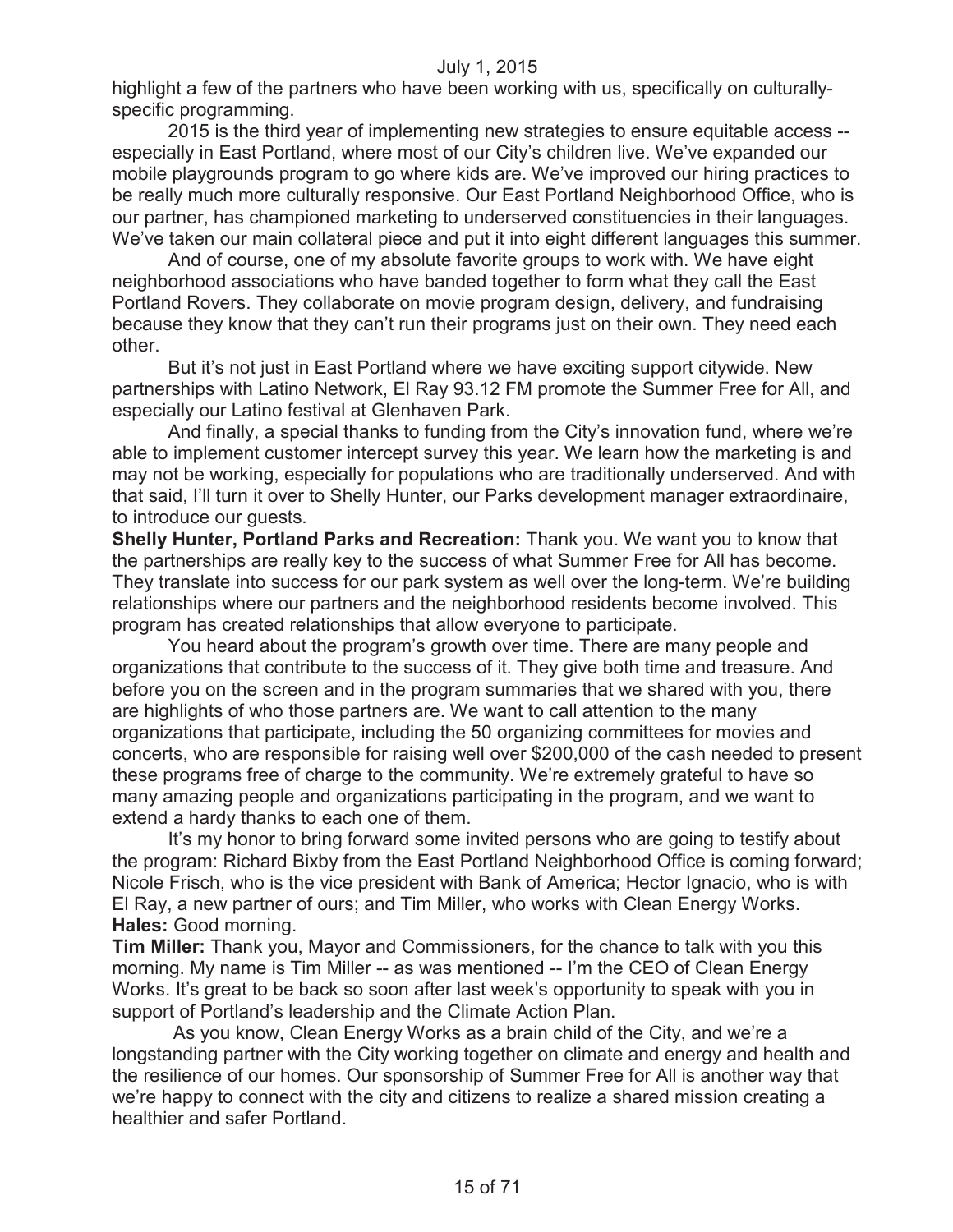highlight a few of the partners who have been working with us, specifically on culturallyspecific programming.

2015 is the third year of implementing new strategies to ensure equitable access - especially in East Portland, where most of our City's children live. We've expanded our mobile playgrounds program to go where kids are. We've improved our hiring practices to be really much more culturally responsive. Our East Portland Neighborhood Office, who is our partner, has championed marketing to underserved constituencies in their languages. We've taken our main collateral piece and put it into eight different languages this summer.

And of course, one of my absolute favorite groups to work with. We have eight neighborhood associations who have banded together to form what they call the East Portland Rovers. They collaborate on movie program design, delivery, and fundraising because they know that they can't run their programs just on their own. They need each other.

But it's not just in East Portland where we have exciting support citywide. New partnerships with Latino Network, El Ray 93.12 FM promote the Summer Free for All, and especially our Latino festival at Glenhaven Park.

And finally, a special thanks to funding from the City's innovation fund, where we're able to implement customer intercept survey this year. We learn how the marketing is and may not be working, especially for populations who are traditionally underserved. And with that said, I'll turn it over to Shelly Hunter, our Parks development manager extraordinaire, to introduce our guests.

**Shelly Hunter, Portland Parks and Recreation:** Thank you. We want you to know that the partnerships are really key to the success of what Summer Free for All has become. They translate into success for our park system as well over the long-term. We're building relationships where our partners and the neighborhood residents become involved. This program has created relationships that allow everyone to participate.

You heard about the program's growth over time. There are many people and organizations that contribute to the success of it. They give both time and treasure. And before you on the screen and in the program summaries that we shared with you, there are highlights of who those partners are. We want to call attention to the many organizations that participate, including the 50 organizing committees for movies and concerts, who are responsible for raising well over \$200,000 of the cash needed to present these programs free of charge to the community. We're extremely grateful to have so many amazing people and organizations participating in the program, and we want to extend a hardy thanks to each one of them.

It's my honor to bring forward some invited persons who are going to testify about the program: Richard Bixby from the East Portland Neighborhood Office is coming forward; Nicole Frisch, who is the vice president with Bank of America; Hector Ignacio, who is with El Ray, a new partner of ours; and Tim Miller, who works with Clean Energy Works. **Hales:** Good morning.

**Tim Miller:** Thank you, Mayor and Commissioners, for the chance to talk with you this morning. My name is Tim Miller -- as was mentioned -- I'm the CEO of Clean Energy Works. It's great to be back so soon after last week's opportunity to speak with you in support of Portland's leadership and the Climate Action Plan.

As you know, Clean Energy Works as a brain child of the City, and we're a longstanding partner with the City working together on climate and energy and health and the resilience of our homes. Our sponsorship of Summer Free for All is another way that we're happy to connect with the city and citizens to realize a shared mission creating a healthier and safer Portland.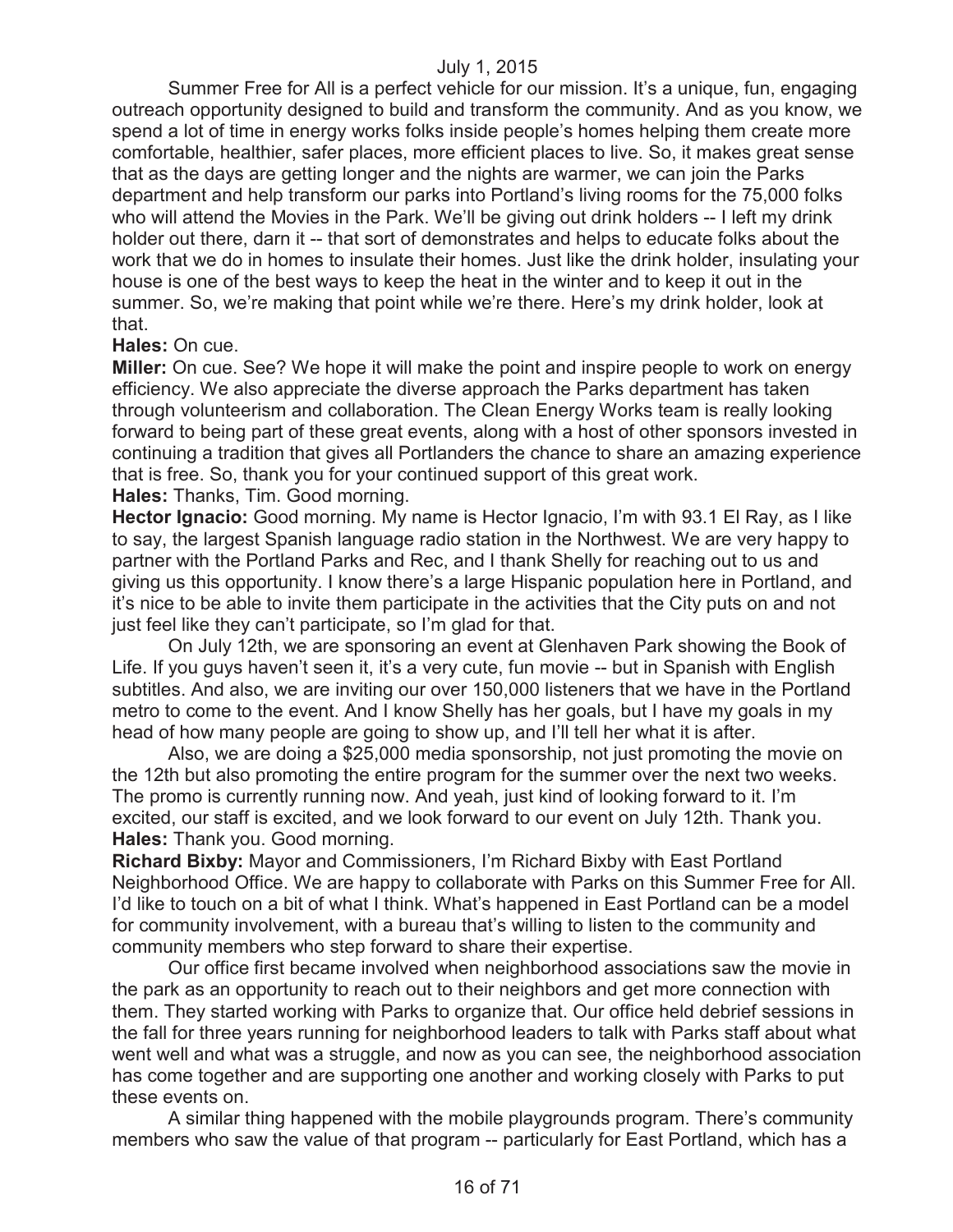Summer Free for All is a perfect vehicle for our mission. It's a unique, fun, engaging outreach opportunity designed to build and transform the community. And as you know, we spend a lot of time in energy works folks inside people's homes helping them create more comfortable, healthier, safer places, more efficient places to live. So, it makes great sense that as the days are getting longer and the nights are warmer, we can join the Parks department and help transform our parks into Portland's living rooms for the 75,000 folks who will attend the Movies in the Park. We'll be giving out drink holders -- I left my drink holder out there, darn it -- that sort of demonstrates and helps to educate folks about the work that we do in homes to insulate their homes. Just like the drink holder, insulating your house is one of the best ways to keep the heat in the winter and to keep it out in the summer. So, we're making that point while we're there. Here's my drink holder, look at that.

#### **Hales:** On cue.

**Miller:** On cue. See? We hope it will make the point and inspire people to work on energy efficiency. We also appreciate the diverse approach the Parks department has taken through volunteerism and collaboration. The Clean Energy Works team is really looking forward to being part of these great events, along with a host of other sponsors invested in continuing a tradition that gives all Portlanders the chance to share an amazing experience that is free. So, thank you for your continued support of this great work.

**Hales:** Thanks, Tim. Good morning.

**Hector Ignacio:** Good morning. My name is Hector Ignacio, I'm with 93.1 El Ray, as I like to say, the largest Spanish language radio station in the Northwest. We are very happy to partner with the Portland Parks and Rec, and I thank Shelly for reaching out to us and giving us this opportunity. I know there's a large Hispanic population here in Portland, and it's nice to be able to invite them participate in the activities that the City puts on and not just feel like they can't participate, so I'm glad for that.

On July 12th, we are sponsoring an event at Glenhaven Park showing the Book of Life. If you guys haven't seen it, it's a very cute, fun movie -- but in Spanish with English subtitles. And also, we are inviting our over 150,000 listeners that we have in the Portland metro to come to the event. And I know Shelly has her goals, but I have my goals in my head of how many people are going to show up, and I'll tell her what it is after.

Also, we are doing a \$25,000 media sponsorship, not just promoting the movie on the 12th but also promoting the entire program for the summer over the next two weeks. The promo is currently running now. And yeah, just kind of looking forward to it. I'm excited, our staff is excited, and we look forward to our event on July 12th. Thank you. **Hales:** Thank you. Good morning.

**Richard Bixby:** Mayor and Commissioners, I'm Richard Bixby with East Portland Neighborhood Office. We are happy to collaborate with Parks on this Summer Free for All. I'd like to touch on a bit of what I think. What's happened in East Portland can be a model for community involvement, with a bureau that's willing to listen to the community and community members who step forward to share their expertise.

Our office first became involved when neighborhood associations saw the movie in the park as an opportunity to reach out to their neighbors and get more connection with them. They started working with Parks to organize that. Our office held debrief sessions in the fall for three years running for neighborhood leaders to talk with Parks staff about what went well and what was a struggle, and now as you can see, the neighborhood association has come together and are supporting one another and working closely with Parks to put these events on.

A similar thing happened with the mobile playgrounds program. There's community members who saw the value of that program -- particularly for East Portland, which has a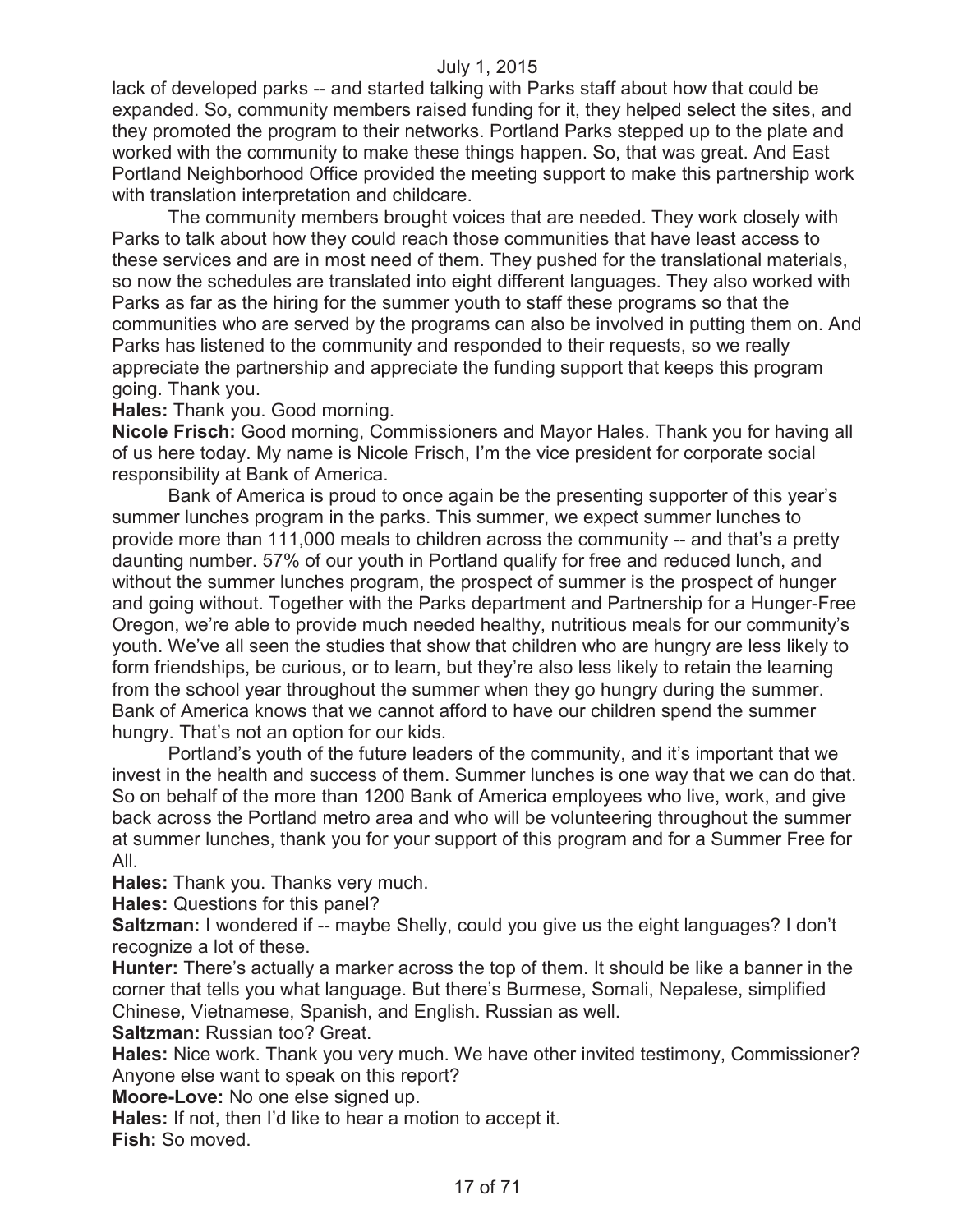lack of developed parks -- and started talking with Parks staff about how that could be expanded. So, community members raised funding for it, they helped select the sites, and they promoted the program to their networks. Portland Parks stepped up to the plate and worked with the community to make these things happen. So, that was great. And East Portland Neighborhood Office provided the meeting support to make this partnership work with translation interpretation and childcare.

The community members brought voices that are needed. They work closely with Parks to talk about how they could reach those communities that have least access to these services and are in most need of them. They pushed for the translational materials, so now the schedules are translated into eight different languages. They also worked with Parks as far as the hiring for the summer youth to staff these programs so that the communities who are served by the programs can also be involved in putting them on. And Parks has listened to the community and responded to their requests, so we really appreciate the partnership and appreciate the funding support that keeps this program going. Thank you.

**Hales:** Thank you. Good morning.

**Nicole Frisch:** Good morning, Commissioners and Mayor Hales. Thank you for having all of us here today. My name is Nicole Frisch, I'm the vice president for corporate social responsibility at Bank of America.

Bank of America is proud to once again be the presenting supporter of this year's summer lunches program in the parks. This summer, we expect summer lunches to provide more than 111,000 meals to children across the community -- and that's a pretty daunting number. 57% of our youth in Portland qualify for free and reduced lunch, and without the summer lunches program, the prospect of summer is the prospect of hunger and going without. Together with the Parks department and Partnership for a Hunger-Free Oregon, we're able to provide much needed healthy, nutritious meals for our community's youth. We've all seen the studies that show that children who are hungry are less likely to form friendships, be curious, or to learn, but they're also less likely to retain the learning from the school year throughout the summer when they go hungry during the summer. Bank of America knows that we cannot afford to have our children spend the summer hungry. That's not an option for our kids.

Portland's youth of the future leaders of the community, and it's important that we invest in the health and success of them. Summer lunches is one way that we can do that. So on behalf of the more than 1200 Bank of America employees who live, work, and give back across the Portland metro area and who will be volunteering throughout the summer at summer lunches, thank you for your support of this program and for a Summer Free for All.

**Hales:** Thank you. Thanks very much.

**Hales:** Questions for this panel?

**Saltzman:** I wondered if -- maybe Shelly, could you give us the eight languages? I don't recognize a lot of these.

**Hunter:** There's actually a marker across the top of them. It should be like a banner in the corner that tells you what language. But there's Burmese, Somali, Nepalese, simplified Chinese, Vietnamese, Spanish, and English. Russian as well.

**Saltzman:** Russian too? Great.

**Hales:** Nice work. Thank you very much. We have other invited testimony, Commissioner? Anyone else want to speak on this report?

**Moore-Love:** No one else signed up.

**Hales:** If not, then I'd like to hear a motion to accept it.

**Fish:** So moved.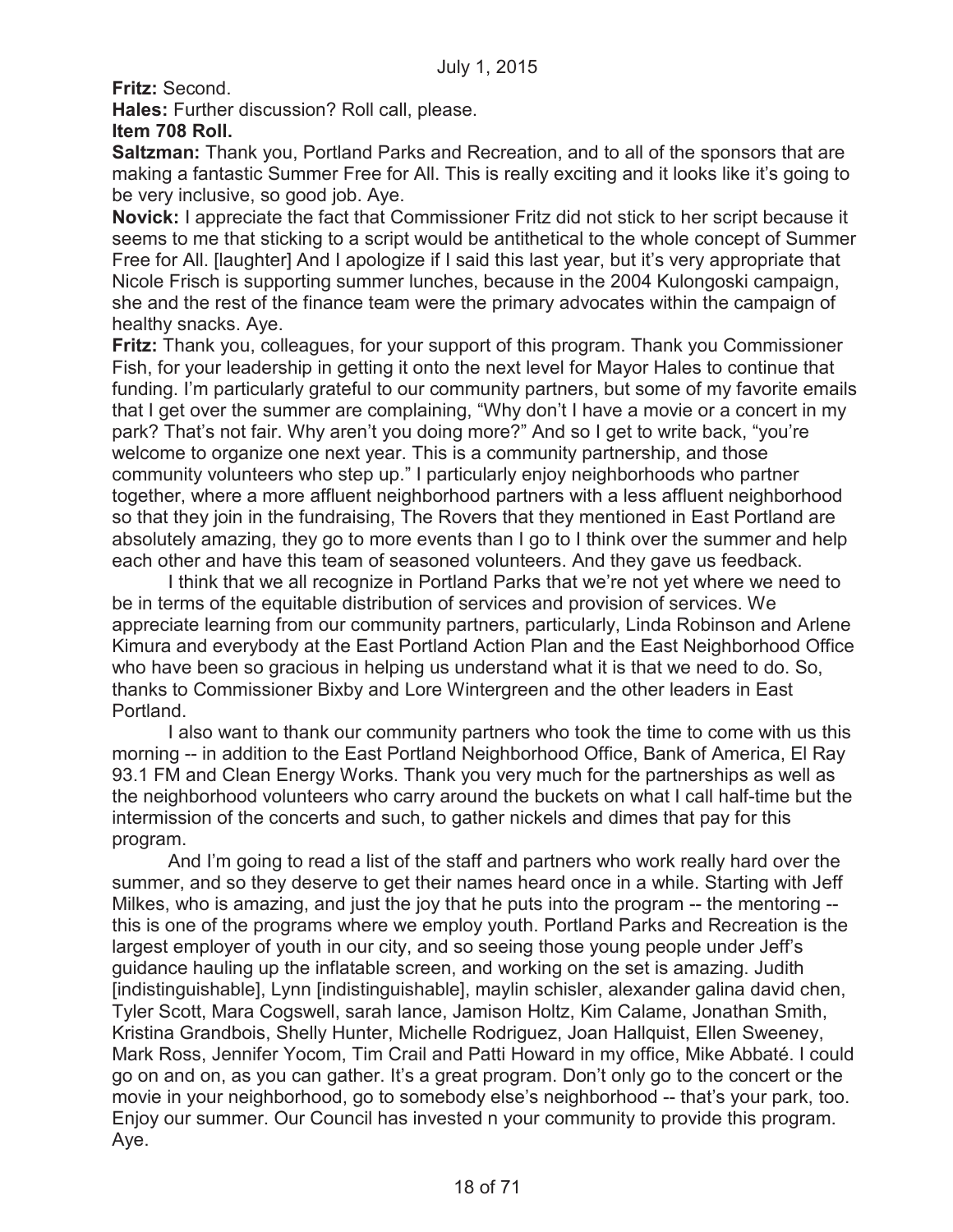**Fritz:** Second.

**Hales:** Further discussion? Roll call, please.

# **Item 708 Roll.**

**Saltzman:** Thank you, Portland Parks and Recreation, and to all of the sponsors that are making a fantastic Summer Free for All. This is really exciting and it looks like it's going to be very inclusive, so good job. Aye.

**Novick:** I appreciate the fact that Commissioner Fritz did not stick to her script because it seems to me that sticking to a script would be antithetical to the whole concept of Summer Free for All. [laughter] And I apologize if I said this last year, but it's very appropriate that Nicole Frisch is supporting summer lunches, because in the 2004 Kulongoski campaign, she and the rest of the finance team were the primary advocates within the campaign of healthy snacks. Aye.

**Fritz:** Thank you, colleagues, for your support of this program. Thank you Commissioner Fish, for your leadership in getting it onto the next level for Mayor Hales to continue that funding. I'm particularly grateful to our community partners, but some of my favorite emails that I get over the summer are complaining, "Why don't I have a movie or a concert in my park? That's not fair. Why aren't you doing more?" And so I get to write back, "you're welcome to organize one next year. This is a community partnership, and those community volunteers who step up." I particularly enjoy neighborhoods who partner together, where a more affluent neighborhood partners with a less affluent neighborhood so that they join in the fundraising, The Rovers that they mentioned in East Portland are absolutely amazing, they go to more events than I go to I think over the summer and help each other and have this team of seasoned volunteers. And they gave us feedback.

I think that we all recognize in Portland Parks that we're not yet where we need to be in terms of the equitable distribution of services and provision of services. We appreciate learning from our community partners, particularly, Linda Robinson and Arlene Kimura and everybody at the East Portland Action Plan and the East Neighborhood Office who have been so gracious in helping us understand what it is that we need to do. So, thanks to Commissioner Bixby and Lore Wintergreen and the other leaders in East Portland.

I also want to thank our community partners who took the time to come with us this morning -- in addition to the East Portland Neighborhood Office, Bank of America, El Ray 93.1 FM and Clean Energy Works. Thank you very much for the partnerships as well as the neighborhood volunteers who carry around the buckets on what I call half-time but the intermission of the concerts and such, to gather nickels and dimes that pay for this program.

And I'm going to read a list of the staff and partners who work really hard over the summer, and so they deserve to get their names heard once in a while. Starting with Jeff Milkes, who is amazing, and just the joy that he puts into the program -- the mentoring - this is one of the programs where we employ youth. Portland Parks and Recreation is the largest employer of youth in our city, and so seeing those young people under Jeff's guidance hauling up the inflatable screen, and working on the set is amazing. Judith [indistinguishable], Lynn [indistinguishable], maylin schisler, alexander galina david chen, Tyler Scott, Mara Cogswell, sarah lance, Jamison Holtz, Kim Calame, Jonathan Smith, Kristina Grandbois, Shelly Hunter, Michelle Rodriguez, Joan Hallquist, Ellen Sweeney, Mark Ross, Jennifer Yocom, Tim Crail and Patti Howard in my office, Mike Abbaté. I could go on and on, as you can gather. It's a great program. Don't only go to the concert or the movie in your neighborhood, go to somebody else's neighborhood -- that's your park, too. Enjoy our summer. Our Council has invested n your community to provide this program. Aye.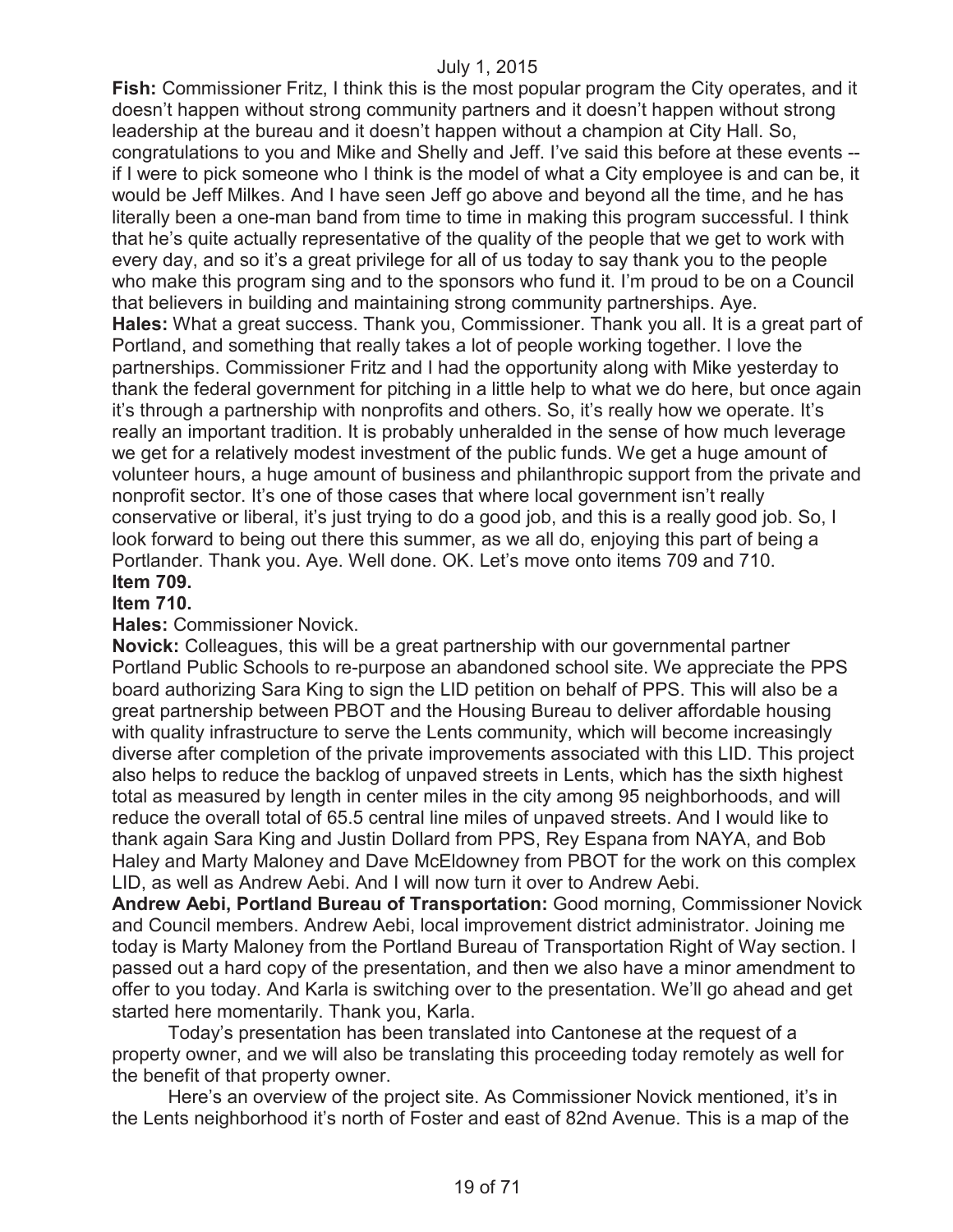**Fish:** Commissioner Fritz, I think this is the most popular program the City operates, and it doesn't happen without strong community partners and it doesn't happen without strong leadership at the bureau and it doesn't happen without a champion at City Hall. So, congratulations to you and Mike and Shelly and Jeff. I've said this before at these events - if I were to pick someone who I think is the model of what a City employee is and can be, it would be Jeff Milkes. And I have seen Jeff go above and beyond all the time, and he has literally been a one-man band from time to time in making this program successful. I think that he's quite actually representative of the quality of the people that we get to work with every day, and so it's a great privilege for all of us today to say thank you to the people who make this program sing and to the sponsors who fund it. I'm proud to be on a Council that believers in building and maintaining strong community partnerships. Aye. **Hales:** What a great success. Thank you, Commissioner. Thank you all. It is a great part of Portland, and something that really takes a lot of people working together. I love the partnerships. Commissioner Fritz and I had the opportunity along with Mike yesterday to thank the federal government for pitching in a little help to what we do here, but once again it's through a partnership with nonprofits and others. So, it's really how we operate. It's really an important tradition. It is probably unheralded in the sense of how much leverage we get for a relatively modest investment of the public funds. We get a huge amount of volunteer hours, a huge amount of business and philanthropic support from the private and nonprofit sector. It's one of those cases that where local government isn't really conservative or liberal, it's just trying to do a good job, and this is a really good job. So, I look forward to being out there this summer, as we all do, enjoying this part of being a Portlander. Thank you. Aye. Well done. OK. Let's move onto items 709 and 710. **Item 709.**

#### **Item 710.**

#### **Hales:** Commissioner Novick.

**Novick:** Colleagues, this will be a great partnership with our governmental partner Portland Public Schools to re-purpose an abandoned school site. We appreciate the PPS board authorizing Sara King to sign the LID petition on behalf of PPS. This will also be a great partnership between PBOT and the Housing Bureau to deliver affordable housing with quality infrastructure to serve the Lents community, which will become increasingly diverse after completion of the private improvements associated with this LID. This project also helps to reduce the backlog of unpaved streets in Lents, which has the sixth highest total as measured by length in center miles in the city among 95 neighborhoods, and will reduce the overall total of 65.5 central line miles of unpaved streets. And I would like to thank again Sara King and Justin Dollard from PPS, Rey Espana from NAYA, and Bob Haley and Marty Maloney and Dave McEldowney from PBOT for the work on this complex LID, as well as Andrew Aebi. And I will now turn it over to Andrew Aebi.

**Andrew Aebi, Portland Bureau of Transportation:** Good morning, Commissioner Novick and Council members. Andrew Aebi, local improvement district administrator. Joining me today is Marty Maloney from the Portland Bureau of Transportation Right of Way section. I passed out a hard copy of the presentation, and then we also have a minor amendment to offer to you today. And Karla is switching over to the presentation. We'll go ahead and get started here momentarily. Thank you, Karla.

Today's presentation has been translated into Cantonese at the request of a property owner, and we will also be translating this proceeding today remotely as well for the benefit of that property owner.

Here's an overview of the project site. As Commissioner Novick mentioned, it's in the Lents neighborhood it's north of Foster and east of 82nd Avenue. This is a map of the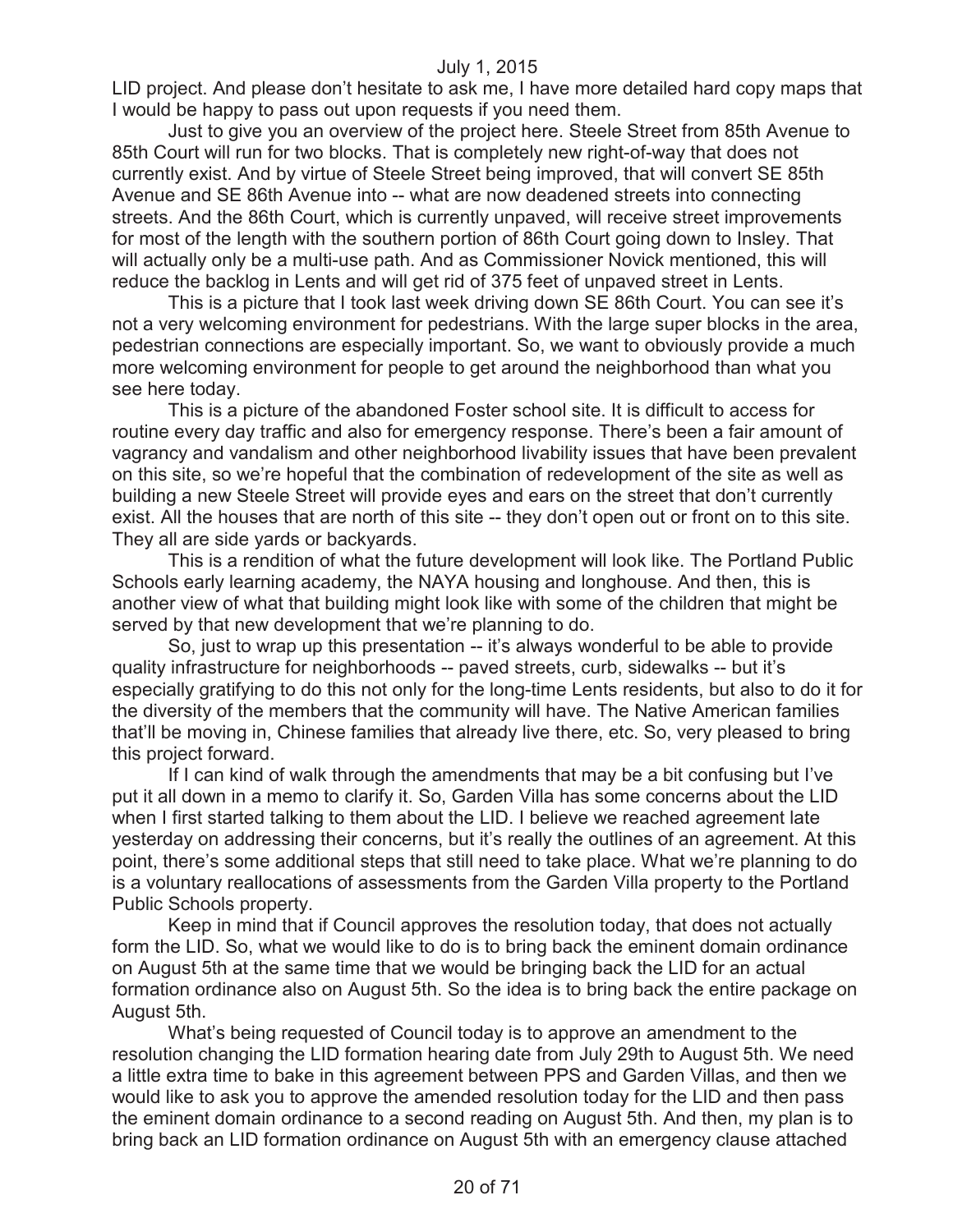LID project. And please don't hesitate to ask me, I have more detailed hard copy maps that I would be happy to pass out upon requests if you need them.

Just to give you an overview of the project here. Steele Street from 85th Avenue to 85th Court will run for two blocks. That is completely new right-of-way that does not currently exist. And by virtue of Steele Street being improved, that will convert SE 85th Avenue and SE 86th Avenue into -- what are now deadened streets into connecting streets. And the 86th Court, which is currently unpaved, will receive street improvements for most of the length with the southern portion of 86th Court going down to Insley. That will actually only be a multi-use path. And as Commissioner Novick mentioned, this will reduce the backlog in Lents and will get rid of 375 feet of unpaved street in Lents.

This is a picture that I took last week driving down SE 86th Court. You can see it's not a very welcoming environment for pedestrians. With the large super blocks in the area, pedestrian connections are especially important. So, we want to obviously provide a much more welcoming environment for people to get around the neighborhood than what you see here today.

This is a picture of the abandoned Foster school site. It is difficult to access for routine every day traffic and also for emergency response. There's been a fair amount of vagrancy and vandalism and other neighborhood livability issues that have been prevalent on this site, so we're hopeful that the combination of redevelopment of the site as well as building a new Steele Street will provide eyes and ears on the street that don't currently exist. All the houses that are north of this site -- they don't open out or front on to this site. They all are side yards or backyards.

This is a rendition of what the future development will look like. The Portland Public Schools early learning academy, the NAYA housing and longhouse. And then, this is another view of what that building might look like with some of the children that might be served by that new development that we're planning to do.

So, just to wrap up this presentation -- it's always wonderful to be able to provide quality infrastructure for neighborhoods -- paved streets, curb, sidewalks -- but it's especially gratifying to do this not only for the long-time Lents residents, but also to do it for the diversity of the members that the community will have. The Native American families that'll be moving in, Chinese families that already live there, etc. So, very pleased to bring this project forward.

If I can kind of walk through the amendments that may be a bit confusing but I've put it all down in a memo to clarify it. So, Garden Villa has some concerns about the LID when I first started talking to them about the LID. I believe we reached agreement late yesterday on addressing their concerns, but it's really the outlines of an agreement. At this point, there's some additional steps that still need to take place. What we're planning to do is a voluntary reallocations of assessments from the Garden Villa property to the Portland Public Schools property.

Keep in mind that if Council approves the resolution today, that does not actually form the LID. So, what we would like to do is to bring back the eminent domain ordinance on August 5th at the same time that we would be bringing back the LID for an actual formation ordinance also on August 5th. So the idea is to bring back the entire package on August 5th.

What's being requested of Council today is to approve an amendment to the resolution changing the LID formation hearing date from July 29th to August 5th. We need a little extra time to bake in this agreement between PPS and Garden Villas, and then we would like to ask you to approve the amended resolution today for the LID and then pass the eminent domain ordinance to a second reading on August 5th. And then, my plan is to bring back an LID formation ordinance on August 5th with an emergency clause attached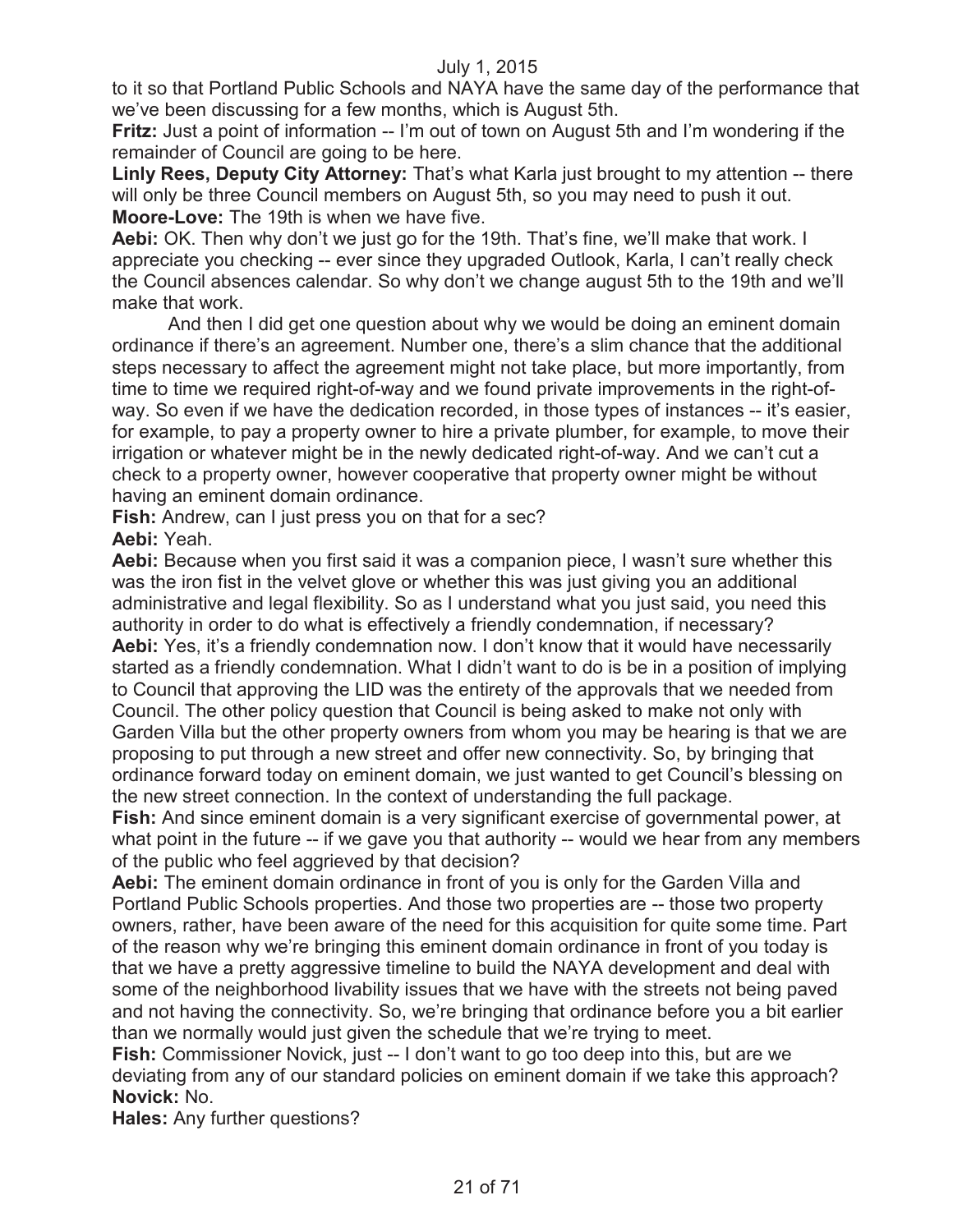to it so that Portland Public Schools and NAYA have the same day of the performance that we've been discussing for a few months, which is August 5th.

**Fritz:** Just a point of information -- I'm out of town on August 5th and I'm wondering if the remainder of Council are going to be here.

**Linly Rees, Deputy City Attorney:** That's what Karla just brought to my attention -- there will only be three Council members on August 5th, so you may need to push it out. **Moore-Love:** The 19th is when we have five.

**Aebi:** OK. Then why don't we just go for the 19th. That's fine, we'll make that work. I appreciate you checking -- ever since they upgraded Outlook, Karla, I can't really check the Council absences calendar. So why don't we change august 5th to the 19th and we'll make that work.

And then I did get one question about why we would be doing an eminent domain ordinance if there's an agreement. Number one, there's a slim chance that the additional steps necessary to affect the agreement might not take place, but more importantly, from time to time we required right-of-way and we found private improvements in the right-ofway. So even if we have the dedication recorded, in those types of instances -- it's easier, for example, to pay a property owner to hire a private plumber, for example, to move their irrigation or whatever might be in the newly dedicated right-of-way. And we can't cut a check to a property owner, however cooperative that property owner might be without having an eminent domain ordinance.

**Fish:** Andrew, can I just press you on that for a sec? **Aebi:** Yeah.

**Aebi:** Because when you first said it was a companion piece, I wasn't sure whether this was the iron fist in the velvet glove or whether this was just giving you an additional administrative and legal flexibility. So as I understand what you just said, you need this authority in order to do what is effectively a friendly condemnation, if necessary? **Aebi:** Yes, it's a friendly condemnation now. I don't know that it would have necessarily started as a friendly condemnation. What I didn't want to do is be in a position of implying to Council that approving the LID was the entirety of the approvals that we needed from Council. The other policy question that Council is being asked to make not only with Garden Villa but the other property owners from whom you may be hearing is that we are proposing to put through a new street and offer new connectivity. So, by bringing that ordinance forward today on eminent domain, we just wanted to get Council's blessing on the new street connection. In the context of understanding the full package.

**Fish:** And since eminent domain is a very significant exercise of governmental power, at what point in the future -- if we gave you that authority -- would we hear from any members of the public who feel aggrieved by that decision?

**Aebi:** The eminent domain ordinance in front of you is only for the Garden Villa and Portland Public Schools properties. And those two properties are -- those two property owners, rather, have been aware of the need for this acquisition for quite some time. Part of the reason why we're bringing this eminent domain ordinance in front of you today is that we have a pretty aggressive timeline to build the NAYA development and deal with some of the neighborhood livability issues that we have with the streets not being paved and not having the connectivity. So, we're bringing that ordinance before you a bit earlier than we normally would just given the schedule that we're trying to meet.

**Fish:** Commissioner Novick, just -- I don't want to go too deep into this, but are we deviating from any of our standard policies on eminent domain if we take this approach? **Novick:** No.

**Hales:** Any further questions?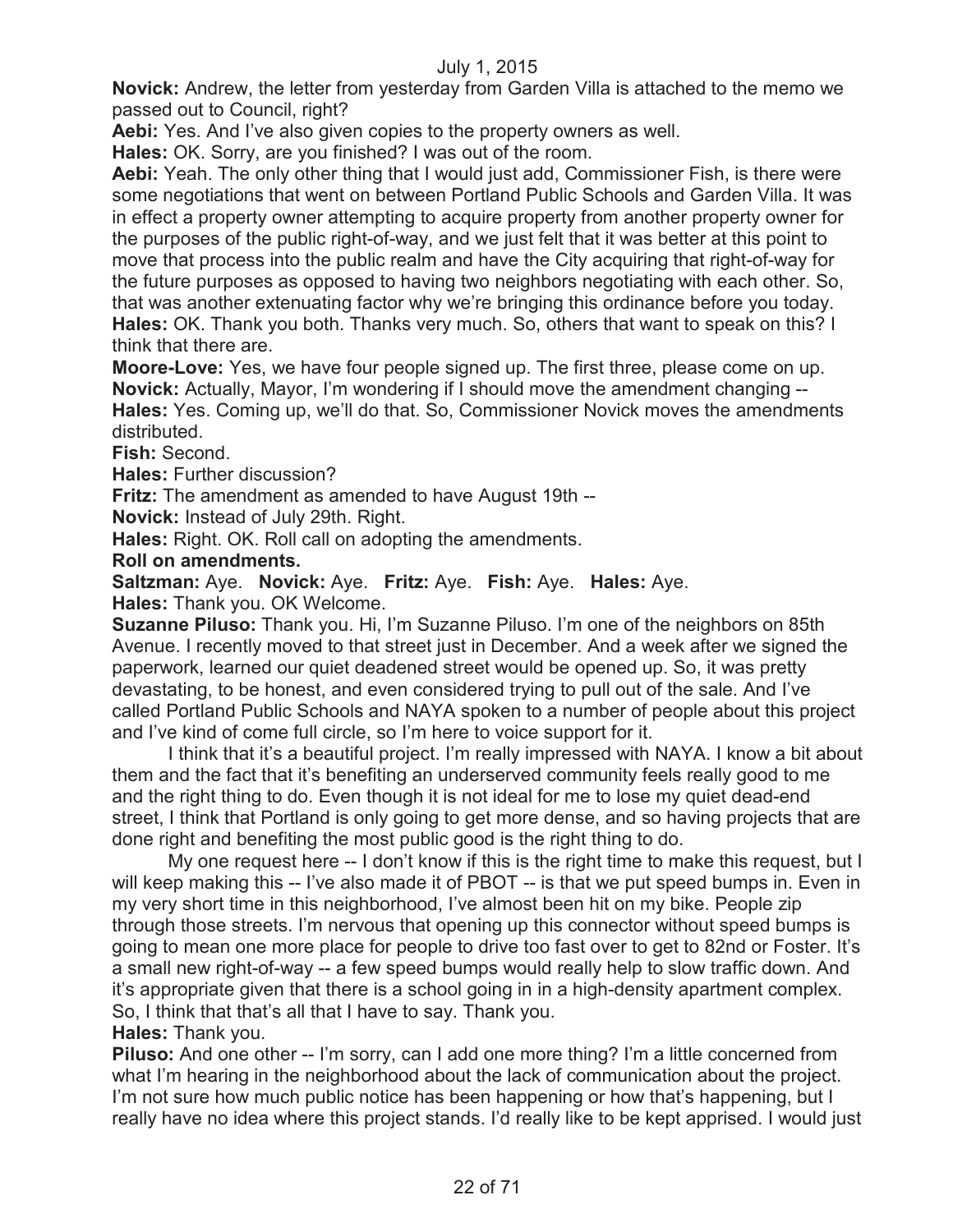**Novick:** Andrew, the letter from yesterday from Garden Villa is attached to the memo we passed out to Council, right?

**Aebi:** Yes. And I've also given copies to the property owners as well.

**Hales:** OK. Sorry, are you finished? I was out of the room.

**Aebi:** Yeah. The only other thing that I would just add, Commissioner Fish, is there were some negotiations that went on between Portland Public Schools and Garden Villa. It was in effect a property owner attempting to acquire property from another property owner for the purposes of the public right-of-way, and we just felt that it was better at this point to move that process into the public realm and have the City acquiring that right-of-way for the future purposes as opposed to having two neighbors negotiating with each other. So, that was another extenuating factor why we're bringing this ordinance before you today. **Hales:** OK. Thank you both. Thanks very much. So, others that want to speak on this? I think that there are.

**Moore-Love:** Yes, we have four people signed up. The first three, please come on up. **Novick:** Actually, Mayor, I'm wondering if I should move the amendment changing -- **Hales:** Yes. Coming up, we'll do that. So, Commissioner Novick moves the amendments distributed.

**Fish:** Second.

**Hales:** Further discussion?

**Fritz:** The amendment as amended to have August 19th --

**Novick:** Instead of July 29th. Right.

**Hales:** Right. OK. Roll call on adopting the amendments.

**Roll on amendments.**

**Saltzman:** Aye. **Novick:** Aye. **Fritz:** Aye. **Fish:** Aye. **Hales:** Aye.

**Hales:** Thank you. OK Welcome.

**Suzanne Piluso:** Thank you. Hi, I'm Suzanne Piluso. I'm one of the neighbors on 85th Avenue. I recently moved to that street just in December. And a week after we signed the paperwork, learned our quiet deadened street would be opened up. So, it was pretty devastating, to be honest, and even considered trying to pull out of the sale. And I've called Portland Public Schools and NAYA spoken to a number of people about this project and I've kind of come full circle, so I'm here to voice support for it.

I think that it's a beautiful project. I'm really impressed with NAYA. I know a bit about them and the fact that it's benefiting an underserved community feels really good to me and the right thing to do. Even though it is not ideal for me to lose my quiet dead-end street, I think that Portland is only going to get more dense, and so having projects that are done right and benefiting the most public good is the right thing to do.

My one request here -- I don't know if this is the right time to make this request, but I will keep making this -- I've also made it of PBOT -- is that we put speed bumps in. Even in my very short time in this neighborhood, I've almost been hit on my bike. People zip through those streets. I'm nervous that opening up this connector without speed bumps is going to mean one more place for people to drive too fast over to get to 82nd or Foster. It's a small new right-of-way -- a few speed bumps would really help to slow traffic down. And it's appropriate given that there is a school going in in a high-density apartment complex. So, I think that that's all that I have to say. Thank you.

**Hales:** Thank you.

**Piluso:** And one other -- I'm sorry, can I add one more thing? I'm a little concerned from what I'm hearing in the neighborhood about the lack of communication about the project. I'm not sure how much public notice has been happening or how that's happening, but I really have no idea where this project stands. I'd really like to be kept apprised. I would just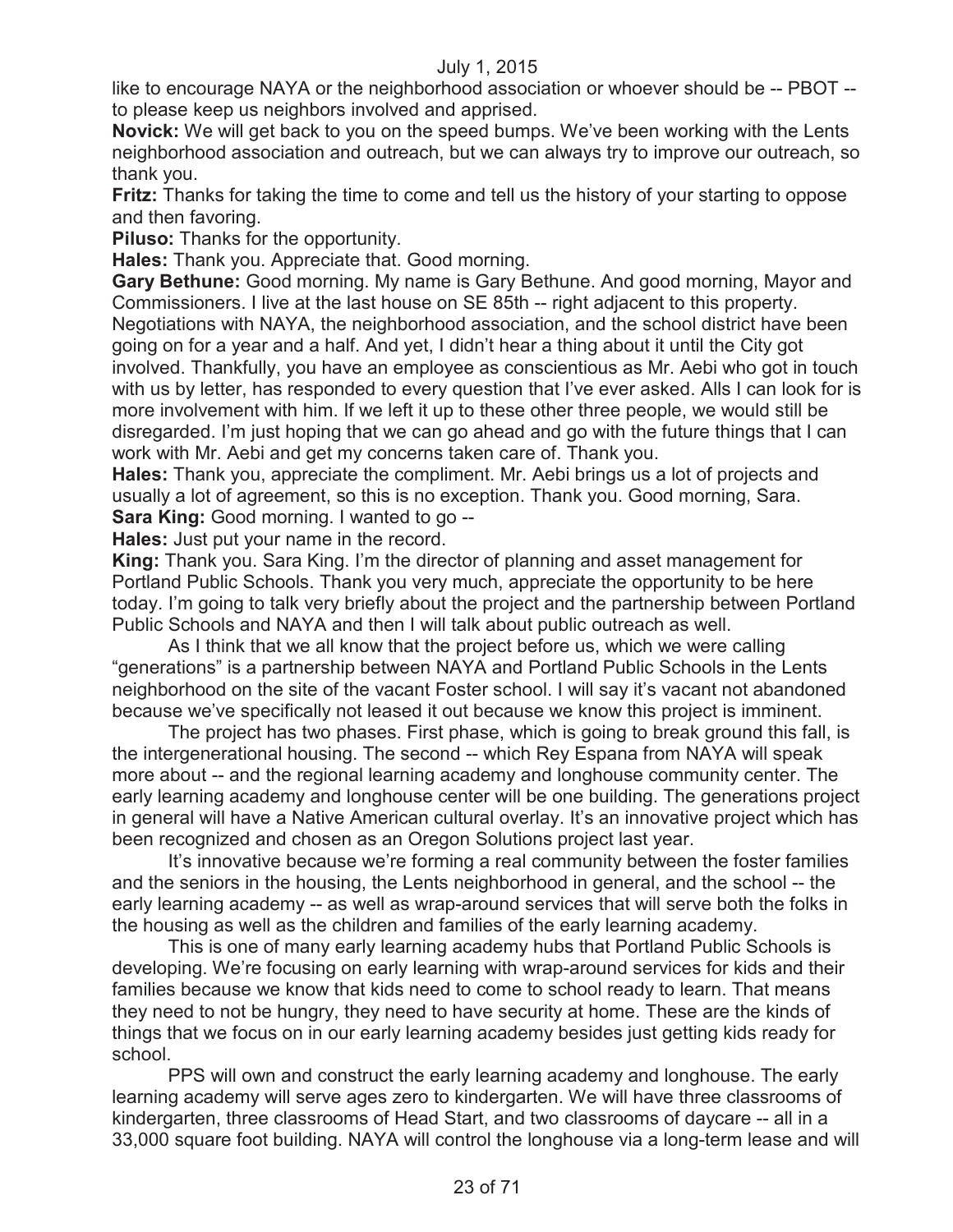like to encourage NAYA or the neighborhood association or whoever should be -- PBOT - to please keep us neighbors involved and apprised.

**Novick:** We will get back to you on the speed bumps. We've been working with the Lents neighborhood association and outreach, but we can always try to improve our outreach, so thank you.

**Fritz:** Thanks for taking the time to come and tell us the history of your starting to oppose and then favoring.

**Piluso:** Thanks for the opportunity.

**Hales:** Thank you. Appreciate that. Good morning.

**Gary Bethune:** Good morning. My name is Gary Bethune. And good morning, Mayor and Commissioners. I live at the last house on SE 85th -- right adjacent to this property. Negotiations with NAYA, the neighborhood association, and the school district have been going on for a year and a half. And yet, I didn't hear a thing about it until the City got involved. Thankfully, you have an employee as conscientious as Mr. Aebi who got in touch with us by letter, has responded to every question that I've ever asked. Alls I can look for is more involvement with him. If we left it up to these other three people, we would still be disregarded. I'm just hoping that we can go ahead and go with the future things that I can work with Mr. Aebi and get my concerns taken care of. Thank you.

**Hales:** Thank you, appreciate the compliment. Mr. Aebi brings us a lot of projects and usually a lot of agreement, so this is no exception. Thank you. Good morning, Sara. **Sara King:** Good morning. I wanted to go --

**Hales:** Just put your name in the record.

**King:** Thank you. Sara King. I'm the director of planning and asset management for Portland Public Schools. Thank you very much, appreciate the opportunity to be here today. I'm going to talk very briefly about the project and the partnership between Portland Public Schools and NAYA and then I will talk about public outreach as well.

As I think that we all know that the project before us, which we were calling "generations" is a partnership between NAYA and Portland Public Schools in the Lents neighborhood on the site of the vacant Foster school. I will say it's vacant not abandoned because we've specifically not leased it out because we know this project is imminent.

The project has two phases. First phase, which is going to break ground this fall, is the intergenerational housing. The second -- which Rey Espana from NAYA will speak more about -- and the regional learning academy and longhouse community center. The early learning academy and longhouse center will be one building. The generations project in general will have a Native American cultural overlay. It's an innovative project which has been recognized and chosen as an Oregon Solutions project last year.

It's innovative because we're forming a real community between the foster families and the seniors in the housing, the Lents neighborhood in general, and the school -- the early learning academy -- as well as wrap-around services that will serve both the folks in the housing as well as the children and families of the early learning academy.

This is one of many early learning academy hubs that Portland Public Schools is developing. We're focusing on early learning with wrap-around services for kids and their families because we know that kids need to come to school ready to learn. That means they need to not be hungry, they need to have security at home. These are the kinds of things that we focus on in our early learning academy besides just getting kids ready for school.

PPS will own and construct the early learning academy and longhouse. The early learning academy will serve ages zero to kindergarten. We will have three classrooms of kindergarten, three classrooms of Head Start, and two classrooms of daycare -- all in a 33,000 square foot building. NAYA will control the longhouse via a long-term lease and will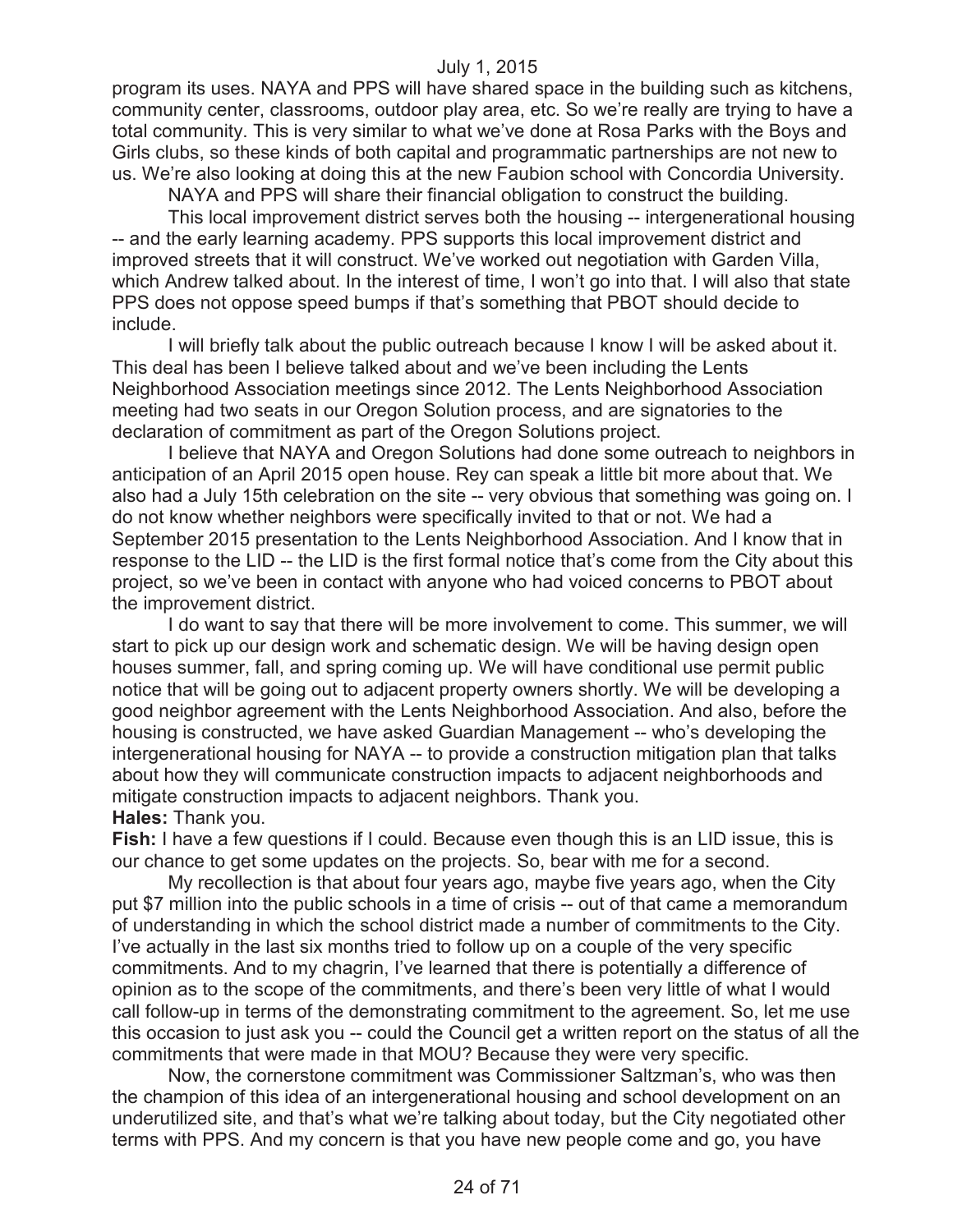program its uses. NAYA and PPS will have shared space in the building such as kitchens, community center, classrooms, outdoor play area, etc. So we're really are trying to have a total community. This is very similar to what we've done at Rosa Parks with the Boys and Girls clubs, so these kinds of both capital and programmatic partnerships are not new to us. We're also looking at doing this at the new Faubion school with Concordia University.

NAYA and PPS will share their financial obligation to construct the building.

This local improvement district serves both the housing -- intergenerational housing -- and the early learning academy. PPS supports this local improvement district and improved streets that it will construct. We've worked out negotiation with Garden Villa, which Andrew talked about. In the interest of time, I won't go into that. I will also that state PPS does not oppose speed bumps if that's something that PBOT should decide to include.

I will briefly talk about the public outreach because I know I will be asked about it. This deal has been I believe talked about and we've been including the Lents Neighborhood Association meetings since 2012. The Lents Neighborhood Association meeting had two seats in our Oregon Solution process, and are signatories to the declaration of commitment as part of the Oregon Solutions project.

I believe that NAYA and Oregon Solutions had done some outreach to neighbors in anticipation of an April 2015 open house. Rey can speak a little bit more about that. We also had a July 15th celebration on the site -- very obvious that something was going on. I do not know whether neighbors were specifically invited to that or not. We had a September 2015 presentation to the Lents Neighborhood Association. And I know that in response to the LID -- the LID is the first formal notice that's come from the City about this project, so we've been in contact with anyone who had voiced concerns to PBOT about the improvement district.

I do want to say that there will be more involvement to come. This summer, we will start to pick up our design work and schematic design. We will be having design open houses summer, fall, and spring coming up. We will have conditional use permit public notice that will be going out to adjacent property owners shortly. We will be developing a good neighbor agreement with the Lents Neighborhood Association. And also, before the housing is constructed, we have asked Guardian Management -- who's developing the intergenerational housing for NAYA -- to provide a construction mitigation plan that talks about how they will communicate construction impacts to adjacent neighborhoods and mitigate construction impacts to adjacent neighbors. Thank you.

**Hales:** Thank you.

**Fish:** I have a few questions if I could. Because even though this is an LID issue, this is our chance to get some updates on the projects. So, bear with me for a second.

My recollection is that about four years ago, maybe five years ago, when the City put \$7 million into the public schools in a time of crisis -- out of that came a memorandum of understanding in which the school district made a number of commitments to the City. I've actually in the last six months tried to follow up on a couple of the very specific commitments. And to my chagrin, I've learned that there is potentially a difference of opinion as to the scope of the commitments, and there's been very little of what I would call follow-up in terms of the demonstrating commitment to the agreement. So, let me use this occasion to just ask you -- could the Council get a written report on the status of all the commitments that were made in that MOU? Because they were very specific.

Now, the cornerstone commitment was Commissioner Saltzman's, who was then the champion of this idea of an intergenerational housing and school development on an underutilized site, and that's what we're talking about today, but the City negotiated other terms with PPS. And my concern is that you have new people come and go, you have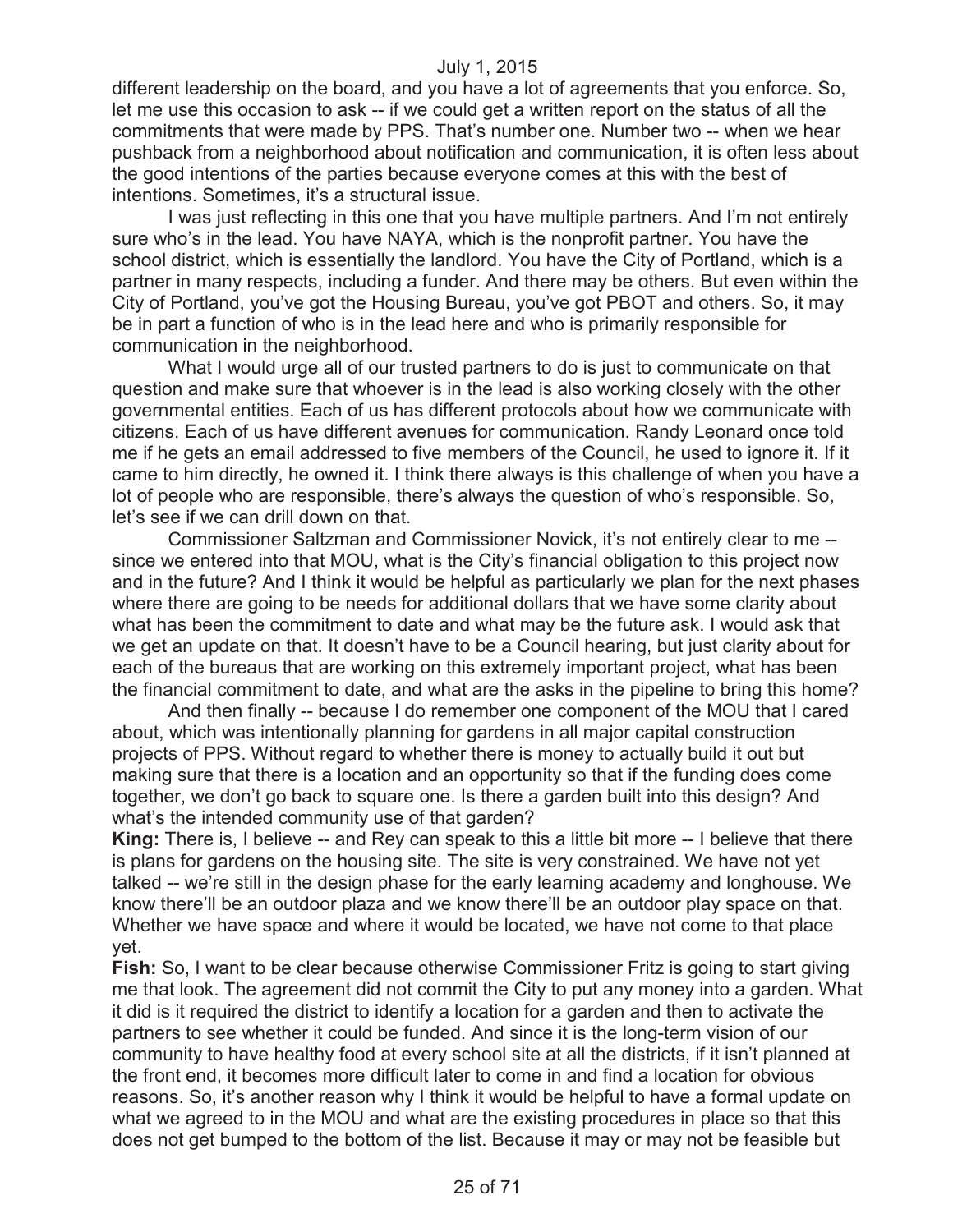different leadership on the board, and you have a lot of agreements that you enforce. So, let me use this occasion to ask -- if we could get a written report on the status of all the commitments that were made by PPS. That's number one. Number two -- when we hear pushback from a neighborhood about notification and communication, it is often less about the good intentions of the parties because everyone comes at this with the best of intentions. Sometimes, it's a structural issue.

I was just reflecting in this one that you have multiple partners. And I'm not entirely sure who's in the lead. You have NAYA, which is the nonprofit partner. You have the school district, which is essentially the landlord. You have the City of Portland, which is a partner in many respects, including a funder. And there may be others. But even within the City of Portland, you've got the Housing Bureau, you've got PBOT and others. So, it may be in part a function of who is in the lead here and who is primarily responsible for communication in the neighborhood.

What I would urge all of our trusted partners to do is just to communicate on that question and make sure that whoever is in the lead is also working closely with the other governmental entities. Each of us has different protocols about how we communicate with citizens. Each of us have different avenues for communication. Randy Leonard once told me if he gets an email addressed to five members of the Council, he used to ignore it. If it came to him directly, he owned it. I think there always is this challenge of when you have a lot of people who are responsible, there's always the question of who's responsible. So, let's see if we can drill down on that.

Commissioner Saltzman and Commissioner Novick, it's not entirely clear to me - since we entered into that MOU, what is the City's financial obligation to this project now and in the future? And I think it would be helpful as particularly we plan for the next phases where there are going to be needs for additional dollars that we have some clarity about what has been the commitment to date and what may be the future ask. I would ask that we get an update on that. It doesn't have to be a Council hearing, but just clarity about for each of the bureaus that are working on this extremely important project, what has been the financial commitment to date, and what are the asks in the pipeline to bring this home?

And then finally -- because I do remember one component of the MOU that I cared about, which was intentionally planning for gardens in all major capital construction projects of PPS. Without regard to whether there is money to actually build it out but making sure that there is a location and an opportunity so that if the funding does come together, we don't go back to square one. Is there a garden built into this design? And what's the intended community use of that garden?

**King:** There is, I believe -- and Rey can speak to this a little bit more -- I believe that there is plans for gardens on the housing site. The site is very constrained. We have not yet talked -- we're still in the design phase for the early learning academy and longhouse. We know there'll be an outdoor plaza and we know there'll be an outdoor play space on that. Whether we have space and where it would be located, we have not come to that place yet.

**Fish:** So, I want to be clear because otherwise Commissioner Fritz is going to start giving me that look. The agreement did not commit the City to put any money into a garden. What it did is it required the district to identify a location for a garden and then to activate the partners to see whether it could be funded. And since it is the long-term vision of our community to have healthy food at every school site at all the districts, if it isn't planned at the front end, it becomes more difficult later to come in and find a location for obvious reasons. So, it's another reason why I think it would be helpful to have a formal update on what we agreed to in the MOU and what are the existing procedures in place so that this does not get bumped to the bottom of the list. Because it may or may not be feasible but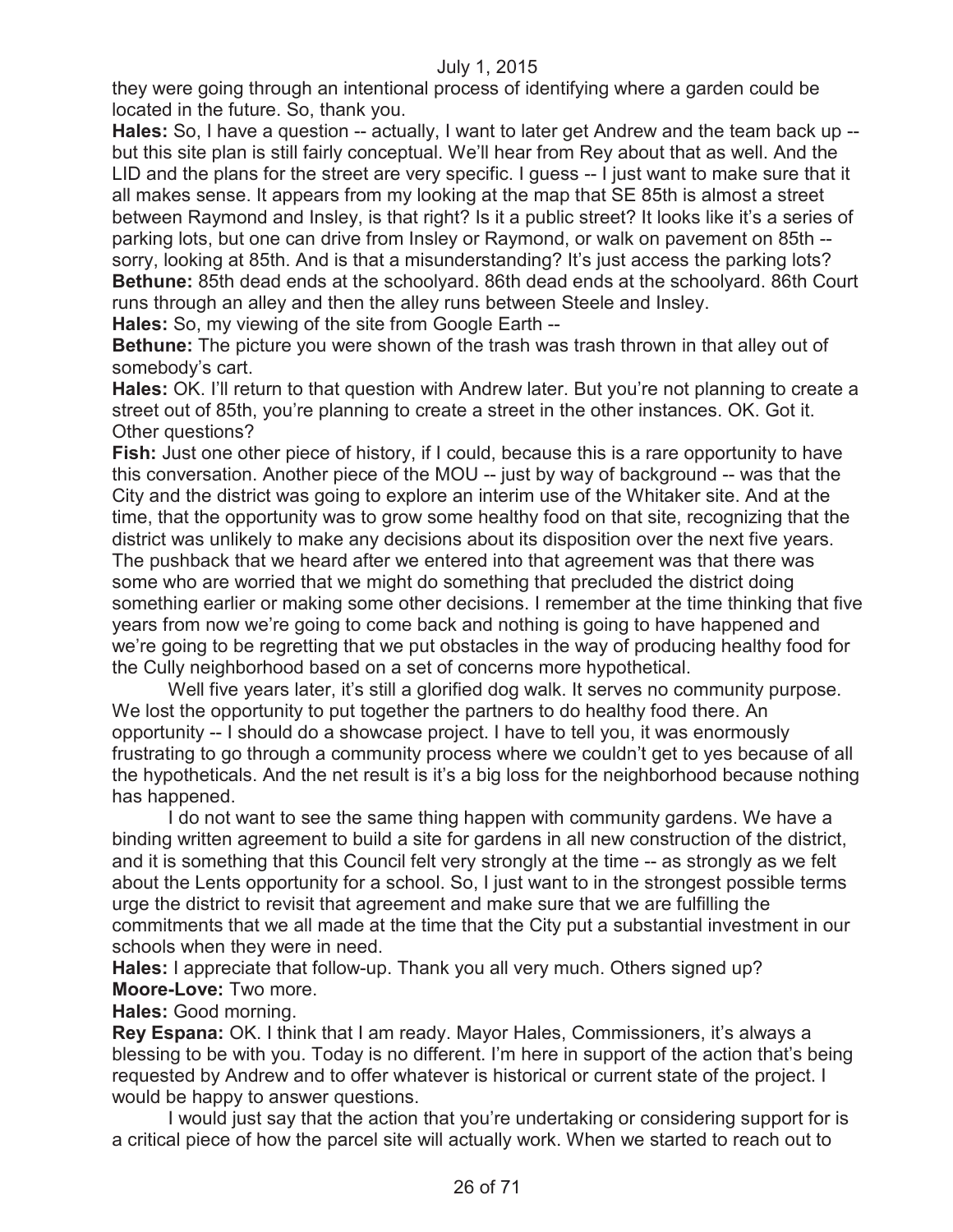they were going through an intentional process of identifying where a garden could be located in the future. So, thank you.

**Hales:** So, I have a question -- actually, I want to later get Andrew and the team back up - but this site plan is still fairly conceptual. We'll hear from Rey about that as well. And the LID and the plans for the street are very specific. I guess -- I just want to make sure that it all makes sense. It appears from my looking at the map that SE 85th is almost a street between Raymond and Insley, is that right? Is it a public street? It looks like it's a series of parking lots, but one can drive from Insley or Raymond, or walk on pavement on 85th - sorry, looking at 85th. And is that a misunderstanding? It's just access the parking lots? **Bethune:** 85th dead ends at the schoolyard. 86th dead ends at the schoolyard. 86th Court runs through an alley and then the alley runs between Steele and Insley.

**Hales:** So, my viewing of the site from Google Earth --

**Bethune:** The picture you were shown of the trash was trash thrown in that alley out of somebody's cart.

**Hales:** OK. I'll return to that question with Andrew later. But you're not planning to create a street out of 85th, you're planning to create a street in the other instances. OK. Got it. Other questions?

**Fish:** Just one other piece of history, if I could, because this is a rare opportunity to have this conversation. Another piece of the MOU -- just by way of background -- was that the City and the district was going to explore an interim use of the Whitaker site. And at the time, that the opportunity was to grow some healthy food on that site, recognizing that the district was unlikely to make any decisions about its disposition over the next five years. The pushback that we heard after we entered into that agreement was that there was some who are worried that we might do something that precluded the district doing something earlier or making some other decisions. I remember at the time thinking that five years from now we're going to come back and nothing is going to have happened and we're going to be regretting that we put obstacles in the way of producing healthy food for the Cully neighborhood based on a set of concerns more hypothetical.

Well five years later, it's still a glorified dog walk. It serves no community purpose. We lost the opportunity to put together the partners to do healthy food there. An opportunity -- I should do a showcase project. I have to tell you, it was enormously frustrating to go through a community process where we couldn't get to yes because of all the hypotheticals. And the net result is it's a big loss for the neighborhood because nothing has happened.

I do not want to see the same thing happen with community gardens. We have a binding written agreement to build a site for gardens in all new construction of the district, and it is something that this Council felt very strongly at the time -- as strongly as we felt about the Lents opportunity for a school. So, I just want to in the strongest possible terms urge the district to revisit that agreement and make sure that we are fulfilling the commitments that we all made at the time that the City put a substantial investment in our schools when they were in need.

**Hales:** I appreciate that follow-up. Thank you all very much. Others signed up? **Moore-Love:** Two more.

**Hales:** Good morning.

**Rey Espana:** OK. I think that I am ready. Mayor Hales, Commissioners, it's always a blessing to be with you. Today is no different. I'm here in support of the action that's being requested by Andrew and to offer whatever is historical or current state of the project. I would be happy to answer questions.

I would just say that the action that you're undertaking or considering support for is a critical piece of how the parcel site will actually work. When we started to reach out to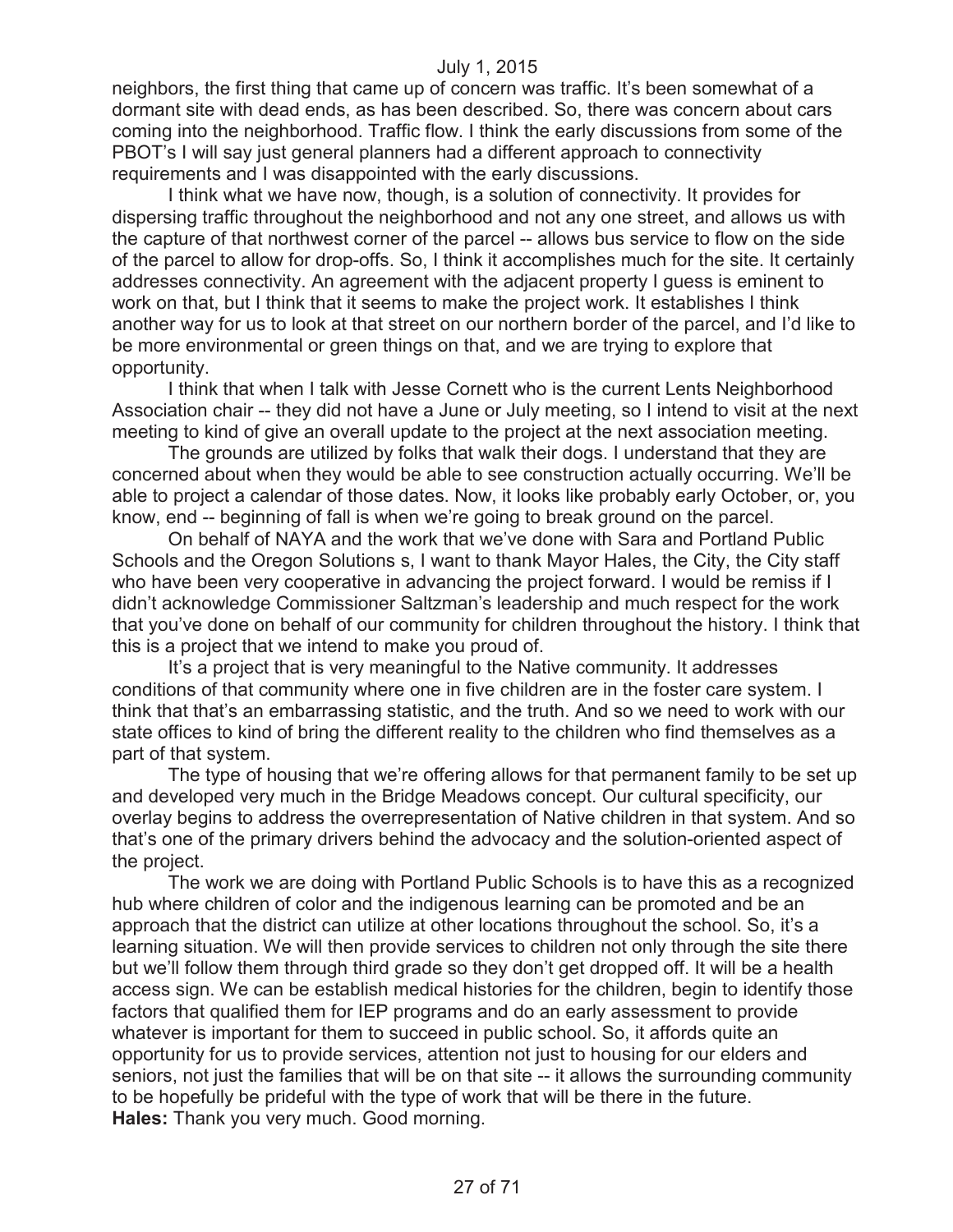neighbors, the first thing that came up of concern was traffic. It's been somewhat of a dormant site with dead ends, as has been described. So, there was concern about cars coming into the neighborhood. Traffic flow. I think the early discussions from some of the PBOT's I will say just general planners had a different approach to connectivity requirements and I was disappointed with the early discussions.

I think what we have now, though, is a solution of connectivity. It provides for dispersing traffic throughout the neighborhood and not any one street, and allows us with the capture of that northwest corner of the parcel -- allows bus service to flow on the side of the parcel to allow for drop-offs. So, I think it accomplishes much for the site. It certainly addresses connectivity. An agreement with the adjacent property I guess is eminent to work on that, but I think that it seems to make the project work. It establishes I think another way for us to look at that street on our northern border of the parcel, and I'd like to be more environmental or green things on that, and we are trying to explore that opportunity.

I think that when I talk with Jesse Cornett who is the current Lents Neighborhood Association chair -- they did not have a June or July meeting, so I intend to visit at the next meeting to kind of give an overall update to the project at the next association meeting.

The grounds are utilized by folks that walk their dogs. I understand that they are concerned about when they would be able to see construction actually occurring. We'll be able to project a calendar of those dates. Now, it looks like probably early October, or, you know, end -- beginning of fall is when we're going to break ground on the parcel.

On behalf of NAYA and the work that we've done with Sara and Portland Public Schools and the Oregon Solutions s, I want to thank Mayor Hales, the City, the City staff who have been very cooperative in advancing the project forward. I would be remiss if I didn't acknowledge Commissioner Saltzman's leadership and much respect for the work that you've done on behalf of our community for children throughout the history. I think that this is a project that we intend to make you proud of.

It's a project that is very meaningful to the Native community. It addresses conditions of that community where one in five children are in the foster care system. I think that that's an embarrassing statistic, and the truth. And so we need to work with our state offices to kind of bring the different reality to the children who find themselves as a part of that system.

The type of housing that we're offering allows for that permanent family to be set up and developed very much in the Bridge Meadows concept. Our cultural specificity, our overlay begins to address the overrepresentation of Native children in that system. And so that's one of the primary drivers behind the advocacy and the solution-oriented aspect of the project.

The work we are doing with Portland Public Schools is to have this as a recognized hub where children of color and the indigenous learning can be promoted and be an approach that the district can utilize at other locations throughout the school. So, it's a learning situation. We will then provide services to children not only through the site there but we'll follow them through third grade so they don't get dropped off. It will be a health access sign. We can be establish medical histories for the children, begin to identify those factors that qualified them for IEP programs and do an early assessment to provide whatever is important for them to succeed in public school. So, it affords quite an opportunity for us to provide services, attention not just to housing for our elders and seniors, not just the families that will be on that site -- it allows the surrounding community to be hopefully be prideful with the type of work that will be there in the future. **Hales:** Thank you very much. Good morning.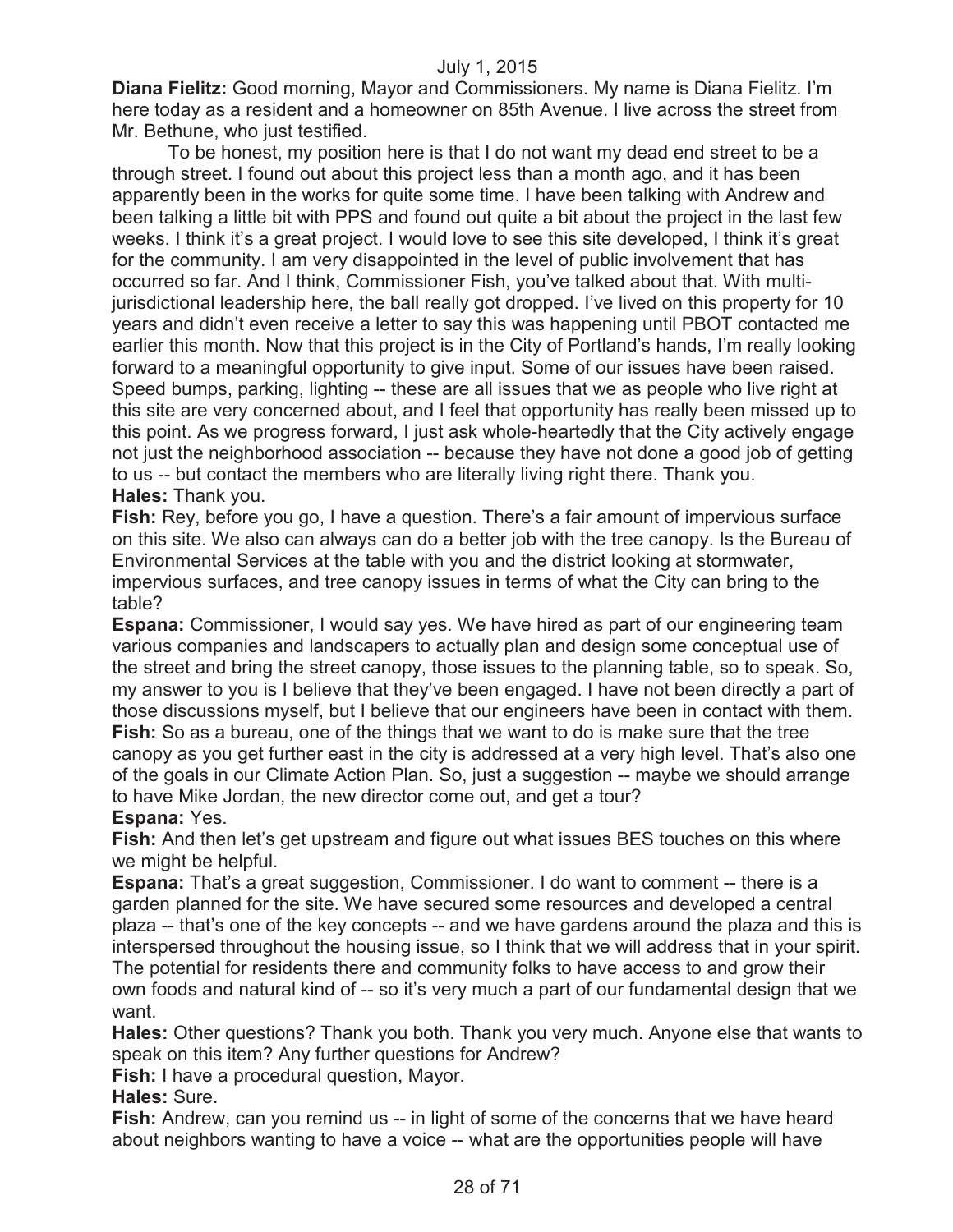**Diana Fielitz:** Good morning, Mayor and Commissioners. My name is Diana Fielitz. I'm here today as a resident and a homeowner on 85th Avenue. I live across the street from Mr. Bethune, who just testified.

To be honest, my position here is that I do not want my dead end street to be a through street. I found out about this project less than a month ago, and it has been apparently been in the works for quite some time. I have been talking with Andrew and been talking a little bit with PPS and found out quite a bit about the project in the last few weeks. I think it's a great project. I would love to see this site developed, I think it's great for the community. I am very disappointed in the level of public involvement that has occurred so far. And I think, Commissioner Fish, you've talked about that. With multijurisdictional leadership here, the ball really got dropped. I've lived on this property for 10 years and didn't even receive a letter to say this was happening until PBOT contacted me earlier this month. Now that this project is in the City of Portland's hands, I'm really looking forward to a meaningful opportunity to give input. Some of our issues have been raised. Speed bumps, parking, lighting -- these are all issues that we as people who live right at this site are very concerned about, and I feel that opportunity has really been missed up to this point. As we progress forward, I just ask whole-heartedly that the City actively engage not just the neighborhood association -- because they have not done a good job of getting to us -- but contact the members who are literally living right there. Thank you. **Hales:** Thank you.

**Fish:** Rey, before you go, I have a question. There's a fair amount of impervious surface on this site. We also can always can do a better job with the tree canopy. Is the Bureau of Environmental Services at the table with you and the district looking at stormwater, impervious surfaces, and tree canopy issues in terms of what the City can bring to the table?

**Espana:** Commissioner, I would say yes. We have hired as part of our engineering team various companies and landscapers to actually plan and design some conceptual use of the street and bring the street canopy, those issues to the planning table, so to speak. So, my answer to you is I believe that they've been engaged. I have not been directly a part of those discussions myself, but I believe that our engineers have been in contact with them. **Fish:** So as a bureau, one of the things that we want to do is make sure that the tree canopy as you get further east in the city is addressed at a very high level. That's also one of the goals in our Climate Action Plan. So, just a suggestion -- maybe we should arrange to have Mike Jordan, the new director come out, and get a tour?

**Espana:** Yes.

**Fish:** And then let's get upstream and figure out what issues BES touches on this where we might be helpful.

**Espana:** That's a great suggestion, Commissioner. I do want to comment -- there is a garden planned for the site. We have secured some resources and developed a central plaza -- that's one of the key concepts -- and we have gardens around the plaza and this is interspersed throughout the housing issue, so I think that we will address that in your spirit. The potential for residents there and community folks to have access to and grow their own foods and natural kind of -- so it's very much a part of our fundamental design that we want.

**Hales:** Other questions? Thank you both. Thank you very much. Anyone else that wants to speak on this item? Any further questions for Andrew?

**Fish:** I have a procedural question, Mayor.

**Hales:** Sure.

**Fish:** Andrew, can you remind us -- in light of some of the concerns that we have heard about neighbors wanting to have a voice -- what are the opportunities people will have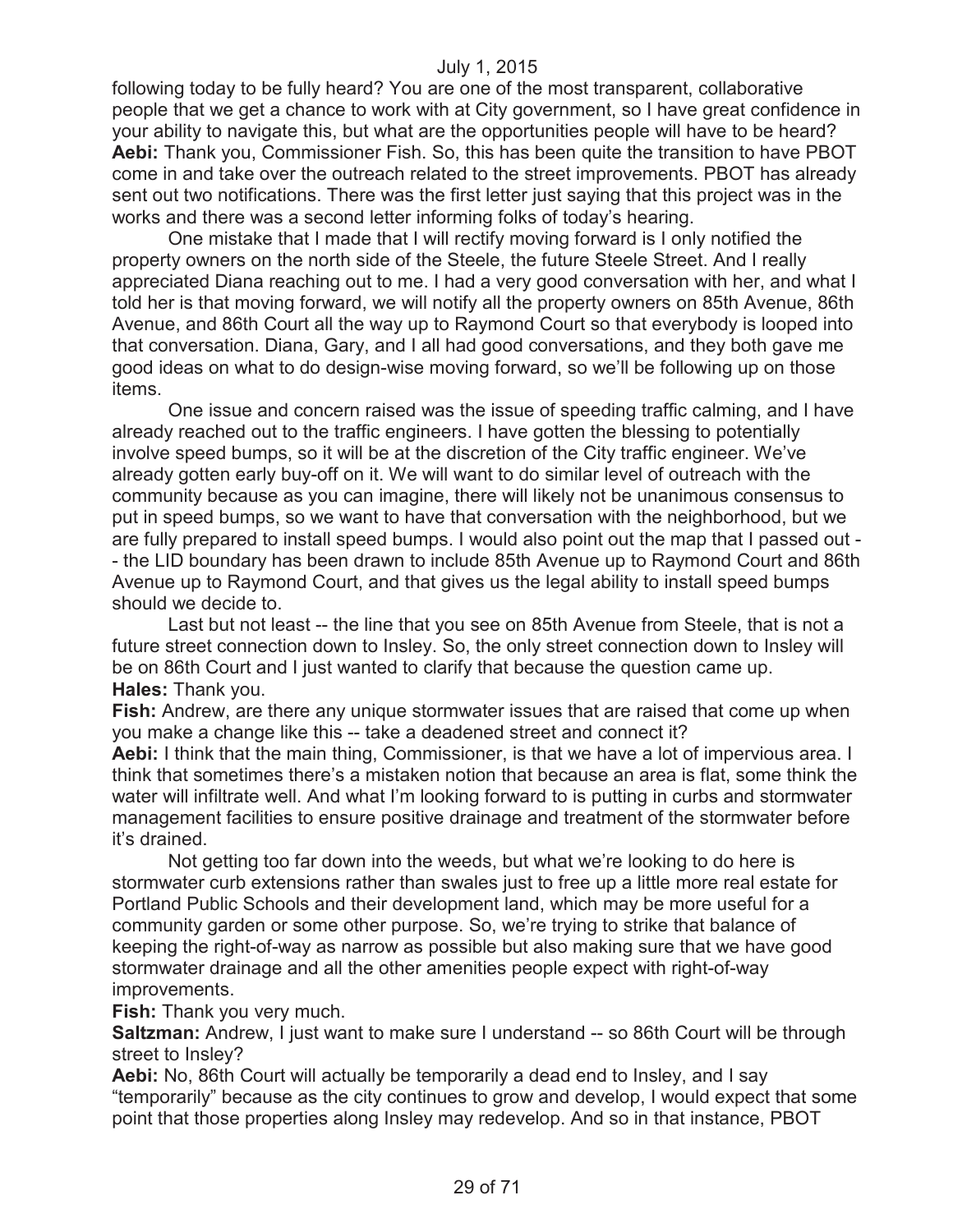following today to be fully heard? You are one of the most transparent, collaborative people that we get a chance to work with at City government, so I have great confidence in your ability to navigate this, but what are the opportunities people will have to be heard? **Aebi:** Thank you, Commissioner Fish. So, this has been quite the transition to have PBOT come in and take over the outreach related to the street improvements. PBOT has already sent out two notifications. There was the first letter just saying that this project was in the works and there was a second letter informing folks of today's hearing.

One mistake that I made that I will rectify moving forward is I only notified the property owners on the north side of the Steele, the future Steele Street. And I really appreciated Diana reaching out to me. I had a very good conversation with her, and what I told her is that moving forward, we will notify all the property owners on 85th Avenue, 86th Avenue, and 86th Court all the way up to Raymond Court so that everybody is looped into that conversation. Diana, Gary, and I all had good conversations, and they both gave me good ideas on what to do design-wise moving forward, so we'll be following up on those items.

One issue and concern raised was the issue of speeding traffic calming, and I have already reached out to the traffic engineers. I have gotten the blessing to potentially involve speed bumps, so it will be at the discretion of the City traffic engineer. We've already gotten early buy-off on it. We will want to do similar level of outreach with the community because as you can imagine, there will likely not be unanimous consensus to put in speed bumps, so we want to have that conversation with the neighborhood, but we are fully prepared to install speed bumps. I would also point out the map that I passed out - - the LID boundary has been drawn to include 85th Avenue up to Raymond Court and 86th Avenue up to Raymond Court, and that gives us the legal ability to install speed bumps should we decide to.

Last but not least -- the line that you see on 85th Avenue from Steele, that is not a future street connection down to Insley. So, the only street connection down to Insley will be on 86th Court and I just wanted to clarify that because the question came up. **Hales:** Thank you.

**Fish:** Andrew, are there any unique stormwater issues that are raised that come up when you make a change like this -- take a deadened street and connect it?

**Aebi:** I think that the main thing, Commissioner, is that we have a lot of impervious area. I think that sometimes there's a mistaken notion that because an area is flat, some think the water will infiltrate well. And what I'm looking forward to is putting in curbs and stormwater management facilities to ensure positive drainage and treatment of the stormwater before it's drained.

Not getting too far down into the weeds, but what we're looking to do here is stormwater curb extensions rather than swales just to free up a little more real estate for Portland Public Schools and their development land, which may be more useful for a community garden or some other purpose. So, we're trying to strike that balance of keeping the right-of-way as narrow as possible but also making sure that we have good stormwater drainage and all the other amenities people expect with right-of-way improvements.

**Fish:** Thank you very much.

**Saltzman:** Andrew, I just want to make sure I understand -- so 86th Court will be through street to Insley?

**Aebi:** No, 86th Court will actually be temporarily a dead end to Insley, and I say "temporarily" because as the city continues to grow and develop, I would expect that some point that those properties along Insley may redevelop. And so in that instance, PBOT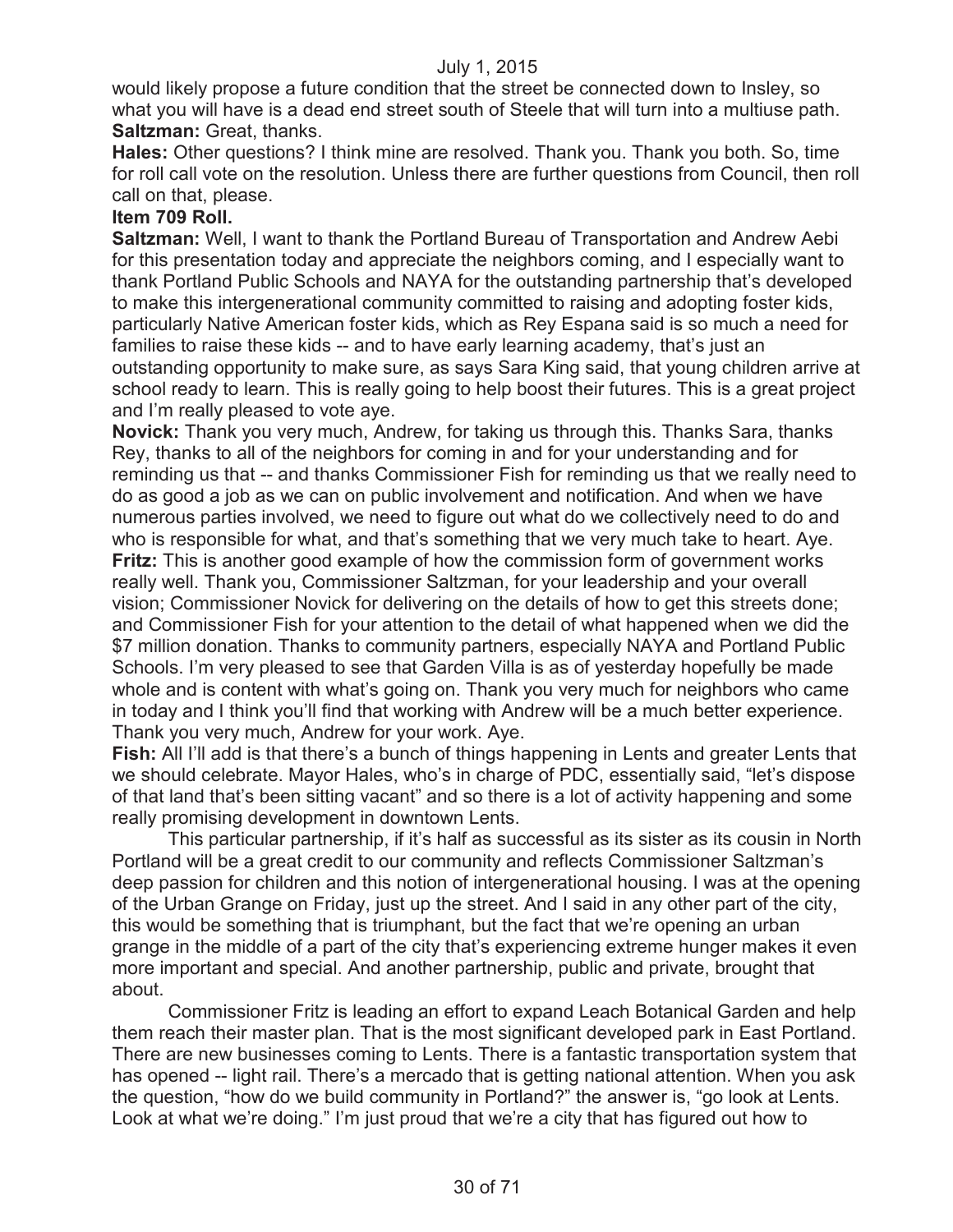would likely propose a future condition that the street be connected down to Insley, so what you will have is a dead end street south of Steele that will turn into a multiuse path. **Saltzman:** Great, thanks.

**Hales:** Other questions? I think mine are resolved. Thank you. Thank you both. So, time for roll call vote on the resolution. Unless there are further questions from Council, then roll call on that, please.

#### **Item 709 Roll.**

**Saltzman:** Well, I want to thank the Portland Bureau of Transportation and Andrew Aebi for this presentation today and appreciate the neighbors coming, and I especially want to thank Portland Public Schools and NAYA for the outstanding partnership that's developed to make this intergenerational community committed to raising and adopting foster kids, particularly Native American foster kids, which as Rey Espana said is so much a need for families to raise these kids -- and to have early learning academy, that's just an outstanding opportunity to make sure, as says Sara King said, that young children arrive at school ready to learn. This is really going to help boost their futures. This is a great project and I'm really pleased to vote aye.

**Novick:** Thank you very much, Andrew, for taking us through this. Thanks Sara, thanks Rey, thanks to all of the neighbors for coming in and for your understanding and for reminding us that -- and thanks Commissioner Fish for reminding us that we really need to do as good a job as we can on public involvement and notification. And when we have numerous parties involved, we need to figure out what do we collectively need to do and who is responsible for what, and that's something that we very much take to heart. Aye. **Fritz:** This is another good example of how the commission form of government works really well. Thank you, Commissioner Saltzman, for your leadership and your overall vision; Commissioner Novick for delivering on the details of how to get this streets done; and Commissioner Fish for your attention to the detail of what happened when we did the \$7 million donation. Thanks to community partners, especially NAYA and Portland Public Schools. I'm very pleased to see that Garden Villa is as of yesterday hopefully be made whole and is content with what's going on. Thank you very much for neighbors who came in today and I think you'll find that working with Andrew will be a much better experience. Thank you very much, Andrew for your work. Aye.

**Fish:** All I'll add is that there's a bunch of things happening in Lents and greater Lents that we should celebrate. Mayor Hales, who's in charge of PDC, essentially said, "let's dispose of that land that's been sitting vacant" and so there is a lot of activity happening and some really promising development in downtown Lents.

This particular partnership, if it's half as successful as its sister as its cousin in North Portland will be a great credit to our community and reflects Commissioner Saltzman's deep passion for children and this notion of intergenerational housing. I was at the opening of the Urban Grange on Friday, just up the street. And I said in any other part of the city, this would be something that is triumphant, but the fact that we're opening an urban grange in the middle of a part of the city that's experiencing extreme hunger makes it even more important and special. And another partnership, public and private, brought that about.

Commissioner Fritz is leading an effort to expand Leach Botanical Garden and help them reach their master plan. That is the most significant developed park in East Portland. There are new businesses coming to Lents. There is a fantastic transportation system that has opened -- light rail. There's a mercado that is getting national attention. When you ask the question, "how do we build community in Portland?" the answer is, "go look at Lents. Look at what we're doing." I'm just proud that we're a city that has figured out how to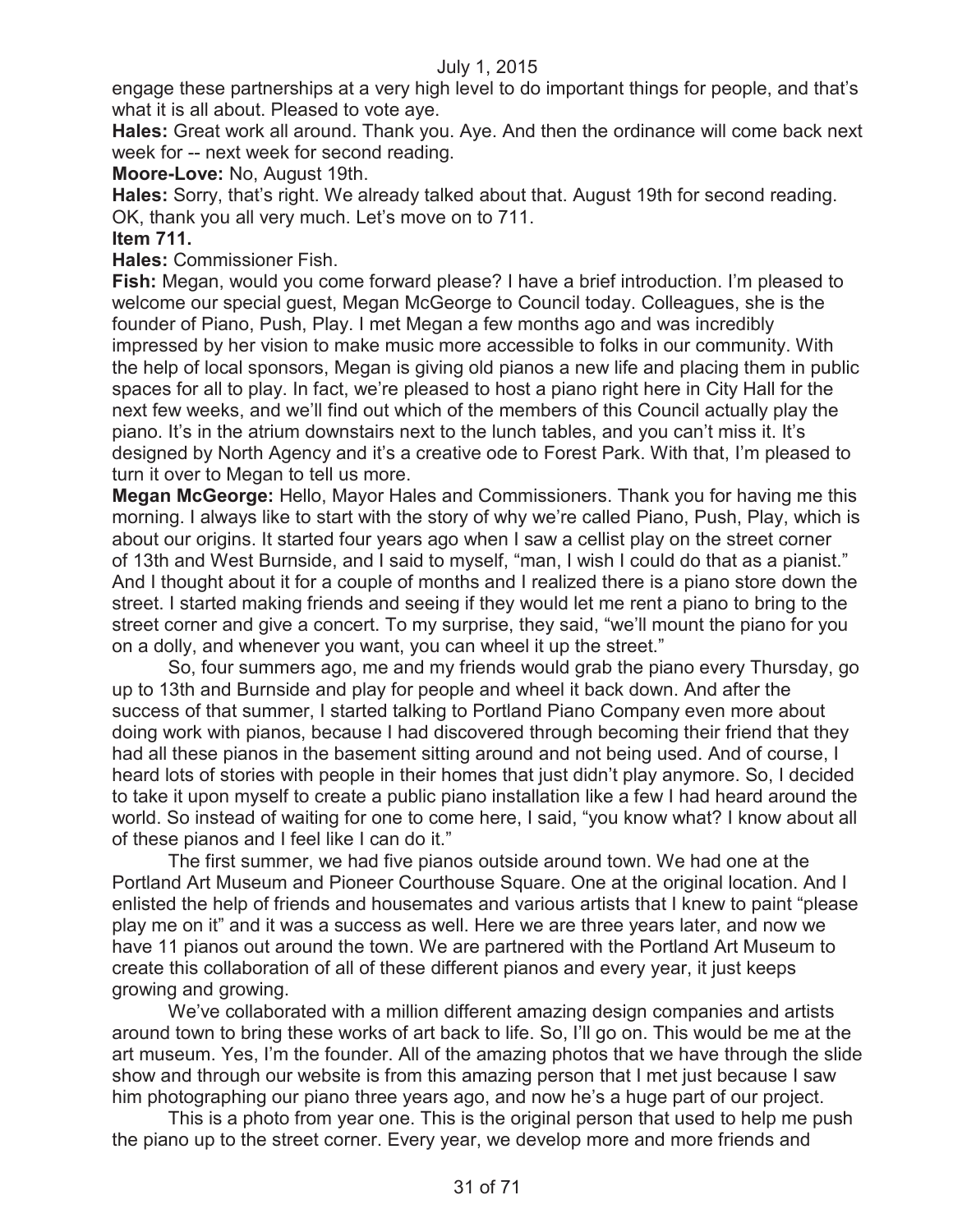engage these partnerships at a very high level to do important things for people, and that's what it is all about. Pleased to vote aye.

**Hales:** Great work all around. Thank you. Aye. And then the ordinance will come back next week for -- next week for second reading.

**Moore-Love:** No, August 19th.

**Hales:** Sorry, that's right. We already talked about that. August 19th for second reading. OK, thank you all very much. Let's move on to 711.

**Item 711.**

**Hales:** Commissioner Fish.

**Fish:** Megan, would you come forward please? I have a brief introduction. I'm pleased to welcome our special guest, Megan McGeorge to Council today. Colleagues, she is the founder of Piano, Push, Play. I met Megan a few months ago and was incredibly impressed by her vision to make music more accessible to folks in our community. With the help of local sponsors, Megan is giving old pianos a new life and placing them in public spaces for all to play. In fact, we're pleased to host a piano right here in City Hall for the next few weeks, and we'll find out which of the members of this Council actually play the piano. It's in the atrium downstairs next to the lunch tables, and you can't miss it. It's designed by North Agency and it's a creative ode to Forest Park. With that, I'm pleased to turn it over to Megan to tell us more.

**Megan McGeorge:** Hello, Mayor Hales and Commissioners. Thank you for having me this morning. I always like to start with the story of why we're called Piano, Push, Play, which is about our origins. It started four years ago when I saw a cellist play on the street corner of 13th and West Burnside, and I said to myself, "man, I wish I could do that as a pianist." And I thought about it for a couple of months and I realized there is a piano store down the street. I started making friends and seeing if they would let me rent a piano to bring to the street corner and give a concert. To my surprise, they said, "we'll mount the piano for you on a dolly, and whenever you want, you can wheel it up the street."

So, four summers ago, me and my friends would grab the piano every Thursday, go up to 13th and Burnside and play for people and wheel it back down. And after the success of that summer, I started talking to Portland Piano Company even more about doing work with pianos, because I had discovered through becoming their friend that they had all these pianos in the basement sitting around and not being used. And of course, I heard lots of stories with people in their homes that just didn't play anymore. So, I decided to take it upon myself to create a public piano installation like a few I had heard around the world. So instead of waiting for one to come here, I said, "you know what? I know about all of these pianos and I feel like I can do it."

The first summer, we had five pianos outside around town. We had one at the Portland Art Museum and Pioneer Courthouse Square. One at the original location. And I enlisted the help of friends and housemates and various artists that I knew to paint "please play me on it" and it was a success as well. Here we are three years later, and now we have 11 pianos out around the town. We are partnered with the Portland Art Museum to create this collaboration of all of these different pianos and every year, it just keeps growing and growing.

We've collaborated with a million different amazing design companies and artists around town to bring these works of art back to life. So, I'll go on. This would be me at the art museum. Yes, I'm the founder. All of the amazing photos that we have through the slide show and through our website is from this amazing person that I met just because I saw him photographing our piano three years ago, and now he's a huge part of our project.

This is a photo from year one. This is the original person that used to help me push the piano up to the street corner. Every year, we develop more and more friends and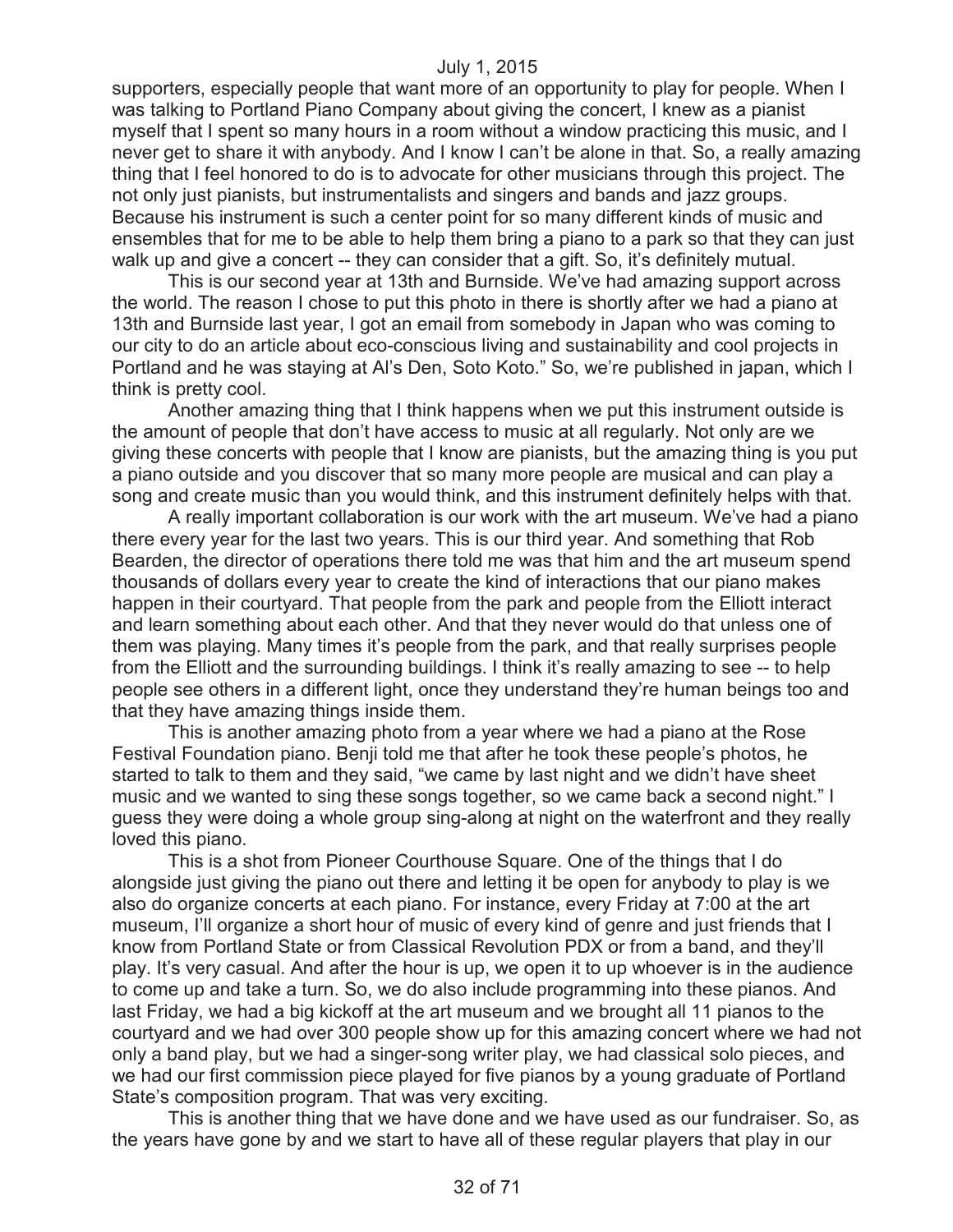supporters, especially people that want more of an opportunity to play for people. When I was talking to Portland Piano Company about giving the concert, I knew as a pianist myself that I spent so many hours in a room without a window practicing this music, and I never get to share it with anybody. And I know I can't be alone in that. So, a really amazing thing that I feel honored to do is to advocate for other musicians through this project. The not only just pianists, but instrumentalists and singers and bands and jazz groups. Because his instrument is such a center point for so many different kinds of music and ensembles that for me to be able to help them bring a piano to a park so that they can just walk up and give a concert -- they can consider that a gift. So, it's definitely mutual.

This is our second year at 13th and Burnside. We've had amazing support across the world. The reason I chose to put this photo in there is shortly after we had a piano at 13th and Burnside last year, I got an email from somebody in Japan who was coming to our city to do an article about eco-conscious living and sustainability and cool projects in Portland and he was staying at Al's Den, Soto Koto." So, we're published in japan, which I think is pretty cool.

Another amazing thing that I think happens when we put this instrument outside is the amount of people that don't have access to music at all regularly. Not only are we giving these concerts with people that I know are pianists, but the amazing thing is you put a piano outside and you discover that so many more people are musical and can play a song and create music than you would think, and this instrument definitely helps with that.

A really important collaboration is our work with the art museum. We've had a piano there every year for the last two years. This is our third year. And something that Rob Bearden, the director of operations there told me was that him and the art museum spend thousands of dollars every year to create the kind of interactions that our piano makes happen in their courtyard. That people from the park and people from the Elliott interact and learn something about each other. And that they never would do that unless one of them was playing. Many times it's people from the park, and that really surprises people from the Elliott and the surrounding buildings. I think it's really amazing to see -- to help people see others in a different light, once they understand they're human beings too and that they have amazing things inside them.

This is another amazing photo from a year where we had a piano at the Rose Festival Foundation piano. Benji told me that after he took these people's photos, he started to talk to them and they said, "we came by last night and we didn't have sheet music and we wanted to sing these songs together, so we came back a second night." I guess they were doing a whole group sing-along at night on the waterfront and they really loved this piano.

This is a shot from Pioneer Courthouse Square. One of the things that I do alongside just giving the piano out there and letting it be open for anybody to play is we also do organize concerts at each piano. For instance, every Friday at 7:00 at the art museum, I'll organize a short hour of music of every kind of genre and just friends that I know from Portland State or from Classical Revolution PDX or from a band, and they'll play. It's very casual. And after the hour is up, we open it to up whoever is in the audience to come up and take a turn. So, we do also include programming into these pianos. And last Friday, we had a big kickoff at the art museum and we brought all 11 pianos to the courtyard and we had over 300 people show up for this amazing concert where we had not only a band play, but we had a singer-song writer play, we had classical solo pieces, and we had our first commission piece played for five pianos by a young graduate of Portland State's composition program. That was very exciting.

This is another thing that we have done and we have used as our fundraiser. So, as the years have gone by and we start to have all of these regular players that play in our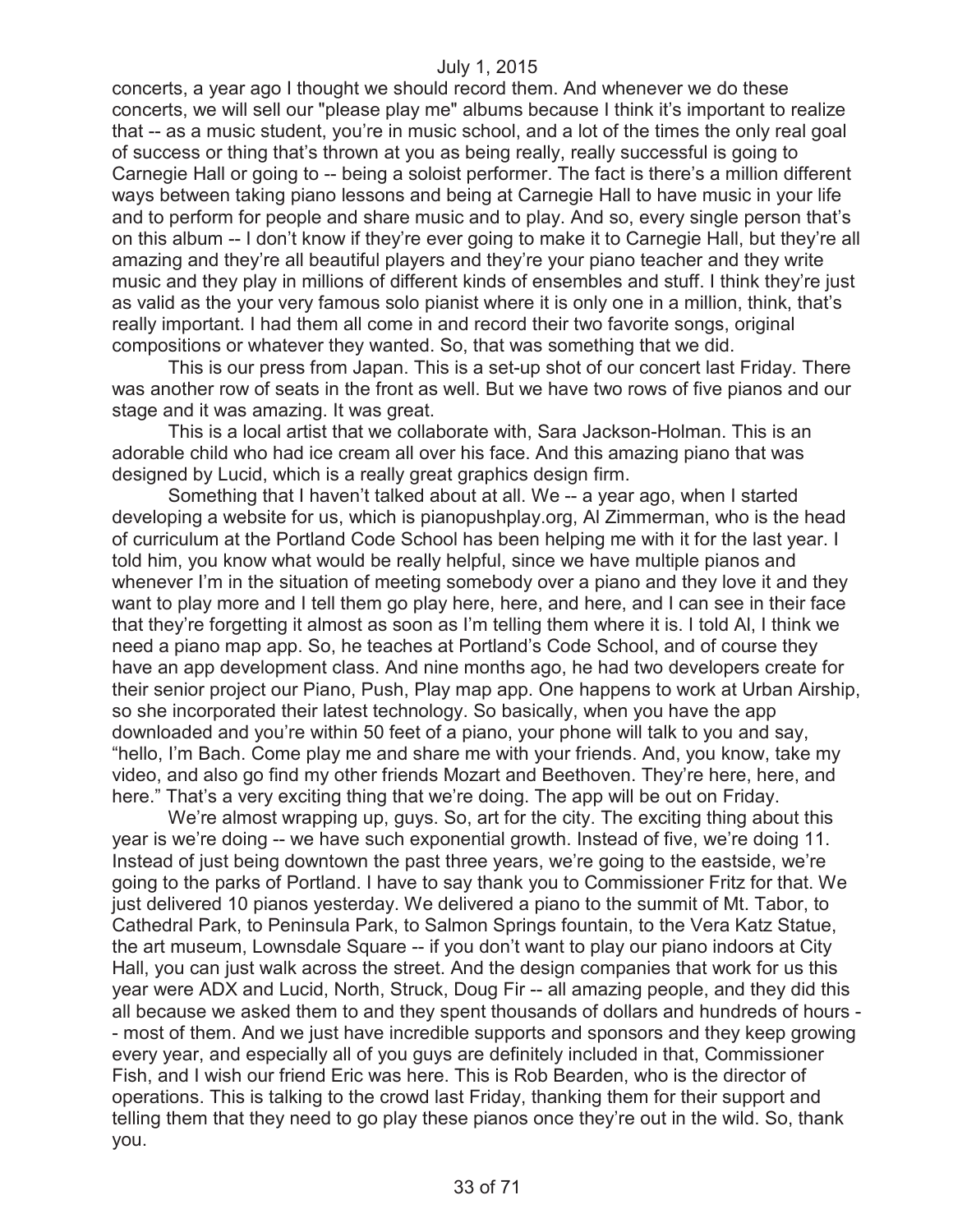concerts, a year ago I thought we should record them. And whenever we do these concerts, we will sell our "please play me" albums because I think it's important to realize that -- as a music student, you're in music school, and a lot of the times the only real goal of success or thing that's thrown at you as being really, really successful is going to Carnegie Hall or going to -- being a soloist performer. The fact is there's a million different ways between taking piano lessons and being at Carnegie Hall to have music in your life and to perform for people and share music and to play. And so, every single person that's on this album -- I don't know if they're ever going to make it to Carnegie Hall, but they're all amazing and they're all beautiful players and they're your piano teacher and they write music and they play in millions of different kinds of ensembles and stuff. I think they're just as valid as the your very famous solo pianist where it is only one in a million, think, that's really important. I had them all come in and record their two favorite songs, original compositions or whatever they wanted. So, that was something that we did.

This is our press from Japan. This is a set-up shot of our concert last Friday. There was another row of seats in the front as well. But we have two rows of five pianos and our stage and it was amazing. It was great.

This is a local artist that we collaborate with, Sara Jackson-Holman. This is an adorable child who had ice cream all over his face. And this amazing piano that was designed by Lucid, which is a really great graphics design firm.

Something that I haven't talked about at all. We -- a year ago, when I started developing a website for us, which is pianopushplay.org, Al Zimmerman, who is the head of curriculum at the Portland Code School has been helping me with it for the last year. I told him, you know what would be really helpful, since we have multiple pianos and whenever I'm in the situation of meeting somebody over a piano and they love it and they want to play more and I tell them go play here, here, and here, and I can see in their face that they're forgetting it almost as soon as I'm telling them where it is. I told Al, I think we need a piano map app. So, he teaches at Portland's Code School, and of course they have an app development class. And nine months ago, he had two developers create for their senior project our Piano, Push, Play map app. One happens to work at Urban Airship, so she incorporated their latest technology. So basically, when you have the app downloaded and you're within 50 feet of a piano, your phone will talk to you and say, "hello, I'm Bach. Come play me and share me with your friends. And, you know, take my video, and also go find my other friends Mozart and Beethoven. They're here, here, and here." That's a very exciting thing that we're doing. The app will be out on Friday.

We're almost wrapping up, guys. So, art for the city. The exciting thing about this year is we're doing -- we have such exponential growth. Instead of five, we're doing 11. Instead of just being downtown the past three years, we're going to the eastside, we're going to the parks of Portland. I have to say thank you to Commissioner Fritz for that. We just delivered 10 pianos yesterday. We delivered a piano to the summit of Mt. Tabor, to Cathedral Park, to Peninsula Park, to Salmon Springs fountain, to the Vera Katz Statue, the art museum, Lownsdale Square -- if you don't want to play our piano indoors at City Hall, you can just walk across the street. And the design companies that work for us this year were ADX and Lucid, North, Struck, Doug Fir -- all amazing people, and they did this all because we asked them to and they spent thousands of dollars and hundreds of hours - - most of them. And we just have incredible supports and sponsors and they keep growing every year, and especially all of you guys are definitely included in that, Commissioner Fish, and I wish our friend Eric was here. This is Rob Bearden, who is the director of operations. This is talking to the crowd last Friday, thanking them for their support and telling them that they need to go play these pianos once they're out in the wild. So, thank you.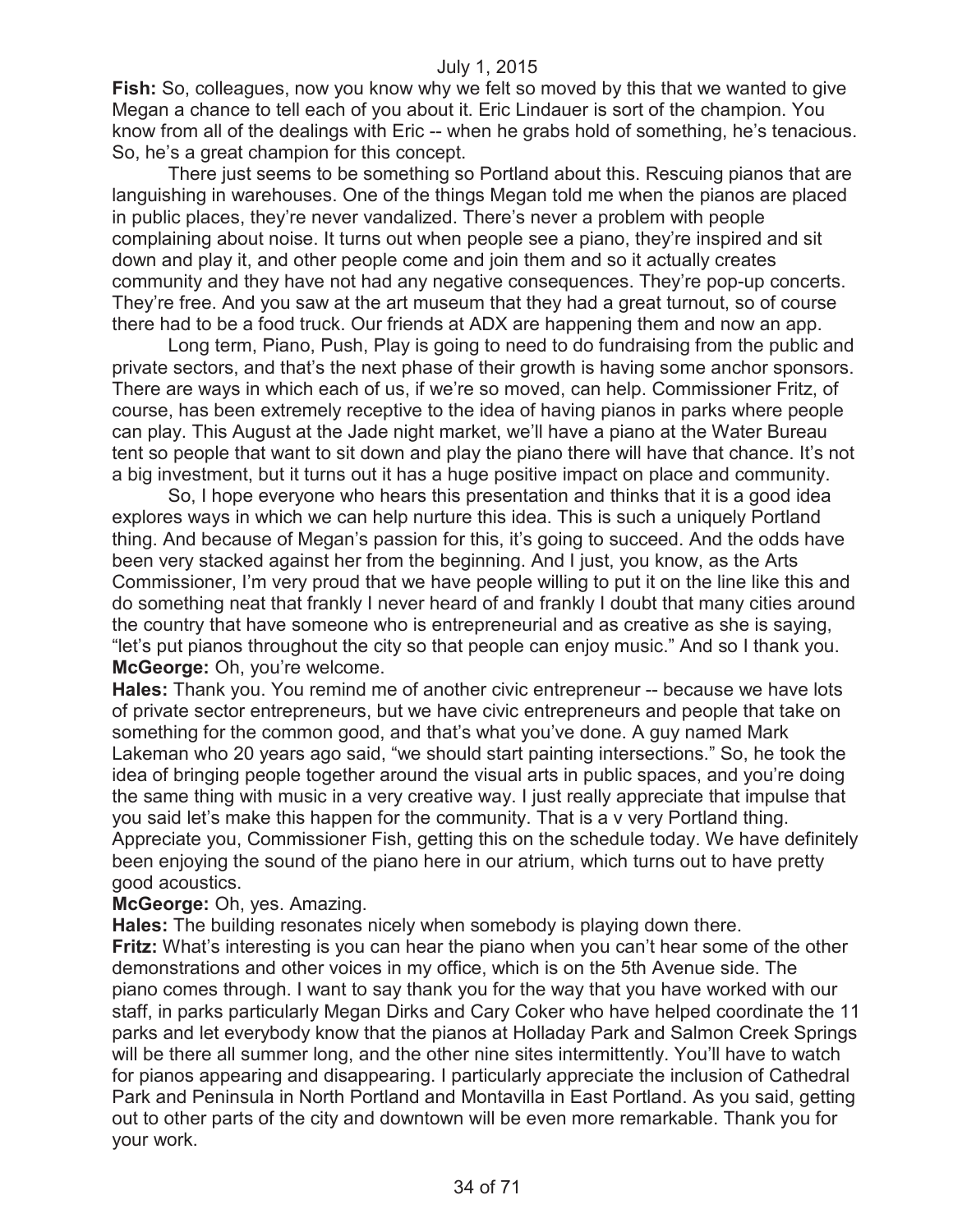**Fish:** So, colleagues, now you know why we felt so moved by this that we wanted to give Megan a chance to tell each of you about it. Eric Lindauer is sort of the champion. You know from all of the dealings with Eric -- when he grabs hold of something, he's tenacious. So, he's a great champion for this concept.

There just seems to be something so Portland about this. Rescuing pianos that are languishing in warehouses. One of the things Megan told me when the pianos are placed in public places, they're never vandalized. There's never a problem with people complaining about noise. It turns out when people see a piano, they're inspired and sit down and play it, and other people come and join them and so it actually creates community and they have not had any negative consequences. They're pop-up concerts. They're free. And you saw at the art museum that they had a great turnout, so of course there had to be a food truck. Our friends at ADX are happening them and now an app.

Long term, Piano, Push, Play is going to need to do fundraising from the public and private sectors, and that's the next phase of their growth is having some anchor sponsors. There are ways in which each of us, if we're so moved, can help. Commissioner Fritz, of course, has been extremely receptive to the idea of having pianos in parks where people can play. This August at the Jade night market, we'll have a piano at the Water Bureau tent so people that want to sit down and play the piano there will have that chance. It's not a big investment, but it turns out it has a huge positive impact on place and community.

So, I hope everyone who hears this presentation and thinks that it is a good idea explores ways in which we can help nurture this idea. This is such a uniquely Portland thing. And because of Megan's passion for this, it's going to succeed. And the odds have been very stacked against her from the beginning. And I just, you know, as the Arts Commissioner, I'm very proud that we have people willing to put it on the line like this and do something neat that frankly I never heard of and frankly I doubt that many cities around the country that have someone who is entrepreneurial and as creative as she is saying, "let's put pianos throughout the city so that people can enjoy music." And so I thank you. **McGeorge:** Oh, you're welcome.

**Hales:** Thank you. You remind me of another civic entrepreneur -- because we have lots of private sector entrepreneurs, but we have civic entrepreneurs and people that take on something for the common good, and that's what you've done. A guy named Mark Lakeman who 20 years ago said, "we should start painting intersections." So, he took the idea of bringing people together around the visual arts in public spaces, and you're doing the same thing with music in a very creative way. I just really appreciate that impulse that you said let's make this happen for the community. That is a v very Portland thing. Appreciate you, Commissioner Fish, getting this on the schedule today. We have definitely been enjoying the sound of the piano here in our atrium, which turns out to have pretty good acoustics.

#### **McGeorge:** Oh, yes. Amazing.

**Hales:** The building resonates nicely when somebody is playing down there.

**Fritz:** What's interesting is you can hear the piano when you can't hear some of the other demonstrations and other voices in my office, which is on the 5th Avenue side. The piano comes through. I want to say thank you for the way that you have worked with our staff, in parks particularly Megan Dirks and Cary Coker who have helped coordinate the 11 parks and let everybody know that the pianos at Holladay Park and Salmon Creek Springs will be there all summer long, and the other nine sites intermittently. You'll have to watch for pianos appearing and disappearing. I particularly appreciate the inclusion of Cathedral Park and Peninsula in North Portland and Montavilla in East Portland. As you said, getting out to other parts of the city and downtown will be even more remarkable. Thank you for your work.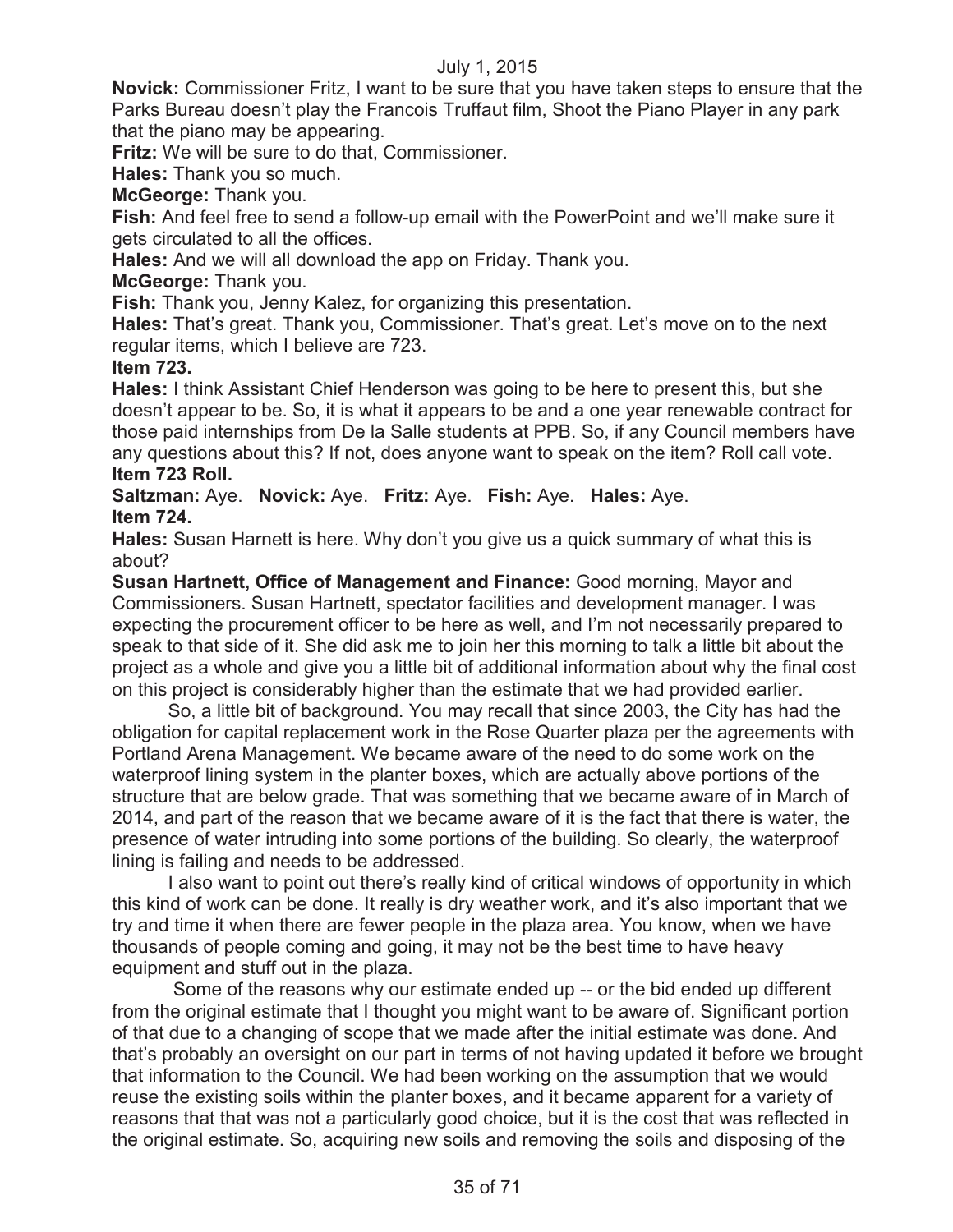**Novick:** Commissioner Fritz, I want to be sure that you have taken steps to ensure that the Parks Bureau doesn't play the Francois Truffaut film, Shoot the Piano Player in any park that the piano may be appearing.

**Fritz:** We will be sure to do that, Commissioner.

**Hales:** Thank you so much.

**McGeorge:** Thank you.

**Fish:** And feel free to send a follow-up email with the PowerPoint and we'll make sure it gets circulated to all the offices.

**Hales:** And we will all download the app on Friday. Thank you.

**McGeorge:** Thank you.

**Fish:** Thank you, Jenny Kalez, for organizing this presentation.

**Hales:** That's great. Thank you, Commissioner. That's great. Let's move on to the next regular items, which I believe are 723.

# **Item 723.**

**Hales:** I think Assistant Chief Henderson was going to be here to present this, but she doesn't appear to be. So, it is what it appears to be and a one year renewable contract for those paid internships from De la Salle students at PPB. So, if any Council members have any questions about this? If not, does anyone want to speak on the item? Roll call vote. **Item 723 Roll.**

**Saltzman:** Aye. **Novick:** Aye. **Fritz:** Aye. **Fish:** Aye. **Hales:** Aye. **Item 724.**

**Hales:** Susan Harnett is here. Why don't you give us a quick summary of what this is about?

**Susan Hartnett, Office of Management and Finance:** Good morning, Mayor and Commissioners. Susan Hartnett, spectator facilities and development manager. I was expecting the procurement officer to be here as well, and I'm not necessarily prepared to speak to that side of it. She did ask me to join her this morning to talk a little bit about the project as a whole and give you a little bit of additional information about why the final cost on this project is considerably higher than the estimate that we had provided earlier.

So, a little bit of background. You may recall that since 2003, the City has had the obligation for capital replacement work in the Rose Quarter plaza per the agreements with Portland Arena Management. We became aware of the need to do some work on the waterproof lining system in the planter boxes, which are actually above portions of the structure that are below grade. That was something that we became aware of in March of 2014, and part of the reason that we became aware of it is the fact that there is water, the presence of water intruding into some portions of the building. So clearly, the waterproof lining is failing and needs to be addressed.

I also want to point out there's really kind of critical windows of opportunity in which this kind of work can be done. It really is dry weather work, and it's also important that we try and time it when there are fewer people in the plaza area. You know, when we have thousands of people coming and going, it may not be the best time to have heavy equipment and stuff out in the plaza.

Some of the reasons why our estimate ended up -- or the bid ended up different from the original estimate that I thought you might want to be aware of. Significant portion of that due to a changing of scope that we made after the initial estimate was done. And that's probably an oversight on our part in terms of not having updated it before we brought that information to the Council. We had been working on the assumption that we would reuse the existing soils within the planter boxes, and it became apparent for a variety of reasons that that was not a particularly good choice, but it is the cost that was reflected in the original estimate. So, acquiring new soils and removing the soils and disposing of the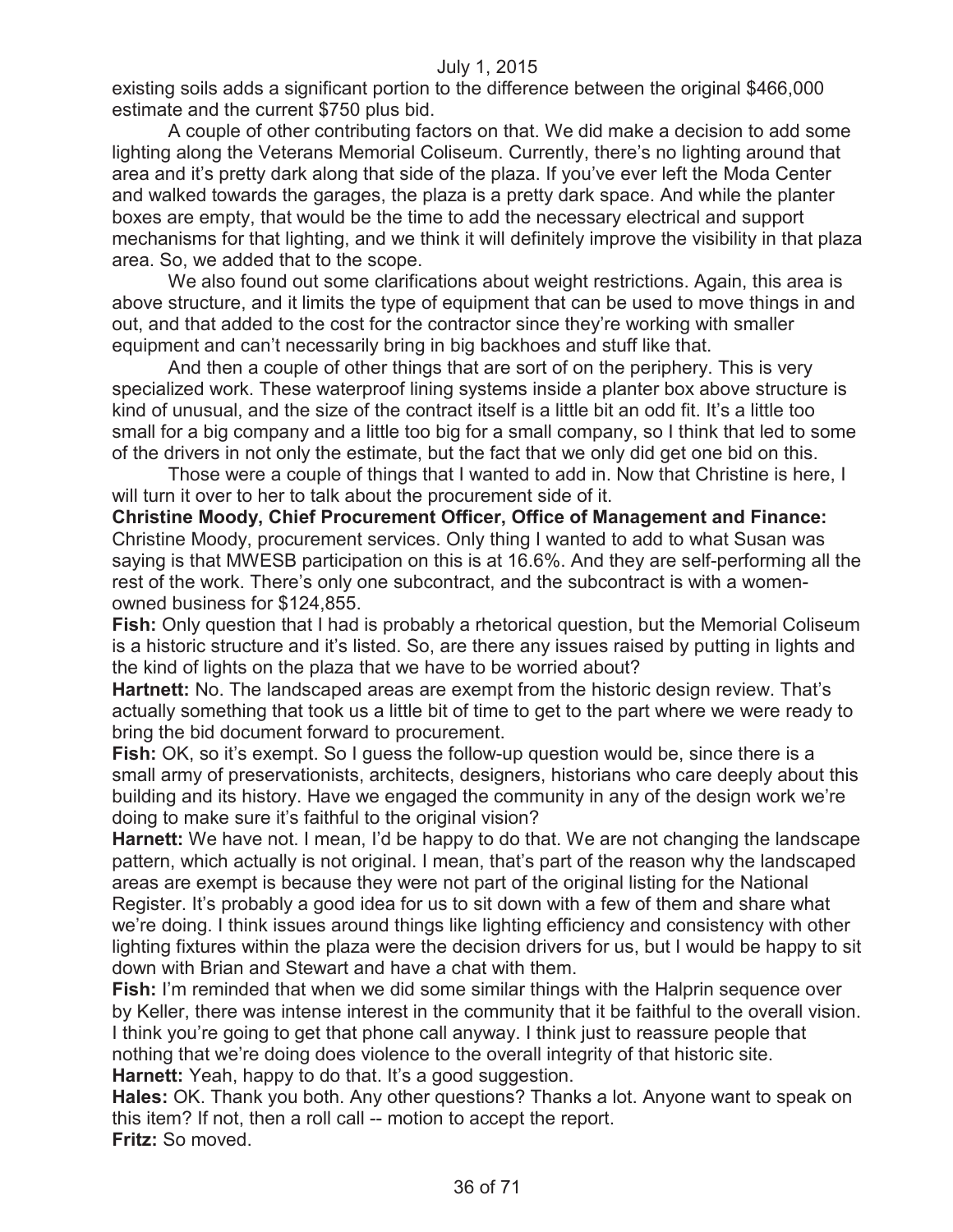existing soils adds a significant portion to the difference between the original \$466,000 estimate and the current \$750 plus bid.

A couple of other contributing factors on that. We did make a decision to add some lighting along the Veterans Memorial Coliseum. Currently, there's no lighting around that area and it's pretty dark along that side of the plaza. If you've ever left the Moda Center and walked towards the garages, the plaza is a pretty dark space. And while the planter boxes are empty, that would be the time to add the necessary electrical and support mechanisms for that lighting, and we think it will definitely improve the visibility in that plaza area. So, we added that to the scope.

We also found out some clarifications about weight restrictions. Again, this area is above structure, and it limits the type of equipment that can be used to move things in and out, and that added to the cost for the contractor since they're working with smaller equipment and can't necessarily bring in big backhoes and stuff like that.

And then a couple of other things that are sort of on the periphery. This is very specialized work. These waterproof lining systems inside a planter box above structure is kind of unusual, and the size of the contract itself is a little bit an odd fit. It's a little too small for a big company and a little too big for a small company, so I think that led to some of the drivers in not only the estimate, but the fact that we only did get one bid on this.

Those were a couple of things that I wanted to add in. Now that Christine is here, I will turn it over to her to talk about the procurement side of it.

**Christine Moody, Chief Procurement Officer, Office of Management and Finance:**  Christine Moody, procurement services. Only thing I wanted to add to what Susan was saying is that MWESB participation on this is at 16.6%. And they are self-performing all the rest of the work. There's only one subcontract, and the subcontract is with a womenowned business for \$124,855.

**Fish:** Only question that I had is probably a rhetorical question, but the Memorial Coliseum is a historic structure and it's listed. So, are there any issues raised by putting in lights and the kind of lights on the plaza that we have to be worried about?

**Hartnett:** No. The landscaped areas are exempt from the historic design review. That's actually something that took us a little bit of time to get to the part where we were ready to bring the bid document forward to procurement.

**Fish:** OK, so it's exempt. So I guess the follow-up question would be, since there is a small army of preservationists, architects, designers, historians who care deeply about this building and its history. Have we engaged the community in any of the design work we're doing to make sure it's faithful to the original vision?

**Harnett:** We have not. I mean, I'd be happy to do that. We are not changing the landscape pattern, which actually is not original. I mean, that's part of the reason why the landscaped areas are exempt is because they were not part of the original listing for the National Register. It's probably a good idea for us to sit down with a few of them and share what we're doing. I think issues around things like lighting efficiency and consistency with other lighting fixtures within the plaza were the decision drivers for us, but I would be happy to sit down with Brian and Stewart and have a chat with them.

**Fish:** I'm reminded that when we did some similar things with the Halprin sequence over by Keller, there was intense interest in the community that it be faithful to the overall vision. I think you're going to get that phone call anyway. I think just to reassure people that nothing that we're doing does violence to the overall integrity of that historic site. **Harnett:** Yeah, happy to do that. It's a good suggestion.

**Hales:** OK. Thank you both. Any other questions? Thanks a lot. Anyone want to speak on this item? If not, then a roll call -- motion to accept the report.

**Fritz:** So moved.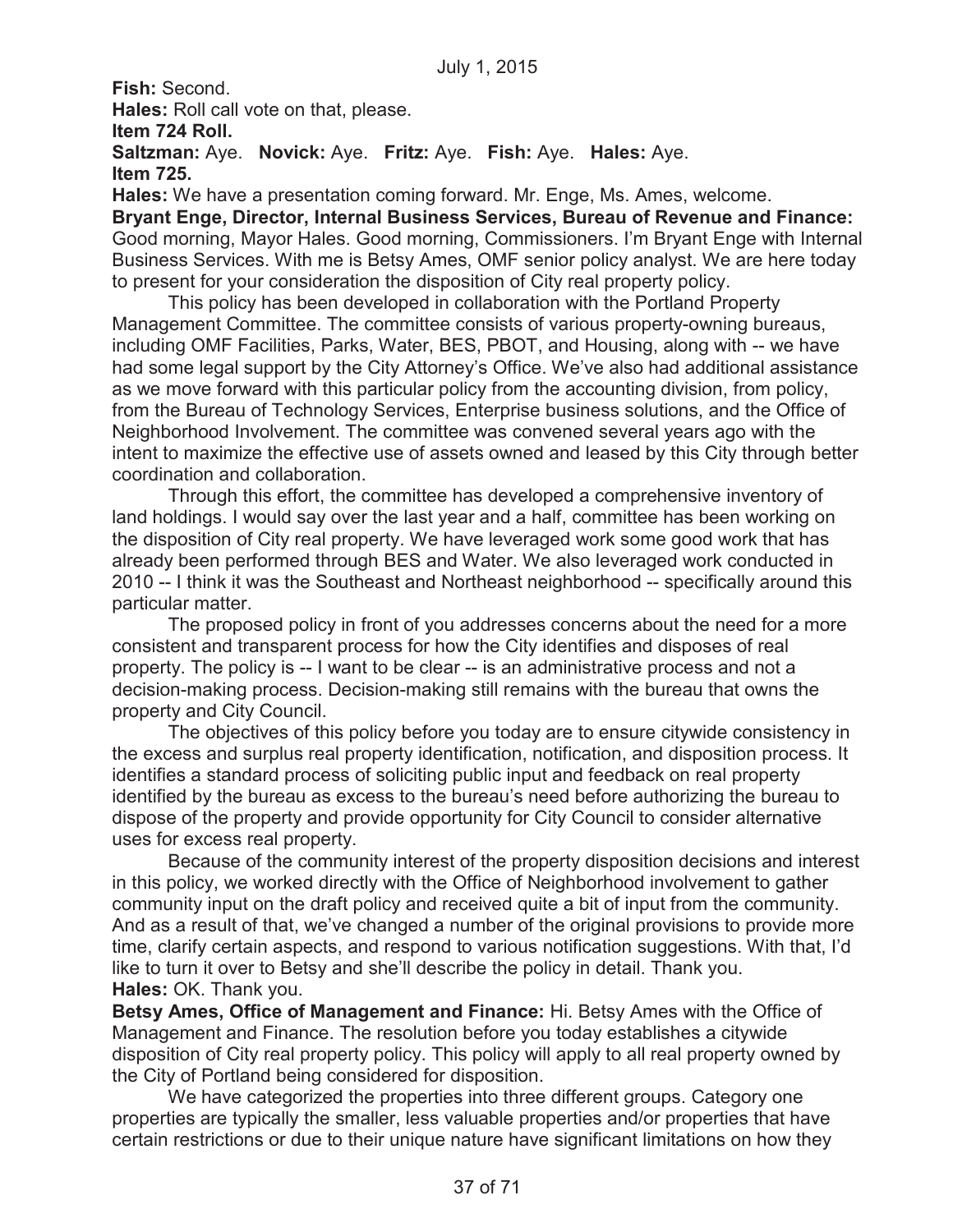**Fish:** Second. **Hales:** Roll call vote on that, please. **Item 724 Roll. Saltzman:** Aye. **Novick:** Aye. **Fritz:** Aye. **Fish:** Aye. **Hales:** Aye. **Item 725. Hales:** We have a presentation coming forward. Mr. Enge, Ms. Ames, welcome.

**Bryant Enge, Director, Internal Business Services, Bureau of Revenue and Finance:**  Good morning, Mayor Hales. Good morning, Commissioners. I'm Bryant Enge with Internal Business Services. With me is Betsy Ames, OMF senior policy analyst. We are here today to present for your consideration the disposition of City real property policy.

This policy has been developed in collaboration with the Portland Property Management Committee. The committee consists of various property-owning bureaus, including OMF Facilities, Parks, Water, BES, PBOT, and Housing, along with -- we have had some legal support by the City Attorney's Office. We've also had additional assistance as we move forward with this particular policy from the accounting division, from policy, from the Bureau of Technology Services, Enterprise business solutions, and the Office of Neighborhood Involvement. The committee was convened several years ago with the intent to maximize the effective use of assets owned and leased by this City through better coordination and collaboration.

Through this effort, the committee has developed a comprehensive inventory of land holdings. I would say over the last year and a half, committee has been working on the disposition of City real property. We have leveraged work some good work that has already been performed through BES and Water. We also leveraged work conducted in 2010 -- I think it was the Southeast and Northeast neighborhood -- specifically around this particular matter.

The proposed policy in front of you addresses concerns about the need for a more consistent and transparent process for how the City identifies and disposes of real property. The policy is -- I want to be clear -- is an administrative process and not a decision-making process. Decision-making still remains with the bureau that owns the property and City Council.

The objectives of this policy before you today are to ensure citywide consistency in the excess and surplus real property identification, notification, and disposition process. It identifies a standard process of soliciting public input and feedback on real property identified by the bureau as excess to the bureau's need before authorizing the bureau to dispose of the property and provide opportunity for City Council to consider alternative uses for excess real property.

Because of the community interest of the property disposition decisions and interest in this policy, we worked directly with the Office of Neighborhood involvement to gather community input on the draft policy and received quite a bit of input from the community. And as a result of that, we've changed a number of the original provisions to provide more time, clarify certain aspects, and respond to various notification suggestions. With that, I'd like to turn it over to Betsy and she'll describe the policy in detail. Thank you. **Hales:** OK. Thank you.

**Betsy Ames, Office of Management and Finance:** Hi. Betsy Ames with the Office of Management and Finance. The resolution before you today establishes a citywide disposition of City real property policy. This policy will apply to all real property owned by the City of Portland being considered for disposition.

We have categorized the properties into three different groups. Category one properties are typically the smaller, less valuable properties and/or properties that have certain restrictions or due to their unique nature have significant limitations on how they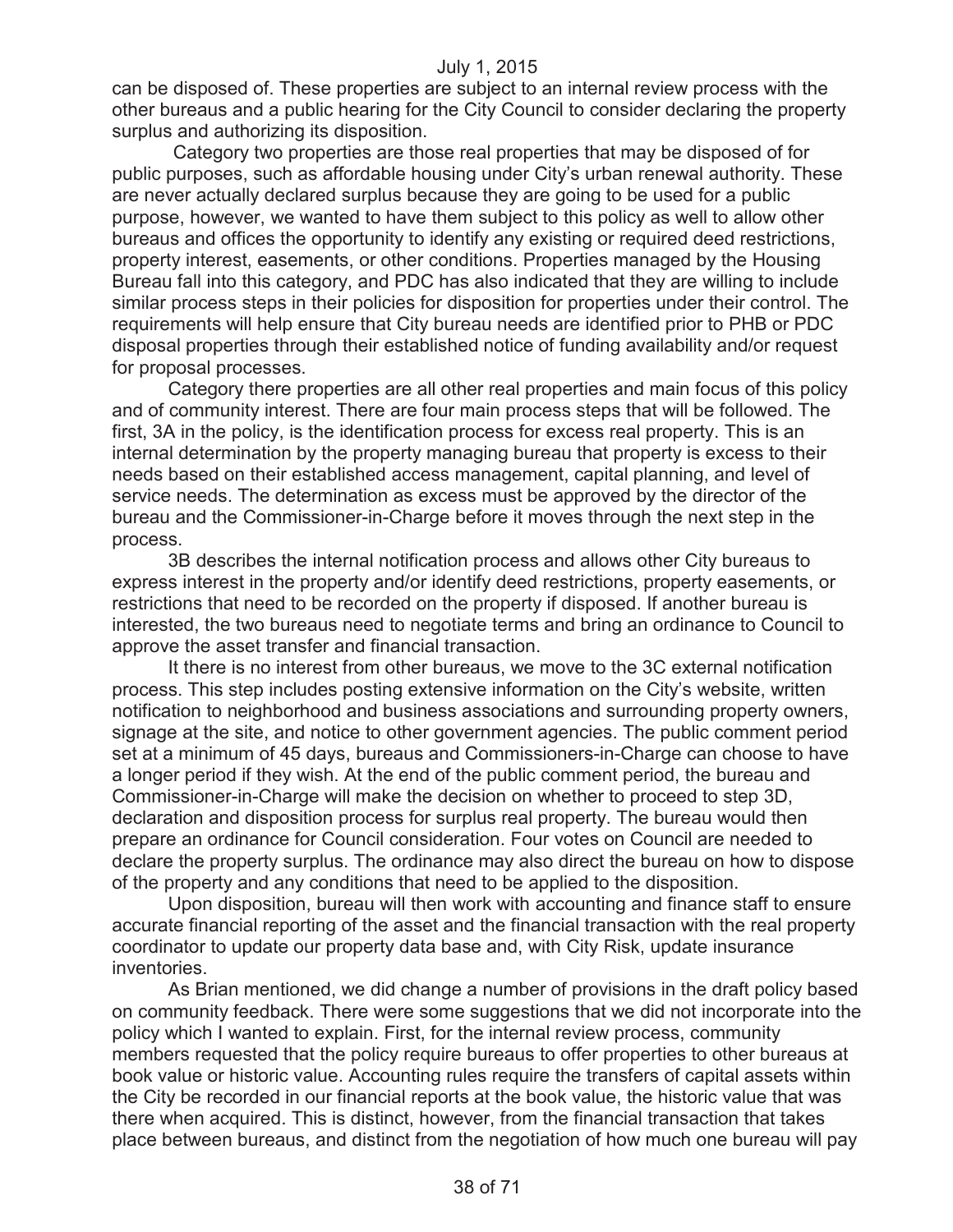can be disposed of. These properties are subject to an internal review process with the other bureaus and a public hearing for the City Council to consider declaring the property surplus and authorizing its disposition.

Category two properties are those real properties that may be disposed of for public purposes, such as affordable housing under City's urban renewal authority. These are never actually declared surplus because they are going to be used for a public purpose, however, we wanted to have them subject to this policy as well to allow other bureaus and offices the opportunity to identify any existing or required deed restrictions, property interest, easements, or other conditions. Properties managed by the Housing Bureau fall into this category, and PDC has also indicated that they are willing to include similar process steps in their policies for disposition for properties under their control. The requirements will help ensure that City bureau needs are identified prior to PHB or PDC disposal properties through their established notice of funding availability and/or request for proposal processes.

Category there properties are all other real properties and main focus of this policy and of community interest. There are four main process steps that will be followed. The first, 3A in the policy, is the identification process for excess real property. This is an internal determination by the property managing bureau that property is excess to their needs based on their established access management, capital planning, and level of service needs. The determination as excess must be approved by the director of the bureau and the Commissioner-in-Charge before it moves through the next step in the process.

3B describes the internal notification process and allows other City bureaus to express interest in the property and/or identify deed restrictions, property easements, or restrictions that need to be recorded on the property if disposed. If another bureau is interested, the two bureaus need to negotiate terms and bring an ordinance to Council to approve the asset transfer and financial transaction.

It there is no interest from other bureaus, we move to the 3C external notification process. This step includes posting extensive information on the City's website, written notification to neighborhood and business associations and surrounding property owners, signage at the site, and notice to other government agencies. The public comment period set at a minimum of 45 days, bureaus and Commissioners-in-Charge can choose to have a longer period if they wish. At the end of the public comment period, the bureau and Commissioner-in-Charge will make the decision on whether to proceed to step 3D, declaration and disposition process for surplus real property. The bureau would then prepare an ordinance for Council consideration. Four votes on Council are needed to declare the property surplus. The ordinance may also direct the bureau on how to dispose of the property and any conditions that need to be applied to the disposition.

Upon disposition, bureau will then work with accounting and finance staff to ensure accurate financial reporting of the asset and the financial transaction with the real property coordinator to update our property data base and, with City Risk, update insurance inventories.

As Brian mentioned, we did change a number of provisions in the draft policy based on community feedback. There were some suggestions that we did not incorporate into the policy which I wanted to explain. First, for the internal review process, community members requested that the policy require bureaus to offer properties to other bureaus at book value or historic value. Accounting rules require the transfers of capital assets within the City be recorded in our financial reports at the book value, the historic value that was there when acquired. This is distinct, however, from the financial transaction that takes place between bureaus, and distinct from the negotiation of how much one bureau will pay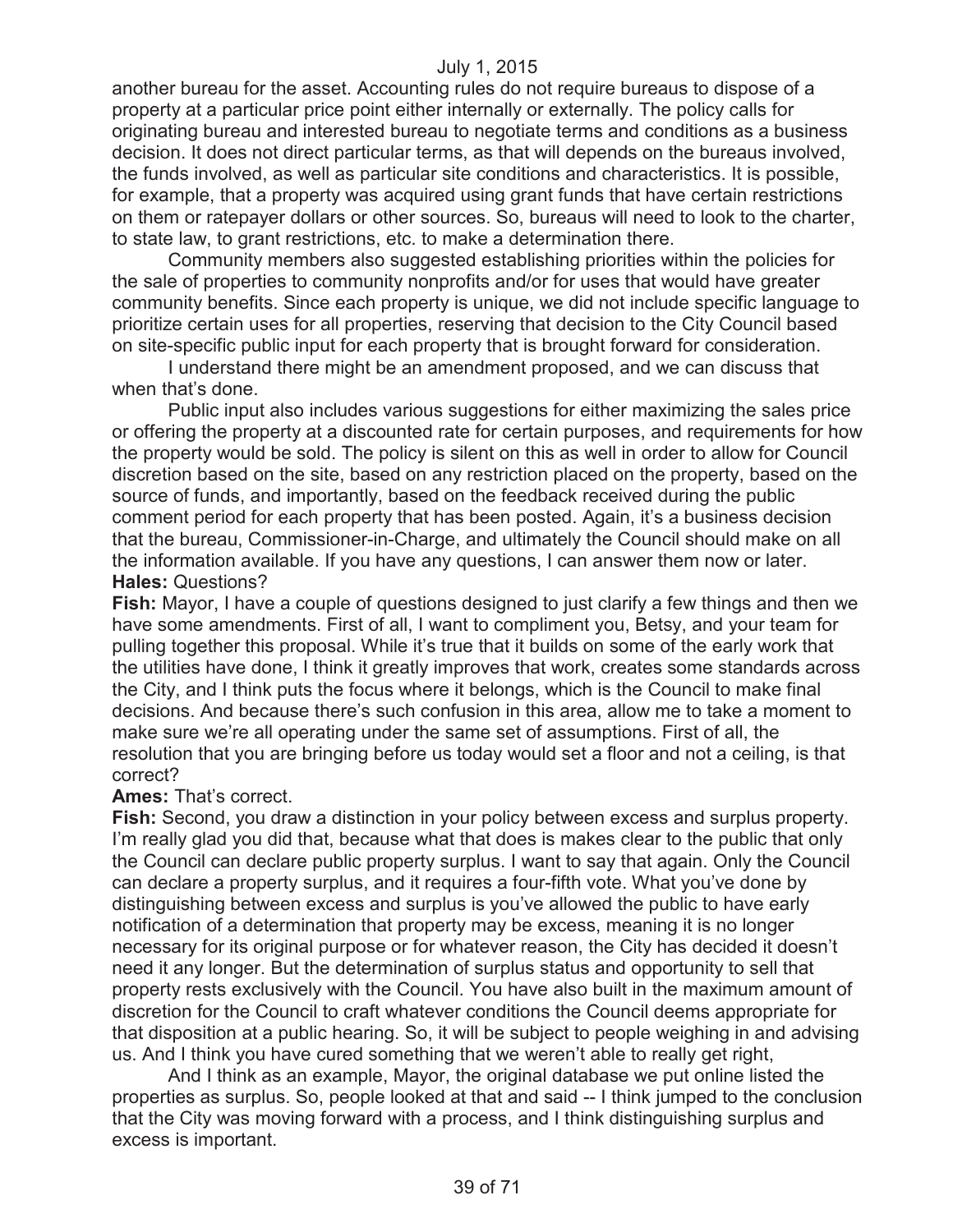another bureau for the asset. Accounting rules do not require bureaus to dispose of a property at a particular price point either internally or externally. The policy calls for originating bureau and interested bureau to negotiate terms and conditions as a business decision. It does not direct particular terms, as that will depends on the bureaus involved, the funds involved, as well as particular site conditions and characteristics. It is possible, for example, that a property was acquired using grant funds that have certain restrictions on them or ratepayer dollars or other sources. So, bureaus will need to look to the charter, to state law, to grant restrictions, etc. to make a determination there.

Community members also suggested establishing priorities within the policies for the sale of properties to community nonprofits and/or for uses that would have greater community benefits. Since each property is unique, we did not include specific language to prioritize certain uses for all properties, reserving that decision to the City Council based on site-specific public input for each property that is brought forward for consideration.

I understand there might be an amendment proposed, and we can discuss that when that's done.

Public input also includes various suggestions for either maximizing the sales price or offering the property at a discounted rate for certain purposes, and requirements for how the property would be sold. The policy is silent on this as well in order to allow for Council discretion based on the site, based on any restriction placed on the property, based on the source of funds, and importantly, based on the feedback received during the public comment period for each property that has been posted. Again, it's a business decision that the bureau, Commissioner-in-Charge, and ultimately the Council should make on all the information available. If you have any questions, I can answer them now or later. **Hales:** Questions?

**Fish:** Mayor, I have a couple of questions designed to just clarify a few things and then we have some amendments. First of all, I want to compliment you, Betsy, and your team for pulling together this proposal. While it's true that it builds on some of the early work that the utilities have done, I think it greatly improves that work, creates some standards across the City, and I think puts the focus where it belongs, which is the Council to make final decisions. And because there's such confusion in this area, allow me to take a moment to make sure we're all operating under the same set of assumptions. First of all, the resolution that you are bringing before us today would set a floor and not a ceiling, is that correct?

#### **Ames:** That's correct.

**Fish:** Second, you draw a distinction in your policy between excess and surplus property. I'm really glad you did that, because what that does is makes clear to the public that only the Council can declare public property surplus. I want to say that again. Only the Council can declare a property surplus, and it requires a four-fifth vote. What you've done by distinguishing between excess and surplus is you've allowed the public to have early notification of a determination that property may be excess, meaning it is no longer necessary for its original purpose or for whatever reason, the City has decided it doesn't need it any longer. But the determination of surplus status and opportunity to sell that property rests exclusively with the Council. You have also built in the maximum amount of discretion for the Council to craft whatever conditions the Council deems appropriate for that disposition at a public hearing. So, it will be subject to people weighing in and advising us. And I think you have cured something that we weren't able to really get right,

And I think as an example, Mayor, the original database we put online listed the properties as surplus. So, people looked at that and said -- I think jumped to the conclusion that the City was moving forward with a process, and I think distinguishing surplus and excess is important.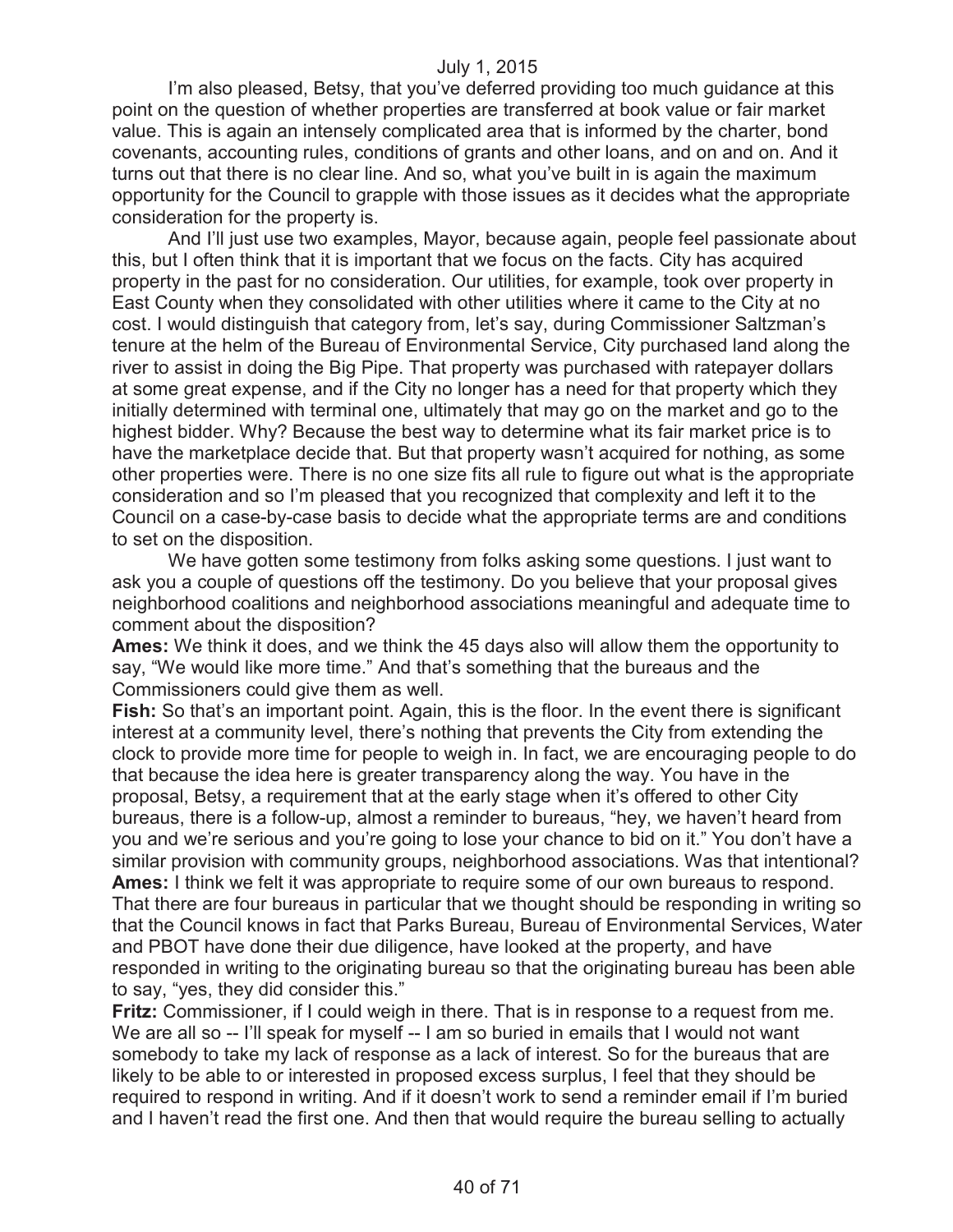I'm also pleased, Betsy, that you've deferred providing too much guidance at this point on the question of whether properties are transferred at book value or fair market value. This is again an intensely complicated area that is informed by the charter, bond covenants, accounting rules, conditions of grants and other loans, and on and on. And it turns out that there is no clear line. And so, what you've built in is again the maximum opportunity for the Council to grapple with those issues as it decides what the appropriate consideration for the property is.

And I'll just use two examples, Mayor, because again, people feel passionate about this, but I often think that it is important that we focus on the facts. City has acquired property in the past for no consideration. Our utilities, for example, took over property in East County when they consolidated with other utilities where it came to the City at no cost. I would distinguish that category from, let's say, during Commissioner Saltzman's tenure at the helm of the Bureau of Environmental Service, City purchased land along the river to assist in doing the Big Pipe. That property was purchased with ratepayer dollars at some great expense, and if the City no longer has a need for that property which they initially determined with terminal one, ultimately that may go on the market and go to the highest bidder. Why? Because the best way to determine what its fair market price is to have the marketplace decide that. But that property wasn't acquired for nothing, as some other properties were. There is no one size fits all rule to figure out what is the appropriate consideration and so I'm pleased that you recognized that complexity and left it to the Council on a case-by-case basis to decide what the appropriate terms are and conditions to set on the disposition.

We have gotten some testimony from folks asking some questions. I just want to ask you a couple of questions off the testimony. Do you believe that your proposal gives neighborhood coalitions and neighborhood associations meaningful and adequate time to comment about the disposition?

**Ames:** We think it does, and we think the 45 days also will allow them the opportunity to say, "We would like more time." And that's something that the bureaus and the Commissioners could give them as well.

**Fish:** So that's an important point. Again, this is the floor. In the event there is significant interest at a community level, there's nothing that prevents the City from extending the clock to provide more time for people to weigh in. In fact, we are encouraging people to do that because the idea here is greater transparency along the way. You have in the proposal, Betsy, a requirement that at the early stage when it's offered to other City bureaus, there is a follow-up, almost a reminder to bureaus, "hey, we haven't heard from you and we're serious and you're going to lose your chance to bid on it." You don't have a similar provision with community groups, neighborhood associations. Was that intentional? **Ames:** I think we felt it was appropriate to require some of our own bureaus to respond. That there are four bureaus in particular that we thought should be responding in writing so that the Council knows in fact that Parks Bureau, Bureau of Environmental Services, Water and PBOT have done their due diligence, have looked at the property, and have responded in writing to the originating bureau so that the originating bureau has been able to say, "yes, they did consider this."

**Fritz:** Commissioner, if I could weigh in there. That is in response to a request from me. We are all so -- I'll speak for myself -- I am so buried in emails that I would not want somebody to take my lack of response as a lack of interest. So for the bureaus that are likely to be able to or interested in proposed excess surplus, I feel that they should be required to respond in writing. And if it doesn't work to send a reminder email if I'm buried and I haven't read the first one. And then that would require the bureau selling to actually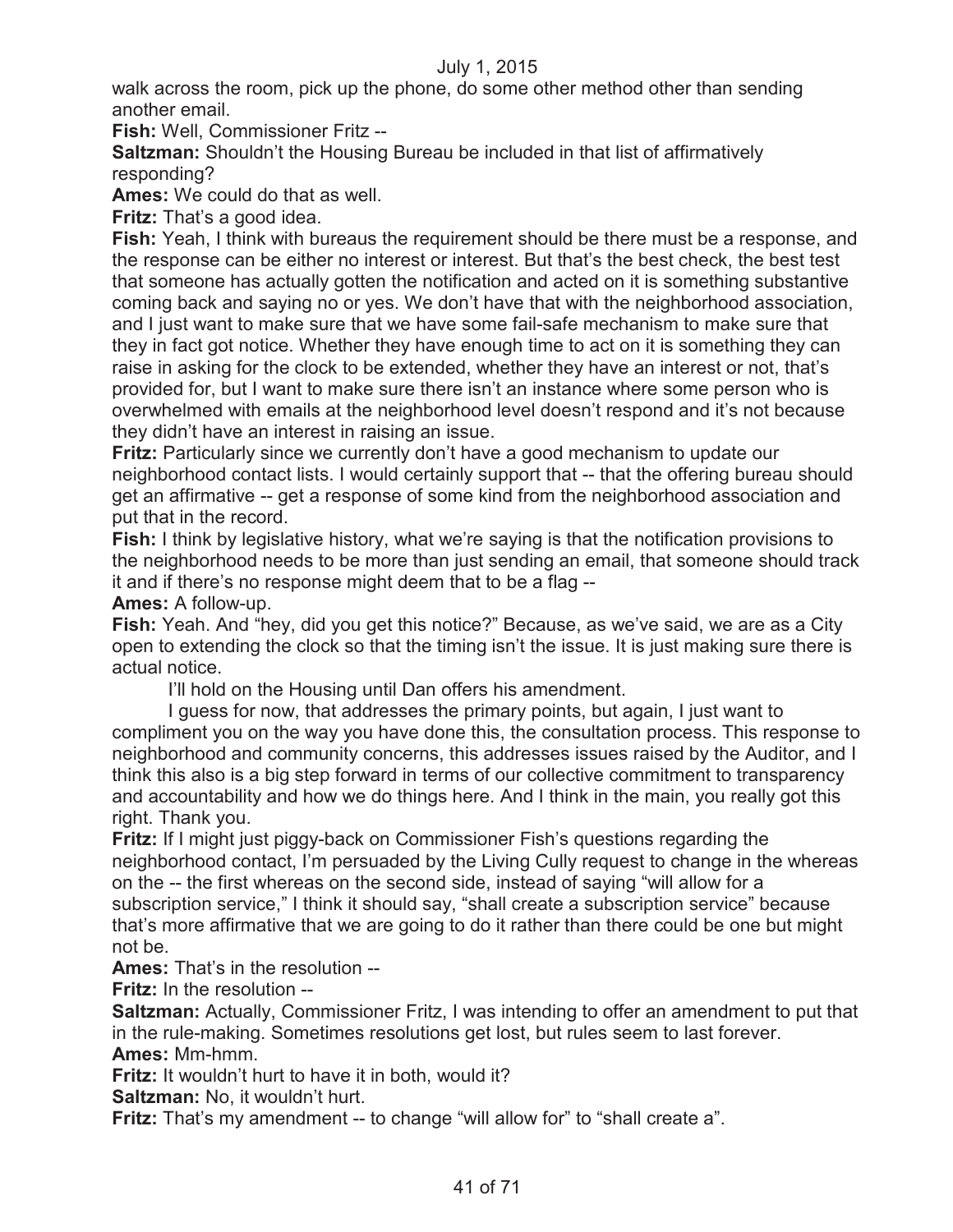walk across the room, pick up the phone, do some other method other than sending another email.

**Fish:** Well, Commissioner Fritz --

**Saltzman:** Shouldn't the Housing Bureau be included in that list of affirmatively responding?

**Ames:** We could do that as well.

**Fritz:** That's a good idea.

**Fish:** Yeah, I think with bureaus the requirement should be there must be a response, and the response can be either no interest or interest. But that's the best check, the best test that someone has actually gotten the notification and acted on it is something substantive coming back and saying no or yes. We don't have that with the neighborhood association, and I just want to make sure that we have some fail-safe mechanism to make sure that they in fact got notice. Whether they have enough time to act on it is something they can raise in asking for the clock to be extended, whether they have an interest or not, that's provided for, but I want to make sure there isn't an instance where some person who is overwhelmed with emails at the neighborhood level doesn't respond and it's not because they didn't have an interest in raising an issue.

**Fritz:** Particularly since we currently don't have a good mechanism to update our neighborhood contact lists. I would certainly support that -- that the offering bureau should get an affirmative -- get a response of some kind from the neighborhood association and put that in the record.

**Fish:** I think by legislative history, what we're saying is that the notification provisions to the neighborhood needs to be more than just sending an email, that someone should track it and if there's no response might deem that to be a flag --

**Ames:** A follow-up.

**Fish:** Yeah. And "hey, did you get this notice?" Because, as we've said, we are as a City open to extending the clock so that the timing isn't the issue. It is just making sure there is actual notice.

I'll hold on the Housing until Dan offers his amendment.

I guess for now, that addresses the primary points, but again, I just want to compliment you on the way you have done this, the consultation process. This response to neighborhood and community concerns, this addresses issues raised by the Auditor, and I think this also is a big step forward in terms of our collective commitment to transparency and accountability and how we do things here. And I think in the main, you really got this right. Thank you.

**Fritz:** If I might just piggy-back on Commissioner Fish's questions regarding the neighborhood contact, I'm persuaded by the Living Cully request to change in the whereas on the -- the first whereas on the second side, instead of saying "will allow for a subscription service," I think it should say, "shall create a subscription service" because that's more affirmative that we are going to do it rather than there could be one but might not be.

**Ames:** That's in the resolution --

**Fritz:** In the resolution --

**Saltzman:** Actually, Commissioner Fritz, I was intending to offer an amendment to put that in the rule-making. Sometimes resolutions get lost, but rules seem to last forever. **Ames:** Mm-hmm.

**Fritz:** It wouldn't hurt to have it in both, would it?

**Saltzman:** No, it wouldn't hurt.

**Fritz:** That's my amendment -- to change "will allow for" to "shall create a".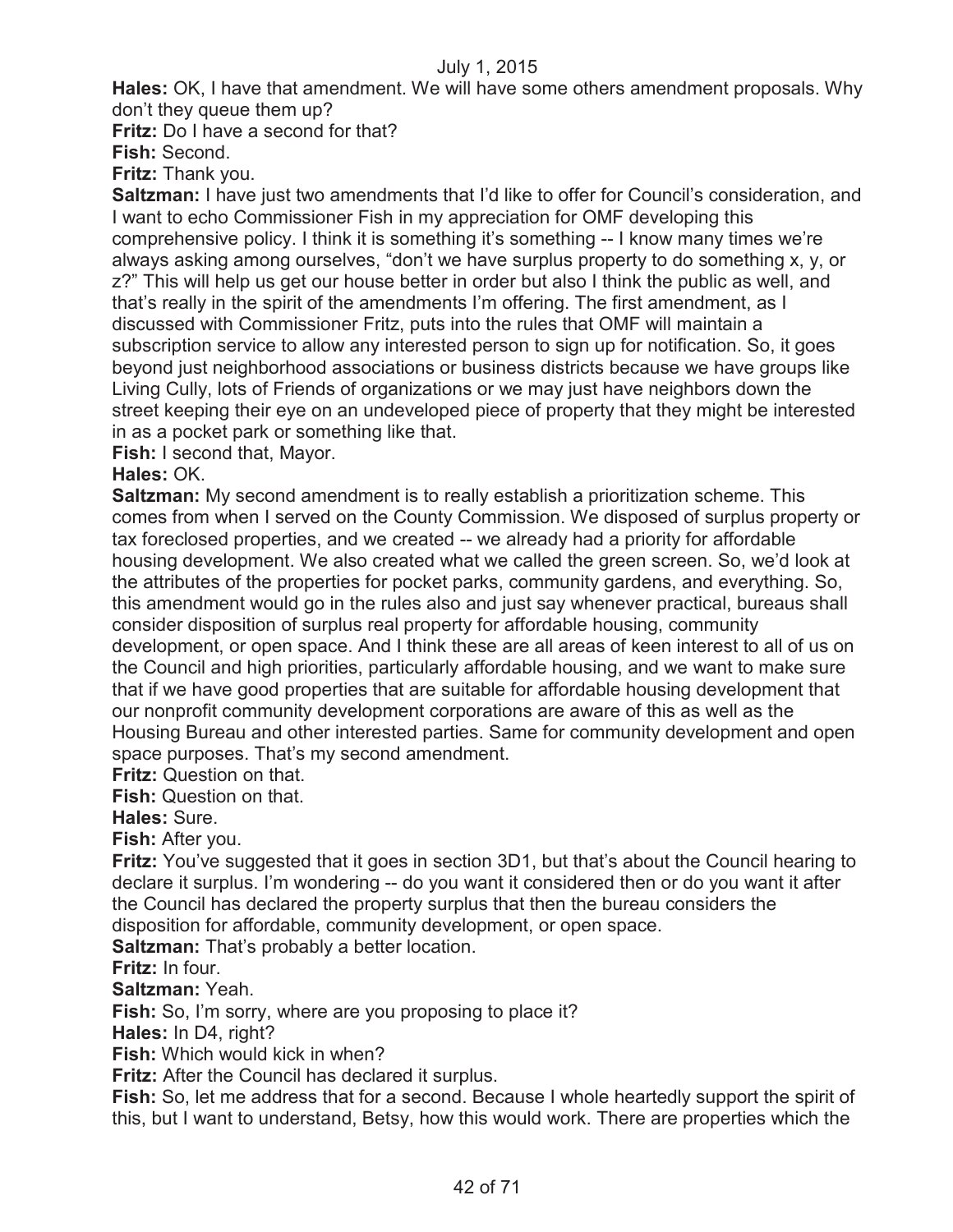**Hales:** OK, I have that amendment. We will have some others amendment proposals. Why don't they queue them up?

**Fritz:** Do I have a second for that?

**Fish:** Second.

**Fritz:** Thank you.

**Saltzman:** I have just two amendments that I'd like to offer for Council's consideration, and I want to echo Commissioner Fish in my appreciation for OMF developing this comprehensive policy. I think it is something it's something -- I know many times we're always asking among ourselves, "don't we have surplus property to do something x, y, or z?" This will help us get our house better in order but also I think the public as well, and that's really in the spirit of the amendments I'm offering. The first amendment, as I discussed with Commissioner Fritz, puts into the rules that OMF will maintain a subscription service to allow any interested person to sign up for notification. So, it goes beyond just neighborhood associations or business districts because we have groups like Living Cully, lots of Friends of organizations or we may just have neighbors down the street keeping their eye on an undeveloped piece of property that they might be interested in as a pocket park or something like that.

**Fish:** I second that, Mayor.

# **Hales:** OK.

**Saltzman:** My second amendment is to really establish a prioritization scheme. This comes from when I served on the County Commission. We disposed of surplus property or tax foreclosed properties, and we created -- we already had a priority for affordable housing development. We also created what we called the green screen. So, we'd look at the attributes of the properties for pocket parks, community gardens, and everything. So, this amendment would go in the rules also and just say whenever practical, bureaus shall consider disposition of surplus real property for affordable housing, community development, or open space. And I think these are all areas of keen interest to all of us on the Council and high priorities, particularly affordable housing, and we want to make sure that if we have good properties that are suitable for affordable housing development that our nonprofit community development corporations are aware of this as well as the Housing Bureau and other interested parties. Same for community development and open space purposes. That's my second amendment.

**Fritz:** Question on that.

**Fish:** Question on that.

**Hales:** Sure.

**Fish:** After you.

**Fritz:** You've suggested that it goes in section 3D1, but that's about the Council hearing to declare it surplus. I'm wondering -- do you want it considered then or do you want it after the Council has declared the property surplus that then the bureau considers the disposition for affordable, community development, or open space.

**Saltzman:** That's probably a better location.

# **Fritz:** In four.

**Saltzman:** Yeah.

**Fish:** So, I'm sorry, where are you proposing to place it?

**Hales:** In D4, right?

**Fish:** Which would kick in when?

**Fritz:** After the Council has declared it surplus.

**Fish:** So, let me address that for a second. Because I whole heartedly support the spirit of this, but I want to understand, Betsy, how this would work. There are properties which the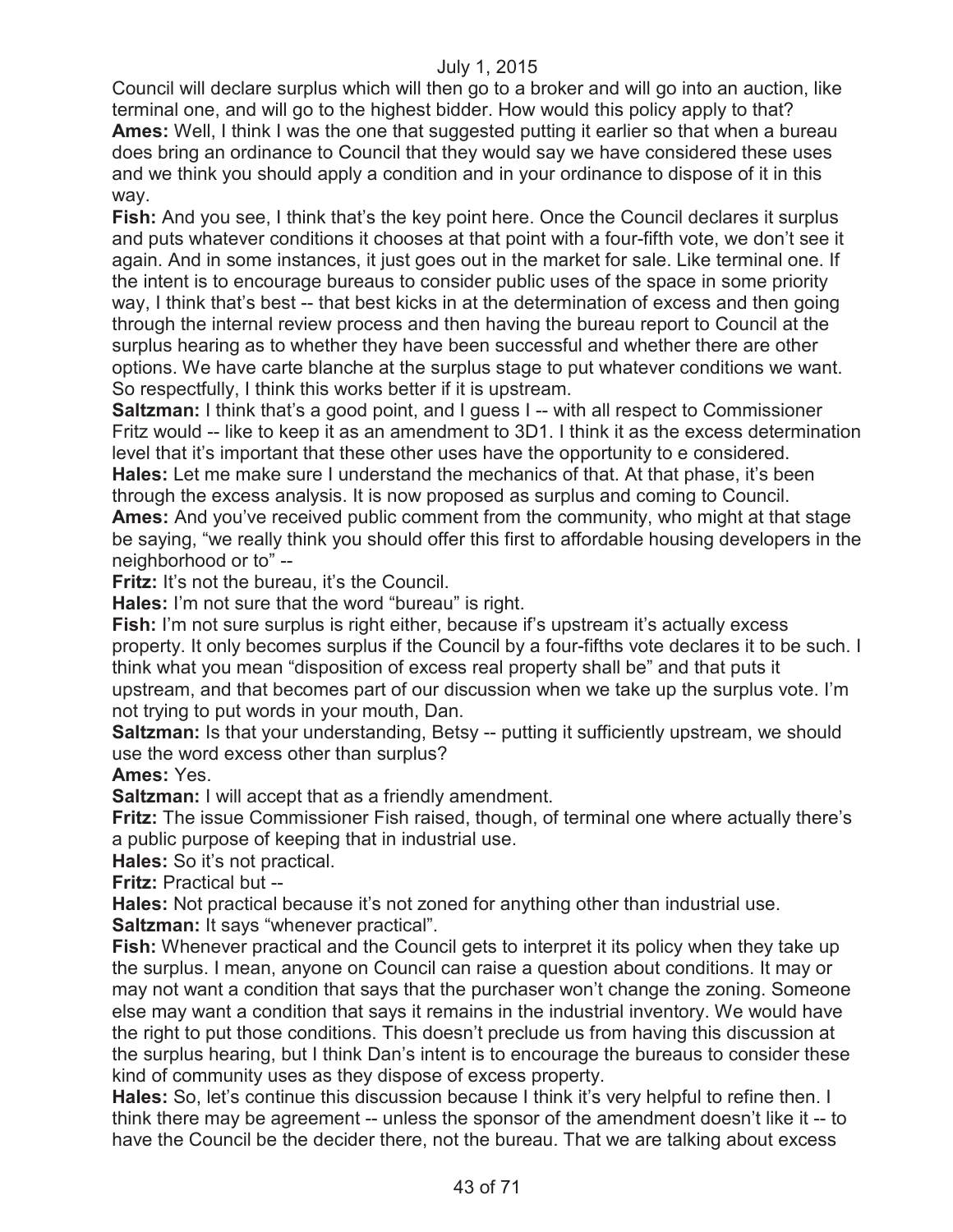Council will declare surplus which will then go to a broker and will go into an auction, like terminal one, and will go to the highest bidder. How would this policy apply to that? **Ames:** Well, I think I was the one that suggested putting it earlier so that when a bureau does bring an ordinance to Council that they would say we have considered these uses and we think you should apply a condition and in your ordinance to dispose of it in this way.

**Fish:** And you see, I think that's the key point here. Once the Council declares it surplus and puts whatever conditions it chooses at that point with a four-fifth vote, we don't see it again. And in some instances, it just goes out in the market for sale. Like terminal one. If the intent is to encourage bureaus to consider public uses of the space in some priority way, I think that's best -- that best kicks in at the determination of excess and then going through the internal review process and then having the bureau report to Council at the surplus hearing as to whether they have been successful and whether there are other options. We have carte blanche at the surplus stage to put whatever conditions we want. So respectfully, I think this works better if it is upstream.

**Saltzman:** I think that's a good point, and I guess I -- with all respect to Commissioner Fritz would -- like to keep it as an amendment to 3D1. I think it as the excess determination level that it's important that these other uses have the opportunity to e considered. **Hales:** Let me make sure I understand the mechanics of that. At that phase, it's been through the excess analysis. It is now proposed as surplus and coming to Council. **Ames:** And you've received public comment from the community, who might at that stage be saying, "we really think you should offer this first to affordable housing developers in the neighborhood or to" --

**Fritz:** It's not the bureau, it's the Council.

**Hales:** I'm not sure that the word "bureau" is right.

**Fish:** I'm not sure surplus is right either, because if's upstream it's actually excess property. It only becomes surplus if the Council by a four-fifths vote declares it to be such. I think what you mean "disposition of excess real property shall be" and that puts it upstream, and that becomes part of our discussion when we take up the surplus vote. I'm not trying to put words in your mouth, Dan.

**Saltzman:** Is that your understanding, Betsy -- putting it sufficiently upstream, we should use the word excess other than surplus?

**Ames:** Yes.

**Saltzman:** I will accept that as a friendly amendment.

**Fritz:** The issue Commissioner Fish raised, though, of terminal one where actually there's a public purpose of keeping that in industrial use.

**Hales:** So it's not practical.

**Fritz:** Practical but --

**Hales:** Not practical because it's not zoned for anything other than industrial use. **Saltzman:** It says "whenever practical".

**Fish:** Whenever practical and the Council gets to interpret it its policy when they take up the surplus. I mean, anyone on Council can raise a question about conditions. It may or may not want a condition that says that the purchaser won't change the zoning. Someone else may want a condition that says it remains in the industrial inventory. We would have the right to put those conditions. This doesn't preclude us from having this discussion at the surplus hearing, but I think Dan's intent is to encourage the bureaus to consider these kind of community uses as they dispose of excess property.

**Hales:** So, let's continue this discussion because I think it's very helpful to refine then. I think there may be agreement -- unless the sponsor of the amendment doesn't like it -- to have the Council be the decider there, not the bureau. That we are talking about excess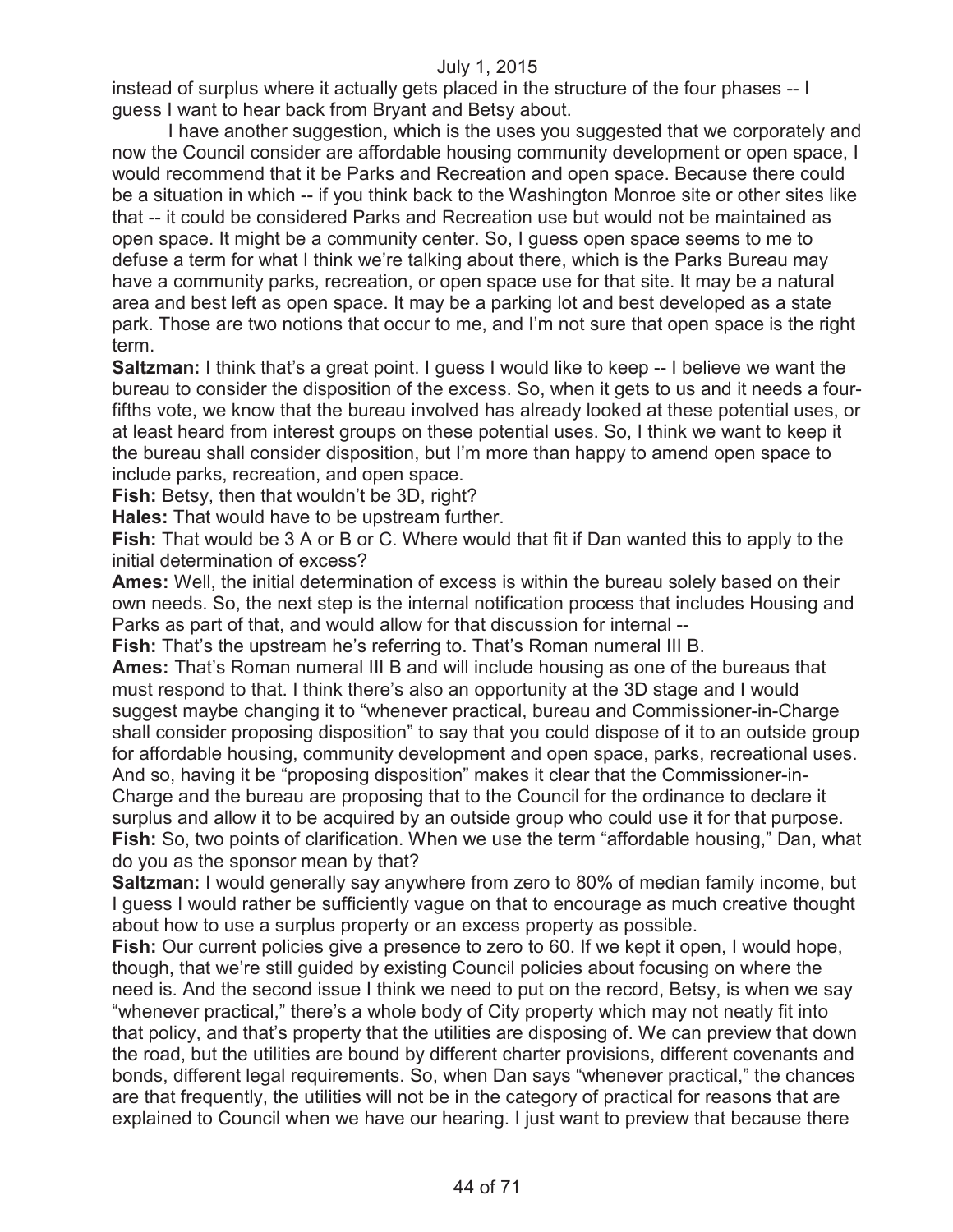instead of surplus where it actually gets placed in the structure of the four phases -- I guess I want to hear back from Bryant and Betsy about.

I have another suggestion, which is the uses you suggested that we corporately and now the Council consider are affordable housing community development or open space, I would recommend that it be Parks and Recreation and open space. Because there could be a situation in which -- if you think back to the Washington Monroe site or other sites like that -- it could be considered Parks and Recreation use but would not be maintained as open space. It might be a community center. So, I guess open space seems to me to defuse a term for what I think we're talking about there, which is the Parks Bureau may have a community parks, recreation, or open space use for that site. It may be a natural area and best left as open space. It may be a parking lot and best developed as a state park. Those are two notions that occur to me, and I'm not sure that open space is the right term.

**Saltzman:** I think that's a great point. I guess I would like to keep -- I believe we want the bureau to consider the disposition of the excess. So, when it gets to us and it needs a fourfifths vote, we know that the bureau involved has already looked at these potential uses, or at least heard from interest groups on these potential uses. So, I think we want to keep it the bureau shall consider disposition, but I'm more than happy to amend open space to include parks, recreation, and open space.

**Fish:** Betsy, then that wouldn't be 3D, right?

**Hales:** That would have to be upstream further.

**Fish:** That would be 3 A or B or C. Where would that fit if Dan wanted this to apply to the initial determination of excess?

**Ames:** Well, the initial determination of excess is within the bureau solely based on their own needs. So, the next step is the internal notification process that includes Housing and Parks as part of that, and would allow for that discussion for internal --

**Fish:** That's the upstream he's referring to. That's Roman numeral III B.

**Ames:** That's Roman numeral III B and will include housing as one of the bureaus that must respond to that. I think there's also an opportunity at the 3D stage and I would suggest maybe changing it to "whenever practical, bureau and Commissioner-in-Charge shall consider proposing disposition" to say that you could dispose of it to an outside group for affordable housing, community development and open space, parks, recreational uses. And so, having it be "proposing disposition" makes it clear that the Commissioner-in-Charge and the bureau are proposing that to the Council for the ordinance to declare it surplus and allow it to be acquired by an outside group who could use it for that purpose. **Fish:** So, two points of clarification. When we use the term "affordable housing," Dan, what do you as the sponsor mean by that?

**Saltzman:** I would generally say anywhere from zero to 80% of median family income, but I guess I would rather be sufficiently vague on that to encourage as much creative thought about how to use a surplus property or an excess property as possible.

**Fish:** Our current policies give a presence to zero to 60. If we kept it open, I would hope, though, that we're still guided by existing Council policies about focusing on where the need is. And the second issue I think we need to put on the record, Betsy, is when we say "whenever practical," there's a whole body of City property which may not neatly fit into that policy, and that's property that the utilities are disposing of. We can preview that down the road, but the utilities are bound by different charter provisions, different covenants and bonds, different legal requirements. So, when Dan says "whenever practical," the chances are that frequently, the utilities will not be in the category of practical for reasons that are explained to Council when we have our hearing. I just want to preview that because there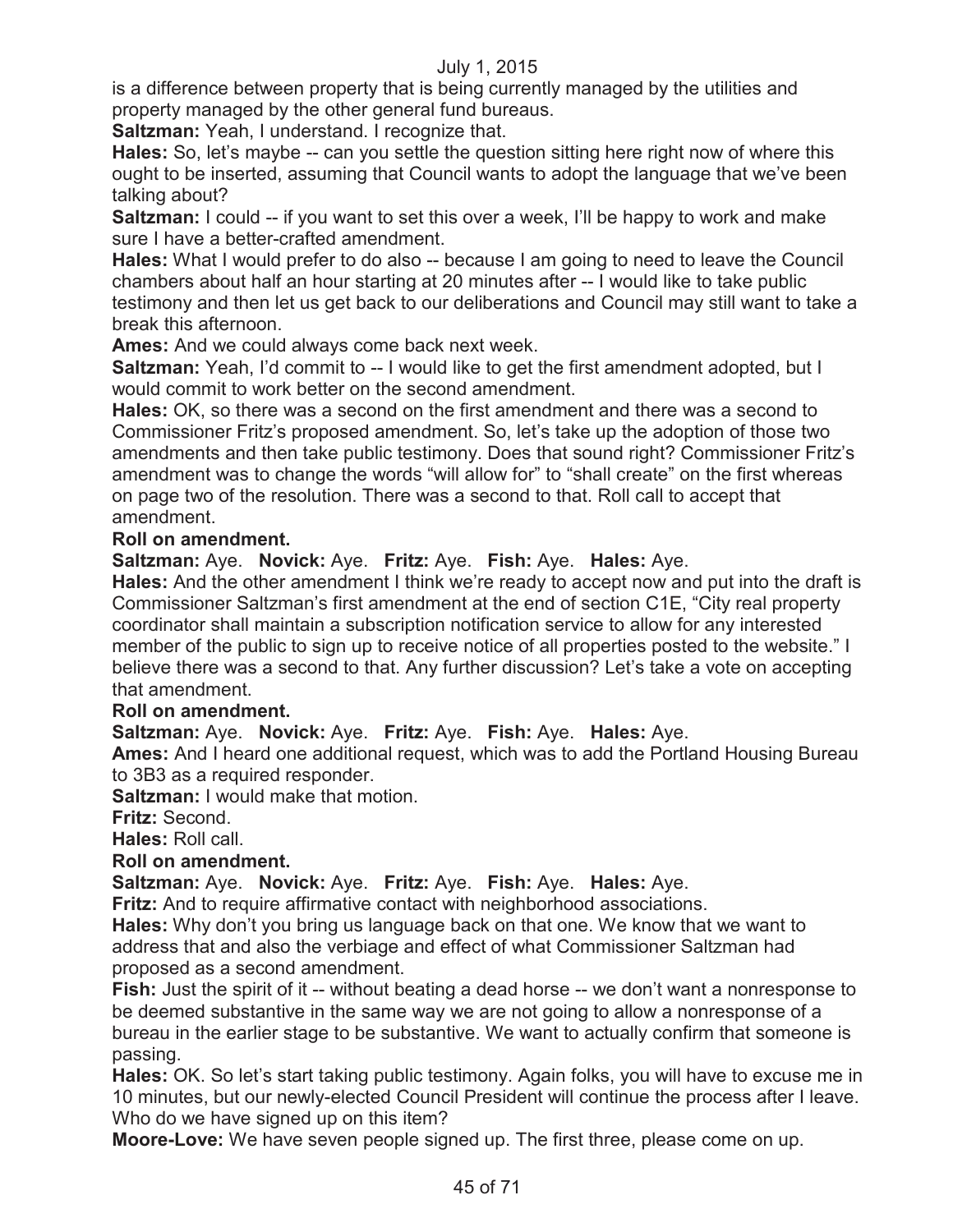is a difference between property that is being currently managed by the utilities and property managed by the other general fund bureaus.

**Saltzman:** Yeah, I understand. I recognize that.

**Hales:** So, let's maybe -- can you settle the question sitting here right now of where this ought to be inserted, assuming that Council wants to adopt the language that we've been talking about?

**Saltzman:** I could -- if you want to set this over a week, I'll be happy to work and make sure I have a better-crafted amendment.

**Hales:** What I would prefer to do also -- because I am going to need to leave the Council chambers about half an hour starting at 20 minutes after -- I would like to take public testimony and then let us get back to our deliberations and Council may still want to take a break this afternoon.

**Ames:** And we could always come back next week.

**Saltzman:** Yeah, I'd commit to -- I would like to get the first amendment adopted, but I would commit to work better on the second amendment.

**Hales:** OK, so there was a second on the first amendment and there was a second to Commissioner Fritz's proposed amendment. So, let's take up the adoption of those two amendments and then take public testimony. Does that sound right? Commissioner Fritz's amendment was to change the words "will allow for" to "shall create" on the first whereas on page two of the resolution. There was a second to that. Roll call to accept that amendment.

# **Roll on amendment.**

**Saltzman:** Aye. **Novick:** Aye. **Fritz:** Aye. **Fish:** Aye. **Hales:** Aye.

**Hales:** And the other amendment I think we're ready to accept now and put into the draft is Commissioner Saltzman's first amendment at the end of section C1E, "City real property coordinator shall maintain a subscription notification service to allow for any interested member of the public to sign up to receive notice of all properties posted to the website." I believe there was a second to that. Any further discussion? Let's take a vote on accepting that amendment.

# **Roll on amendment.**

**Saltzman:** Aye. **Novick:** Aye. **Fritz:** Aye. **Fish:** Aye. **Hales:** Aye.

**Ames:** And I heard one additional request, which was to add the Portland Housing Bureau to 3B3 as a required responder.

**Saltzman:** I would make that motion.

**Fritz:** Second.

**Hales:** Roll call.

**Roll on amendment.**

**Saltzman:** Aye. **Novick:** Aye. **Fritz:** Aye. **Fish:** Aye. **Hales:** Aye.

**Fritz:** And to require affirmative contact with neighborhood associations.

**Hales:** Why don't you bring us language back on that one. We know that we want to address that and also the verbiage and effect of what Commissioner Saltzman had proposed as a second amendment.

**Fish:** Just the spirit of it -- without beating a dead horse -- we don't want a nonresponse to be deemed substantive in the same way we are not going to allow a nonresponse of a bureau in the earlier stage to be substantive. We want to actually confirm that someone is passing.

**Hales:** OK. So let's start taking public testimony. Again folks, you will have to excuse me in 10 minutes, but our newly-elected Council President will continue the process after I leave. Who do we have signed up on this item?

**Moore-Love:** We have seven people signed up. The first three, please come on up.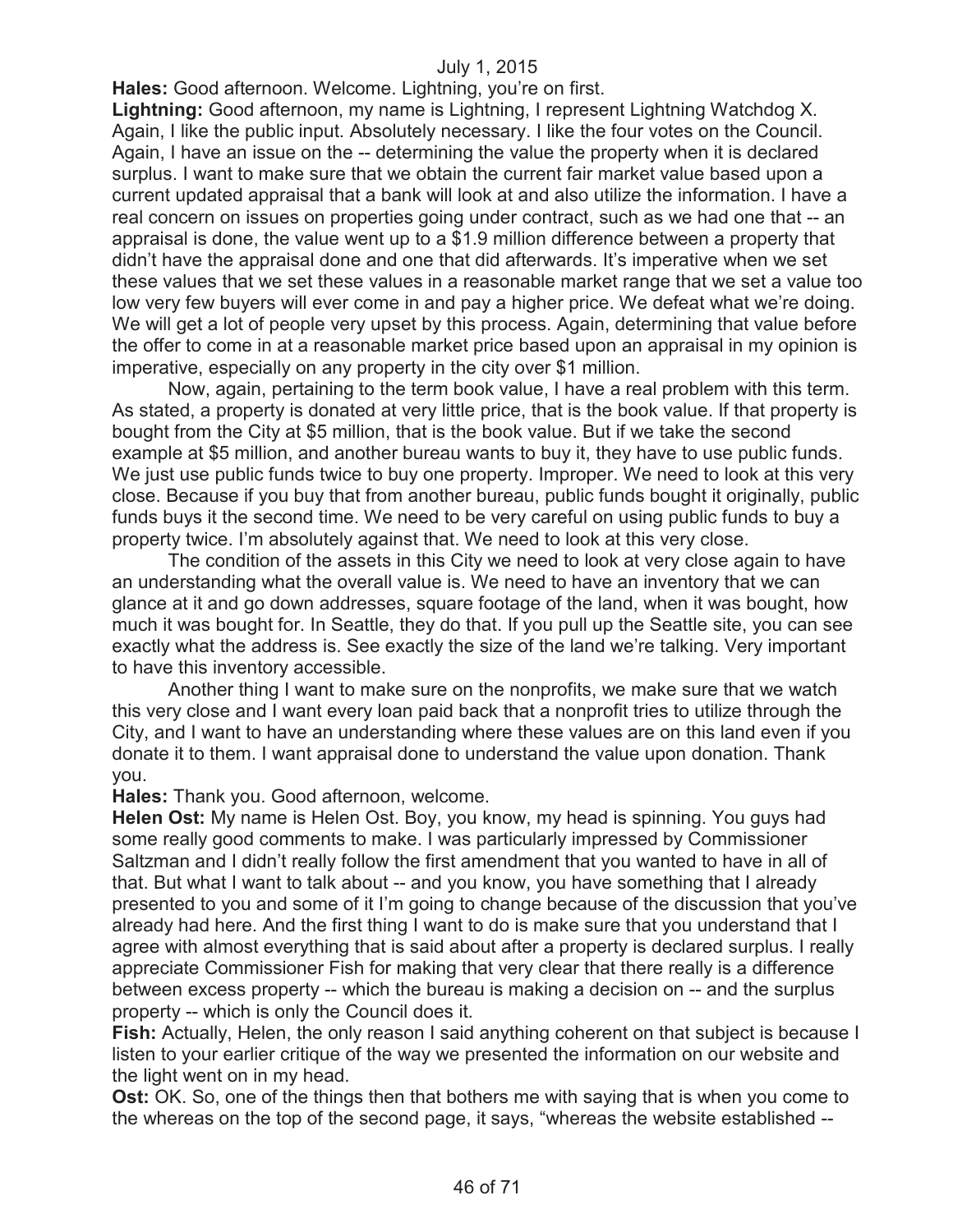**Hales:** Good afternoon. Welcome. Lightning, you're on first.

**Lightning:** Good afternoon, my name is Lightning, I represent Lightning Watchdog X. Again, I like the public input. Absolutely necessary. I like the four votes on the Council. Again, I have an issue on the -- determining the value the property when it is declared surplus. I want to make sure that we obtain the current fair market value based upon a current updated appraisal that a bank will look at and also utilize the information. I have a real concern on issues on properties going under contract, such as we had one that -- an appraisal is done, the value went up to a \$1.9 million difference between a property that didn't have the appraisal done and one that did afterwards. It's imperative when we set these values that we set these values in a reasonable market range that we set a value too low very few buyers will ever come in and pay a higher price. We defeat what we're doing. We will get a lot of people very upset by this process. Again, determining that value before the offer to come in at a reasonable market price based upon an appraisal in my opinion is imperative, especially on any property in the city over \$1 million.

Now, again, pertaining to the term book value, I have a real problem with this term. As stated, a property is donated at very little price, that is the book value. If that property is bought from the City at \$5 million, that is the book value. But if we take the second example at \$5 million, and another bureau wants to buy it, they have to use public funds. We just use public funds twice to buy one property. Improper. We need to look at this very close. Because if you buy that from another bureau, public funds bought it originally, public funds buys it the second time. We need to be very careful on using public funds to buy a property twice. I'm absolutely against that. We need to look at this very close.

The condition of the assets in this City we need to look at very close again to have an understanding what the overall value is. We need to have an inventory that we can glance at it and go down addresses, square footage of the land, when it was bought, how much it was bought for. In Seattle, they do that. If you pull up the Seattle site, you can see exactly what the address is. See exactly the size of the land we're talking. Very important to have this inventory accessible.

Another thing I want to make sure on the nonprofits, we make sure that we watch this very close and I want every loan paid back that a nonprofit tries to utilize through the City, and I want to have an understanding where these values are on this land even if you donate it to them. I want appraisal done to understand the value upon donation. Thank you.

**Hales:** Thank you. Good afternoon, welcome.

**Helen Ost:** My name is Helen Ost. Boy, you know, my head is spinning. You guys had some really good comments to make. I was particularly impressed by Commissioner Saltzman and I didn't really follow the first amendment that you wanted to have in all of that. But what I want to talk about -- and you know, you have something that I already presented to you and some of it I'm going to change because of the discussion that you've already had here. And the first thing I want to do is make sure that you understand that I agree with almost everything that is said about after a property is declared surplus. I really appreciate Commissioner Fish for making that very clear that there really is a difference between excess property -- which the bureau is making a decision on -- and the surplus property -- which is only the Council does it.

**Fish:** Actually, Helen, the only reason I said anything coherent on that subject is because I listen to your earlier critique of the way we presented the information on our website and the light went on in my head.

**Ost:** OK. So, one of the things then that bothers me with saying that is when you come to the whereas on the top of the second page, it says, "whereas the website established --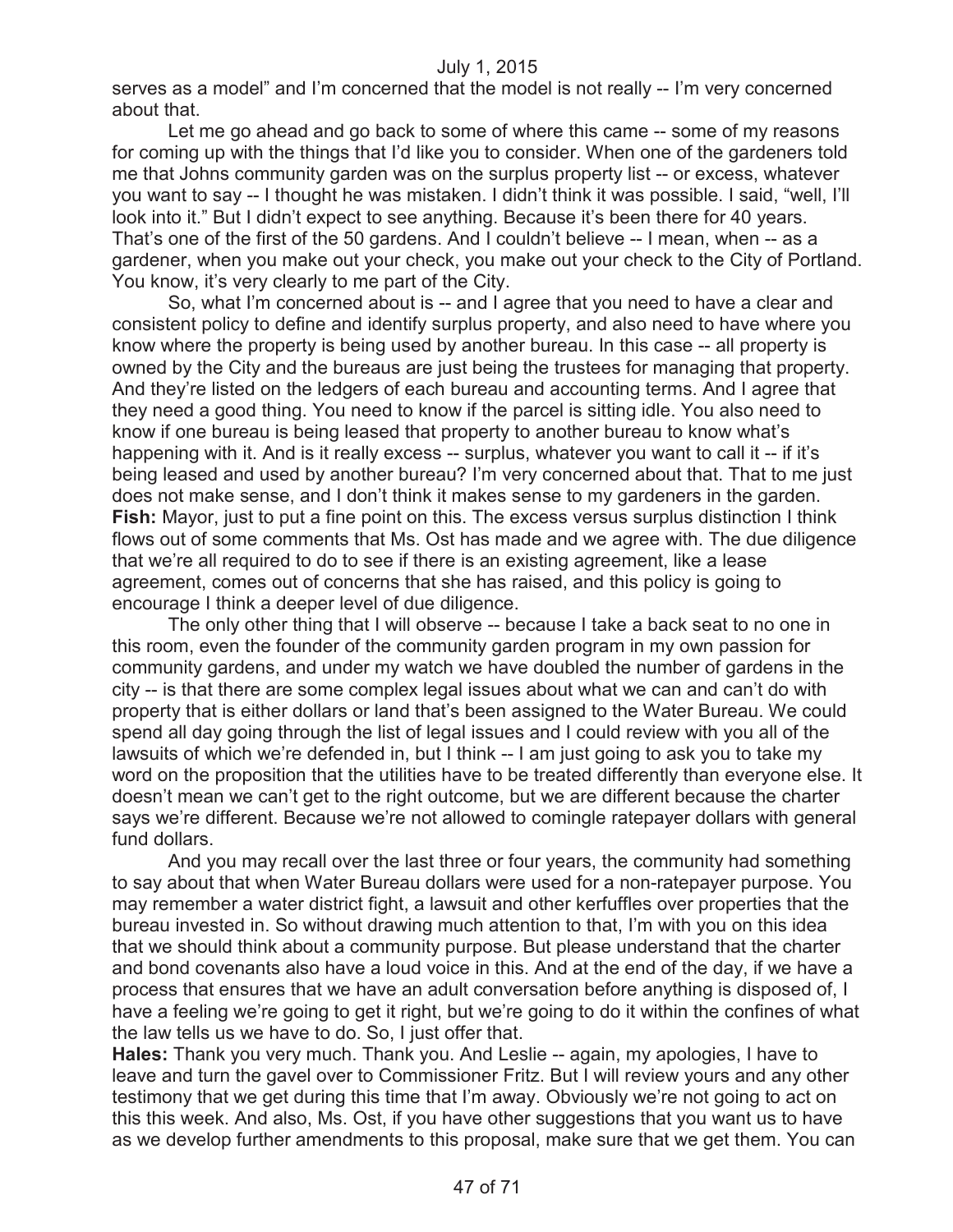serves as a model" and I'm concerned that the model is not really -- I'm very concerned about that.

Let me go ahead and go back to some of where this came -- some of my reasons for coming up with the things that I'd like you to consider. When one of the gardeners told me that Johns community garden was on the surplus property list -- or excess, whatever you want to say -- I thought he was mistaken. I didn't think it was possible. I said, "well, I'll look into it." But I didn't expect to see anything. Because it's been there for 40 years. That's one of the first of the 50 gardens. And I couldn't believe -- I mean, when -- as a gardener, when you make out your check, you make out your check to the City of Portland. You know, it's very clearly to me part of the City.

So, what I'm concerned about is -- and I agree that you need to have a clear and consistent policy to define and identify surplus property, and also need to have where you know where the property is being used by another bureau. In this case -- all property is owned by the City and the bureaus are just being the trustees for managing that property. And they're listed on the ledgers of each bureau and accounting terms. And I agree that they need a good thing. You need to know if the parcel is sitting idle. You also need to know if one bureau is being leased that property to another bureau to know what's happening with it. And is it really excess -- surplus, whatever you want to call it -- if it's being leased and used by another bureau? I'm very concerned about that. That to me just does not make sense, and I don't think it makes sense to my gardeners in the garden. **Fish:** Mayor, just to put a fine point on this. The excess versus surplus distinction I think flows out of some comments that Ms. Ost has made and we agree with. The due diligence that we're all required to do to see if there is an existing agreement, like a lease agreement, comes out of concerns that she has raised, and this policy is going to encourage I think a deeper level of due diligence.

The only other thing that I will observe -- because I take a back seat to no one in this room, even the founder of the community garden program in my own passion for community gardens, and under my watch we have doubled the number of gardens in the city -- is that there are some complex legal issues about what we can and can't do with property that is either dollars or land that's been assigned to the Water Bureau. We could spend all day going through the list of legal issues and I could review with you all of the lawsuits of which we're defended in, but I think -- I am just going to ask you to take my word on the proposition that the utilities have to be treated differently than everyone else. It doesn't mean we can't get to the right outcome, but we are different because the charter says we're different. Because we're not allowed to comingle ratepayer dollars with general fund dollars.

And you may recall over the last three or four years, the community had something to say about that when Water Bureau dollars were used for a non-ratepayer purpose. You may remember a water district fight, a lawsuit and other kerfuffles over properties that the bureau invested in. So without drawing much attention to that, I'm with you on this idea that we should think about a community purpose. But please understand that the charter and bond covenants also have a loud voice in this. And at the end of the day, if we have a process that ensures that we have an adult conversation before anything is disposed of, I have a feeling we're going to get it right, but we're going to do it within the confines of what the law tells us we have to do. So, I just offer that.

**Hales:** Thank you very much. Thank you. And Leslie -- again, my apologies, I have to leave and turn the gavel over to Commissioner Fritz. But I will review yours and any other testimony that we get during this time that I'm away. Obviously we're not going to act on this this week. And also, Ms. Ost, if you have other suggestions that you want us to have as we develop further amendments to this proposal, make sure that we get them. You can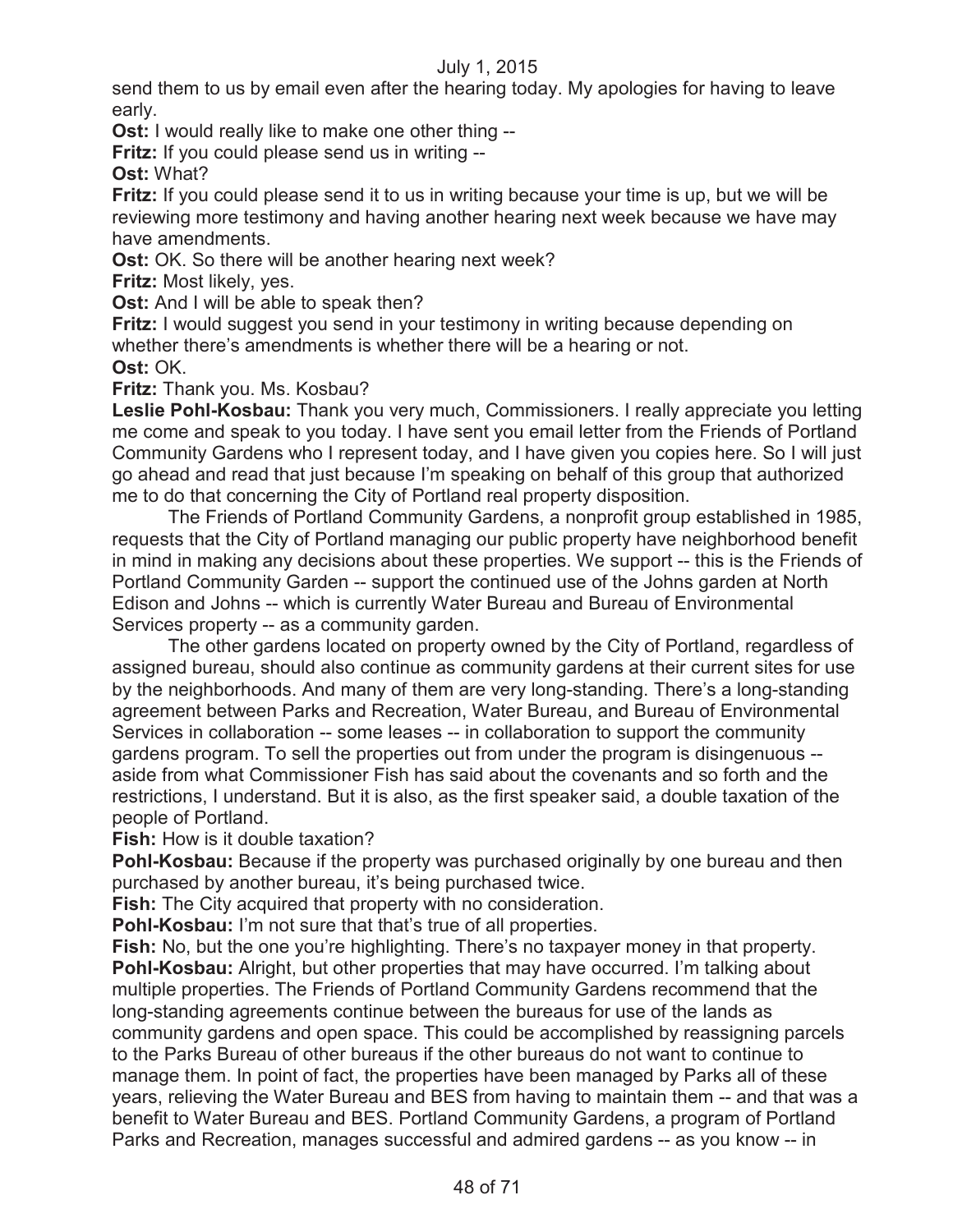send them to us by email even after the hearing today. My apologies for having to leave early.

**Ost:** I would really like to make one other thing --

**Fritz:** If you could please send us in writing --

**Ost:** What?

**Fritz:** If you could please send it to us in writing because your time is up, but we will be reviewing more testimony and having another hearing next week because we have may have amendments.

**Ost:** OK. So there will be another hearing next week?

**Fritz:** Most likely, yes.

**Ost:** And I will be able to speak then?

**Fritz:** I would suggest you send in your testimony in writing because depending on whether there's amendments is whether there will be a hearing or not. **Ost:** OK.

**Fritz:** Thank you. Ms. Kosbau?

**Leslie Pohl-Kosbau:** Thank you very much, Commissioners. I really appreciate you letting me come and speak to you today. I have sent you email letter from the Friends of Portland Community Gardens who I represent today, and I have given you copies here. So I will just go ahead and read that just because I'm speaking on behalf of this group that authorized me to do that concerning the City of Portland real property disposition.

The Friends of Portland Community Gardens, a nonprofit group established in 1985, requests that the City of Portland managing our public property have neighborhood benefit in mind in making any decisions about these properties. We support -- this is the Friends of Portland Community Garden -- support the continued use of the Johns garden at North Edison and Johns -- which is currently Water Bureau and Bureau of Environmental Services property -- as a community garden.

The other gardens located on property owned by the City of Portland, regardless of assigned bureau, should also continue as community gardens at their current sites for use by the neighborhoods. And many of them are very long-standing. There's a long-standing agreement between Parks and Recreation, Water Bureau, and Bureau of Environmental Services in collaboration -- some leases -- in collaboration to support the community gardens program. To sell the properties out from under the program is disingenuous - aside from what Commissioner Fish has said about the covenants and so forth and the restrictions, I understand. But it is also, as the first speaker said, a double taxation of the people of Portland.

**Fish:** How is it double taxation?

**Pohl-Kosbau:** Because if the property was purchased originally by one bureau and then purchased by another bureau, it's being purchased twice.

**Fish:** The City acquired that property with no consideration.

**Pohl-Kosbau:** I'm not sure that that's true of all properties.

**Fish:** No, but the one you're highlighting. There's no taxpayer money in that property. **Pohl-Kosbau:** Alright, but other properties that may have occurred. I'm talking about multiple properties. The Friends of Portland Community Gardens recommend that the long-standing agreements continue between the bureaus for use of the lands as community gardens and open space. This could be accomplished by reassigning parcels to the Parks Bureau of other bureaus if the other bureaus do not want to continue to manage them. In point of fact, the properties have been managed by Parks all of these years, relieving the Water Bureau and BES from having to maintain them -- and that was a benefit to Water Bureau and BES. Portland Community Gardens, a program of Portland Parks and Recreation, manages successful and admired gardens -- as you know -- in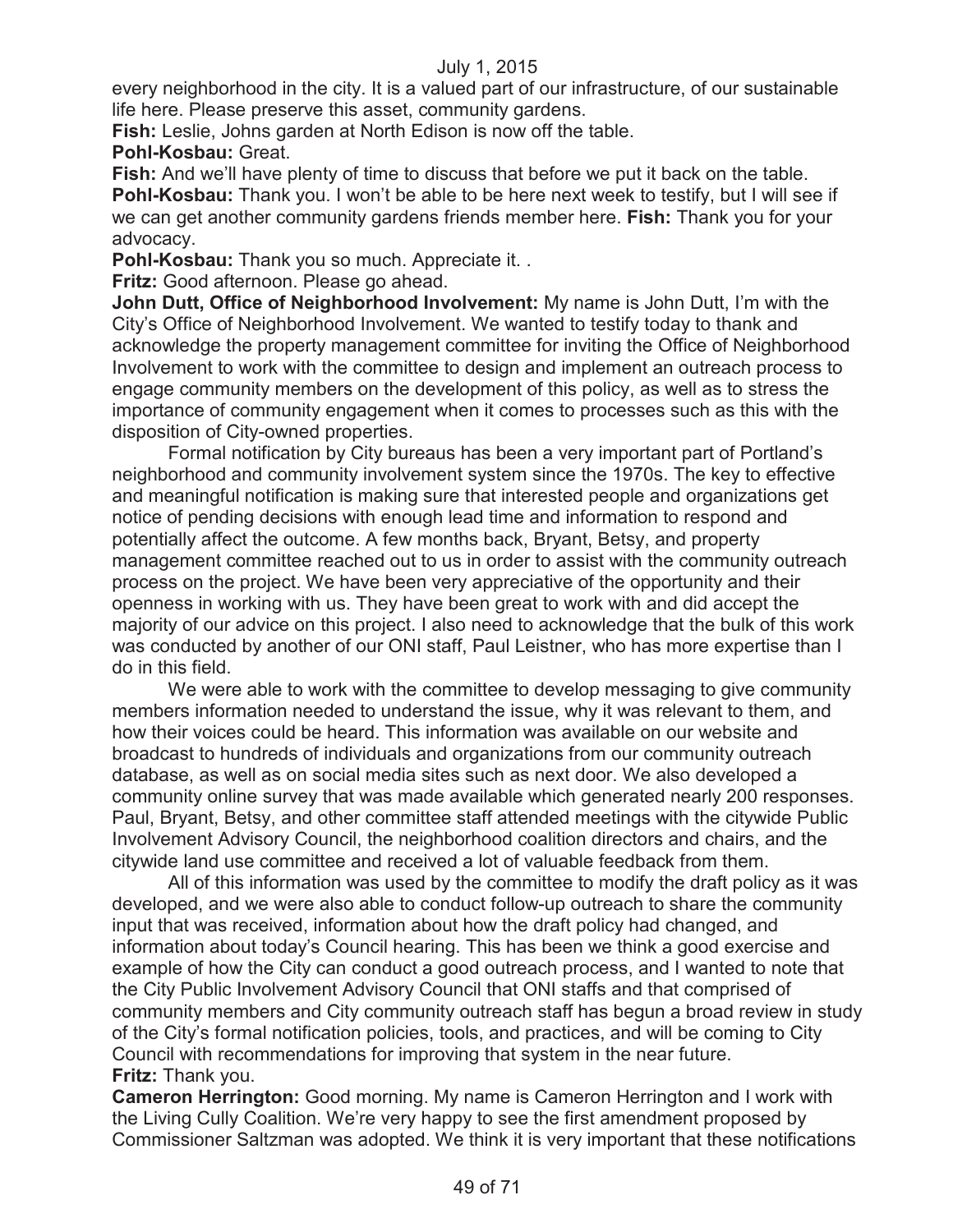every neighborhood in the city. It is a valued part of our infrastructure, of our sustainable life here. Please preserve this asset, community gardens.

**Fish:** Leslie, Johns garden at North Edison is now off the table.

**Pohl-Kosbau:** Great.

**Fish:** And we'll have plenty of time to discuss that before we put it back on the table. **Pohl-Kosbau:** Thank you. I won't be able to be here next week to testify, but I will see if we can get another community gardens friends member here. **Fish:** Thank you for your advocacy.

**Pohl-Kosbau:** Thank you so much. Appreciate it. .

**Fritz:** Good afternoon. Please go ahead.

**John Dutt, Office of Neighborhood Involvement:** My name is John Dutt, I'm with the City's Office of Neighborhood Involvement. We wanted to testify today to thank and acknowledge the property management committee for inviting the Office of Neighborhood Involvement to work with the committee to design and implement an outreach process to engage community members on the development of this policy, as well as to stress the importance of community engagement when it comes to processes such as this with the disposition of City-owned properties.

Formal notification by City bureaus has been a very important part of Portland's neighborhood and community involvement system since the 1970s. The key to effective and meaningful notification is making sure that interested people and organizations get notice of pending decisions with enough lead time and information to respond and potentially affect the outcome. A few months back, Bryant, Betsy, and property management committee reached out to us in order to assist with the community outreach process on the project. We have been very appreciative of the opportunity and their openness in working with us. They have been great to work with and did accept the majority of our advice on this project. I also need to acknowledge that the bulk of this work was conducted by another of our ONI staff, Paul Leistner, who has more expertise than I do in this field.

We were able to work with the committee to develop messaging to give community members information needed to understand the issue, why it was relevant to them, and how their voices could be heard. This information was available on our website and broadcast to hundreds of individuals and organizations from our community outreach database, as well as on social media sites such as next door. We also developed a community online survey that was made available which generated nearly 200 responses. Paul, Bryant, Betsy, and other committee staff attended meetings with the citywide Public Involvement Advisory Council, the neighborhood coalition directors and chairs, and the citywide land use committee and received a lot of valuable feedback from them.

All of this information was used by the committee to modify the draft policy as it was developed, and we were also able to conduct follow-up outreach to share the community input that was received, information about how the draft policy had changed, and information about today's Council hearing. This has been we think a good exercise and example of how the City can conduct a good outreach process, and I wanted to note that the City Public Involvement Advisory Council that ONI staffs and that comprised of community members and City community outreach staff has begun a broad review in study of the City's formal notification policies, tools, and practices, and will be coming to City Council with recommendations for improving that system in the near future. **Fritz:** Thank you.

**Cameron Herrington:** Good morning. My name is Cameron Herrington and I work with the Living Cully Coalition. We're very happy to see the first amendment proposed by Commissioner Saltzman was adopted. We think it is very important that these notifications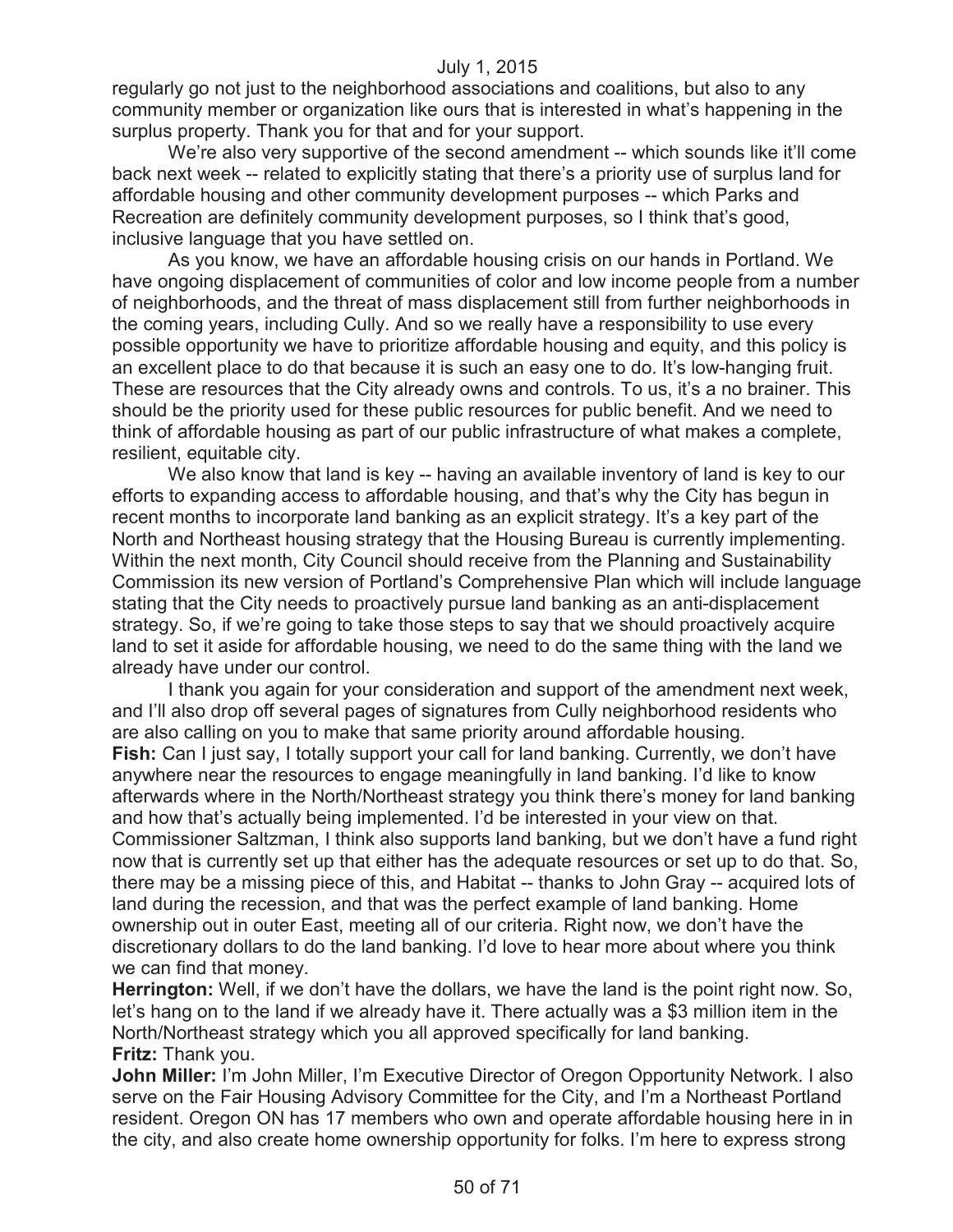regularly go not just to the neighborhood associations and coalitions, but also to any community member or organization like ours that is interested in what's happening in the surplus property. Thank you for that and for your support.

We're also very supportive of the second amendment -- which sounds like it'll come back next week -- related to explicitly stating that there's a priority use of surplus land for affordable housing and other community development purposes -- which Parks and Recreation are definitely community development purposes, so I think that's good, inclusive language that you have settled on.

As you know, we have an affordable housing crisis on our hands in Portland. We have ongoing displacement of communities of color and low income people from a number of neighborhoods, and the threat of mass displacement still from further neighborhoods in the coming years, including Cully. And so we really have a responsibility to use every possible opportunity we have to prioritize affordable housing and equity, and this policy is an excellent place to do that because it is such an easy one to do. It's low-hanging fruit. These are resources that the City already owns and controls. To us, it's a no brainer. This should be the priority used for these public resources for public benefit. And we need to think of affordable housing as part of our public infrastructure of what makes a complete, resilient, equitable city.

We also know that land is key -- having an available inventory of land is key to our efforts to expanding access to affordable housing, and that's why the City has begun in recent months to incorporate land banking as an explicit strategy. It's a key part of the North and Northeast housing strategy that the Housing Bureau is currently implementing. Within the next month, City Council should receive from the Planning and Sustainability Commission its new version of Portland's Comprehensive Plan which will include language stating that the City needs to proactively pursue land banking as an anti-displacement strategy. So, if we're going to take those steps to say that we should proactively acquire land to set it aside for affordable housing, we need to do the same thing with the land we already have under our control.

I thank you again for your consideration and support of the amendment next week, and I'll also drop off several pages of signatures from Cully neighborhood residents who are also calling on you to make that same priority around affordable housing. **Fish:** Can I just say, I totally support your call for land banking. Currently, we don't have anywhere near the resources to engage meaningfully in land banking. I'd like to know afterwards where in the North/Northeast strategy you think there's money for land banking and how that's actually being implemented. I'd be interested in your view on that. Commissioner Saltzman, I think also supports land banking, but we don't have a fund right now that is currently set up that either has the adequate resources or set up to do that. So, there may be a missing piece of this, and Habitat -- thanks to John Gray -- acquired lots of land during the recession, and that was the perfect example of land banking. Home ownership out in outer East, meeting all of our criteria. Right now, we don't have the discretionary dollars to do the land banking. I'd love to hear more about where you think we can find that money.

**Herrington:** Well, if we don't have the dollars, we have the land is the point right now. So, let's hang on to the land if we already have it. There actually was a \$3 million item in the North/Northeast strategy which you all approved specifically for land banking. **Fritz:** Thank you.

**John Miller:** I'm John Miller, I'm Executive Director of Oregon Opportunity Network. I also serve on the Fair Housing Advisory Committee for the City, and I'm a Northeast Portland resident. Oregon ON has 17 members who own and operate affordable housing here in in the city, and also create home ownership opportunity for folks. I'm here to express strong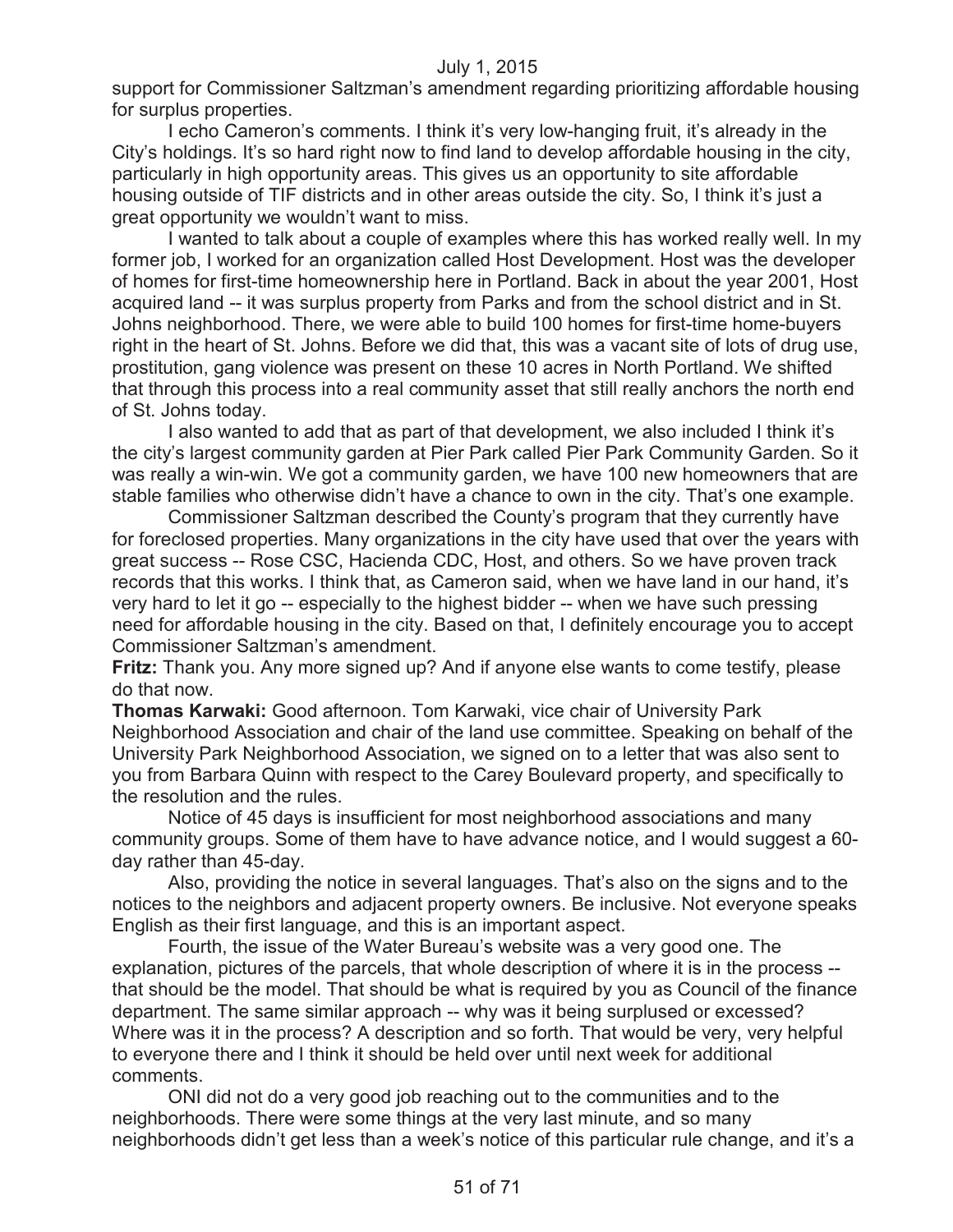support for Commissioner Saltzman's amendment regarding prioritizing affordable housing for surplus properties.

I echo Cameron's comments. I think it's very low-hanging fruit, it's already in the City's holdings. It's so hard right now to find land to develop affordable housing in the city, particularly in high opportunity areas. This gives us an opportunity to site affordable housing outside of TIF districts and in other areas outside the city. So, I think it's just a great opportunity we wouldn't want to miss.

I wanted to talk about a couple of examples where this has worked really well. In my former job, I worked for an organization called Host Development. Host was the developer of homes for first-time homeownership here in Portland. Back in about the year 2001, Host acquired land -- it was surplus property from Parks and from the school district and in St. Johns neighborhood. There, we were able to build 100 homes for first-time home-buyers right in the heart of St. Johns. Before we did that, this was a vacant site of lots of drug use, prostitution, gang violence was present on these 10 acres in North Portland. We shifted that through this process into a real community asset that still really anchors the north end of St. Johns today.

I also wanted to add that as part of that development, we also included I think it's the city's largest community garden at Pier Park called Pier Park Community Garden. So it was really a win-win. We got a community garden, we have 100 new homeowners that are stable families who otherwise didn't have a chance to own in the city. That's one example.

Commissioner Saltzman described the County's program that they currently have for foreclosed properties. Many organizations in the city have used that over the years with great success -- Rose CSC, Hacienda CDC, Host, and others. So we have proven track records that this works. I think that, as Cameron said, when we have land in our hand, it's very hard to let it go -- especially to the highest bidder -- when we have such pressing need for affordable housing in the city. Based on that, I definitely encourage you to accept Commissioner Saltzman's amendment.

**Fritz:** Thank you. Any more signed up? And if anyone else wants to come testify, please do that now.

**Thomas Karwaki:** Good afternoon. Tom Karwaki, vice chair of University Park Neighborhood Association and chair of the land use committee. Speaking on behalf of the University Park Neighborhood Association, we signed on to a letter that was also sent to you from Barbara Quinn with respect to the Carey Boulevard property, and specifically to the resolution and the rules.

Notice of 45 days is insufficient for most neighborhood associations and many community groups. Some of them have to have advance notice, and I would suggest a 60 day rather than 45-day.

Also, providing the notice in several languages. That's also on the signs and to the notices to the neighbors and adjacent property owners. Be inclusive. Not everyone speaks English as their first language, and this is an important aspect.

Fourth, the issue of the Water Bureau's website was a very good one. The explanation, pictures of the parcels, that whole description of where it is in the process - that should be the model. That should be what is required by you as Council of the finance department. The same similar approach -- why was it being surplused or excessed? Where was it in the process? A description and so forth. That would be very, very helpful to everyone there and I think it should be held over until next week for additional comments.

ONI did not do a very good job reaching out to the communities and to the neighborhoods. There were some things at the very last minute, and so many neighborhoods didn't get less than a week's notice of this particular rule change, and it's a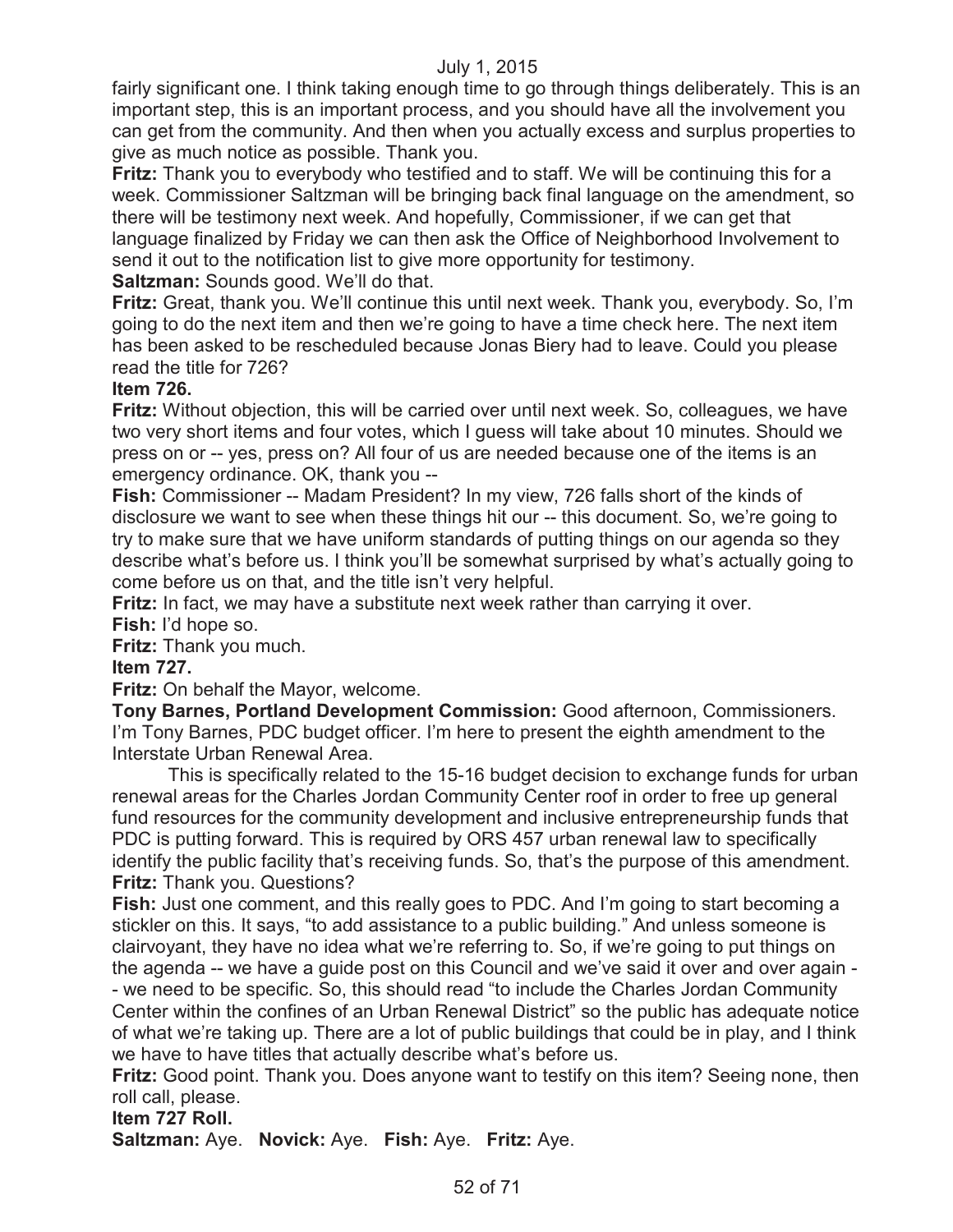fairly significant one. I think taking enough time to go through things deliberately. This is an important step, this is an important process, and you should have all the involvement you can get from the community. And then when you actually excess and surplus properties to give as much notice as possible. Thank you.

**Fritz:** Thank you to everybody who testified and to staff. We will be continuing this for a week. Commissioner Saltzman will be bringing back final language on the amendment, so there will be testimony next week. And hopefully, Commissioner, if we can get that language finalized by Friday we can then ask the Office of Neighborhood Involvement to send it out to the notification list to give more opportunity for testimony. **Saltzman:** Sounds good. We'll do that.

**Fritz:** Great, thank you. We'll continue this until next week. Thank you, everybody. So, I'm going to do the next item and then we're going to have a time check here. The next item has been asked to be rescheduled because Jonas Biery had to leave. Could you please read the title for 726?

# **Item 726.**

**Fritz:** Without objection, this will be carried over until next week. So, colleagues, we have two very short items and four votes, which I guess will take about 10 minutes. Should we press on or -- yes, press on? All four of us are needed because one of the items is an emergency ordinance. OK, thank you --

**Fish:** Commissioner -- Madam President? In my view, 726 falls short of the kinds of disclosure we want to see when these things hit our -- this document. So, we're going to try to make sure that we have uniform standards of putting things on our agenda so they describe what's before us. I think you'll be somewhat surprised by what's actually going to come before us on that, and the title isn't very helpful.

**Fritz:** In fact, we may have a substitute next week rather than carrying it over. **Fish:** I'd hope so.

**Fritz:** Thank you much.

**Item 727.**

**Fritz:** On behalf the Mayor, welcome.

**Tony Barnes, Portland Development Commission:** Good afternoon, Commissioners. I'm Tony Barnes, PDC budget officer. I'm here to present the eighth amendment to the Interstate Urban Renewal Area.

This is specifically related to the 15-16 budget decision to exchange funds for urban renewal areas for the Charles Jordan Community Center roof in order to free up general fund resources for the community development and inclusive entrepreneurship funds that PDC is putting forward. This is required by ORS 457 urban renewal law to specifically identify the public facility that's receiving funds. So, that's the purpose of this amendment. **Fritz:** Thank you. Questions?

**Fish:** Just one comment, and this really goes to PDC. And I'm going to start becoming a stickler on this. It says, "to add assistance to a public building." And unless someone is clairvoyant, they have no idea what we're referring to. So, if we're going to put things on the agenda -- we have a guide post on this Council and we've said it over and over again - - we need to be specific. So, this should read "to include the Charles Jordan Community Center within the confines of an Urban Renewal District" so the public has adequate notice of what we're taking up. There are a lot of public buildings that could be in play, and I think we have to have titles that actually describe what's before us.

**Fritz:** Good point. Thank you. Does anyone want to testify on this item? Seeing none, then roll call, please.

#### **Item 727 Roll.**

**Saltzman:** Aye. **Novick:** Aye. **Fish:** Aye. **Fritz:** Aye.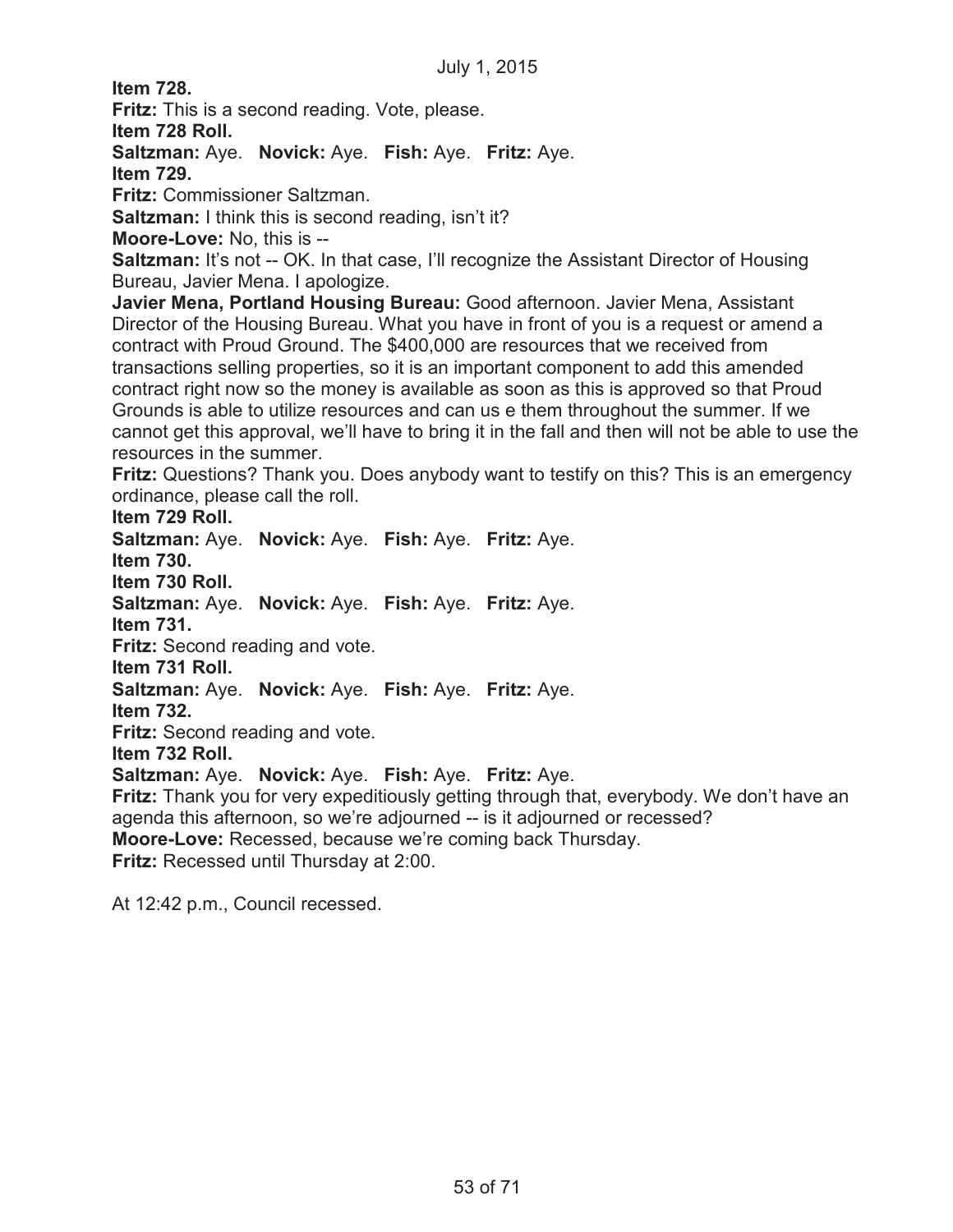**Item 728.**

**Fritz:** This is a second reading. Vote, please.

**Item 728 Roll.**

**Saltzman:** Aye. **Novick:** Aye. **Fish:** Aye. **Fritz:** Aye.

**Item 729.**

**Fritz:** Commissioner Saltzman.

**Saltzman:** I think this is second reading, isn't it?

**Moore-Love:** No, this is --

**Saltzman:** It's not -- OK. In that case, I'll recognize the Assistant Director of Housing Bureau, Javier Mena. I apologize.

**Javier Mena, Portland Housing Bureau:** Good afternoon. Javier Mena, Assistant Director of the Housing Bureau. What you have in front of you is a request or amend a contract with Proud Ground. The \$400,000 are resources that we received from transactions selling properties, so it is an important component to add this amended contract right now so the money is available as soon as this is approved so that Proud Grounds is able to utilize resources and can us e them throughout the summer. If we cannot get this approval, we'll have to bring it in the fall and then will not be able to use the resources in the summer.

**Fritz:** Questions? Thank you. Does anybody want to testify on this? This is an emergency ordinance, please call the roll.

**Item 729 Roll.**

**Saltzman:** Aye. **Novick:** Aye. **Fish:** Aye. **Fritz:** Aye. **Item 730. Item 730 Roll. Saltzman:** Aye. **Novick:** Aye. **Fish:** Aye. **Fritz:** Aye. **Item 731. Fritz:** Second reading and vote. **Item 731 Roll. Saltzman:** Aye. **Novick:** Aye. **Fish:** Aye. **Fritz:** Aye. **Item 732. Fritz:** Second reading and vote. **Item 732 Roll. Saltzman:** Aye. **Novick:** Aye. **Fish:** Aye. **Fritz:** Aye. **Fritz:** Thank you for very expeditiously getting through that, everybody. We don't have an agenda this afternoon, so we're adjourned -- is it adjourned or recessed? **Moore-Love:** Recessed, because we're coming back Thursday.

**Fritz:** Recessed until Thursday at 2:00.

At 12:42 p.m., Council recessed.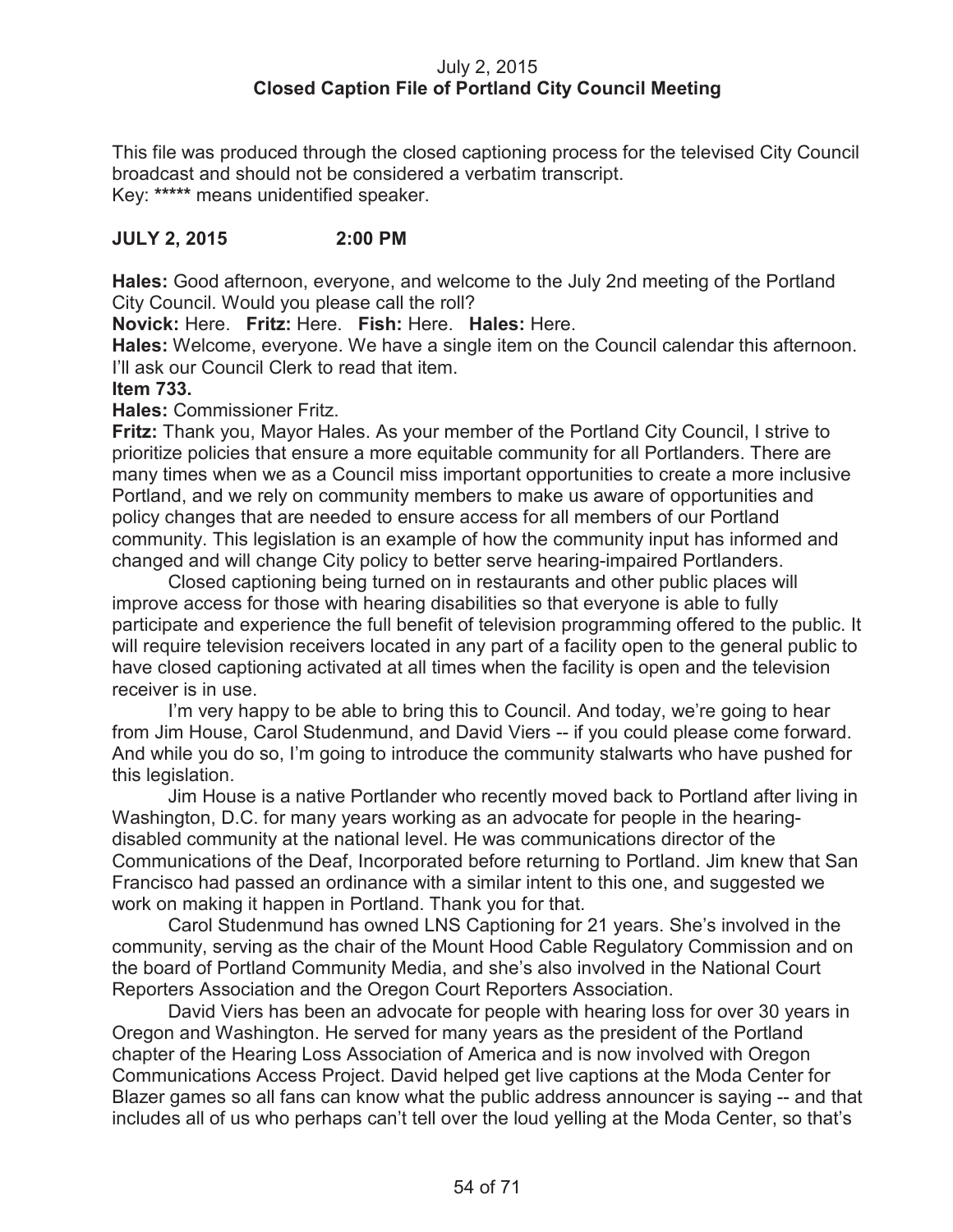# July 2, 2015 **Closed Caption File of Portland City Council Meeting**

This file was produced through the closed captioning process for the televised City Council broadcast and should not be considered a verbatim transcript. Key: **\*\*\*\*\*** means unidentified speaker.

# **JULY 2, 2015 2:00 PM**

**Hales:** Good afternoon, everyone, and welcome to the July 2nd meeting of the Portland City Council. Would you please call the roll?

**Novick:** Here. **Fritz:** Here. **Fish:** Here. **Hales:** Here.

**Hales:** Welcome, everyone. We have a single item on the Council calendar this afternoon. I'll ask our Council Clerk to read that item.

#### **Item 733.**

**Hales:** Commissioner Fritz.

**Fritz:** Thank you, Mayor Hales. As your member of the Portland City Council, I strive to prioritize policies that ensure a more equitable community for all Portlanders. There are many times when we as a Council miss important opportunities to create a more inclusive Portland, and we rely on community members to make us aware of opportunities and policy changes that are needed to ensure access for all members of our Portland community. This legislation is an example of how the community input has informed and changed and will change City policy to better serve hearing-impaired Portlanders.

Closed captioning being turned on in restaurants and other public places will improve access for those with hearing disabilities so that everyone is able to fully participate and experience the full benefit of television programming offered to the public. It will require television receivers located in any part of a facility open to the general public to have closed captioning activated at all times when the facility is open and the television receiver is in use.

I'm very happy to be able to bring this to Council. And today, we're going to hear from Jim House, Carol Studenmund, and David Viers -- if you could please come forward. And while you do so, I'm going to introduce the community stalwarts who have pushed for this legislation.

Jim House is a native Portlander who recently moved back to Portland after living in Washington, D.C. for many years working as an advocate for people in the hearingdisabled community at the national level. He was communications director of the Communications of the Deaf, Incorporated before returning to Portland. Jim knew that San Francisco had passed an ordinance with a similar intent to this one, and suggested we work on making it happen in Portland. Thank you for that.

Carol Studenmund has owned LNS Captioning for 21 years. She's involved in the community, serving as the chair of the Mount Hood Cable Regulatory Commission and on the board of Portland Community Media, and she's also involved in the National Court Reporters Association and the Oregon Court Reporters Association.

David Viers has been an advocate for people with hearing loss for over 30 years in Oregon and Washington. He served for many years as the president of the Portland chapter of the Hearing Loss Association of America and is now involved with Oregon Communications Access Project. David helped get live captions at the Moda Center for Blazer games so all fans can know what the public address announcer is saying -- and that includes all of us who perhaps can't tell over the loud yelling at the Moda Center, so that's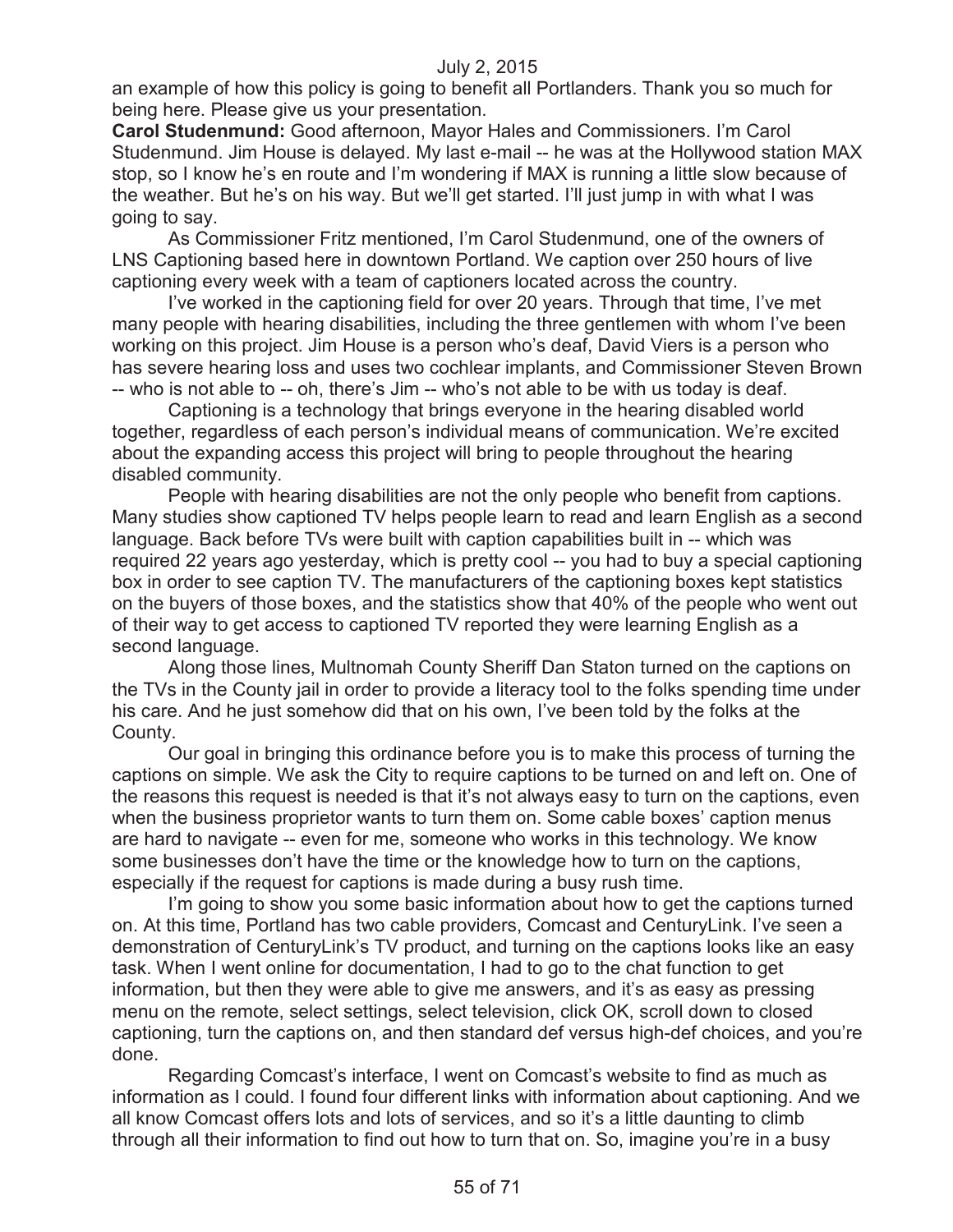an example of how this policy is going to benefit all Portlanders. Thank you so much for being here. Please give us your presentation.

**Carol Studenmund:** Good afternoon, Mayor Hales and Commissioners. I'm Carol Studenmund. Jim House is delayed. My last e-mail -- he was at the Hollywood station MAX stop, so I know he's en route and I'm wondering if MAX is running a little slow because of the weather. But he's on his way. But we'll get started. I'll just jump in with what I was going to say.

As Commissioner Fritz mentioned, I'm Carol Studenmund, one of the owners of LNS Captioning based here in downtown Portland. We caption over 250 hours of live captioning every week with a team of captioners located across the country.

I've worked in the captioning field for over 20 years. Through that time, I've met many people with hearing disabilities, including the three gentlemen with whom I've been working on this project. Jim House is a person who's deaf, David Viers is a person who has severe hearing loss and uses two cochlear implants, and Commissioner Steven Brown -- who is not able to -- oh, there's Jim -- who's not able to be with us today is deaf.

Captioning is a technology that brings everyone in the hearing disabled world together, regardless of each person's individual means of communication. We're excited about the expanding access this project will bring to people throughout the hearing disabled community.

People with hearing disabilities are not the only people who benefit from captions. Many studies show captioned TV helps people learn to read and learn English as a second language. Back before TVs were built with caption capabilities built in -- which was required 22 years ago yesterday, which is pretty cool -- you had to buy a special captioning box in order to see caption TV. The manufacturers of the captioning boxes kept statistics on the buyers of those boxes, and the statistics show that 40% of the people who went out of their way to get access to captioned TV reported they were learning English as a second language.

Along those lines, Multnomah County Sheriff Dan Staton turned on the captions on the TVs in the County jail in order to provide a literacy tool to the folks spending time under his care. And he just somehow did that on his own, I've been told by the folks at the County.

Our goal in bringing this ordinance before you is to make this process of turning the captions on simple. We ask the City to require captions to be turned on and left on. One of the reasons this request is needed is that it's not always easy to turn on the captions, even when the business proprietor wants to turn them on. Some cable boxes' caption menus are hard to navigate -- even for me, someone who works in this technology. We know some businesses don't have the time or the knowledge how to turn on the captions, especially if the request for captions is made during a busy rush time.

I'm going to show you some basic information about how to get the captions turned on. At this time, Portland has two cable providers, Comcast and CenturyLink. I've seen a demonstration of CenturyLink's TV product, and turning on the captions looks like an easy task. When I went online for documentation, I had to go to the chat function to get information, but then they were able to give me answers, and it's as easy as pressing menu on the remote, select settings, select television, click OK, scroll down to closed captioning, turn the captions on, and then standard def versus high-def choices, and you're done.

Regarding Comcast's interface, I went on Comcast's website to find as much as information as I could. I found four different links with information about captioning. And we all know Comcast offers lots and lots of services, and so it's a little daunting to climb through all their information to find out how to turn that on. So, imagine you're in a busy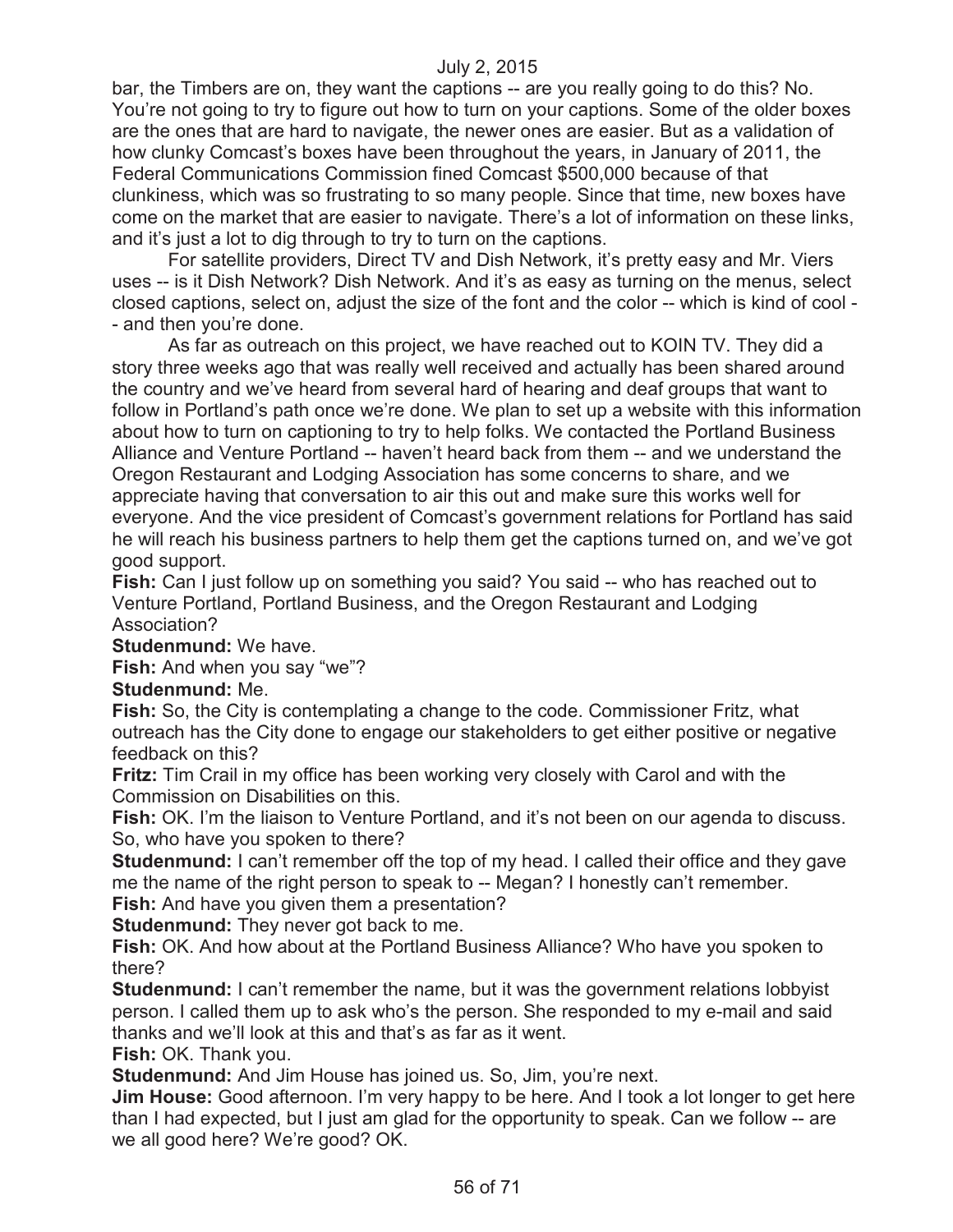bar, the Timbers are on, they want the captions -- are you really going to do this? No. You're not going to try to figure out how to turn on your captions. Some of the older boxes are the ones that are hard to navigate, the newer ones are easier. But as a validation of how clunky Comcast's boxes have been throughout the years, in January of 2011, the Federal Communications Commission fined Comcast \$500,000 because of that clunkiness, which was so frustrating to so many people. Since that time, new boxes have come on the market that are easier to navigate. There's a lot of information on these links, and it's just a lot to dig through to try to turn on the captions.

For satellite providers, Direct TV and Dish Network, it's pretty easy and Mr. Viers uses -- is it Dish Network? Dish Network. And it's as easy as turning on the menus, select closed captions, select on, adjust the size of the font and the color -- which is kind of cool - - and then you're done.

As far as outreach on this project, we have reached out to KOIN TV. They did a story three weeks ago that was really well received and actually has been shared around the country and we've heard from several hard of hearing and deaf groups that want to follow in Portland's path once we're done. We plan to set up a website with this information about how to turn on captioning to try to help folks. We contacted the Portland Business Alliance and Venture Portland -- haven't heard back from them -- and we understand the Oregon Restaurant and Lodging Association has some concerns to share, and we appreciate having that conversation to air this out and make sure this works well for everyone. And the vice president of Comcast's government relations for Portland has said he will reach his business partners to help them get the captions turned on, and we've got good support.

**Fish:** Can I just follow up on something you said? You said -- who has reached out to Venture Portland, Portland Business, and the Oregon Restaurant and Lodging Association?

**Studenmund:** We have.

**Fish:** And when you say "we"?

#### **Studenmund:** Me.

**Fish:** So, the City is contemplating a change to the code. Commissioner Fritz, what outreach has the City done to engage our stakeholders to get either positive or negative feedback on this?

**Fritz:** Tim Crail in my office has been working very closely with Carol and with the Commission on Disabilities on this.

**Fish:** OK. I'm the liaison to Venture Portland, and it's not been on our agenda to discuss. So, who have you spoken to there?

**Studenmund:** I can't remember off the top of my head. I called their office and they gave me the name of the right person to speak to -- Megan? I honestly can't remember.

**Fish:** And have you given them a presentation?

**Studenmund:** They never got back to me.

**Fish:** OK. And how about at the Portland Business Alliance? Who have you spoken to there?

**Studenmund:** I can't remember the name, but it was the government relations lobbyist person. I called them up to ask who's the person. She responded to my e-mail and said thanks and we'll look at this and that's as far as it went.

**Fish:** OK. Thank you.

**Studenmund:** And Jim House has joined us. So, Jim, you're next.

**Jim House:** Good afternoon. I'm very happy to be here. And I took a lot longer to get here than I had expected, but I just am glad for the opportunity to speak. Can we follow -- are we all good here? We're good? OK.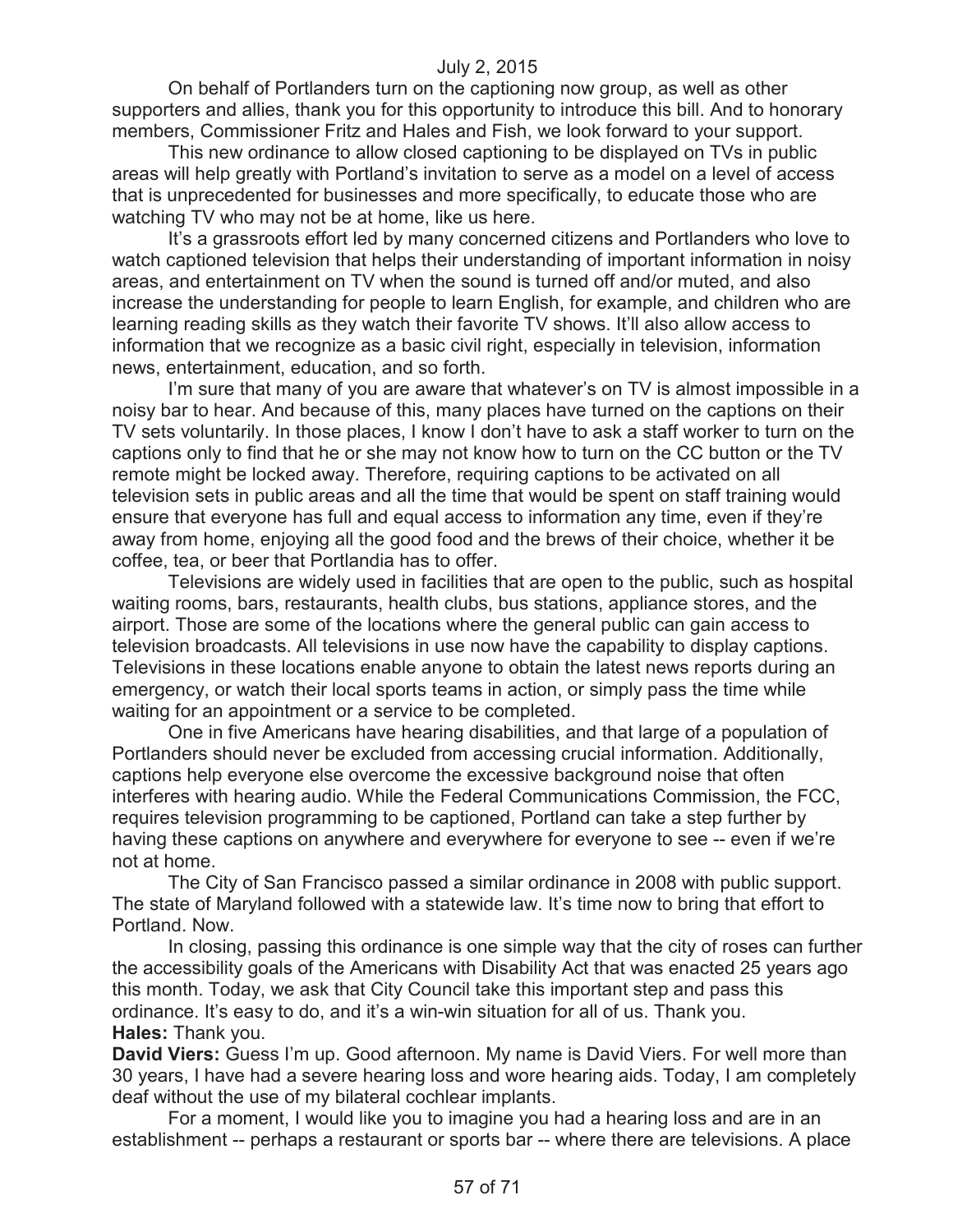On behalf of Portlanders turn on the captioning now group, as well as other supporters and allies, thank you for this opportunity to introduce this bill. And to honorary members, Commissioner Fritz and Hales and Fish, we look forward to your support.

This new ordinance to allow closed captioning to be displayed on TVs in public areas will help greatly with Portland's invitation to serve as a model on a level of access that is unprecedented for businesses and more specifically, to educate those who are watching TV who may not be at home, like us here.

It's a grassroots effort led by many concerned citizens and Portlanders who love to watch captioned television that helps their understanding of important information in noisy areas, and entertainment on TV when the sound is turned off and/or muted, and also increase the understanding for people to learn English, for example, and children who are learning reading skills as they watch their favorite TV shows. It'll also allow access to information that we recognize as a basic civil right, especially in television, information news, entertainment, education, and so forth.

I'm sure that many of you are aware that whatever's on TV is almost impossible in a noisy bar to hear. And because of this, many places have turned on the captions on their TV sets voluntarily. In those places, I know I don't have to ask a staff worker to turn on the captions only to find that he or she may not know how to turn on the CC button or the TV remote might be locked away. Therefore, requiring captions to be activated on all television sets in public areas and all the time that would be spent on staff training would ensure that everyone has full and equal access to information any time, even if they're away from home, enjoying all the good food and the brews of their choice, whether it be coffee, tea, or beer that Portlandia has to offer.

Televisions are widely used in facilities that are open to the public, such as hospital waiting rooms, bars, restaurants, health clubs, bus stations, appliance stores, and the airport. Those are some of the locations where the general public can gain access to television broadcasts. All televisions in use now have the capability to display captions. Televisions in these locations enable anyone to obtain the latest news reports during an emergency, or watch their local sports teams in action, or simply pass the time while waiting for an appointment or a service to be completed.

One in five Americans have hearing disabilities, and that large of a population of Portlanders should never be excluded from accessing crucial information. Additionally, captions help everyone else overcome the excessive background noise that often interferes with hearing audio. While the Federal Communications Commission, the FCC, requires television programming to be captioned, Portland can take a step further by having these captions on anywhere and everywhere for everyone to see -- even if we're not at home.

The City of San Francisco passed a similar ordinance in 2008 with public support. The state of Maryland followed with a statewide law. It's time now to bring that effort to Portland. Now.

In closing, passing this ordinance is one simple way that the city of roses can further the accessibility goals of the Americans with Disability Act that was enacted 25 years ago this month. Today, we ask that City Council take this important step and pass this ordinance. It's easy to do, and it's a win-win situation for all of us. Thank you. **Hales:** Thank you.

**David Viers:** Guess I'm up. Good afternoon. My name is David Viers. For well more than 30 years, I have had a severe hearing loss and wore hearing aids. Today, I am completely deaf without the use of my bilateral cochlear implants.

For a moment, I would like you to imagine you had a hearing loss and are in an establishment -- perhaps a restaurant or sports bar -- where there are televisions. A place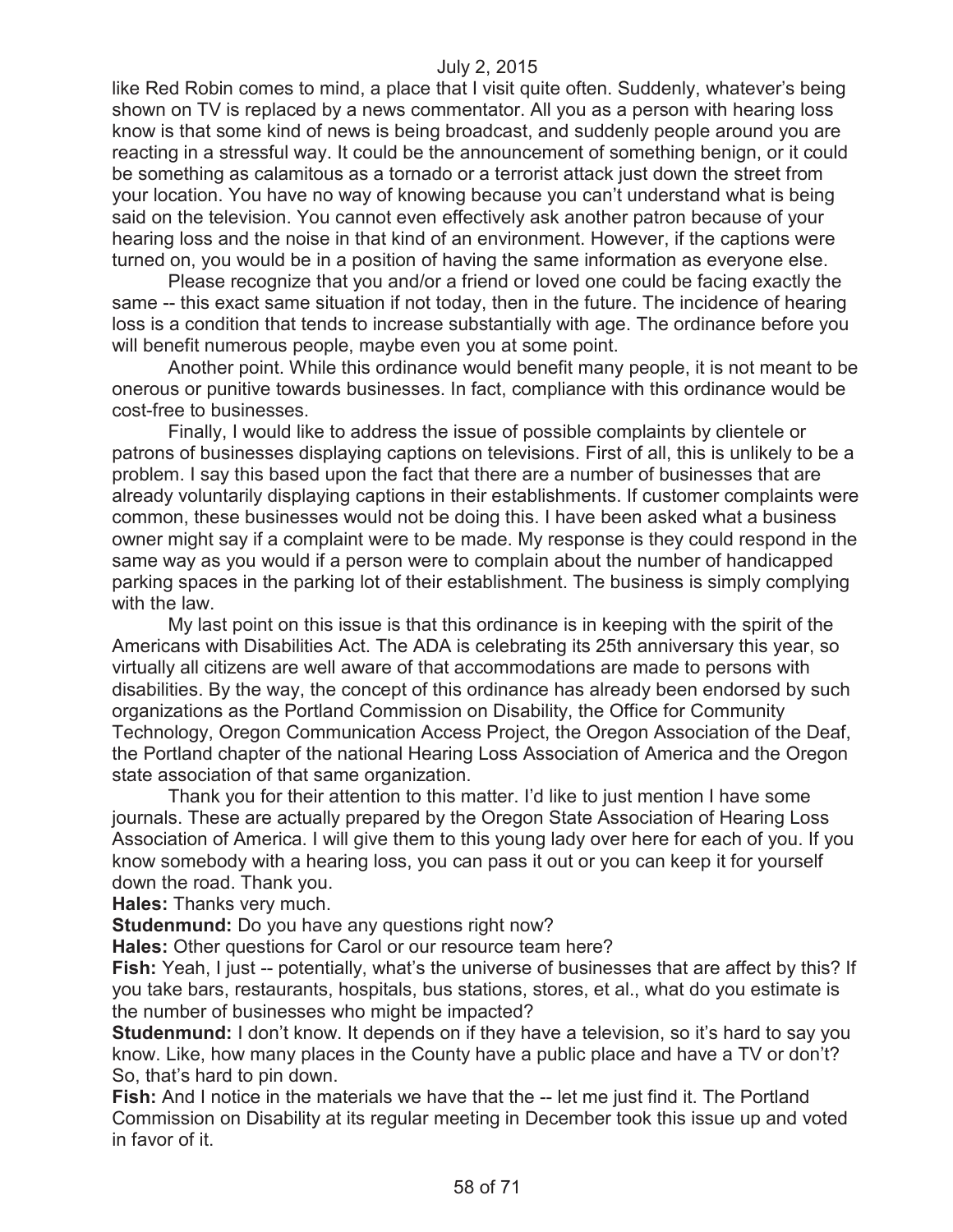like Red Robin comes to mind, a place that I visit quite often. Suddenly, whatever's being shown on TV is replaced by a news commentator. All you as a person with hearing loss know is that some kind of news is being broadcast, and suddenly people around you are reacting in a stressful way. It could be the announcement of something benign, or it could be something as calamitous as a tornado or a terrorist attack just down the street from your location. You have no way of knowing because you can't understand what is being said on the television. You cannot even effectively ask another patron because of your hearing loss and the noise in that kind of an environment. However, if the captions were turned on, you would be in a position of having the same information as everyone else.

Please recognize that you and/or a friend or loved one could be facing exactly the same -- this exact same situation if not today, then in the future. The incidence of hearing loss is a condition that tends to increase substantially with age. The ordinance before you will benefit numerous people, maybe even you at some point.

Another point. While this ordinance would benefit many people, it is not meant to be onerous or punitive towards businesses. In fact, compliance with this ordinance would be cost-free to businesses.

Finally, I would like to address the issue of possible complaints by clientele or patrons of businesses displaying captions on televisions. First of all, this is unlikely to be a problem. I say this based upon the fact that there are a number of businesses that are already voluntarily displaying captions in their establishments. If customer complaints were common, these businesses would not be doing this. I have been asked what a business owner might say if a complaint were to be made. My response is they could respond in the same way as you would if a person were to complain about the number of handicapped parking spaces in the parking lot of their establishment. The business is simply complying with the law.

My last point on this issue is that this ordinance is in keeping with the spirit of the Americans with Disabilities Act. The ADA is celebrating its 25th anniversary this year, so virtually all citizens are well aware of that accommodations are made to persons with disabilities. By the way, the concept of this ordinance has already been endorsed by such organizations as the Portland Commission on Disability, the Office for Community Technology, Oregon Communication Access Project, the Oregon Association of the Deaf, the Portland chapter of the national Hearing Loss Association of America and the Oregon state association of that same organization.

Thank you for their attention to this matter. I'd like to just mention I have some journals. These are actually prepared by the Oregon State Association of Hearing Loss Association of America. I will give them to this young lady over here for each of you. If you know somebody with a hearing loss, you can pass it out or you can keep it for yourself down the road. Thank you.

**Hales:** Thanks very much.

**Studenmund:** Do you have any questions right now?

**Hales:** Other questions for Carol or our resource team here?

**Fish:** Yeah, I just -- potentially, what's the universe of businesses that are affect by this? If you take bars, restaurants, hospitals, bus stations, stores, et al., what do you estimate is the number of businesses who might be impacted?

**Studenmund:** I don't know. It depends on if they have a television, so it's hard to say you know. Like, how many places in the County have a public place and have a TV or don't? So, that's hard to pin down.

**Fish:** And I notice in the materials we have that the -- let me just find it. The Portland Commission on Disability at its regular meeting in December took this issue up and voted in favor of it.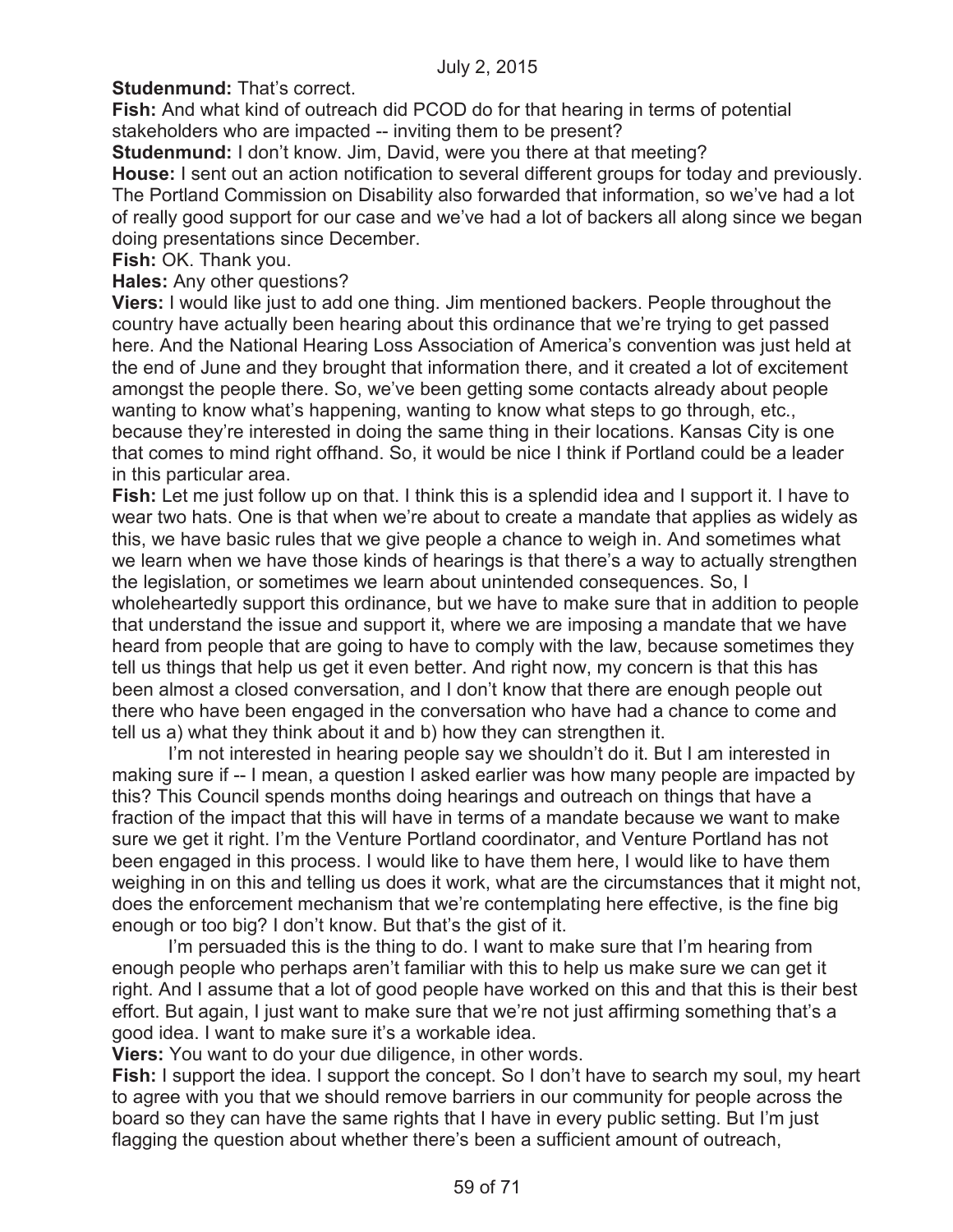**Studenmund: That's correct.** 

**Fish:** And what kind of outreach did PCOD do for that hearing in terms of potential stakeholders who are impacted -- inviting them to be present?

**Studenmund:** I don't know. Jim, David, were you there at that meeting?

**House:** I sent out an action notification to several different groups for today and previously. The Portland Commission on Disability also forwarded that information, so we've had a lot of really good support for our case and we've had a lot of backers all along since we began doing presentations since December.

**Fish:** OK. Thank you.

**Hales:** Any other questions?

**Viers:** I would like just to add one thing. Jim mentioned backers. People throughout the country have actually been hearing about this ordinance that we're trying to get passed here. And the National Hearing Loss Association of America's convention was just held at the end of June and they brought that information there, and it created a lot of excitement amongst the people there. So, we've been getting some contacts already about people wanting to know what's happening, wanting to know what steps to go through, etc., because they're interested in doing the same thing in their locations. Kansas City is one that comes to mind right offhand. So, it would be nice I think if Portland could be a leader in this particular area.

**Fish:** Let me just follow up on that. I think this is a splendid idea and I support it. I have to wear two hats. One is that when we're about to create a mandate that applies as widely as this, we have basic rules that we give people a chance to weigh in. And sometimes what we learn when we have those kinds of hearings is that there's a way to actually strengthen the legislation, or sometimes we learn about unintended consequences. So, I

wholeheartedly support this ordinance, but we have to make sure that in addition to people that understand the issue and support it, where we are imposing a mandate that we have heard from people that are going to have to comply with the law, because sometimes they tell us things that help us get it even better. And right now, my concern is that this has been almost a closed conversation, and I don't know that there are enough people out there who have been engaged in the conversation who have had a chance to come and tell us a) what they think about it and b) how they can strengthen it.

I'm not interested in hearing people say we shouldn't do it. But I am interested in making sure if -- I mean, a question I asked earlier was how many people are impacted by this? This Council spends months doing hearings and outreach on things that have a fraction of the impact that this will have in terms of a mandate because we want to make sure we get it right. I'm the Venture Portland coordinator, and Venture Portland has not been engaged in this process. I would like to have them here, I would like to have them weighing in on this and telling us does it work, what are the circumstances that it might not, does the enforcement mechanism that we're contemplating here effective, is the fine big enough or too big? I don't know. But that's the gist of it.

I'm persuaded this is the thing to do. I want to make sure that I'm hearing from enough people who perhaps aren't familiar with this to help us make sure we can get it right. And I assume that a lot of good people have worked on this and that this is their best effort. But again, I just want to make sure that we're not just affirming something that's a good idea. I want to make sure it's a workable idea.

**Viers:** You want to do your due diligence, in other words.

**Fish:** I support the idea. I support the concept. So I don't have to search my soul, my heart to agree with you that we should remove barriers in our community for people across the board so they can have the same rights that I have in every public setting. But I'm just flagging the question about whether there's been a sufficient amount of outreach,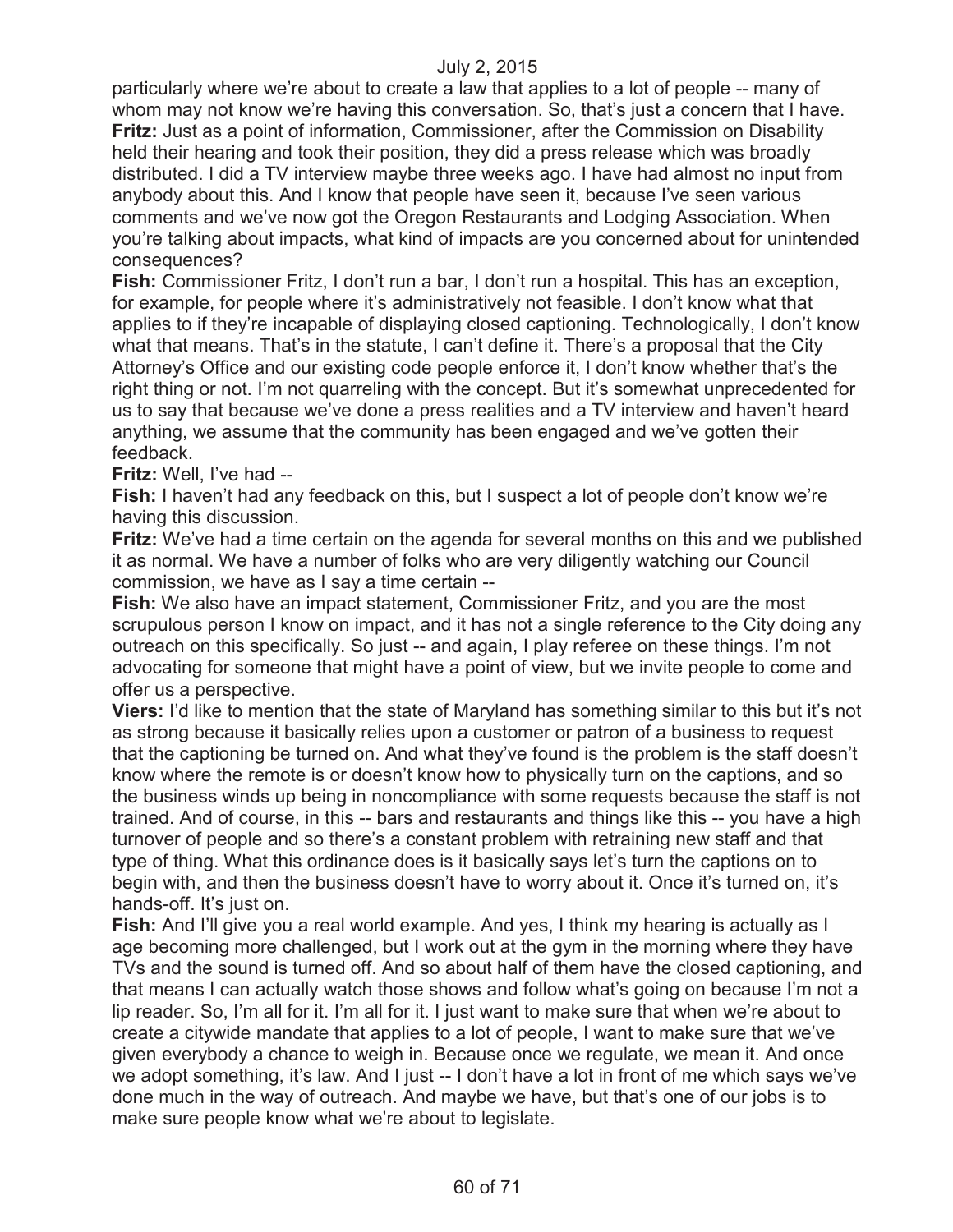particularly where we're about to create a law that applies to a lot of people -- many of whom may not know we're having this conversation. So, that's just a concern that I have. **Fritz:** Just as a point of information, Commissioner, after the Commission on Disability held their hearing and took their position, they did a press release which was broadly distributed. I did a TV interview maybe three weeks ago. I have had almost no input from anybody about this. And I know that people have seen it, because I've seen various comments and we've now got the Oregon Restaurants and Lodging Association. When you're talking about impacts, what kind of impacts are you concerned about for unintended consequences?

**Fish:** Commissioner Fritz, I don't run a bar, I don't run a hospital. This has an exception, for example, for people where it's administratively not feasible. I don't know what that applies to if they're incapable of displaying closed captioning. Technologically, I don't know what that means. That's in the statute, I can't define it. There's a proposal that the City Attorney's Office and our existing code people enforce it, I don't know whether that's the right thing or not. I'm not quarreling with the concept. But it's somewhat unprecedented for us to say that because we've done a press realities and a TV interview and haven't heard anything, we assume that the community has been engaged and we've gotten their feedback.

**Fritz:** Well, I've had --

**Fish:** I haven't had any feedback on this, but I suspect a lot of people don't know we're having this discussion.

**Fritz:** We've had a time certain on the agenda for several months on this and we published it as normal. We have a number of folks who are very diligently watching our Council commission, we have as I say a time certain --

**Fish:** We also have an impact statement, Commissioner Fritz, and you are the most scrupulous person I know on impact, and it has not a single reference to the City doing any outreach on this specifically. So just -- and again, I play referee on these things. I'm not advocating for someone that might have a point of view, but we invite people to come and offer us a perspective.

**Viers:** I'd like to mention that the state of Maryland has something similar to this but it's not as strong because it basically relies upon a customer or patron of a business to request that the captioning be turned on. And what they've found is the problem is the staff doesn't know where the remote is or doesn't know how to physically turn on the captions, and so the business winds up being in noncompliance with some requests because the staff is not trained. And of course, in this -- bars and restaurants and things like this -- you have a high turnover of people and so there's a constant problem with retraining new staff and that type of thing. What this ordinance does is it basically says let's turn the captions on to begin with, and then the business doesn't have to worry about it. Once it's turned on, it's hands-off. It's just on.

**Fish:** And I'll give you a real world example. And yes, I think my hearing is actually as I age becoming more challenged, but I work out at the gym in the morning where they have TVs and the sound is turned off. And so about half of them have the closed captioning, and that means I can actually watch those shows and follow what's going on because I'm not a lip reader. So, I'm all for it. I'm all for it. I just want to make sure that when we're about to create a citywide mandate that applies to a lot of people, I want to make sure that we've given everybody a chance to weigh in. Because once we regulate, we mean it. And once we adopt something, it's law. And I just -- I don't have a lot in front of me which says we've done much in the way of outreach. And maybe we have, but that's one of our jobs is to make sure people know what we're about to legislate.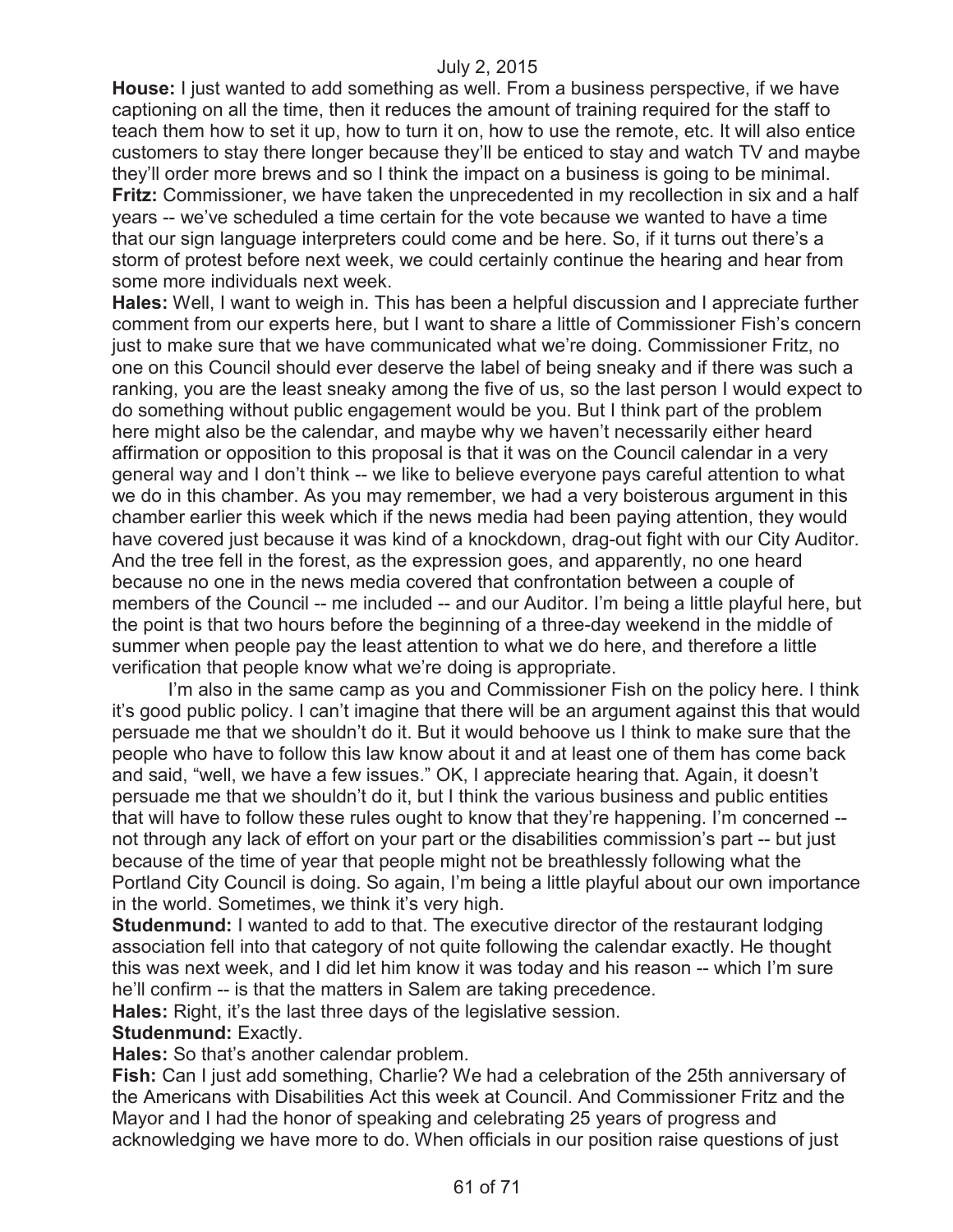**House:** I just wanted to add something as well. From a business perspective, if we have captioning on all the time, then it reduces the amount of training required for the staff to teach them how to set it up, how to turn it on, how to use the remote, etc. It will also entice customers to stay there longer because they'll be enticed to stay and watch TV and maybe they'll order more brews and so I think the impact on a business is going to be minimal. **Fritz:** Commissioner, we have taken the unprecedented in my recollection in six and a half years -- we've scheduled a time certain for the vote because we wanted to have a time that our sign language interpreters could come and be here. So, if it turns out there's a storm of protest before next week, we could certainly continue the hearing and hear from some more individuals next week.

**Hales:** Well, I want to weigh in. This has been a helpful discussion and I appreciate further comment from our experts here, but I want to share a little of Commissioner Fish's concern just to make sure that we have communicated what we're doing. Commissioner Fritz, no one on this Council should ever deserve the label of being sneaky and if there was such a ranking, you are the least sneaky among the five of us, so the last person I would expect to do something without public engagement would be you. But I think part of the problem here might also be the calendar, and maybe why we haven't necessarily either heard affirmation or opposition to this proposal is that it was on the Council calendar in a very general way and I don't think -- we like to believe everyone pays careful attention to what we do in this chamber. As you may remember, we had a very boisterous argument in this chamber earlier this week which if the news media had been paying attention, they would have covered just because it was kind of a knockdown, drag-out fight with our City Auditor. And the tree fell in the forest, as the expression goes, and apparently, no one heard because no one in the news media covered that confrontation between a couple of members of the Council -- me included -- and our Auditor. I'm being a little playful here, but the point is that two hours before the beginning of a three-day weekend in the middle of summer when people pay the least attention to what we do here, and therefore a little verification that people know what we're doing is appropriate.

I'm also in the same camp as you and Commissioner Fish on the policy here. I think it's good public policy. I can't imagine that there will be an argument against this that would persuade me that we shouldn't do it. But it would behoove us I think to make sure that the people who have to follow this law know about it and at least one of them has come back and said, "well, we have a few issues." OK, I appreciate hearing that. Again, it doesn't persuade me that we shouldn't do it, but I think the various business and public entities that will have to follow these rules ought to know that they're happening. I'm concerned - not through any lack of effort on your part or the disabilities commission's part -- but just because of the time of year that people might not be breathlessly following what the Portland City Council is doing. So again, I'm being a little playful about our own importance in the world. Sometimes, we think it's very high.

**Studenmund:** I wanted to add to that. The executive director of the restaurant lodging association fell into that category of not quite following the calendar exactly. He thought this was next week, and I did let him know it was today and his reason -- which I'm sure he'll confirm -- is that the matters in Salem are taking precedence.

**Hales:** Right, it's the last three days of the legislative session.

**Studenmund:** Exactly.

**Hales:** So that's another calendar problem.

**Fish:** Can I just add something, Charlie? We had a celebration of the 25th anniversary of the Americans with Disabilities Act this week at Council. And Commissioner Fritz and the Mayor and I had the honor of speaking and celebrating 25 years of progress and acknowledging we have more to do. When officials in our position raise questions of just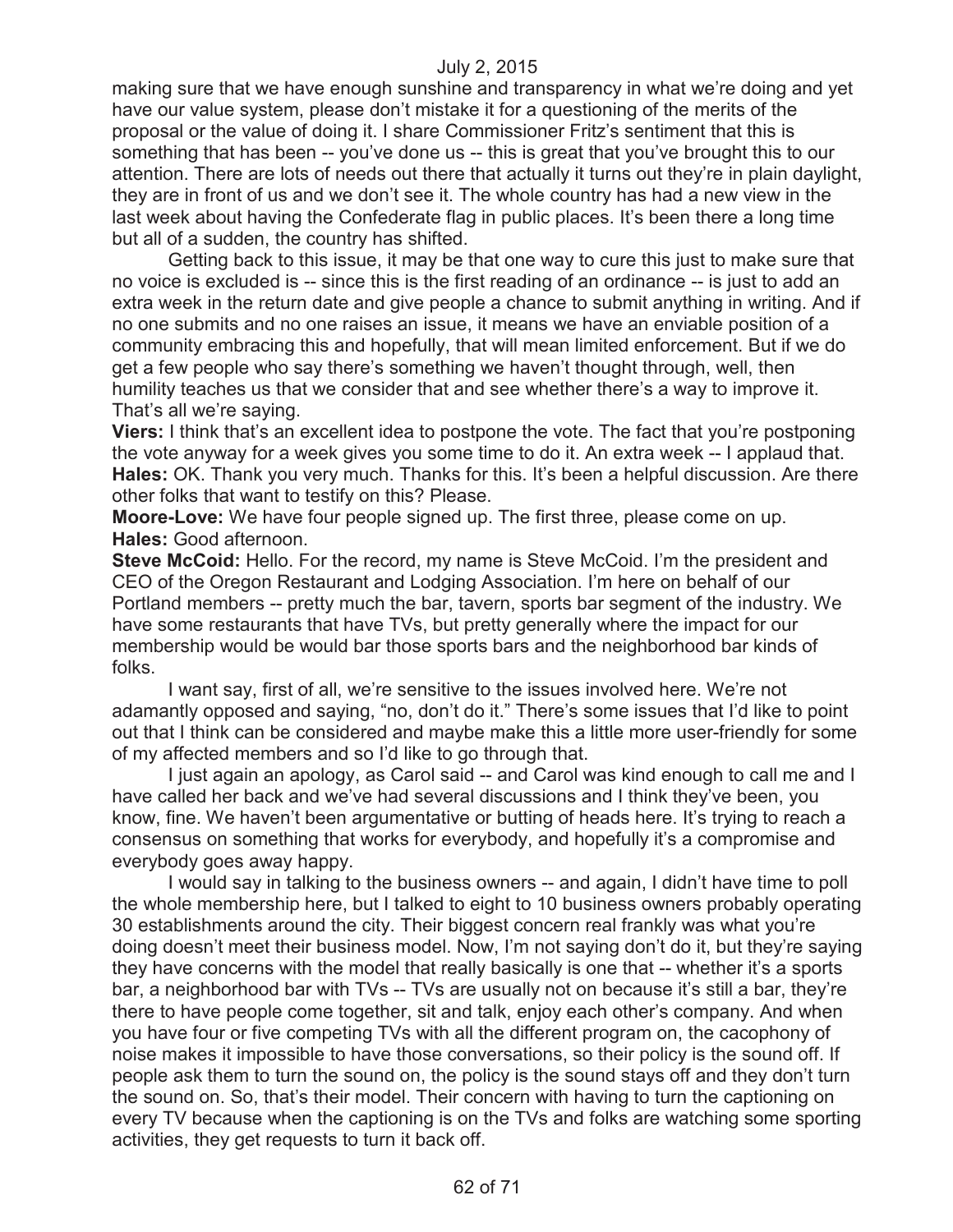making sure that we have enough sunshine and transparency in what we're doing and yet have our value system, please don't mistake it for a questioning of the merits of the proposal or the value of doing it. I share Commissioner Fritz's sentiment that this is something that has been -- you've done us -- this is great that you've brought this to our attention. There are lots of needs out there that actually it turns out they're in plain daylight, they are in front of us and we don't see it. The whole country has had a new view in the last week about having the Confederate flag in public places. It's been there a long time but all of a sudden, the country has shifted.

Getting back to this issue, it may be that one way to cure this just to make sure that no voice is excluded is -- since this is the first reading of an ordinance -- is just to add an extra week in the return date and give people a chance to submit anything in writing. And if no one submits and no one raises an issue, it means we have an enviable position of a community embracing this and hopefully, that will mean limited enforcement. But if we do get a few people who say there's something we haven't thought through, well, then humility teaches us that we consider that and see whether there's a way to improve it. That's all we're saying.

**Viers:** I think that's an excellent idea to postpone the vote. The fact that you're postponing the vote anyway for a week gives you some time to do it. An extra week -- I applaud that. **Hales:** OK. Thank you very much. Thanks for this. It's been a helpful discussion. Are there other folks that want to testify on this? Please.

**Moore-Love:** We have four people signed up. The first three, please come on up. **Hales:** Good afternoon.

**Steve McCoid:** Hello. For the record, my name is Steve McCoid. I'm the president and CEO of the Oregon Restaurant and Lodging Association. I'm here on behalf of our Portland members -- pretty much the bar, tavern, sports bar segment of the industry. We have some restaurants that have TVs, but pretty generally where the impact for our membership would be would bar those sports bars and the neighborhood bar kinds of folks.

I want say, first of all, we're sensitive to the issues involved here. We're not adamantly opposed and saying, "no, don't do it." There's some issues that I'd like to point out that I think can be considered and maybe make this a little more user-friendly for some of my affected members and so I'd like to go through that.

I just again an apology, as Carol said -- and Carol was kind enough to call me and I have called her back and we've had several discussions and I think they've been, you know, fine. We haven't been argumentative or butting of heads here. It's trying to reach a consensus on something that works for everybody, and hopefully it's a compromise and everybody goes away happy.

I would say in talking to the business owners -- and again, I didn't have time to poll the whole membership here, but I talked to eight to 10 business owners probably operating 30 establishments around the city. Their biggest concern real frankly was what you're doing doesn't meet their business model. Now, I'm not saying don't do it, but they're saying they have concerns with the model that really basically is one that -- whether it's a sports bar, a neighborhood bar with TVs -- TVs are usually not on because it's still a bar, they're there to have people come together, sit and talk, enjoy each other's company. And when you have four or five competing TVs with all the different program on, the cacophony of noise makes it impossible to have those conversations, so their policy is the sound off. If people ask them to turn the sound on, the policy is the sound stays off and they don't turn the sound on. So, that's their model. Their concern with having to turn the captioning on every TV because when the captioning is on the TVs and folks are watching some sporting activities, they get requests to turn it back off.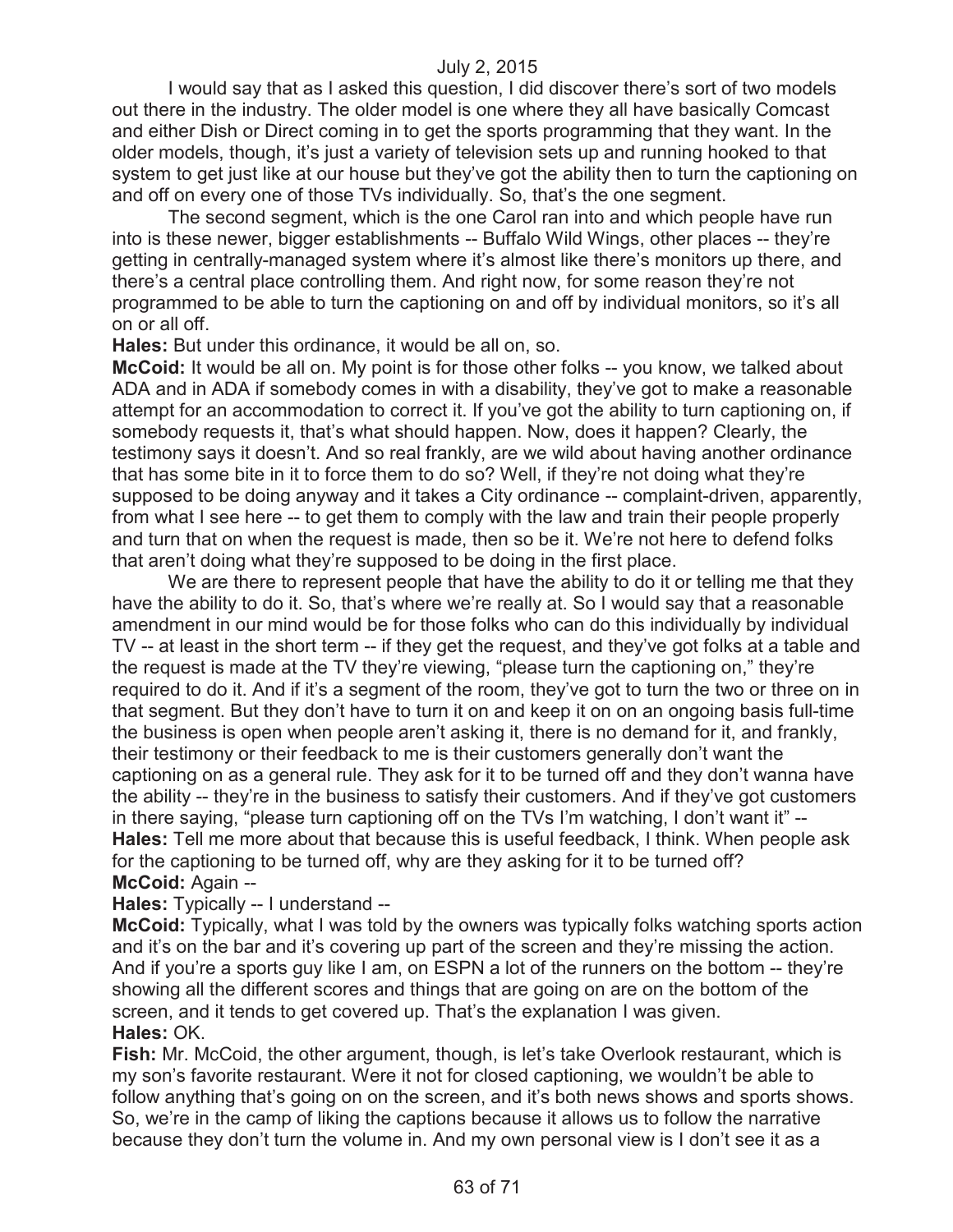I would say that as I asked this question, I did discover there's sort of two models out there in the industry. The older model is one where they all have basically Comcast and either Dish or Direct coming in to get the sports programming that they want. In the older models, though, it's just a variety of television sets up and running hooked to that system to get just like at our house but they've got the ability then to turn the captioning on and off on every one of those TVs individually. So, that's the one segment.

The second segment, which is the one Carol ran into and which people have run into is these newer, bigger establishments -- Buffalo Wild Wings, other places -- they're getting in centrally-managed system where it's almost like there's monitors up there, and there's a central place controlling them. And right now, for some reason they're not programmed to be able to turn the captioning on and off by individual monitors, so it's all on or all off.

**Hales:** But under this ordinance, it would be all on, so.

**McCoid:** It would be all on. My point is for those other folks -- you know, we talked about ADA and in ADA if somebody comes in with a disability, they've got to make a reasonable attempt for an accommodation to correct it. If you've got the ability to turn captioning on, if somebody requests it, that's what should happen. Now, does it happen? Clearly, the testimony says it doesn't. And so real frankly, are we wild about having another ordinance that has some bite in it to force them to do so? Well, if they're not doing what they're supposed to be doing anyway and it takes a City ordinance -- complaint-driven, apparently, from what I see here -- to get them to comply with the law and train their people properly and turn that on when the request is made, then so be it. We're not here to defend folks that aren't doing what they're supposed to be doing in the first place.

We are there to represent people that have the ability to do it or telling me that they have the ability to do it. So, that's where we're really at. So I would say that a reasonable amendment in our mind would be for those folks who can do this individually by individual TV -- at least in the short term -- if they get the request, and they've got folks at a table and the request is made at the TV they're viewing, "please turn the captioning on," they're required to do it. And if it's a segment of the room, they've got to turn the two or three on in that segment. But they don't have to turn it on and keep it on on an ongoing basis full-time the business is open when people aren't asking it, there is no demand for it, and frankly, their testimony or their feedback to me is their customers generally don't want the captioning on as a general rule. They ask for it to be turned off and they don't wanna have the ability -- they're in the business to satisfy their customers. And if they've got customers in there saying, "please turn captioning off on the TVs I'm watching, I don't want it" -- **Hales:** Tell me more about that because this is useful feedback, I think. When people ask for the captioning to be turned off, why are they asking for it to be turned off? **McCoid:** Again --

#### **Hales:** Typically -- I understand --

**McCoid:** Typically, what I was told by the owners was typically folks watching sports action and it's on the bar and it's covering up part of the screen and they're missing the action. And if you're a sports guy like I am, on ESPN a lot of the runners on the bottom -- they're showing all the different scores and things that are going on are on the bottom of the screen, and it tends to get covered up. That's the explanation I was given. **Hales:** OK.

**Fish:** Mr. McCoid, the other argument, though, is let's take Overlook restaurant, which is my son's favorite restaurant. Were it not for closed captioning, we wouldn't be able to follow anything that's going on on the screen, and it's both news shows and sports shows. So, we're in the camp of liking the captions because it allows us to follow the narrative because they don't turn the volume in. And my own personal view is I don't see it as a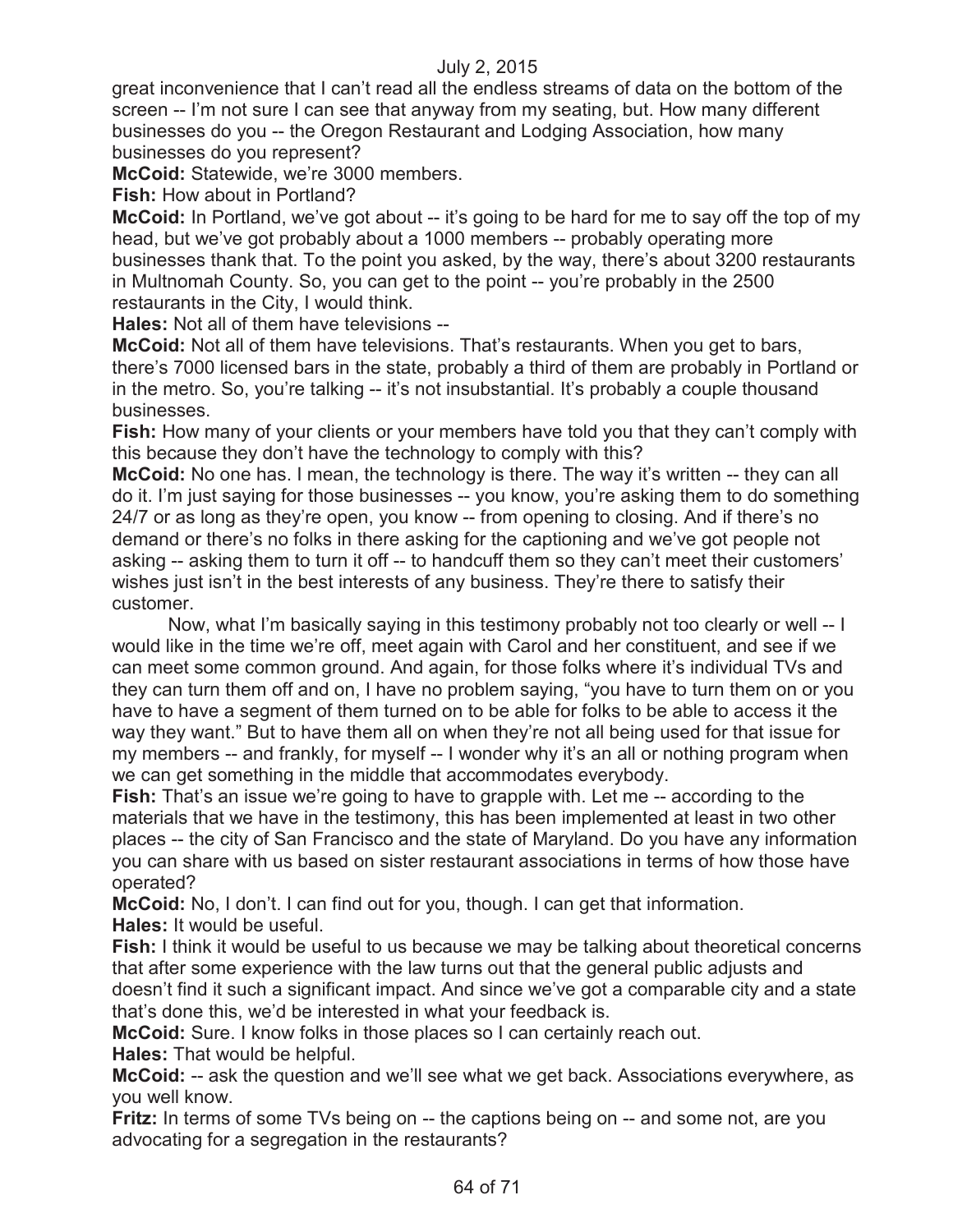great inconvenience that I can't read all the endless streams of data on the bottom of the screen -- I'm not sure I can see that anyway from my seating, but. How many different businesses do you -- the Oregon Restaurant and Lodging Association, how many businesses do you represent?

**McCoid:** Statewide, we're 3000 members.

**Fish:** How about in Portland?

**McCoid:** In Portland, we've got about -- it's going to be hard for me to say off the top of my head, but we've got probably about a 1000 members -- probably operating more businesses thank that. To the point you asked, by the way, there's about 3200 restaurants in Multnomah County. So, you can get to the point -- you're probably in the 2500 restaurants in the City, I would think.

**Hales:** Not all of them have televisions --

**McCoid:** Not all of them have televisions. That's restaurants. When you get to bars, there's 7000 licensed bars in the state, probably a third of them are probably in Portland or in the metro. So, you're talking -- it's not insubstantial. It's probably a couple thousand businesses.

**Fish:** How many of your clients or your members have told you that they can't comply with this because they don't have the technology to comply with this?

**McCoid:** No one has. I mean, the technology is there. The way it's written -- they can all do it. I'm just saying for those businesses -- you know, you're asking them to do something 24/7 or as long as they're open, you know -- from opening to closing. And if there's no demand or there's no folks in there asking for the captioning and we've got people not asking -- asking them to turn it off -- to handcuff them so they can't meet their customers' wishes just isn't in the best interests of any business. They're there to satisfy their customer.

Now, what I'm basically saying in this testimony probably not too clearly or well -- I would like in the time we're off, meet again with Carol and her constituent, and see if we can meet some common ground. And again, for those folks where it's individual TVs and they can turn them off and on, I have no problem saying, "you have to turn them on or you have to have a segment of them turned on to be able for folks to be able to access it the way they want." But to have them all on when they're not all being used for that issue for my members -- and frankly, for myself -- I wonder why it's an all or nothing program when we can get something in the middle that accommodates everybody.

**Fish:** That's an issue we're going to have to grapple with. Let me -- according to the materials that we have in the testimony, this has been implemented at least in two other places -- the city of San Francisco and the state of Maryland. Do you have any information you can share with us based on sister restaurant associations in terms of how those have operated?

**McCoid:** No, I don't. I can find out for you, though. I can get that information. **Hales:** It would be useful.

**Fish:** I think it would be useful to us because we may be talking about theoretical concerns that after some experience with the law turns out that the general public adjusts and doesn't find it such a significant impact. And since we've got a comparable city and a state that's done this, we'd be interested in what your feedback is.

**McCoid:** Sure. I know folks in those places so I can certainly reach out.

**Hales:** That would be helpful.

**McCoid:** -- ask the question and we'll see what we get back. Associations everywhere, as you well know.

**Fritz:** In terms of some TVs being on -- the captions being on -- and some not, are you advocating for a segregation in the restaurants?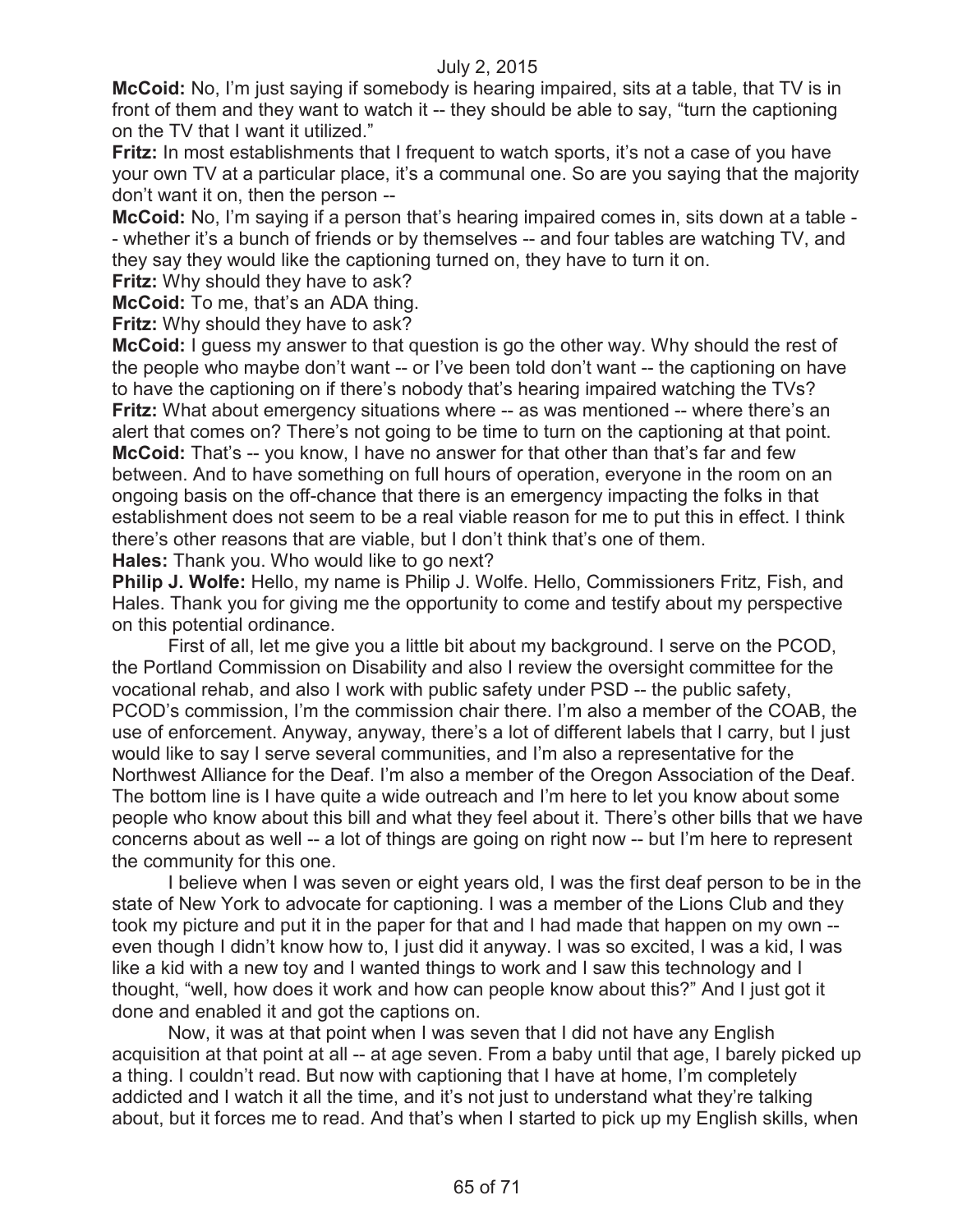**McCoid:** No, I'm just saying if somebody is hearing impaired, sits at a table, that TV is in front of them and they want to watch it -- they should be able to say, "turn the captioning on the TV that I want it utilized."

**Fritz:** In most establishments that I frequent to watch sports, it's not a case of you have your own TV at a particular place, it's a communal one. So are you saying that the majority don't want it on, then the person --

**McCoid:** No, I'm saying if a person that's hearing impaired comes in, sits down at a table - - whether it's a bunch of friends or by themselves -- and four tables are watching TV, and they say they would like the captioning turned on, they have to turn it on.

**Fritz:** Why should they have to ask?

**McCoid:** To me, that's an ADA thing.

**Fritz:** Why should they have to ask?

**McCoid:** I guess my answer to that question is go the other way. Why should the rest of the people who maybe don't want -- or I've been told don't want -- the captioning on have to have the captioning on if there's nobody that's hearing impaired watching the TVs? **Fritz:** What about emergency situations where -- as was mentioned -- where there's an alert that comes on? There's not going to be time to turn on the captioning at that point. **McCoid:** That's -- you know, I have no answer for that other than that's far and few between. And to have something on full hours of operation, everyone in the room on an ongoing basis on the off-chance that there is an emergency impacting the folks in that establishment does not seem to be a real viable reason for me to put this in effect. I think there's other reasons that are viable, but I don't think that's one of them. **Hales:** Thank you. Who would like to go next?

**Philip J. Wolfe:** Hello, my name is Philip J. Wolfe. Hello, Commissioners Fritz, Fish, and Hales. Thank you for giving me the opportunity to come and testify about my perspective on this potential ordinance.

First of all, let me give you a little bit about my background. I serve on the PCOD, the Portland Commission on Disability and also I review the oversight committee for the vocational rehab, and also I work with public safety under PSD -- the public safety, PCOD's commission, I'm the commission chair there. I'm also a member of the COAB, the use of enforcement. Anyway, anyway, there's a lot of different labels that I carry, but I just would like to say I serve several communities, and I'm also a representative for the Northwest Alliance for the Deaf. I'm also a member of the Oregon Association of the Deaf. The bottom line is I have quite a wide outreach and I'm here to let you know about some people who know about this bill and what they feel about it. There's other bills that we have concerns about as well -- a lot of things are going on right now -- but I'm here to represent the community for this one.

I believe when I was seven or eight years old, I was the first deaf person to be in the state of New York to advocate for captioning. I was a member of the Lions Club and they took my picture and put it in the paper for that and I had made that happen on my own - even though I didn't know how to, I just did it anyway. I was so excited, I was a kid, I was like a kid with a new toy and I wanted things to work and I saw this technology and I thought, "well, how does it work and how can people know about this?" And I just got it done and enabled it and got the captions on.

Now, it was at that point when I was seven that I did not have any English acquisition at that point at all -- at age seven. From a baby until that age, I barely picked up a thing. I couldn't read. But now with captioning that I have at home, I'm completely addicted and I watch it all the time, and it's not just to understand what they're talking about, but it forces me to read. And that's when I started to pick up my English skills, when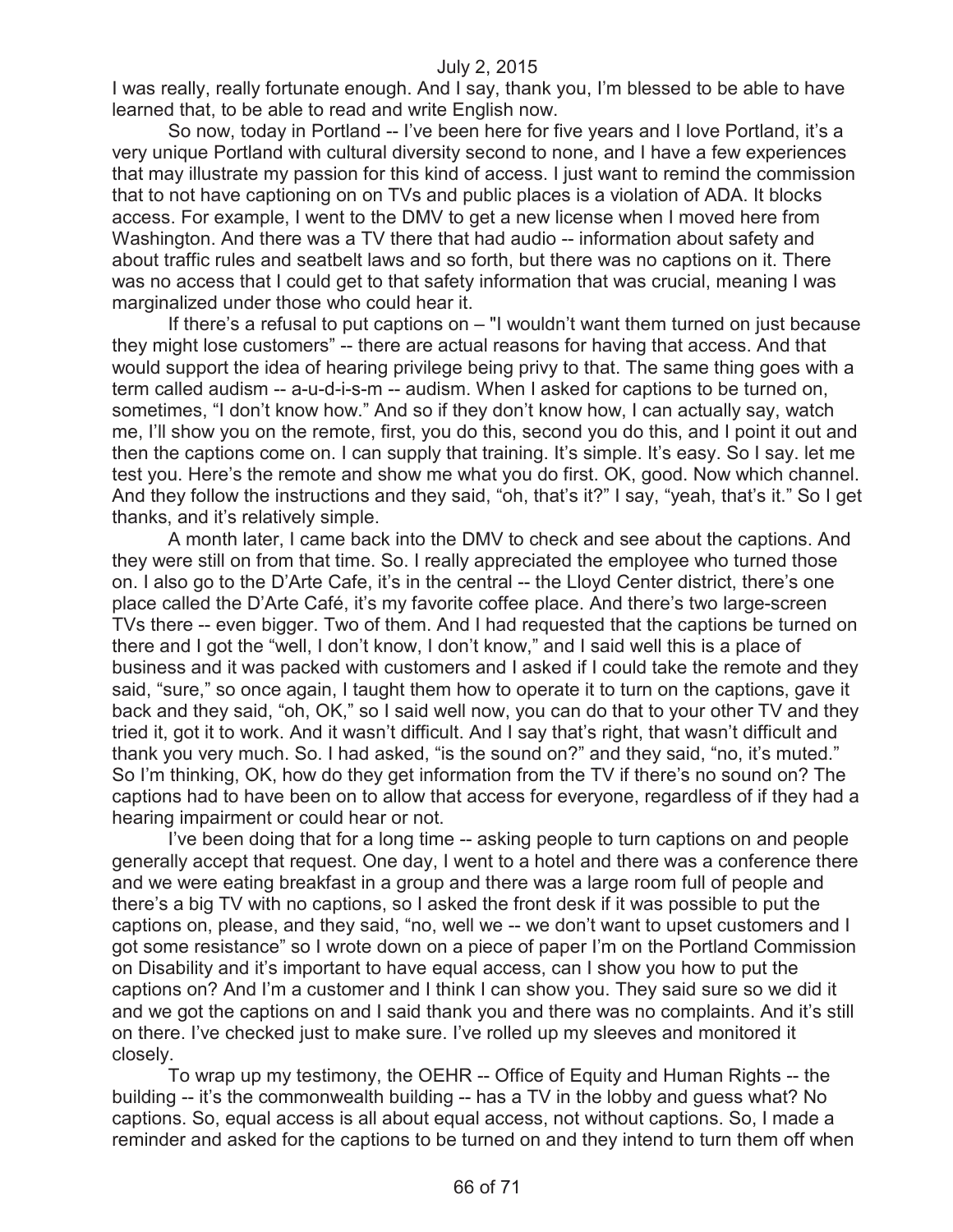I was really, really fortunate enough. And I say, thank you, I'm blessed to be able to have learned that, to be able to read and write English now.

So now, today in Portland -- I've been here for five years and I love Portland, it's a very unique Portland with cultural diversity second to none, and I have a few experiences that may illustrate my passion for this kind of access. I just want to remind the commission that to not have captioning on on TVs and public places is a violation of ADA. It blocks access. For example, I went to the DMV to get a new license when I moved here from Washington. And there was a TV there that had audio -- information about safety and about traffic rules and seatbelt laws and so forth, but there was no captions on it. There was no access that I could get to that safety information that was crucial, meaning I was marginalized under those who could hear it.

If there's a refusal to put captions on – "I wouldn't want them turned on just because they might lose customers" -- there are actual reasons for having that access. And that would support the idea of hearing privilege being privy to that. The same thing goes with a term called audism -- a-u-d-i-s-m -- audism. When I asked for captions to be turned on, sometimes, "I don't know how." And so if they don't know how, I can actually say, watch me, I'll show you on the remote, first, you do this, second you do this, and I point it out and then the captions come on. I can supply that training. It's simple. It's easy. So I say. let me test you. Here's the remote and show me what you do first. OK, good. Now which channel. And they follow the instructions and they said, "oh, that's it?" I say, "yeah, that's it." So I get thanks, and it's relatively simple.

A month later, I came back into the DMV to check and see about the captions. And they were still on from that time. So. I really appreciated the employee who turned those on. I also go to the D'Arte Cafe, it's in the central -- the Lloyd Center district, there's one place called the D'Arte Café, it's my favorite coffee place. And there's two large-screen TVs there -- even bigger. Two of them. And I had requested that the captions be turned on there and I got the "well, I don't know, I don't know," and I said well this is a place of business and it was packed with customers and I asked if I could take the remote and they said, "sure," so once again, I taught them how to operate it to turn on the captions, gave it back and they said, "oh, OK," so I said well now, you can do that to your other TV and they tried it, got it to work. And it wasn't difficult. And I say that's right, that wasn't difficult and thank you very much. So. I had asked, "is the sound on?" and they said, "no, it's muted." So I'm thinking, OK, how do they get information from the TV if there's no sound on? The captions had to have been on to allow that access for everyone, regardless of if they had a hearing impairment or could hear or not.

I've been doing that for a long time -- asking people to turn captions on and people generally accept that request. One day, I went to a hotel and there was a conference there and we were eating breakfast in a group and there was a large room full of people and there's a big TV with no captions, so I asked the front desk if it was possible to put the captions on, please, and they said, "no, well we -- we don't want to upset customers and I got some resistance" so I wrote down on a piece of paper I'm on the Portland Commission on Disability and it's important to have equal access, can I show you how to put the captions on? And I'm a customer and I think I can show you. They said sure so we did it and we got the captions on and I said thank you and there was no complaints. And it's still on there. I've checked just to make sure. I've rolled up my sleeves and monitored it closely.

To wrap up my testimony, the OEHR -- Office of Equity and Human Rights -- the building -- it's the commonwealth building -- has a TV in the lobby and guess what? No captions. So, equal access is all about equal access, not without captions. So, I made a reminder and asked for the captions to be turned on and they intend to turn them off when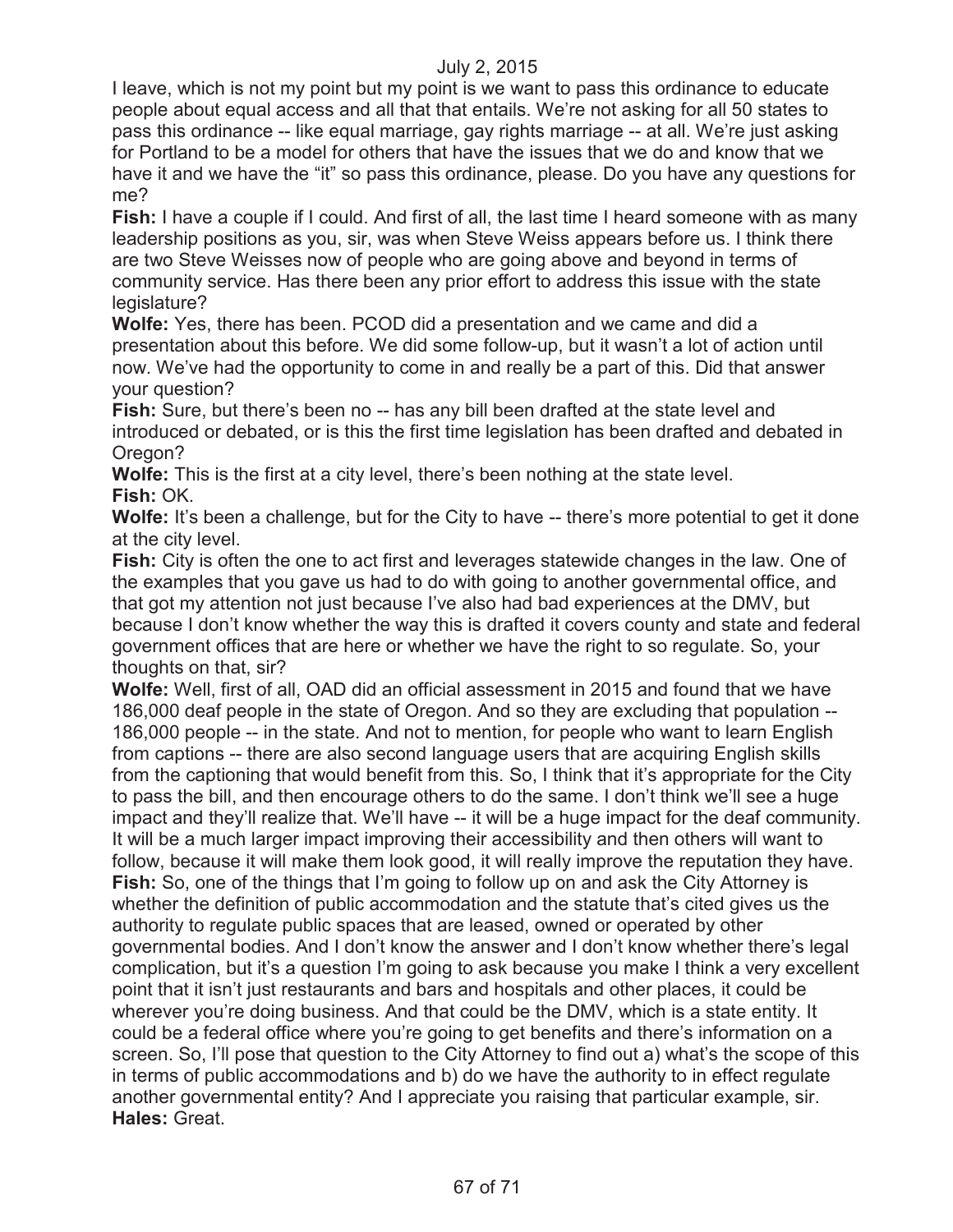I leave, which is not my point but my point is we want to pass this ordinance to educate people about equal access and all that that entails. We're not asking for all 50 states to pass this ordinance -- like equal marriage, gay rights marriage -- at all. We're just asking for Portland to be a model for others that have the issues that we do and know that we have it and we have the "it" so pass this ordinance, please. Do you have any questions for me?

**Fish:** I have a couple if I could. And first of all, the last time I heard someone with as many leadership positions as you, sir, was when Steve Weiss appears before us. I think there are two Steve Weisses now of people who are going above and beyond in terms of community service. Has there been any prior effort to address this issue with the state legislature?

**Wolfe:** Yes, there has been. PCOD did a presentation and we came and did a presentation about this before. We did some follow-up, but it wasn't a lot of action until now. We've had the opportunity to come in and really be a part of this. Did that answer your question?

**Fish:** Sure, but there's been no -- has any bill been drafted at the state level and introduced or debated, or is this the first time legislation has been drafted and debated in Oregon?

**Wolfe:** This is the first at a city level, there's been nothing at the state level. **Fish:** OK.

**Wolfe:** It's been a challenge, but for the City to have -- there's more potential to get it done at the city level.

**Fish:** City is often the one to act first and leverages statewide changes in the law. One of the examples that you gave us had to do with going to another governmental office, and that got my attention not just because I've also had bad experiences at the DMV, but because I don't know whether the way this is drafted it covers county and state and federal government offices that are here or whether we have the right to so regulate. So, your thoughts on that, sir?

**Wolfe:** Well, first of all, OAD did an official assessment in 2015 and found that we have 186,000 deaf people in the state of Oregon. And so they are excluding that population -- 186,000 people -- in the state. And not to mention, for people who want to learn English from captions -- there are also second language users that are acquiring English skills from the captioning that would benefit from this. So, I think that it's appropriate for the City to pass the bill, and then encourage others to do the same. I don't think we'll see a huge impact and they'll realize that. We'll have -- it will be a huge impact for the deaf community. It will be a much larger impact improving their accessibility and then others will want to follow, because it will make them look good, it will really improve the reputation they have. **Fish:** So, one of the things that I'm going to follow up on and ask the City Attorney is whether the definition of public accommodation and the statute that's cited gives us the authority to regulate public spaces that are leased, owned or operated by other governmental bodies. And I don't know the answer and I don't know whether there's legal complication, but it's a question I'm going to ask because you make I think a very excellent point that it isn't just restaurants and bars and hospitals and other places, it could be wherever you're doing business. And that could be the DMV, which is a state entity. It could be a federal office where you're going to get benefits and there's information on a screen. So, I'll pose that question to the City Attorney to find out a) what's the scope of this in terms of public accommodations and b) do we have the authority to in effect regulate another governmental entity? And I appreciate you raising that particular example, sir. **Hales:** Great.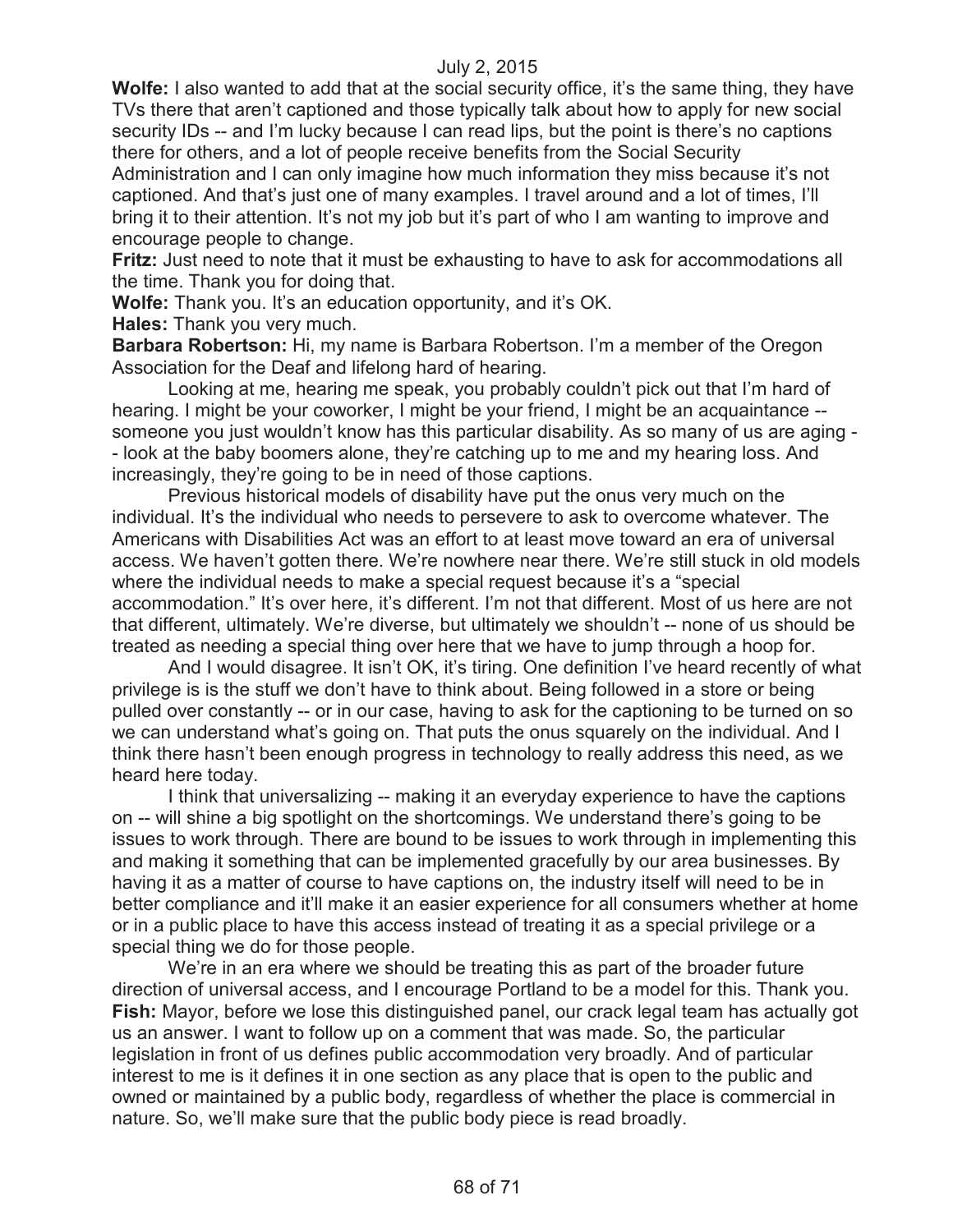**Wolfe:** I also wanted to add that at the social security office, it's the same thing, they have TVs there that aren't captioned and those typically talk about how to apply for new social security IDs -- and I'm lucky because I can read lips, but the point is there's no captions there for others, and a lot of people receive benefits from the Social Security Administration and I can only imagine how much information they miss because it's not captioned. And that's just one of many examples. I travel around and a lot of times, I'll bring it to their attention. It's not my job but it's part of who I am wanting to improve and encourage people to change.

**Fritz:** Just need to note that it must be exhausting to have to ask for accommodations all the time. Thank you for doing that.

**Wolfe:** Thank you. It's an education opportunity, and it's OK.

**Hales:** Thank you very much.

**Barbara Robertson:** Hi, my name is Barbara Robertson. I'm a member of the Oregon Association for the Deaf and lifelong hard of hearing.

Looking at me, hearing me speak, you probably couldn't pick out that I'm hard of hearing. I might be your coworker, I might be your friend, I might be an acquaintance - someone you just wouldn't know has this particular disability. As so many of us are aging - - look at the baby boomers alone, they're catching up to me and my hearing loss. And increasingly, they're going to be in need of those captions.

Previous historical models of disability have put the onus very much on the individual. It's the individual who needs to persevere to ask to overcome whatever. The Americans with Disabilities Act was an effort to at least move toward an era of universal access. We haven't gotten there. We're nowhere near there. We're still stuck in old models where the individual needs to make a special request because it's a "special accommodation." It's over here, it's different. I'm not that different. Most of us here are not that different, ultimately. We're diverse, but ultimately we shouldn't -- none of us should be treated as needing a special thing over here that we have to jump through a hoop for.

And I would disagree. It isn't OK, it's tiring. One definition I've heard recently of what privilege is is the stuff we don't have to think about. Being followed in a store or being pulled over constantly -- or in our case, having to ask for the captioning to be turned on so we can understand what's going on. That puts the onus squarely on the individual. And I think there hasn't been enough progress in technology to really address this need, as we heard here today.

I think that universalizing -- making it an everyday experience to have the captions on -- will shine a big spotlight on the shortcomings. We understand there's going to be issues to work through. There are bound to be issues to work through in implementing this and making it something that can be implemented gracefully by our area businesses. By having it as a matter of course to have captions on, the industry itself will need to be in better compliance and it'll make it an easier experience for all consumers whether at home or in a public place to have this access instead of treating it as a special privilege or a special thing we do for those people.

We're in an era where we should be treating this as part of the broader future direction of universal access, and I encourage Portland to be a model for this. Thank you. **Fish:** Mayor, before we lose this distinguished panel, our crack legal team has actually got us an answer. I want to follow up on a comment that was made. So, the particular legislation in front of us defines public accommodation very broadly. And of particular interest to me is it defines it in one section as any place that is open to the public and owned or maintained by a public body, regardless of whether the place is commercial in nature. So, we'll make sure that the public body piece is read broadly.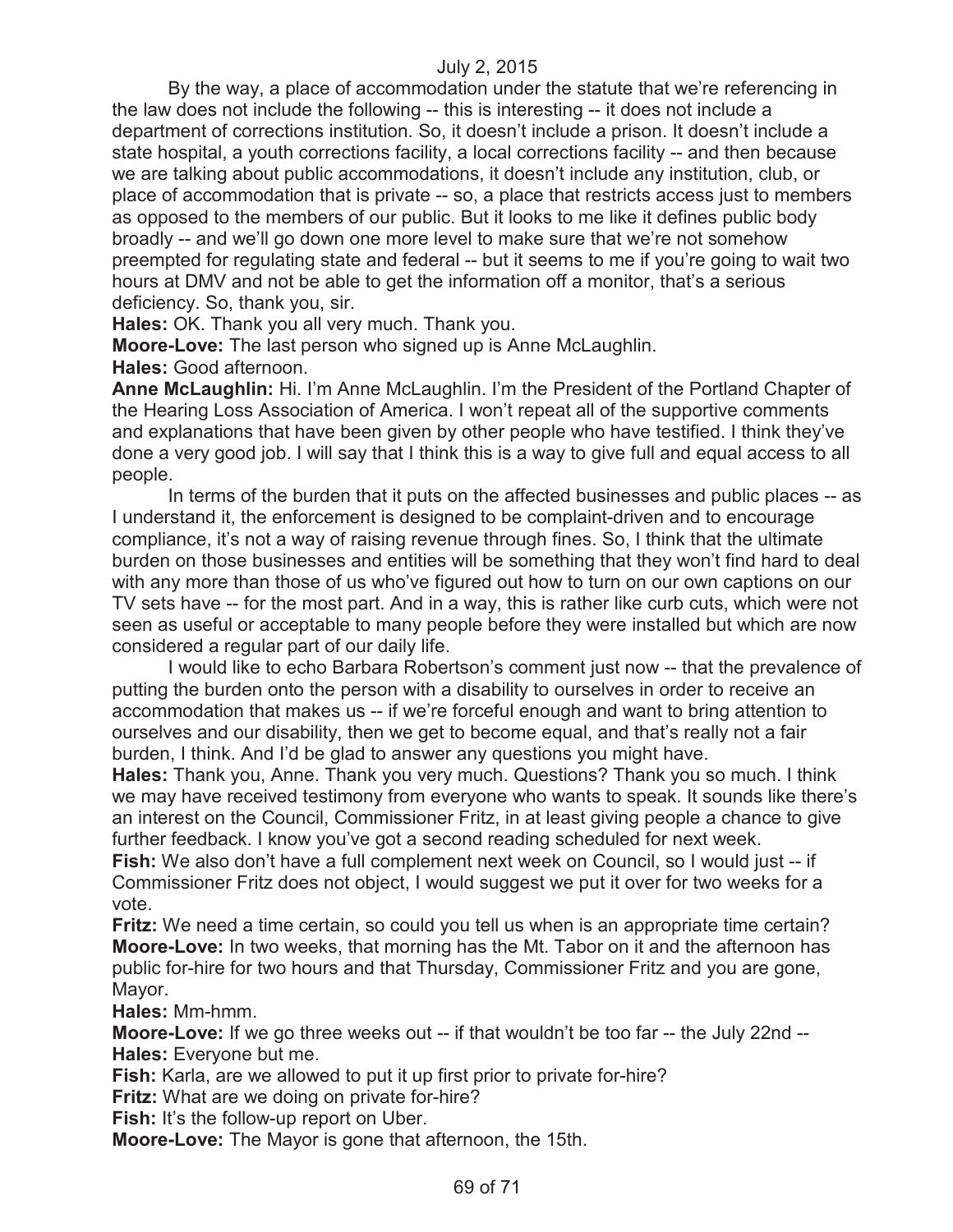By the way, a place of accommodation under the statute that we're referencing in the law does not include the following -- this is interesting -- it does not include a department of corrections institution. So, it doesn't include a prison. It doesn't include a state hospital, a youth corrections facility, a local corrections facility -- and then because we are talking about public accommodations, it doesn't include any institution, club, or place of accommodation that is private -- so, a place that restricts access just to members as opposed to the members of our public. But it looks to me like it defines public body broadly -- and we'll go down one more level to make sure that we're not somehow preempted for regulating state and federal -- but it seems to me if you're going to wait two hours at DMV and not be able to get the information off a monitor, that's a serious deficiency. So, thank you, sir.

**Hales:** OK. Thank you all very much. Thank you.

**Moore-Love:** The last person who signed up is Anne McLaughlin. **Hales:** Good afternoon.

**Anne McLaughlin:** Hi. I'm Anne McLaughlin. I'm the President of the Portland Chapter of the Hearing Loss Association of America. I won't repeat all of the supportive comments and explanations that have been given by other people who have testified. I think they've done a very good job. I will say that I think this is a way to give full and equal access to all people.

In terms of the burden that it puts on the affected businesses and public places -- as I understand it, the enforcement is designed to be complaint-driven and to encourage compliance, it's not a way of raising revenue through fines. So, I think that the ultimate burden on those businesses and entities will be something that they won't find hard to deal with any more than those of us who've figured out how to turn on our own captions on our TV sets have -- for the most part. And in a way, this is rather like curb cuts, which were not seen as useful or acceptable to many people before they were installed but which are now considered a regular part of our daily life.

I would like to echo Barbara Robertson's comment just now -- that the prevalence of putting the burden onto the person with a disability to ourselves in order to receive an accommodation that makes us -- if we're forceful enough and want to bring attention to ourselves and our disability, then we get to become equal, and that's really not a fair burden, I think. And I'd be glad to answer any questions you might have.

**Hales:** Thank you, Anne. Thank you very much. Questions? Thank you so much. I think we may have received testimony from everyone who wants to speak. It sounds like there's an interest on the Council, Commissioner Fritz, in at least giving people a chance to give further feedback. I know you've got a second reading scheduled for next week.

**Fish:** We also don't have a full complement next week on Council, so I would just -- if Commissioner Fritz does not object, I would suggest we put it over for two weeks for a vote.

**Fritz:** We need a time certain, so could you tell us when is an appropriate time certain? **Moore-Love:** In two weeks, that morning has the Mt. Tabor on it and the afternoon has public for-hire for two hours and that Thursday, Commissioner Fritz and you are gone, Mayor.

**Hales:** Mm-hmm.

**Moore-Love:** If we go three weeks out -- if that wouldn't be too far -- the July 22nd -- **Hales:** Everyone but me.

**Fish:** Karla, are we allowed to put it up first prior to private for-hire?

**Fritz:** What are we doing on private for-hire?

**Fish:** It's the follow-up report on Uber.

**Moore-Love:** The Mayor is gone that afternoon, the 15th.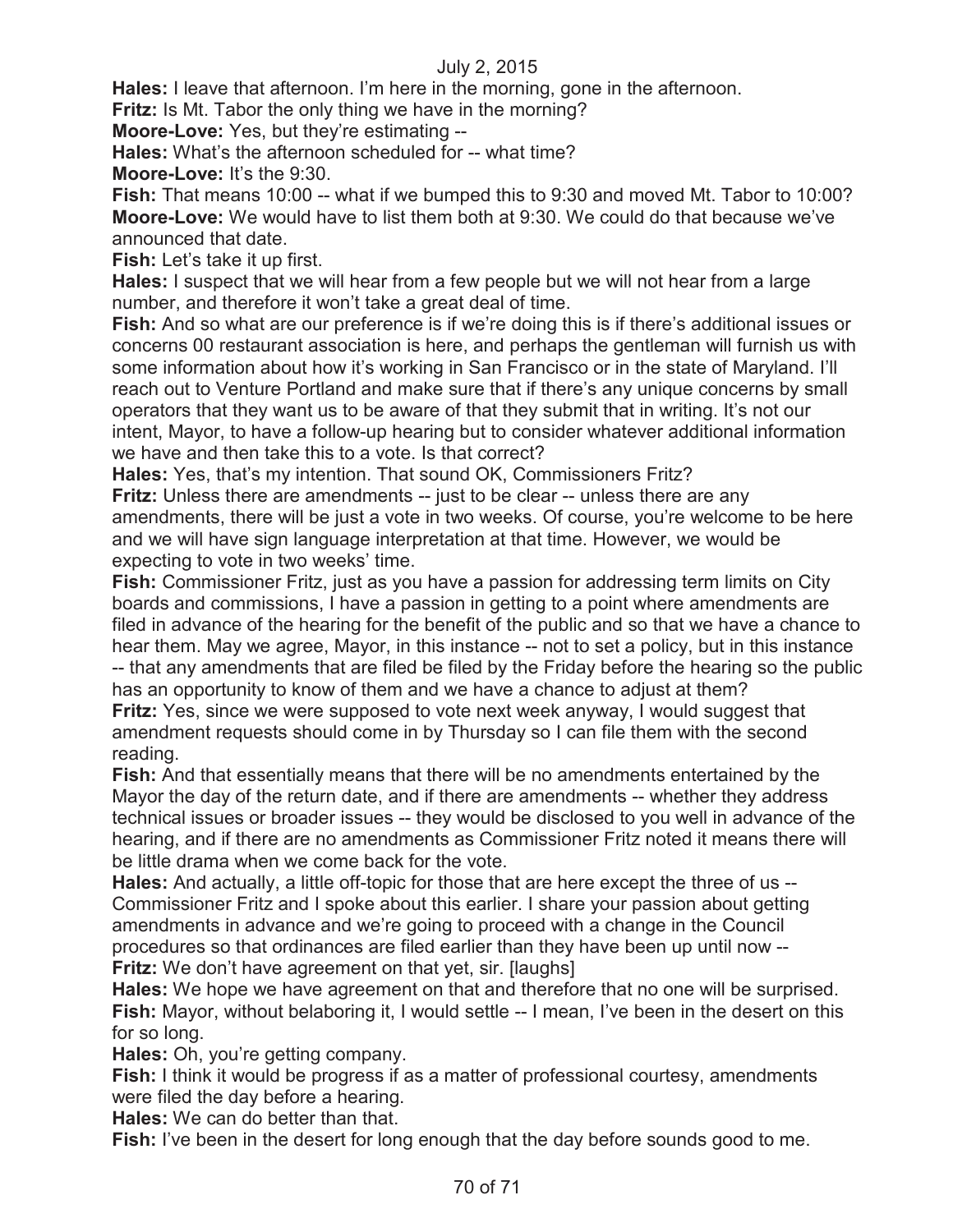**Hales:** I leave that afternoon. I'm here in the morning, gone in the afternoon.

**Fritz:** Is Mt. Tabor the only thing we have in the morning?

**Moore-Love:** Yes, but they're estimating --

**Hales:** What's the afternoon scheduled for -- what time?

**Moore-Love:** It's the 9:30.

**Fish:** That means 10:00 -- what if we bumped this to 9:30 and moved Mt. Tabor to 10:00? **Moore-Love:** We would have to list them both at 9:30. We could do that because we've announced that date.

**Fish:** Let's take it up first.

**Hales:** I suspect that we will hear from a few people but we will not hear from a large number, and therefore it won't take a great deal of time.

**Fish:** And so what are our preference is if we're doing this is if there's additional issues or concerns 00 restaurant association is here, and perhaps the gentleman will furnish us with some information about how it's working in San Francisco or in the state of Maryland. I'll reach out to Venture Portland and make sure that if there's any unique concerns by small operators that they want us to be aware of that they submit that in writing. It's not our intent, Mayor, to have a follow-up hearing but to consider whatever additional information we have and then take this to a vote. Is that correct?

**Hales:** Yes, that's my intention. That sound OK, Commissioners Fritz?

**Fritz:** Unless there are amendments -- just to be clear -- unless there are any amendments, there will be just a vote in two weeks. Of course, you're welcome to be here and we will have sign language interpretation at that time. However, we would be expecting to vote in two weeks' time.

**Fish:** Commissioner Fritz, just as you have a passion for addressing term limits on City boards and commissions, I have a passion in getting to a point where amendments are filed in advance of the hearing for the benefit of the public and so that we have a chance to hear them. May we agree, Mayor, in this instance -- not to set a policy, but in this instance -- that any amendments that are filed be filed by the Friday before the hearing so the public has an opportunity to know of them and we have a chance to adjust at them?

**Fritz:** Yes, since we were supposed to vote next week anyway, I would suggest that amendment requests should come in by Thursday so I can file them with the second reading.

**Fish:** And that essentially means that there will be no amendments entertained by the Mayor the day of the return date, and if there are amendments -- whether they address technical issues or broader issues -- they would be disclosed to you well in advance of the hearing, and if there are no amendments as Commissioner Fritz noted it means there will be little drama when we come back for the vote.

**Hales:** And actually, a little off-topic for those that are here except the three of us -- Commissioner Fritz and I spoke about this earlier. I share your passion about getting amendments in advance and we're going to proceed with a change in the Council procedures so that ordinances are filed earlier than they have been up until now -- **Fritz:** We don't have agreement on that yet, sir. [laughs]

**Hales:** We hope we have agreement on that and therefore that no one will be surprised. Fish: Mayor, without belaboring it, I would settle -- I mean, I've been in the desert on this for so long.

**Hales:** Oh, you're getting company.

**Fish:** I think it would be progress if as a matter of professional courtesy, amendments were filed the day before a hearing.

**Hales:** We can do better than that.

**Fish:** I've been in the desert for long enough that the day before sounds good to me.